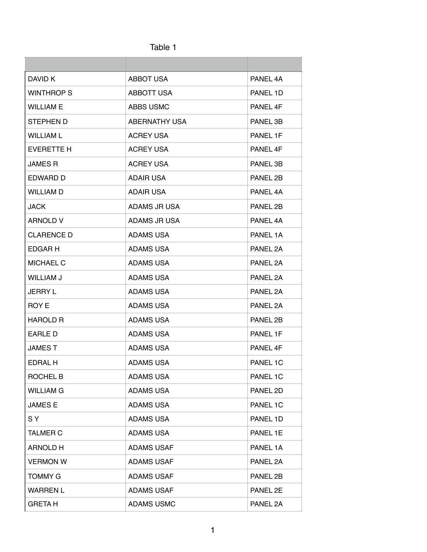| dD⊩ |  |
|-----|--|
|-----|--|

| DAVID K           | <b>ABBOT USA</b>     | PANEL 4A |
|-------------------|----------------------|----------|
| <b>WINTHROP S</b> | <b>ABBOTT USA</b>    | PANEL 1D |
| <b>WILLIAM E</b>  | ABBS USMC            | PANEL 4F |
| STEPHEN D         | <b>ABERNATHY USA</b> | PANEL 3B |
| <b>WILLIAM L</b>  | <b>ACREY USA</b>     | PANEL 1F |
| <b>EVERETTE H</b> | ACREY USA            | PANEL 4F |
| <b>JAMES R</b>    | <b>ACREY USA</b>     | PANEL 3B |
| EDWARD D          | <b>ADAIR USA</b>     | PANEL 2B |
| <b>WILLIAM D</b>  | ADAIR USA            | PANEL 4A |
| <b>JACK</b>       | ADAMS JR USA         | PANEL 2B |
| <b>ARNOLD V</b>   | ADAMS JR USA         | PANEL 4A |
| <b>CLARENCE D</b> | <b>ADAMS USA</b>     | PANEL 1A |
| EDGAR H           | <b>ADAMS USA</b>     | PANEL 2A |
| <b>MICHAEL C</b>  | <b>ADAMS USA</b>     | PANEL 2A |
| WILLIAM J         | <b>ADAMS USA</b>     | PANEL 2A |
| <b>JERRY L</b>    | ADAMS USA            | PANEL 2A |
| ROY E             | <b>ADAMS USA</b>     | PANEL 2A |
| <b>HAROLD R</b>   | <b>ADAMS USA</b>     | PANEL 2B |
| <b>FARLED</b>     | <b>ADAMS USA</b>     | PANEL 1F |
| <b>JAMEST</b>     | <b>ADAMS USA</b>     | PANEL 4F |
| EDRAL H           | <b>ADAMS USA</b>     | PANEL 1C |
| ROCHEL B          | <b>ADAMS USA</b>     | PANEL 1C |
| <b>WILLIAM G</b>  | ADAMS USA            | PANEL 2D |
| <b>JAMESE</b>     | <b>ADAMS USA</b>     | PANEL 1C |
| SY.               | <b>ADAMS USA</b>     | PANEL 1D |
| <b>TALMER C</b>   | ADAMS USA            | PANEL 1E |
| <b>ARNOLD H</b>   | <b>ADAMS USAF</b>    | PANEL 1A |
| <b>VERMON W</b>   | <b>ADAMS USAF</b>    | PANEL 2A |
| <b>TOMMY G</b>    | <b>ADAMS USAF</b>    | PANEL 2B |
| <b>WARREN L</b>   | <b>ADAMS USAF</b>    | PANEL 2E |
| <b>GRETAH</b>     | <b>ADAMS USMC</b>    | PANEL 2A |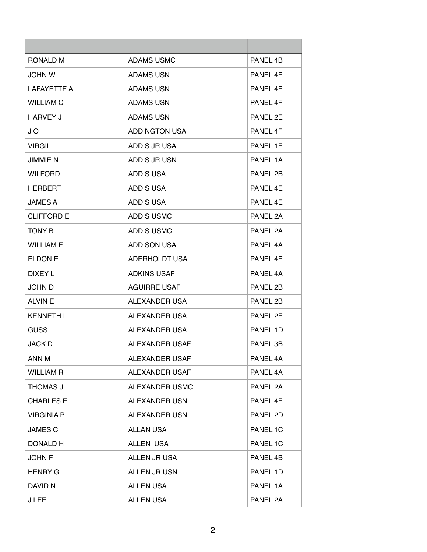| RONALD M           | ADAMS USMC            | PANEL 4B            |
|--------------------|-----------------------|---------------------|
| <b>JOHN W</b>      | <b>ADAMS USN</b>      | PANEL 4F            |
| <b>LAFAYETTE A</b> | <b>ADAMS USN</b>      | PANEL 4F            |
| <b>WILLIAM C</b>   | <b>ADAMS USN</b>      | PANEL 4F            |
| HARVEY J           | <b>ADAMS USN</b>      | PANEL 2E            |
| J O                | <b>ADDINGTON USA</b>  | PANEL 4F            |
| <b>VIRGIL</b>      | ADDIS JR USA          | PANEL 1F            |
| <b>JIMMIE N</b>    | ADDIS JR USN          | PANEL 1A            |
| <b>WILFORD</b>     | <b>ADDIS USA</b>      | PANEL 2B            |
| <b>HERBERT</b>     | <b>ADDIS USA</b>      | PANEL 4E            |
| <b>JAMES A</b>     | ADDIS USA             | PANFI <sub>4F</sub> |
| <b>CLIFFORD E</b>  | <b>ADDIS USMC</b>     | PANEL 2A            |
| <b>TONY B</b>      | <b>ADDIS USMC</b>     | PANEL 2A            |
| <b>WILLIAM E</b>   | <b>ADDISON USA</b>    | PANEL 4A            |
| <b>ELDON E</b>     | <b>ADERHOLDT USA</b>  | PANEL 4F            |
| DIXEY L            | <b>ADKINS USAF</b>    | PANEL 4A            |
| JOHN D             | <b>AGUIRRE USAF</b>   | PANEL 2B            |
| <b>ALVIN E</b>     | ALEXANDER USA         | PANEL 2B            |
| <b>KENNETH L</b>   | ALEXANDER USA         | PANEL 2E            |
| GUSS               | ALEXANDER USA         | PANEL 1D            |
| <b>JACK D</b>      | ALEXANDER USAF        | PANEL 3B            |
| ANN M              | ALEXANDER USAF        | PANEL 4A            |
| <b>WILLIAM R</b>   | ALEXANDER USAF        | PANEL 4A            |
| THOMAS J           | <b>ALEXANDER USMC</b> | PANEL 2A            |
| <b>CHARLES E</b>   | ALEXANDER USN         | PANEL 4F            |
| <b>VIRGINIA P</b>  | ALEXANDER USN         | PANEL 2D            |
| <b>JAMES C</b>     | ALLAN USA             | PANEL 1C            |
| DONALD H           | ALLEN USA             | PANEL 1C            |
| <b>JOHN F</b>      | ALLEN JR USA          | PANEL 4B            |
| <b>HENRY G</b>     | ALLEN JR USN          | PANEL 1D            |
| DAVID N            | <b>ALLEN USA</b>      | PANEL 1A            |
| <b>JLEE</b>        | <b>ALLEN USA</b>      | PANEL 2A            |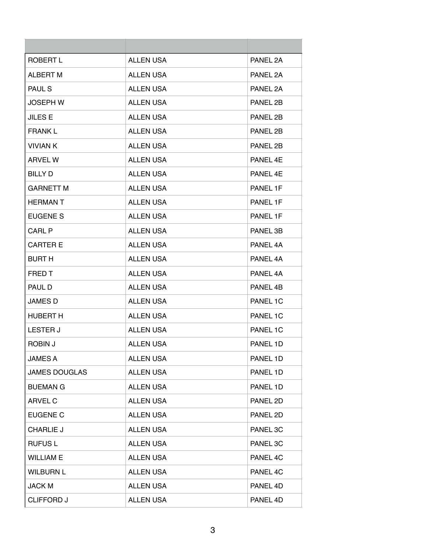| ROBERT L             | <b>ALLEN USA</b> | PANEL 2A |
|----------------------|------------------|----------|
| <b>ALBERT M</b>      | <b>ALLEN USA</b> | PANEL 2A |
| <b>PAUL S</b>        | <b>ALLEN USA</b> | PANEL 2A |
| JOSEPH W             | <b>ALLEN USA</b> | PANEL 2B |
| <b>JILES E</b>       | ALL EN USA       | PANEL 2B |
| <b>FRANK L</b>       | <b>ALLEN USA</b> | PANEL 2B |
| <b>VIVIAN K</b>      | <b>ALLEN USA</b> | PANEL 2B |
| <b>ARVEL W</b>       | <b>ALLEN USA</b> | PANEL 4E |
| <b>BILLY D</b>       | <b>ALLEN USA</b> | PANEL 4E |
| <b>GARNETT M</b>     | <b>ALLEN USA</b> | PANEL 1F |
| <b>HERMAN T</b>      | <b>ALLEN USA</b> | PANEL 1F |
| <b>EUGENE S</b>      | <b>ALLEN USA</b> | PANEL 1F |
| <b>CARL P</b>        | <b>ALLEN USA</b> | PANEL 3B |
| <b>CARTER E</b>      | <b>ALLEN USA</b> | PANEL 4A |
| <b>BURT H</b>        | <b>ALLEN USA</b> | PANEL 4A |
| <b>FRED T</b>        | <b>ALLEN USA</b> | PANEL 4A |
| PAUL D               | <b>ALLEN USA</b> | PANEL 4B |
| <b>JAMES D</b>       | <b>ALLEN USA</b> | PANEL 1C |
| <b>HUBERT H</b>      | <b>ALLEN USA</b> | PANEL 1C |
| <b>LESTER J</b>      | <b>ALLEN USA</b> | PANEL 1C |
| ROBIN J              | <b>ALLEN USA</b> | PANEL 1D |
| <b>JAMES A</b>       | <b>ALLEN USA</b> | PANEL 1D |
| <b>JAMES DOUGLAS</b> | <b>ALLEN USA</b> | PANEL 1D |
| <b>BUEMAN G</b>      | <b>ALLEN USA</b> | PANEL 1D |
| ARVEL C              | <b>ALLEN USA</b> | PANEL 2D |
| <b>EUGENE C</b>      | <b>ALLEN USA</b> | PANEL 2D |
| <b>CHARLIE J</b>     | <b>ALLEN USA</b> | PANEL 3C |
| <b>RUFUSL</b>        | <b>ALLEN USA</b> | PANEL 3C |
| <b>WILLIAM E</b>     | <b>ALLEN USA</b> | PANEL 4C |
| <b>WILBURN L</b>     | <b>ALLEN USA</b> | PANEL 4C |
| <b>JACK M</b>        | <b>ALLEN USA</b> | PANEL 4D |
| <b>CLIFFORD J</b>    | <b>ALLEN USA</b> | PANEL 4D |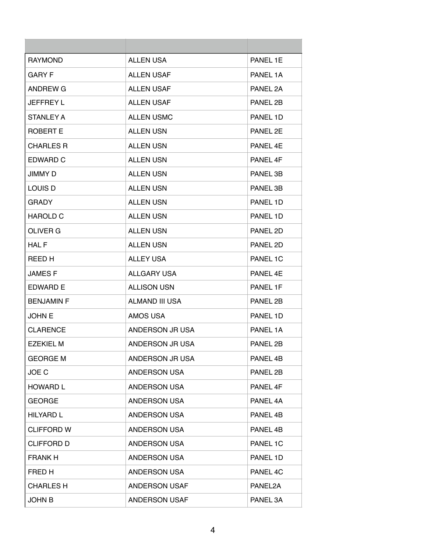| <b>RAYMOND</b>    | <b>ALLEN USA</b>    | PANEL 1E |
|-------------------|---------------------|----------|
| GARY F            | <b>ALLEN USAF</b>   | PANEL 1A |
| ANDREW G          | <b>ALLEN USAF</b>   | PANEL 2A |
| <b>JEFFREY L</b>  | <b>ALLEN USAF</b>   | PANEL 2B |
| <b>STANLEY A</b>  | <b>ALLEN USMC</b>   | PANEL 1D |
| ROBERT E          | <b>ALLEN USN</b>    | PANEL 2E |
| <b>CHARLES R</b>  | <b>ALLEN USN</b>    | PANEL 4E |
| EDWARD C          | <b>ALLEN USN</b>    | PANEL 4F |
| <b>JIMMY D</b>    | <b>ALLEN USN</b>    | PANEL 3B |
| <b>LOUIS D</b>    | <b>ALLEN USN</b>    | PANEL 3B |
| <b>GRADY</b>      | <b>ALLEN USN</b>    | PANEL 1D |
| <b>HAROLD C</b>   | <b>ALLEN USN</b>    | PANEL 1D |
| OLIVER G          | <b>ALLEN USN</b>    | PANEL 2D |
| HAL F             | <b>ALLEN USN</b>    | PANEL 2D |
| REED H            | <b>ALLEY USA</b>    | PANEL 1C |
| <b>JAMESF</b>     | ALLGARY USA         | PANEL 4E |
| <b>EDWARD E</b>   | <b>ALLISON USN</b>  | PANEL 1F |
| <b>BENJAMIN F</b> | ALMAND III USA      | PANEL 2B |
| <b>JOHN E</b>     | AMOS USA            | PANEL 1D |
| <b>CLARENCE</b>   | ANDERSON JR USA     | PANEL 1A |
| <b>EZEKIEL M</b>  | ANDERSON JR USA     | PANEL 2B |
| <b>GEORGE M</b>   | ANDERSON JR USA     | PANEL 4B |
| JOE C             | ANDERSON USA        | PANEL 2B |
| <b>HOWARD L</b>   | <b>ANDERSON USA</b> | PANEL 4F |
| <b>GEORGE</b>     | <b>ANDERSON USA</b> | PANEL 4A |
| <b>HILYARD L</b>  | ANDERSON USA        | PANEL 4B |
| <b>CLIFFORD W</b> | <b>ANDERSON USA</b> | PANEL 4B |
| <b>CLIFFORD D</b> | ANDERSON USA        | PANEL 1C |
| <b>FRANK H</b>    | <b>ANDERSON USA</b> | PANEL 1D |
| FRED H            | <b>ANDERSON USA</b> | PANEL 4C |
| <b>CHARLES H</b>  | ANDERSON USAF       | PANEL2A  |
| <b>JOHN B</b>     | ANDERSON USAF       | PANEL 3A |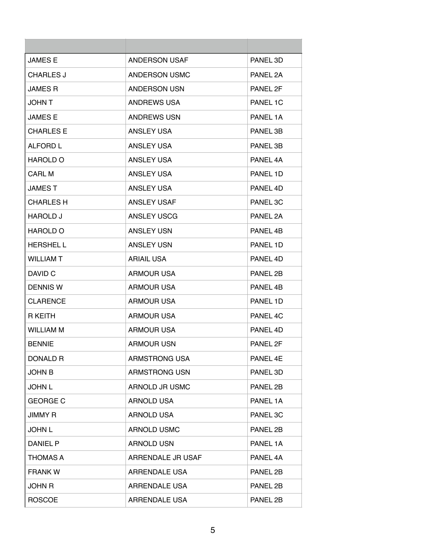| <b>JAMESE</b>    | <b>ANDERSON USAF</b> | PANEL 3D |
|------------------|----------------------|----------|
| <b>CHARLES J</b> | ANDERSON USMC        | PANEL 2A |
| <b>JAMES R</b>   | <b>ANDERSON USN</b>  | PANEL 2F |
| <b>JOHN T</b>    | ANDREWS USA          | PANEL 1C |
| <b>JAMES E</b>   | <b>ANDREWS USN</b>   | PANEL 1A |
| <b>CHARLES E</b> | ANSLEY USA           | PANEL 3B |
| <b>ALFORD L</b>  | ANSLEY USA           | PANEL 3B |
| <b>HAROLD O</b>  | ANSLEY USA           | PANEL 4A |
| <b>CARL M</b>    | ANSLEY USA           | PANEL 1D |
| <b>JAMEST</b>    | ANSLEY USA           | PANEL 4D |
| <b>CHARLES H</b> | <b>ANSLEY USAF</b>   | PANEL 3C |
| HAROLD J         | ANSLEY USCG          | PANEL 2A |
| <b>HAROLD O</b>  | <b>ANSLEY USN</b>    | PANEL 4B |
| <b>HERSHELL</b>  | <b>ANSLEY USN</b>    | PANEL 1D |
| <b>WILLIAM T</b> | <b>ARIAIL USA</b>    | PANEL 4D |
| DAVID C          | <b>ARMOUR USA</b>    | PANEL 2B |
| <b>DENNIS W</b>  | <b>ARMOUR USA</b>    | PANEL 4B |
| <b>CLARENCE</b>  | <b>ARMOUR USA</b>    | PANEL 1D |
| R KEITH          | ARMOUR USA           | PANEL 4C |
| WILLIAM M        | <b>ARMOUR USA</b>    | PANEL 4D |
| <b>BENNIE</b>    | <b>ARMOUR USN</b>    | PANEL 2F |
| <b>DONALD R</b>  | ARMSTRONG USA        | PANEL 4E |
| <b>JOHN B</b>    | ARMSTRONG USN        | PANEL 3D |
| <b>JOHN L</b>    | ARNOLD JR USMC       | PANEL 2B |
| <b>GEORGE C</b>  | <b>ARNOLD USA</b>    | PANEL 1A |
| <b>JIMMY R</b>   | <b>ARNOLD USA</b>    | PANEL 3C |
| <b>JOHN L</b>    | <b>ARNOLD USMC</b>   | PANEL 2B |
| DANIEL P         | ARNOLD USN           | PANEL 1A |
| THOMAS A         | ARRENDALE JR USAF    | PANEL 4A |
| <b>FRANK W</b>   | ARRENDALE USA        | PANEL 2B |
| <b>JOHN R</b>    | ARRENDALE USA        | PANEL 2B |
| <b>ROSCOE</b>    | ARRENDALE USA        | PANEL 2B |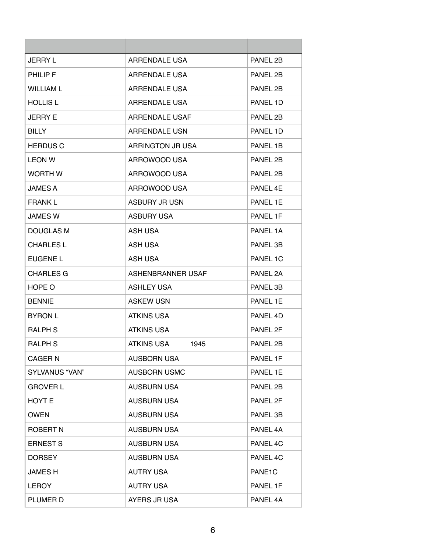| JERRY L               | ARRENDALE USA         | PANEL 2B            |
|-----------------------|-----------------------|---------------------|
| <b>PHILIP F</b>       | ARRENDALE USA         | PANEL 2B            |
| <b>WILLIAM L</b>      | ARRENDALE USA         | PANEL 2B            |
| <b>HOLLIS L</b>       | <b>ARRENDALE USA</b>  | PANEL 1D            |
| <b>JERRY E</b>        | <b>ARRENDALE USAF</b> | PANEL 2B            |
| BILLY.                | ARRENDALE USN         | PANEL 1D            |
| <b>HERDUS C</b>       | ARRINGTON JR USA      | PANEL 1B            |
| <b>LEON W</b>         | ARROWOOD USA          | PANEL 2B            |
| <b>WORTH W</b>        | ARROWOOD USA          | PANEL 2B            |
| <b>JAMES A</b>        | ARROWOOD USA          | PANEL 4F            |
| FRANK L               | <b>ASBURY JR USN</b>  | PANEL 1E            |
| <b>JAMES W</b>        | ASBURY USA            | PANEL 1F            |
| <b>DOUGLAS M</b>      | ASH USA               | PANEL 1A            |
| <b>CHARLES L</b>      | ASH USA               | PANEL 3B            |
| EUGENE L              | ASH USA               | PANEL 1C            |
| <b>CHARLES G</b>      | ASHENBRANNER USAF     | PANEL 2A            |
| HOPE O                | <b>ASHLEY USA</b>     | PANEL 3B            |
| <b>BENNIE</b>         | <b>ASKEW USN</b>      | PANEL 1E            |
| <b>BYRON L</b>        | <b>ATKINS USA</b>     | PANEL 4D            |
| <b>RALPH S</b>        | <b>ATKINS USA</b>     | PANEL 2F            |
| <b>RALPH S</b>        | ATKINS USA<br>1945    | PANEL 2B            |
| <b>CAGER N</b>        | <b>AUSBORN USA</b>    | PANEL 1F            |
| <b>SYLVANUS "VAN"</b> | <b>AUSBORN USMC</b>   | PANEL 1E            |
| <b>GROVER L</b>       | <b>AUSBURN USA</b>    | PANEL 2B            |
| HOYT E                | <b>AUSBURN USA</b>    | PANEL 2F            |
| <b>OWEN</b>           | <b>AUSBURN USA</b>    | PANEL 3B            |
| <b>ROBERT N</b>       | <b>AUSBURN USA</b>    | PANEL 4A            |
| <b>ERNEST S</b>       | <b>AUSBURN USA</b>    | PANEL 4C            |
| <b>DORSEY</b>         | <b>AUSBURN USA</b>    | PANEL 4C            |
| JAMES H               | <b>AUTRY USA</b>      | PANE <sub>1</sub> C |
| <b>LEROY</b>          | <b>AUTRY USA</b>      | PANEL 1F            |
| PLUMER D              | AYERS JR USA          | PANEL 4A            |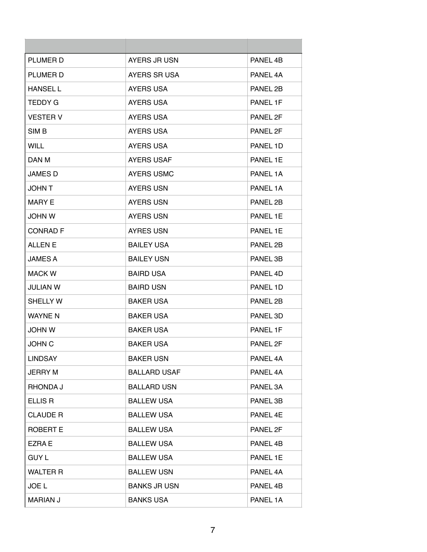| PLUMER D         | AYERS JR USN        | PANEL 4B |
|------------------|---------------------|----------|
| <b>PLUMER D</b>  | AYERS SR USA        | PANEL 4A |
| <b>HANSEL L</b>  | <b>AYERS USA</b>    | PANEL 2B |
| TEDDY G          | <b>AYERS USA</b>    | PANEL 1F |
| <b>VESTER V</b>  | <b>AYERS USA</b>    | PANEL 2F |
| SIM <sub>B</sub> | <b>AYERS USA</b>    | PANEL 2F |
| <b>WILL</b>      | <b>AYERS USA</b>    | PANEL 1D |
| DAN M            | <b>AYERS USAF</b>   | PANEL 1E |
| <b>JAMES D</b>   | <b>AYERS USMC</b>   | PANEL 1A |
| <b>JOHN T</b>    | <b>AYERS USN</b>    | PANEL 1A |
| <b>MARY E</b>    | <b>AYERS USN</b>    | PANEL 2B |
| <b>JOHN W</b>    | <b>AYERS USN</b>    | PANEL 1E |
| <b>CONRAD F</b>  | <b>AYRES USN</b>    | PANEL 1E |
| <b>ALLEN E</b>   | <b>BAILEY USA</b>   | PANEL 2B |
| <b>JAMES A</b>   | <b>BAILEY USN</b>   | PANEL 3B |
| <b>MACK W</b>    | <b>BAIRD USA</b>    | PANEL 4D |
| JULIAN W         | <b>BAIRD USN</b>    | PANEL 1D |
| <b>SHELLY W</b>  | <b>BAKER USA</b>    | PANEL 2B |
| <b>WAYNE N</b>   | <b>BAKER USA</b>    | PANEL 3D |
| <b>JOHN W</b>    | <b>BAKER USA</b>    | PANEL 1F |
| <b>JOHN C</b>    | <b>BAKER USA</b>    | PANEL 2F |
| <b>LINDSAY</b>   | <b>BAKER USN</b>    | PANEL 4A |
| <b>JERRY M</b>   | <b>BALLARD USAF</b> | PANEL 4A |
| RHONDA J         | <b>BALLARD USN</b>  | PANEL 3A |
| ELLIS R          | <b>BALLEW USA</b>   | PANEL 3B |
| <b>CLAUDE R</b>  | <b>BALLEW USA</b>   | PANEL 4E |
| <b>ROBERT E</b>  | <b>BALLEW USA</b>   | PANEL 2F |
| EZRA E           | <b>BALLEW USA</b>   | PANEL 4B |
| <b>GUY L</b>     | <b>BALLEW USA</b>   | PANEL 1E |
| <b>WALTER R</b>  | <b>BALLEW USN</b>   | PANEL 4A |
| JOE L            | <b>BANKS JR USN</b> | PANEL 4B |
| <b>MARIAN J</b>  | <b>BANKS USA</b>    | PANEL 1A |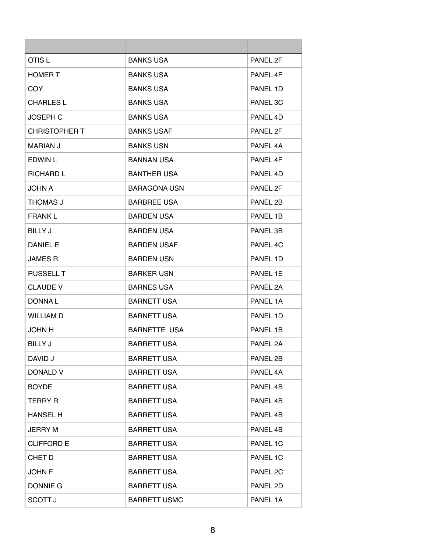| OTIS L            | <b>BANKS USA</b>    | PANEL 2F |
|-------------------|---------------------|----------|
| <b>HOMER T</b>    | <b>BANKS USA</b>    | PANEL 4F |
| COY.              | <b>BANKS USA</b>    | PANEL 1D |
| <b>CHARLES L</b>  | <b>BANKS USA</b>    | PANEL 3C |
| <b>JOSEPH C</b>   | <b>BANKS USA</b>    | PANEL 4D |
| CHRISTOPHER T     | <b>BANKS USAF</b>   | PANEL 2F |
| <b>MARIAN J</b>   | <b>BANKS USN</b>    | PANEL 4A |
| EDWIN L           | <b>BANNAN USA</b>   | PANEL 4F |
| <b>RICHARD L</b>  | <b>BANTHER USA</b>  | PANEL 4D |
| <b>JOHN A</b>     | <b>BARAGONA USN</b> | PANEL 2F |
| THOMAS J          | <b>BARBREE USA</b>  | PANEL 2B |
| <b>FRANK L</b>    | <b>BARDEN USA</b>   | PANEL 1B |
| <b>BILLY J</b>    | <b>BARDEN USA</b>   | PANEL 3B |
| DANIEL E          | <b>BARDEN USAF</b>  | PANEL 4C |
| <b>JAMES R</b>    | <b>BARDEN USN</b>   | PANEL 1D |
| <b>RUSSELL T</b>  | <b>BARKER USN</b>   | PANEL 1E |
| <b>CLAUDE V</b>   | <b>BARNES USA</b>   | PANEL 2A |
| DONNA L           | <b>BARNETT USA</b>  | PANEL 1A |
| <b>WILLIAM D</b>  | <b>BARNETT USA</b>  | PANEL 1D |
| H <i>NHOL</i>     | <b>BARNETTE USA</b> | PANEL 1B |
| <b>BILLY J</b>    | <b>BARRETT USA</b>  | PANEL 2A |
| DAVID J           | <b>BARRETT USA</b>  | PANEL 2B |
| DONALD V          | <b>BARRETT USA</b>  | PANEL 4A |
| <b>BOYDE</b>      | <b>BARRETT USA</b>  | PANEL 4B |
| <b>TERRY R</b>    | <b>BARRETT USA</b>  | PANEL 4B |
| <b>HANSEL H</b>   | <b>BARRETT USA</b>  | PANEL 4B |
| <b>JERRY M</b>    | <b>BARRETT USA</b>  | PANEL 4B |
| <b>CLIFFORD E</b> | <b>BARRETT USA</b>  | PANEL 1C |
| CHET D            | <b>BARRETT USA</b>  | PANEL 1C |
| <b>JOHN F</b>     | <b>BARRETT USA</b>  | PANEL 2C |
| DONNIE G          | <b>BARRETT USA</b>  | PANEL 2D |
| <b>SCOTT J</b>    | <b>BARRETT USMC</b> | PANEL 1A |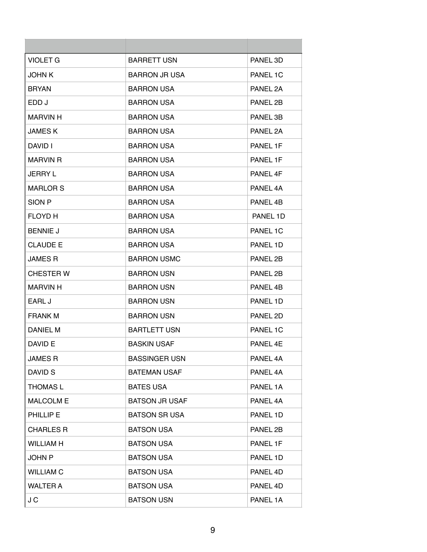| <b>VIOLET G</b>  | <b>BARRETT USN</b>    | PANEL 3D |
|------------------|-----------------------|----------|
| <b>JOHN K</b>    | <b>BARRON JR USA</b>  | PANEL 1C |
| <b>BRYAN</b>     | BARRON USA            | PANEL 2A |
| EDD J            | <b>BARRON USA</b>     | PANEL 2B |
| <b>MARVIN H</b>  | <b>BARRON USA</b>     | PANEL 3B |
| <b>JAMESK</b>    | <b>BARRON USA</b>     | PANEL 2A |
| DAVID I          | <b>BARRON USA</b>     | PANEL 1F |
| <b>MARVIN R</b>  | <b>BARRON USA</b>     | PANEL 1F |
| <b>JERRY L</b>   | <b>BARRON USA</b>     | PANEL 4F |
| <b>MARLOR S</b>  | <b>BARRON USA</b>     | PANEL 4A |
| SION P           | <b>BARRON USA</b>     | PANEL 4B |
| <b>FLOYD H</b>   | BARRON USA            | PANEL 1D |
| <b>BENNIE J</b>  | <b>BARRON USA</b>     | PANEL 1C |
| <b>CLAUDE E</b>  | <b>BARRON USA</b>     | PANEL 1D |
| JAMES R          | <b>BARRON USMC</b>    | PANEL 2B |
| <b>CHESTER W</b> | <b>BARRON USN</b>     | PANEL 2B |
| <b>MARVIN H</b>  | <b>BARRON USN</b>     | PANEL 4B |
| EARL J           | <b>BARRON USN</b>     | PANEL 1D |
| <b>FRANK M</b>   | <b>BARRON USN</b>     | PANEL 2D |
| <b>DANIEL M</b>  | <b>BARTLETT USN</b>   | PANEL 1C |
| DAVID E          | <b>BASKIN USAF</b>    | PANEL 4E |
| <b>JAMES R</b>   | <b>BASSINGER USN</b>  | PANEL 4A |
| DAVID S          | <b>BATEMAN USAF</b>   | PANEL 4A |
| <b>THOMAS L</b>  | <b>BATES USA</b>      | PANEL 1A |
| <b>MALCOLM E</b> | <b>BATSON JR USAF</b> | PANEL 4A |
| PHILLIP E        | <b>BATSON SR USA</b>  | PANEL 1D |
| <b>CHARLES R</b> | <b>BATSON USA</b>     | PANEL 2B |
| <b>WILLIAM H</b> | <b>BATSON USA</b>     | PANEL 1F |
| <b>JOHN P</b>    | <b>BATSON USA</b>     | PANEL 1D |
| <b>WILLIAM C</b> | <b>BATSON USA</b>     | PANEL 4D |
| <b>WALTER A</b>  | <b>BATSON USA</b>     | PANEL 4D |
| J C              | <b>BATSON USN</b>     | PANEL 1A |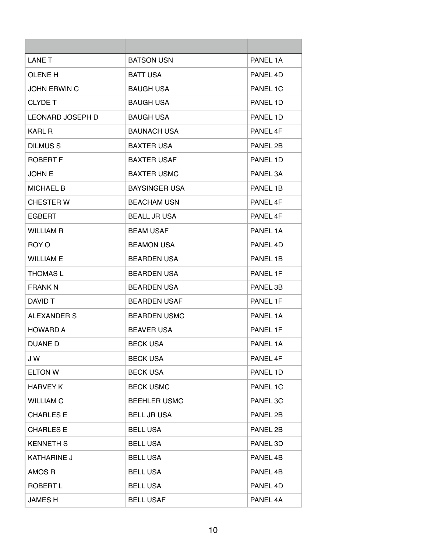| <b>LANE T</b>           | <b>BATSON USN</b>    | PANEL 1A |
|-------------------------|----------------------|----------|
| <b>OLENE H</b>          | <b>BATT USA</b>      | PANEL 4D |
| <b>JOHN ERWIN C</b>     | <b>BAUGH USA</b>     | PANEL 1C |
| <b>CLYDE T</b>          | <b>BAUGH USA</b>     | PANEL 1D |
| <b>LEONARD JOSEPH D</b> | <b>BAUGH USA</b>     | PANEL 1D |
| KARL R                  | <b>BAUNACH USA</b>   | PANEL 4F |
| DILMUS <sub>S</sub>     | <b>BAXTER USA</b>    | PANEL 2B |
| <b>ROBERT F</b>         | <b>BAXTER USAF</b>   | PANEL 1D |
| <b>JOHN E</b>           | <b>BAXTER USMC</b>   | PANEL 3A |
| <b>MICHAEL B</b>        | <b>BAYSINGER USA</b> | PANEL 1B |
| <b>CHESTER W</b>        | <b>BEACHAM USN</b>   | PANEL 4F |
| <b>EGBERT</b>           | <b>BEALL JR USA</b>  | PANEL 4F |
| <b>WILLIAM R</b>        | <b>BEAM USAF</b>     | PANEL 1A |
| ROY O                   | <b>BEAMON USA</b>    | PANEL 4D |
| <b>WILLIAM E</b>        | <b>BEARDEN USA</b>   | PANEL 1B |
| <b>THOMAS L</b>         | <b>BEARDEN USA</b>   | PANEL 1F |
| FRANK N                 | <b>BEARDEN USA</b>   | PANEL 3B |
| DAVID T                 | <b>BEARDEN USAF</b>  | PANEL 1F |
| ALEXANDER S             | <b>BEARDEN USMC</b>  | PANEL 1A |
| <b>HOWARD A</b>         | <b>BEAVER USA</b>    | PANEL 1F |
| DUANE D                 | <b>BECK USA</b>      | PANEL 1A |
| J W                     | <b>BECK USA</b>      | PANEL 4F |
| <b>ELTON W</b>          | <b>BECK USA</b>      | PANEL 1D |
| <b>HARVEY K</b>         | <b>BECK USMC</b>     | PANEL 1C |
| <b>WILLIAM C</b>        | <b>BEEHLER USMC</b>  | PANEL 3C |
| <b>CHARLES E</b>        | <b>BELL JR USA</b>   | PANEL 2B |
| <b>CHARLES E</b>        | <b>BELL USA</b>      | PANEL 2B |
| <b>KENNETH S</b>        | <b>BELL USA</b>      | PANEL 3D |
| <b>KATHARINE J</b>      | <b>BELL USA</b>      | PANEL 4B |
| AMOS R                  | <b>BELL USA</b>      | PANEL 4B |
| ROBERT L                | <b>BELL USA</b>      | PANEL 4D |
| <b>JAMESH</b>           | <b>BELL USAF</b>     | PANEL 4A |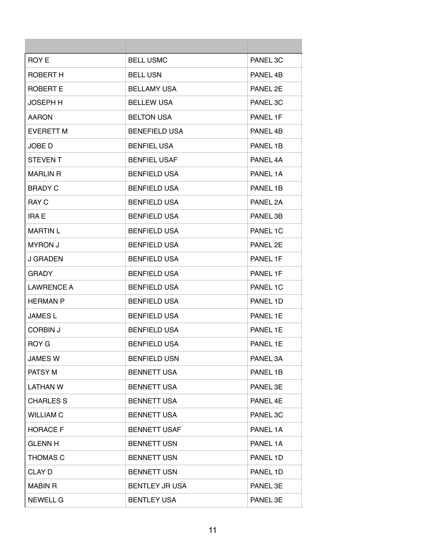| ROY E             | <b>BELL USMC</b>      | PANEL 3C |
|-------------------|-----------------------|----------|
| ROBERT H          | <b>BELL USN</b>       | PANEL 4B |
| ROBERT E          | <b>BELLAMY USA</b>    | PANEL 2E |
| <b>JOSEPH H</b>   | <b>BELLEW USA</b>     | PANEL 3C |
| <b>AARON</b>      | <b>BELTON USA</b>     | PANEL 1F |
| <b>EVERETT M</b>  | <b>BENEFIELD USA</b>  | PANEL 4B |
| JOBE D            | <b>BENFIEL USA</b>    | PANEL 1B |
| <b>STEVENT</b>    | <b>BENFIEL USAF</b>   | PANEL 4A |
| <b>MARLIN R</b>   | <b>BENFIELD USA</b>   | PANEL 1A |
| <b>BRADY C</b>    | <b>BENFIELD USA</b>   | PANEL 1B |
| <b>RAY C</b>      | <b>BENFIELD USA</b>   | PANEL 2A |
| <b>IRA E</b>      | <b>BENFIELD USA</b>   | PANEL 3B |
| <b>MARTIN L</b>   | <b>BENFIELD USA</b>   | PANEL 1C |
| <b>MYRON J</b>    | <b>BENFIELD USA</b>   | PANEL 2E |
| <b>J GRADEN</b>   | <b>BENFIELD USA</b>   | PANEL 1F |
| <b>GRADY</b>      | <b>BENFIELD USA</b>   | PANEL 1F |
| <b>LAWRENCE A</b> | <b>BENFIELD USA</b>   | PANEL 1C |
| <b>HERMAN P</b>   | <b>BENFIELD USA</b>   | PANEL 1D |
| <b>JAMES L</b>    | <b>BENFIELD USA</b>   | PANEL 1E |
| CORBIN J          | <b>BENFIELD USA</b>   | PANEL 1E |
| ROY G             | <b>BENFIELD USA</b>   | PANEL 1E |
| <b>JAMES W</b>    | <b>BENFIELD USN</b>   | PANEL 3A |
| PATSY M           | <b>BENNETT USA</b>    | PANEL 1B |
| LATHAN W          | <b>BENNETT USA</b>    | PANEL 3E |
| <b>CHARLES S</b>  | <b>BENNETT USA</b>    | PANEL 4E |
| <b>WILLIAM C</b>  | <b>BENNETT USA</b>    | PANEL 3C |
| <b>HORACE F</b>   | <b>BENNETT USAF</b>   | PANEL 1A |
| <b>GLENN H</b>    | <b>BENNETT USN</b>    | PANEL 1A |
| <b>THOMAS C</b>   | <b>BENNETT USN</b>    | PANEL 1D |
| CLAY D            | <b>BENNETT USN</b>    | PANEL 1D |
| <b>MABIN R</b>    | <b>BENTLEY JR USA</b> | PANEL 3E |
| <b>NEWELL G</b>   | <b>BENTLEY USA</b>    | PANEL 3E |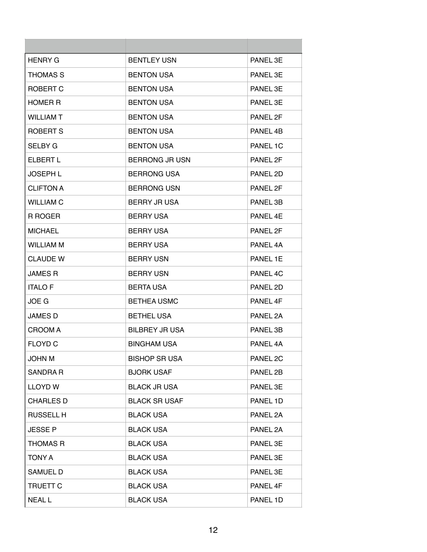| <b>HENRY G</b>   | <b>BENTLEY USN</b>    | PANEL 3F |
|------------------|-----------------------|----------|
| <b>THOMAS S</b>  | <b>BENTON USA</b>     | PANEL 3E |
| ROBERT C         | <b>BENTON USA</b>     | PANEL 3E |
| <b>HOMER R</b>   | <b>BENTON USA</b>     | PANEL 3E |
| <b>WILLIAM T</b> | <b>BENTON USA</b>     | PANEL 2F |
| ROBERT S         | <b>BENTON USA</b>     | PANEL 4B |
| <b>SELBY G</b>   | <b>BENTON USA</b>     | PANEL 1C |
| <b>ELBERT L</b>  | <b>BERRONG JR USN</b> | PANEL 2F |
| <b>JOSEPH L</b>  | <b>BERRONG USA</b>    | PANEL 2D |
| <b>CLIFTON A</b> | <b>BERRONG USN</b>    | PANEL 2F |
| <b>WILLIAM C</b> | <b>BERRY JR USA</b>   | PANEL 3B |
| R ROGER          | <b>BERRY USA</b>      | PANEL 4E |
| <b>MICHAEL</b>   | <b>BERRY USA</b>      | PANEL 2F |
| <b>WILLIAM M</b> | <b>BERRY USA</b>      | PANEL 4A |
| <b>CLAUDE W</b>  | <b>BERRY USN</b>      | PANEL 1E |
| <b>JAMES R</b>   | <b>BERRY USN</b>      | PANEL 4C |
| <b>ITALO F</b>   | <b>BERTA USA</b>      | PANEL 2D |
| JOE G            | <b>BETHEA USMC</b>    | PANEL 4F |
| <b>JAMES D</b>   | <b>BETHEL USA</b>     | PANEL 2A |
| <b>CROOM A</b>   | <b>BILBREY JR USA</b> | PANEL 3B |
| <b>FLOYD C</b>   | <b>BINGHAM USA</b>    | PANEL 4A |
| <b>JOHN M</b>    | <b>BISHOP SR USA</b>  | PANEL 2C |
| SANDRA R         | <b>BJORK USAF</b>     | PANEL 2B |
| <b>LLOYD W</b>   | <b>BLACK JR USA</b>   | PANEL 3E |
| <b>CHARLES D</b> | <b>BLACK SR USAF</b>  | PANEL 1D |
| <b>RUSSELL H</b> | <b>BLACK USA</b>      | PANEL 2A |
| <b>JESSE P</b>   | <b>BLACK USA</b>      | PANEL 2A |
| <b>THOMAS R</b>  | <b>BLACK USA</b>      | PANEL 3E |
| TONY A           | <b>BLACK USA</b>      | PANEL 3E |
| SAMUEL D         | <b>BLACK USA</b>      | PANEL 3E |
| <b>TRUETT C</b>  | <b>BLACK USA</b>      | PANEL 4F |
| <b>NEALL</b>     | <b>BLACK USA</b>      | PANEL 1D |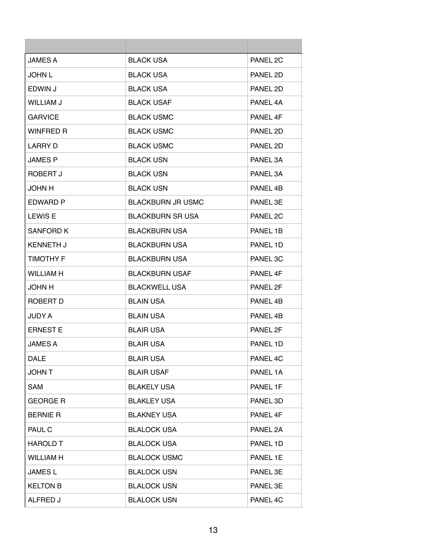| <b>JAMES A</b>   | <b>BLACK USA</b>         | PANEL 2C |
|------------------|--------------------------|----------|
| <b>JOHN L</b>    | <b>BLACK USA</b>         | PANEL 2D |
| EDWIN J          | BLACK USA                | PANEL 2D |
| <b>WILLIAM J</b> | <b>BLACK USAF</b>        | PANEL 4A |
| <b>GARVICE</b>   | <b>BLACK USMC</b>        | PANEL 4F |
| <b>WINFRED R</b> | <b>BLACK USMC</b>        | PANEL 2D |
| <b>LARRY D</b>   | <b>BLACK USMC</b>        | PANEL 2D |
| <b>JAMES P</b>   | <b>BLACK USN</b>         | PANEL 3A |
| ROBERT J         | <b>BLACK USN</b>         | PANEL 3A |
| <b>JOHN H</b>    | <b>BLACK USN</b>         | PANEL 4B |
| EDWARD P         | <b>BLACKBURN JR USMC</b> | PANEL 3E |
| <b>LEWIS E</b>   | <b>BLACKBURN SR USA</b>  | PANEL 2C |
| SANFORD K        | <b>BLACKBURN USA</b>     | PANEL 1B |
| <b>KENNETH J</b> | <b>BLACKBURN USA</b>     | PANEL 1D |
| <b>TIMOTHY F</b> | <b>BLACKBURN USA</b>     | PANEL 3C |
| <b>WILLIAM H</b> | <b>BLACKBURN USAF</b>    | PANEL 4F |
| <b>JOHN H</b>    | <b>BLACKWELL USA</b>     | PANEL 2F |
| ROBERT D         | <b>BLAIN USA</b>         | PANEL 4B |
| <b>JUDY A</b>    | <b>BLAIN USA</b>         | PANEL 4B |
| <b>ERNEST E</b>  | <b>BLAIR USA</b>         | PANEL 2F |
| <b>JAMES A</b>   | <b>BLAIR USA</b>         | PANEL 1D |
| <b>DALE</b>      | <b>BLAIR USA</b>         | PANEL 4C |
| <b>JOHN T</b>    | <b>BLAIR USAF</b>        | PANEL 1A |
| <b>SAM</b>       | <b>BLAKELY USA</b>       | PANEL 1F |
| <b>GEORGE R</b>  | <b>BLAKLEY USA</b>       | PANEL 3D |
| <b>BERNIE R</b>  | <b>BLAKNEY USA</b>       | PANEL 4F |
| PAUL C           | <b>BLALOCK USA</b>       | PANEL 2A |
| <b>HAROLD T</b>  | <b>BLALOCK USA</b>       | PANEL 1D |
| <b>WILLIAM H</b> | <b>BLALOCK USMC</b>      | PANEL 1E |
| <b>JAMESL</b>    | <b>BLALOCK USN</b>       | PANEL 3E |
| <b>KELTON B</b>  | <b>BLALOCK USN</b>       | PANEL 3E |
| ALFRED J         | <b>BLALOCK USN</b>       | PANEL 4C |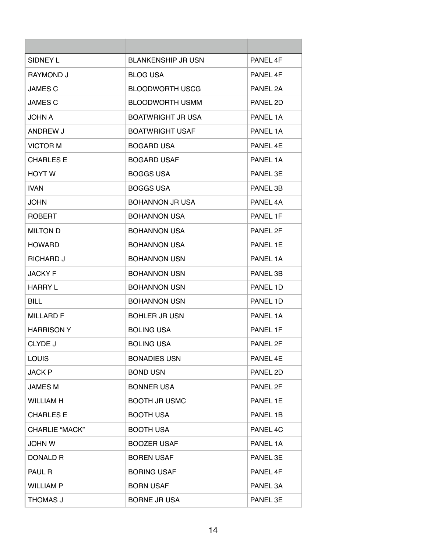| SIDNEY L              | <b>BLANKENSHIP JR USN</b> | PANFI <sub>4F</sub> |
|-----------------------|---------------------------|---------------------|
| <b>RAYMOND J</b>      | BLOG USA                  | PANEL 4F            |
| <b>JAMES C</b>        | <b>BLOODWORTH USCG</b>    | PANEL 2A            |
| <b>JAMES C</b>        | <b>BLOODWORTH USMM</b>    | PANEL 2D            |
| <b>JOHN A</b>         | <b>BOATWRIGHT JR USA</b>  | PANEL 1A            |
| ANDREW J              | <b>BOATWRIGHT USAF</b>    | PANEL 1A            |
| <b>VICTOR M</b>       | <b>BOGARD USA</b>         | PANEL 4E            |
| <b>CHARLES E</b>      | <b>BOGARD USAF</b>        | PANEL 1A            |
| <b>HOYT W</b>         | <b>BOGGS USA</b>          | PANEL 3E            |
| <b>IVAN</b>           | BOGGS USA                 | PANEL 3B            |
| JOHN                  | <b>BOHANNON JR USA</b>    | PANEL 4A            |
| <b>ROBERT</b>         | <b>BOHANNON USA</b>       | PANEL 1F            |
| <b>MILTON D</b>       | <b>BOHANNON USA</b>       | PANEL 2F            |
| <b>HOWARD</b>         | <b>BOHANNON USA</b>       | PANEL 1E            |
| <b>RICHARD J</b>      | <b>BOHANNON USN</b>       | PANEL 1A            |
| <b>JACKY F</b>        | <b>BOHANNON USN</b>       | PANEL 3B            |
| <b>HARRY L</b>        | <b>BOHANNON USN</b>       | PANEL 1D            |
| <b>BILL</b>           | <b>BOHANNON USN</b>       | PANEL 1D            |
| MILLARD F             | <b>BOHLER JR USN</b>      | PANEL 1A            |
| <b>HARRISON Y</b>     | <b>BOLING USA</b>         | PANEL 1F            |
| CLYDE J               | <b>BOLING USA</b>         | PANEL 2F            |
| <b>LOUIS</b>          | <b>BONADIES USN</b>       | PANEL 4E            |
| <b>JACK P</b>         | <b>BOND USN</b>           | PANEL 2D            |
| <b>JAMES M</b>        | <b>BONNER USA</b>         | PANEL 2F            |
| <b>WILLIAM H</b>      | <b>BOOTH JR USMC</b>      | PANEL 1E            |
| <b>CHARLES E</b>      | <b>BOOTH USA</b>          | PANEL 1B            |
| <b>CHARLIE "MACK"</b> | <b>BOOTH USA</b>          | PANEL 4C            |
| <b>JOHN W</b>         | <b>BOOZER USAF</b>        | PANEL 1A            |
| DONALD R              | <b>BOREN USAF</b>         | PANEL 3E            |
| <b>PAUL R</b>         | <b>BORING USAF</b>        | PANEL 4F            |
| <b>WILLIAM P</b>      | <b>BORN USAF</b>          | PANEL 3A            |
| THOMAS J              | <b>BORNE JR USA</b>       | PANEL 3E            |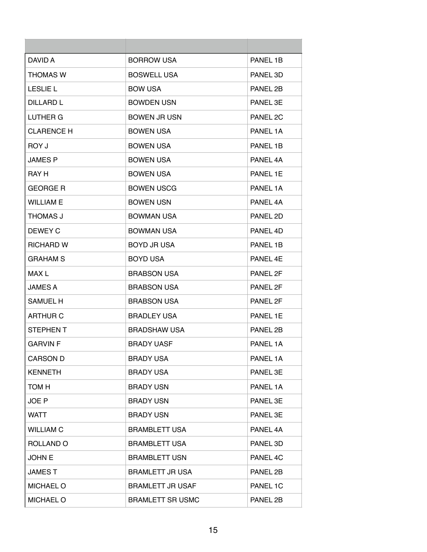| DAVID A           | <b>BORROW USA</b>       | PANEL 1B |
|-------------------|-------------------------|----------|
| <b>THOMAS W</b>   | <b>BOSWELL USA</b>      | PANEL 3D |
| <b>LESLIE L</b>   | <b>BOW USA</b>          | PANEL 2B |
| <b>DILLARD L</b>  | <b>BOWDEN USN</b>       | PANEL 3E |
| LUTHER G          | <b>BOWEN JR USN</b>     | PANEL 2C |
| <b>CLARENCE H</b> | <b>BOWEN USA</b>        | PANEL 1A |
| ROY J             | BOWEN USA               | PANEL 1B |
| <b>JAMES P</b>    | <b>BOWEN USA</b>        | PANEL 4A |
| RAY H             | <b>BOWEN USA</b>        | PANEL 1E |
| <b>GEORGE R</b>   | <b>BOWEN USCG</b>       | PANEL 1A |
| WILLIAM E         | <b>BOWEN USN</b>        | PANEL 4A |
| THOMAS J          | <b>BOWMAN USA</b>       | PANEL 2D |
| DEWEY C           | <b>BOWMAN USA</b>       | PANEL 4D |
| <b>RICHARD W</b>  | BOYD JR USA             | PANEL 1B |
| <b>GRAHAM S</b>   | <b>BOYD USA</b>         | PANEL 4F |
| MAX L             | <b>BRABSON USA</b>      | PANEL 2F |
| <b>JAMES A</b>    | <b>BRABSON USA</b>      | PANEL 2F |
| <b>SAMUEL H</b>   | <b>BRABSON USA</b>      | PANEL 2F |
| <b>ARTHUR C</b>   | <b>BRADLEY USA</b>      | PANEL 1E |
| <b>STEPHEN T</b>  | <b>BRADSHAW USA</b>     | PANEL 2B |
| <b>GARVIN F</b>   | <b>BRADY UASF</b>       | PANEL 1A |
| <b>CARSON D</b>   | <b>BRADY USA</b>        | PANEL 1A |
| <b>KENNETH</b>    | <b>BRADY USA</b>        | PANEL 3E |
| TOM H             | <b>BRADY USN</b>        | PANEL 1A |
| JOE P             | <b>BRADY USN</b>        | PANEL 3E |
| <b>WATT</b>       | <b>BRADY USN</b>        | PANEL 3E |
| <b>WILLIAM C</b>  | <b>BRAMBLETT USA</b>    | PANEL 4A |
| ROLLAND O         | <b>BRAMBLETT USA</b>    | PANEL 3D |
| <b>JOHN E</b>     | <b>BRAMBLETT USN</b>    | PANEL 4C |
| <b>JAMEST</b>     | <b>BRAMLETT JR USA</b>  | PANEL 2B |
| <b>MICHAEL O</b>  | <b>BRAMLETT JR USAF</b> | PANEL 1C |
| <b>MICHAEL O</b>  | <b>BRAMLETT SR USMC</b> | PANEL 2B |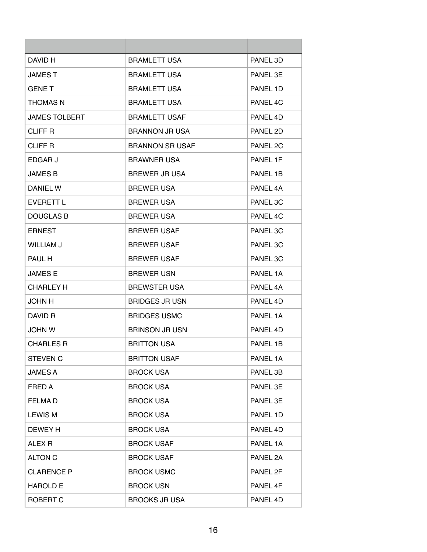| DAVID H              | <b>BRAMLETT USA</b>    | PANEL 3D |
|----------------------|------------------------|----------|
| <b>JAMEST</b>        | <b>BRAMLETT USA</b>    | PANEL 3E |
| <b>GENET</b>         | <b>BRAMLETT USA</b>    | PANEL 1D |
| <b>THOMAS N</b>      | <b>BRAMLETT USA</b>    | PANEL 4C |
| <b>JAMES TOLBERT</b> | <b>BRAMLETT USAF</b>   | PANFI 4D |
| <b>CLIFF R</b>       | <b>BRANNON JR USA</b>  | PANEL 2D |
| <b>CLIFF R</b>       | <b>BRANNON SR USAF</b> | PANEL 2C |
| EDGAR J              | <b>BRAWNER USA</b>     | PANEL 1F |
| <b>JAMES B</b>       | <b>BREWER JR USA</b>   | PANEL 1B |
| DANIEL W             | <b>BREWER USA</b>      | PANEL 4A |
| EVERETT L            | <b>BREWER USA</b>      | PANEL 3C |
| <b>DOUGLAS B</b>     | <b>BREWER USA</b>      | PANEL 4C |
| <b>ERNEST</b>        | <b>BREWER USAF</b>     | PANEL 3C |
| <b>WILLIAM J</b>     | <b>BREWER USAF</b>     | PANEL 3C |
| PAUL H               | <b>BREWER USAF</b>     | PANEL 3C |
| <b>JAMES E</b>       | <b>BREWER USN</b>      | PANEL 1A |
| <b>CHARLEY H</b>     | <b>BREWSTER USA</b>    | PANEL 4A |
| <b>JOHN H</b>        | <b>BRIDGES JR USN</b>  | PANEL 4D |
| DAVID R              | <b>BRIDGES USMC</b>    | PANEL 1A |
| <b>JOHN W</b>        | <b>BRINSON JR USN</b>  | PANEL 4D |
| <b>CHARLES R</b>     | <b>BRITTON USA</b>     | PANEL 1B |
| <b>STEVEN C</b>      | <b>BRITTON USAF</b>    | PANEL 1A |
| <b>JAMES A</b>       | <b>BROCK USA</b>       | PANEL 3B |
| FRED A               | <b>BROCK USA</b>       | PANEL 3E |
| <b>FELMAD</b>        | <b>BROCK USA</b>       | PANEL 3E |
| <b>LEWIS M</b>       | <b>BROCK USA</b>       | PANEL 1D |
| DEWEY H              | <b>BROCK USA</b>       | PANEL 4D |
| ALEX <sub>R</sub>    | <b>BROCK USAF</b>      | PANEL 1A |
| <b>ALTON C</b>       | <b>BROCK USAF</b>      | PANEL 2A |
| <b>CLARENCE P</b>    | <b>BROCK USMC</b>      | PANEL 2F |
| <b>HAROLD E</b>      | <b>BROCK USN</b>       | PANEL 4F |
| ROBERT C             | <b>BROOKS JR USA</b>   | PANEL 4D |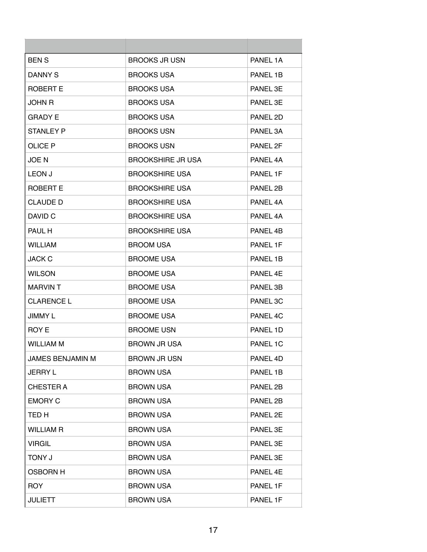| <b>BENS</b>             | <b>BROOKS JR USN</b>     | PANEL 1A            |
|-------------------------|--------------------------|---------------------|
| DANNY S                 | <b>BROOKS USA</b>        | PANEL 1B            |
| ROBERT E                | <b>BROOKS USA</b>        | PANEL 3E            |
| JOHN R                  | <b>BROOKS USA</b>        | PANEL 3E            |
| GRADY E                 | <b>BROOKS USA</b>        | PANEL 2D            |
| <b>STANLEY P</b>        | <b>BROOKS USN</b>        | PANEL 3A            |
| <b>OLICE P</b>          | <b>BROOKS USN</b>        | PANEL 2F            |
| <b>JOEN</b>             | <b>BROOKSHIRE JR USA</b> | PANEL 4A            |
| <b>LEON J</b>           | <b>BROOKSHIRE USA</b>    | PANEL 1F            |
| ROBERT E                | <b>BROOKSHIRE USA</b>    | PANEL 2B            |
| <b>CLAUDE D</b>         | <b>BROOKSHIRE USA</b>    | PANFI <sub>4A</sub> |
| DAVID C                 | <b>BROOKSHIRE USA</b>    | PANEL 4A            |
| PAUL H                  | <b>BROOKSHIRE USA</b>    | PANEL 4B            |
| <b>WILLIAM</b>          | <b>BROOM USA</b>         | PANEL 1F            |
| <b>JACK C</b>           | <b>BROOME USA</b>        | PANEL 1B            |
| <b>WILSON</b>           | <b>BROOME USA</b>        | PANEL 4E            |
| <b>MARVINT</b>          | <b>BROOME USA</b>        | PANEL 3B            |
| <b>CLARENCE L</b>       | <b>BROOME USA</b>        | PANEL 3C            |
| JIMMY L                 | <b>BROOME USA</b>        | PANEL 4C            |
| ROY E                   | <b>BROOME USN</b>        | PANEL 1D            |
| WILLIAM M               | <b>BROWN JR USA</b>      | PANEL 1C            |
| <b>JAMES BENJAMIN M</b> | <b>BROWN JR USN</b>      | PANEL 4D            |
| <b>JERRY L</b>          | <b>BROWN USA</b>         | PANEL 1B            |
| <b>CHESTER A</b>        | <b>BROWN USA</b>         | PANEL 2B            |
| <b>EMORY C</b>          | <b>BROWN USA</b>         | PANEL 2B            |
| TED H                   | <b>BROWN USA</b>         | PANEL 2E            |
| <b>WILLIAM R</b>        | <b>BROWN USA</b>         | PANEL 3E            |
| <b>VIRGIL</b>           | <b>BROWN USA</b>         | PANEL 3E            |
| <b>U YIOT</b>           | <b>BROWN USA</b>         | PANEL 3E            |
| <b>OSBORN H</b>         | <b>BROWN USA</b>         | PANEL 4E            |
| <b>ROY</b>              | <b>BROWN USA</b>         | PANEL 1F            |
| <b>JULIETT</b>          | <b>BROWN USA</b>         | PANEL 1F            |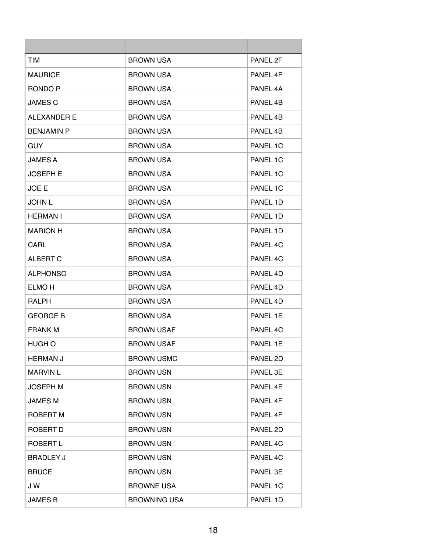| <b>TIM</b>        | <b>BROWN USA</b>    | PANEL 2F |
|-------------------|---------------------|----------|
| <b>MAURICE</b>    | <b>BROWN USA</b>    | PANEL 4F |
| RONDO P           | <b>BROWN USA</b>    | PANEL 4A |
| <b>JAMES C</b>    | <b>BROWN USA</b>    | PANEL 4B |
| ALEXANDER E       | <b>BROWN USA</b>    | PANEL 4B |
| <b>BENJAMIN P</b> | <b>BROWN USA</b>    | PANEL 4B |
| <b>GUY</b>        | <b>BROWN USA</b>    | PANEL 1C |
| <b>JAMES A</b>    | <b>BROWN USA</b>    | PANEL 1C |
| <b>JOSEPH E</b>   | <b>BROWN USA</b>    | PANEL 1C |
| JOE E             | <b>BROWN USA</b>    | PANEL 1C |
| <b>JOHN L</b>     | <b>BROWN USA</b>    | PANEL 1D |
| <b>HERMAN I</b>   | <b>BROWN USA</b>    | PANEL 1D |
| <b>MARION H</b>   | <b>BROWN USA</b>    | PANEL 1D |
| CARL              | <b>BROWN USA</b>    | PANEL 4C |
| <b>ALBERT C</b>   | <b>BROWN USA</b>    | PANEL 4C |
| <b>ALPHONSO</b>   | <b>BROWN USA</b>    | PANEL 4D |
| <b>ELMO H</b>     | <b>BROWN USA</b>    | PANEL 4D |
| <b>RALPH</b>      | <b>BROWN USA</b>    | PANEL 4D |
| <b>GEORGE B</b>   | <b>BROWN USA</b>    | PANEL 1E |
| <b>FRANK M</b>    | <b>BROWN USAF</b>   | PANEL 4C |
| HUGH O            | <b>BROWN USAF</b>   | PANEL 1E |
| <b>HERMAN J</b>   | <b>BROWN USMC</b>   | PANEL 2D |
| <b>MARVIN L</b>   | <b>BROWN USN</b>    | PANEL 3E |
| <b>JOSEPH M</b>   | <b>BROWN USN</b>    | PANEL 4E |
| <b>JAMES M</b>    | <b>BROWN USN</b>    | PANEL 4F |
| <b>ROBERT M</b>   | <b>BROWN USN</b>    | PANEL 4F |
| ROBERT D          | <b>BROWN USN</b>    | PANEL 2D |
| <b>ROBERT L</b>   | <b>BROWN USN</b>    | PANEL 4C |
| <b>BRADLEY J</b>  | <b>BROWN USN</b>    | PANEL 4C |
| <b>BRUCE</b>      | <b>BROWN USN</b>    | PANEL 3E |
| J W               | <b>BROWNE USA</b>   | PANEL 1C |
| <b>JAMES B</b>    | <b>BROWNING USA</b> | PANEL 1D |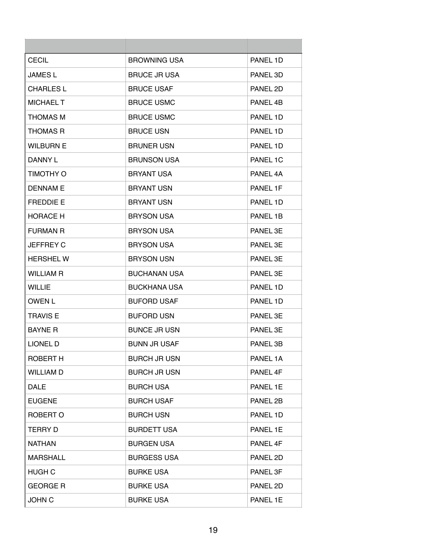| <b>CECIL</b>     | <b>BROWNING USA</b> | PANEL 1D |
|------------------|---------------------|----------|
| <b>JAMES L</b>   | <b>BRUCE JR USA</b> | PANEL 3D |
| CHARLES L        | <b>BRUCE USAF</b>   | PANEL 2D |
| <b>MICHAEL T</b> | <b>BRUCE USMC</b>   | PANEL 4B |
| THOMAS M         | <b>BRUCE USMC</b>   | PANEL 1D |
| <b>THOMAS R</b>  | <b>BRUCE USN</b>    | PANEL 1D |
| <b>WILBURN E</b> | <b>BRUNER USN</b>   | PANEL 1D |
| DANNY L          | <b>BRUNSON USA</b>  | PANEL 1C |
| TIMOTHY O        | <b>BRYANT USA</b>   | PANEL 4A |
| <b>DENNAME</b>   | <b>BRYANT USN</b>   | PANEL 1F |
| <b>FREDDIE E</b> | <b>BRYANT USN</b>   | PANEL 1D |
| <b>HORACE H</b>  | <b>BRYSON USA</b>   | PANEL 1B |
| <b>FURMAN R</b>  | <b>BRYSON USA</b>   | PANEL 3F |
| <b>JEFFREY C</b> | <b>BRYSON USA</b>   | PANEL 3E |
| <b>HERSHELW</b>  | <b>BRYSON USN</b>   | PANEL 3E |
| <b>WILLIAM R</b> | <b>BUCHANAN USA</b> | PANEL 3E |
| <b>WILLIE</b>    | <b>BUCKHANA USA</b> | PANEL 1D |
| <b>OWEN L</b>    | <b>BUFORD USAF</b>  | PANEL 1D |
| <b>TRAVIS E</b>  | <b>BUFORD USN</b>   | PANEL 3E |
| <b>BAYNE R</b>   | <b>BUNCE JR USN</b> | PANEL 3E |
| <b>LIONEL D</b>  | BUNN JR USAF        | PANEL 3B |
| <b>ROBERT H</b>  | <b>BURCH JR USN</b> | PANEL 1A |
| <b>WILLIAM D</b> | <b>BURCH JR USN</b> | PANEL 4F |
| <b>DALE</b>      | <b>BURCH USA</b>    | PANEL 1E |
| <b>EUGENE</b>    | <b>BURCH USAF</b>   | PANEL 2B |
| ROBERT O         | <b>BURCH USN</b>    | PANEL 1D |
| <b>TERRY D</b>   | <b>BURDETT USA</b>  | PANEL 1E |
| <b>NATHAN</b>    | <b>BURGEN USA</b>   | PANEL 4F |
| <b>MARSHALL</b>  | <b>BURGESS USA</b>  | PANEL 2D |
| <b>HUGH C</b>    | <b>BURKE USA</b>    | PANEL 3F |
| <b>GEORGE R</b>  | <b>BURKE USA</b>    | PANEL 2D |
| <b>JOHN C</b>    | <b>BURKE USA</b>    | PANEL 1E |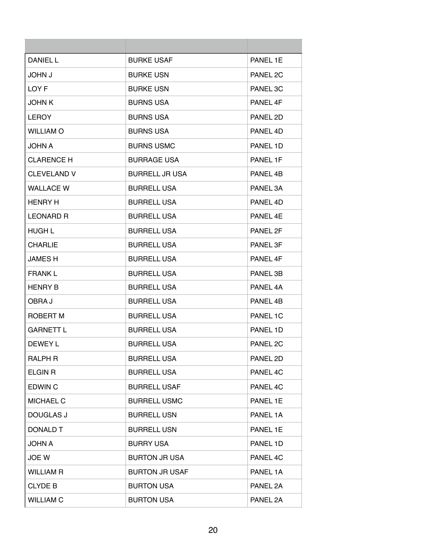| <b>DANIEL L</b>    | <b>BURKE USAF</b>     | PANEL 1E |
|--------------------|-----------------------|----------|
| <b>U NHOL</b>      | <b>BURKE USN</b>      | PANEL 2C |
| LOY F              | <b>BURKE USN</b>      | PANEL 3C |
| <b>JOHN K</b>      | <b>BURNS USA</b>      | PANEL 4F |
| <b>LEROY</b>       | <b>BURNS USA</b>      | PANEL 2D |
| <b>WILLIAM O</b>   | <b>BURNS USA</b>      | PANEL 4D |
| <b>JOHN A</b>      | <b>BURNS USMC</b>     | PANEL 1D |
| <b>CLARENCE H</b>  | <b>BURRAGE USA</b>    | PANEL 1F |
| <b>CLEVELAND V</b> | <b>BURRELL JR USA</b> | PANEL 4B |
| <b>WALLACE W</b>   | <b>BURRELL USA</b>    | PANEL 3A |
| <b>HENRY H</b>     | <b>BURRELL USA</b>    | PANFI 4D |
| <b>LEONARD R</b>   | <b>BURRELL USA</b>    | PANEL 4E |
| <b>HUGH L</b>      | <b>BURRELL USA</b>    | PANEL 2F |
| <b>CHARLIE</b>     | <b>BURRELL USA</b>    | PANEL 3F |
| <b>JAMES H</b>     | <b>BURRELL USA</b>    | PANEL 4F |
| <b>FRANK L</b>     | <b>BURRELL USA</b>    | PANEL 3B |
| <b>HENRY B</b>     | <b>BURRELL USA</b>    | PANEL 4A |
| OBRA J             | <b>BURRELL USA</b>    | PANEL 4B |
| ROBERT M           | <b>BURRELL USA</b>    | PANEL 1C |
| <b>GARNETT L</b>   | <b>BURRELL USA</b>    | PANEL 1D |
| DEWEY L            | <b>BURRELL USA</b>    | PANEL 2C |
| <b>RALPH R</b>     | <b>BURRELL USA</b>    | PANEL 2D |
| <b>ELGIN R</b>     | <b>BURRELL USA</b>    | PANEL 4C |
| <b>EDWIN C</b>     | <b>BURRELL USAF</b>   | PANEL 4C |
| <b>MICHAEL C</b>   | <b>BURRELL USMC</b>   | PANEL 1E |
| <b>DOUGLAS J</b>   | <b>BURRELL USN</b>    | PANEL 1A |
| DONALD T           | <b>BURRELL USN</b>    | PANEL 1E |
| <b>JOHN A</b>      | <b>BURRY USA</b>      | PANEL 1D |
| JOE W              | <b>BURTON JR USA</b>  | PANEL 4C |
| <b>WILLIAM R</b>   | <b>BURTON JR USAF</b> | PANEL 1A |
| <b>CLYDE B</b>     | <b>BURTON USA</b>     | PANEL 2A |
| <b>WILLIAM C</b>   | <b>BURTON USA</b>     | PANEL 2A |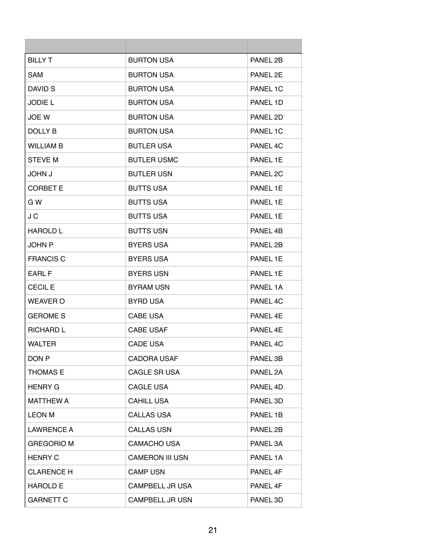| <b>BILLY T</b>    | <b>BURTON USA</b>      | PANEL 2B |
|-------------------|------------------------|----------|
| <b>SAM</b>        | <b>BURTON USA</b>      | PANEL 2E |
| DAVID S           | <b>BURTON USA</b>      | PANEL 1C |
| <b>JODIE L</b>    | <b>BURTON USA</b>      | PANEL 1D |
| <b>JOE W</b>      | <b>BURTON USA</b>      | PANEL 2D |
| <b>DOLLY B</b>    | <b>BURTON USA</b>      | PANEL 1C |
| <b>WILLIAM B</b>  | <b>BUTLER USA</b>      | PANEL 4C |
| <b>STEVE M</b>    | <b>BUTLER USMC</b>     | PANEL 1E |
| <b>JOHN J</b>     | <b>BUTLER USN</b>      | PANEL 2C |
| <b>CORBET E</b>   | <b>BUTTS USA</b>       | PANEL 1E |
| G W               | <b>BUTTS USA</b>       | PANEL 1E |
| J C               | <b>BUTTS USA</b>       | PANEL 1E |
| <b>HAROLD L</b>   | <b>BUTTS USN</b>       | PANEL 4B |
| <b>JOHN P</b>     | <b>BYERS USA</b>       | PANEL 2B |
| <b>FRANCIS C</b>  | <b>BYERS USA</b>       | PANEL 1E |
| <b>EARL F</b>     | <b>BYERS USN</b>       | PANEL 1E |
| <b>CECIL E</b>    | <b>BYRAM USN</b>       | PANEL 1A |
| <b>WEAVER O</b>   | <b>BYRD USA</b>        | PANEL 4C |
| <b>GEROME S</b>   | <b>CABE USA</b>        | PANEL 4E |
| <b>RICHARD L</b>  | <b>CABE USAF</b>       | PANFL 4F |
| <b>WALTER</b>     | <b>CADE USA</b>        | PANEL 4C |
| DON <sub>P</sub>  | <b>CADORA USAF</b>     | PANEL 3B |
| <b>THOMAS E</b>   | <b>CAGLE SR USA</b>    | PANEL 2A |
| <b>HENRY G</b>    | <b>CAGLE USA</b>       | PANEL 4D |
| <b>MATTHEW A</b>  | <b>CAHILL USA</b>      | PANEL 3D |
| <b>LEON M</b>     | <b>CALLAS USA</b>      | PANEL 1B |
| <b>LAWRENCE A</b> | <b>CALLAS USN</b>      | PANEL 2B |
| <b>GREGORIO M</b> | <b>CAMACHO USA</b>     | PANEL 3A |
| <b>HENRY C</b>    | <b>CAMERON III USN</b> | PANEL 1A |
| <b>CLARENCE H</b> | <b>CAMP USN</b>        | PANEL 4F |
| <b>HAROLD E</b>   | <b>CAMPBELL JR USA</b> | PANEL 4F |
| <b>GARNETT C</b>  | <b>CAMPBELL JR USN</b> | PANEL 3D |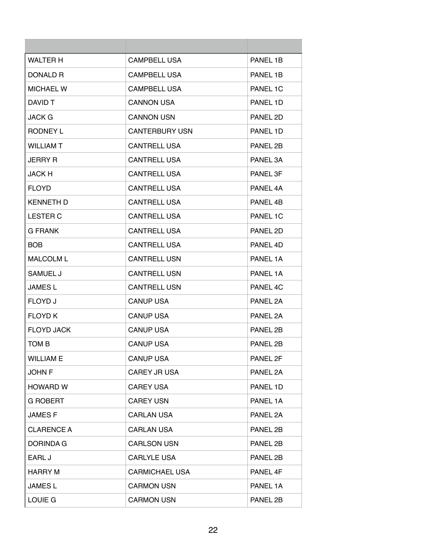| <b>WALTER H</b>   | <b>CAMPBELL USA</b>   | PANEL 1B |
|-------------------|-----------------------|----------|
| DONALD R          | <b>CAMPBELL USA</b>   | PANEL 1B |
| MICHAEL W         | <b>CAMPBELL USA</b>   | PANEL 1C |
| DAVID T           | <b>CANNON USA</b>     | PANEL 1D |
| JACK G            | <b>CANNON USN</b>     | PANEL 2D |
| RODNEY L          | <b>CANTERBURY USN</b> | PANEL 1D |
| <b>WILLIAM T</b>  | <b>CANTRELL USA</b>   | PANEL 2B |
| <b>JERRY R</b>    | <b>CANTRELL USA</b>   | PANEL 3A |
| <b>JACK H</b>     | <b>CANTRELL USA</b>   | PANEL 3F |
| FLOYD.            | <b>CANTRELL USA</b>   | PANEL 4A |
| <b>KENNETH D</b>  | <b>CANTRELL USA</b>   | PANEL 4B |
| <b>LESTER C</b>   | <b>CANTRELL USA</b>   | PANEL 1C |
| <b>G FRANK</b>    | <b>CANTRELL USA</b>   | PANEL 2D |
| BOB.              | <b>CANTRELL USA</b>   | PANEL 4D |
| <b>MALCOLM L</b>  | <b>CANTRELL USN</b>   | PANEL 1A |
| SAMUEL J          | <b>CANTRELL USN</b>   | PANEL 1A |
| JAMES L           | <b>CANTRELL USN</b>   | PANEL 4C |
| FLOYD J           | <b>CANUP USA</b>      | PANEL 2A |
| <b>FLOYD K</b>    | <b>CANUP USA</b>      | PANEL 2A |
| <b>FLOYD JACK</b> | <b>CANUP USA</b>      | PANEL 2B |
| TOM B             | CANUP USA             | PANEL 2B |
| <b>WILLIAM E</b>  | <b>CANUP USA</b>      | PANEL 2F |
| <b>JOHN F</b>     | <b>CAREY JR USA</b>   | PANEL 2A |
| HOWARD W          | <b>CAREY USA</b>      | PANEL 1D |
| <b>G ROBERT</b>   | <b>CAREY USN</b>      | PANEL 1A |
| <b>JAMESF</b>     | <b>CARLAN USA</b>     | PANEL 2A |
| <b>CLARENCE A</b> | <b>CARLAN USA</b>     | PANEL 2B |
| DORINDA G         | <b>CARLSON USN</b>    | PANEL 2B |
| EARL J            | <b>CARLYLE USA</b>    | PANEL 2B |
| <b>HARRY M</b>    | <b>CARMICHAEL USA</b> | PANEL 4F |
| <b>JAMES L</b>    | <b>CARMON USN</b>     | PANEL 1A |
| <b>LOUIE G</b>    | <b>CARMON USN</b>     | PANEL 2B |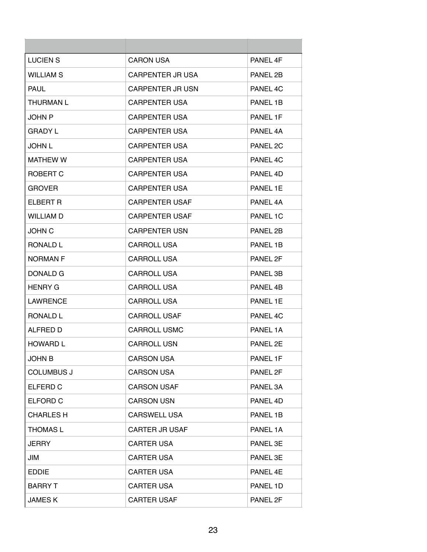| LUCIEN S          | <b>CARON USA</b>        | PANFI 4F |
|-------------------|-------------------------|----------|
| <b>WILLIAM S</b>  | <b>CARPENTER JR USA</b> | PANEL 2B |
| <b>PAUL</b>       | <b>CARPENTER JR USN</b> | PANEL 4C |
| <b>THURMAN L</b>  | <b>CARPENTER USA</b>    | PANEL 1B |
| <b>JOHN P</b>     | <b>CARPENTER USA</b>    | PANEL 1F |
| GRADY L           | <b>CARPENTER USA</b>    | PANEL 4A |
| JOHN L            | <b>CARPENTER USA</b>    | PANEL 2C |
| <b>MATHEW W</b>   | <b>CARPENTER USA</b>    | PANEL 4C |
| ROBERT C          | <b>CARPENTER USA</b>    | PANEL 4D |
| GROVER            | <b>CARPENTER USA</b>    | PANEL 1E |
| ELBERT R          | <b>CARPENTER USAF</b>   | PANFI 4A |
| WILLIAM D         | <b>CARPENTER USAF</b>   | PANEL 1C |
| <b>JOHN C</b>     | <b>CARPENTER USN</b>    | PANEL 2B |
| <b>RONALD L</b>   | <b>CARROLL USA</b>      | PANEL 1B |
| <b>NORMAN F</b>   | <b>CARROLL USA</b>      | PANEL 2F |
| DONALD G          | <b>CARROLL USA</b>      | PANEL 3B |
| <b>HENRY G</b>    | <b>CARROLL USA</b>      | PANEL 4B |
| <b>LAWRENCE</b>   | <b>CARROLL USA</b>      | PANEL 1E |
| <b>RONALD L</b>   | <b>CARROLL USAF</b>     | PANEL 4C |
| ALFRED D          | <b>CARROLL USMC</b>     | PANEL 1A |
| HOWARD L          | <b>CARROLL USN</b>      | PANEL 2E |
| <b>JOHN B</b>     | <b>CARSON USA</b>       | PANEL 1F |
| <b>COLUMBUS J</b> | <b>CARSON USA</b>       | PANEL 2F |
| ELFERD C          | <b>CARSON USAF</b>      | PANEL 3A |
| ELFORD C          | <b>CARSON USN</b>       | PANEL 4D |
| <b>CHARLES H</b>  | <b>CARSWELL USA</b>     | PANEL 1B |
| <b>THOMAS L</b>   | <b>CARTER JR USAF</b>   | PANEL 1A |
| <b>JERRY</b>      | <b>CARTER USA</b>       | PANEL 3E |
| JIM               | <b>CARTER USA</b>       | PANEL 3E |
| <b>EDDIE</b>      | <b>CARTER USA</b>       | PANEL 4E |
| <b>BARRY T</b>    | <b>CARTER USA</b>       | PANEL 1D |
| <b>JAMESK</b>     | <b>CARTER USAF</b>      | PANEL 2F |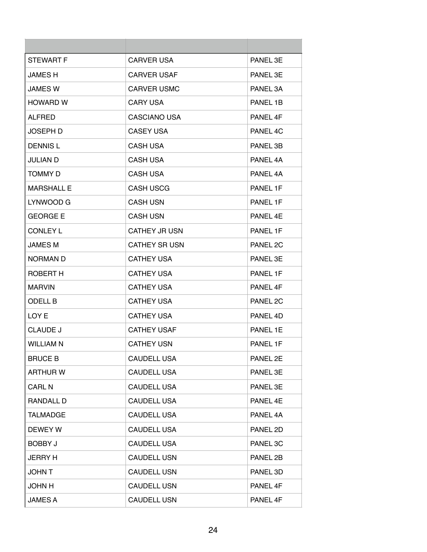| <b>STEWART F</b>  | <b>CARVER USA</b>    | PANEL 3E |
|-------------------|----------------------|----------|
| <b>JAMES H</b>    | <b>CARVER USAF</b>   | PANEL 3E |
| <b>JAMES W</b>    | <b>CARVER USMC</b>   | PANEL 3A |
| <b>HOWARD W</b>   | <b>CARY USA</b>      | PANEL 1B |
| <b>ALFRED</b>     | <b>CASCIANO USA</b>  | PANFI 4F |
| <b>JOSEPH D</b>   | CASEY USA            | PANEL 4C |
| <b>DENNISL</b>    | <b>CASH USA</b>      | PANEL 3B |
| <b>JULIAN D</b>   | <b>CASH USA</b>      | PANEL 4A |
| <b>TOMMY D</b>    | <b>CASH USA</b>      | PANEL 4A |
| <b>MARSHALL E</b> | <b>CASH USCG</b>     | PANEL 1F |
| LYNWOOD G         | <b>CASH USN</b>      | PANEL 1F |
| <b>GEORGE E</b>   | <b>CASH USN</b>      | PANEL 4E |
| <b>CONLEY L</b>   | <b>CATHEY JR USN</b> | PANEL 1F |
| <b>JAMES M</b>    | <b>CATHEY SR USN</b> | PANEL 2C |
| <b>NORMAN D</b>   | <b>CATHEY USA</b>    | PANEL 3E |
| ROBERT H          | <b>CATHEY USA</b>    | PANEL 1F |
| <b>MARVIN</b>     | <b>CATHEY USA</b>    | PANEL 4F |
| <b>ODELL B</b>    | <b>CATHEY USA</b>    | PANEL 2C |
| LOY E             | <b>CATHEY USA</b>    | PANEL 4D |
| <b>CLAUDE J</b>   | <b>CATHEY USAF</b>   | PANEL 1E |
| <b>WILLIAM N</b>  | <b>CATHEY USN</b>    | PANEL 1F |
| <b>BRUCE B</b>    | <b>CAUDELL USA</b>   | PANEL 2E |
| <b>ARTHUR W</b>   | <b>CAUDELL USA</b>   | PANEL 3E |
| <b>CARL N</b>     | <b>CAUDELL USA</b>   | PANEL 3E |
| RANDALL D         | <b>CAUDELL USA</b>   | PANEL 4E |
| <b>TALMADGE</b>   | <b>CAUDELL USA</b>   | PANEL 4A |
| DEWEY W           | <b>CAUDELL USA</b>   | PANEL 2D |
| <b>BOBBY J</b>    | <b>CAUDELL USA</b>   | PANEL 3C |
| <b>JERRY H</b>    | <b>CAUDELL USN</b>   | PANEL 2B |
| <b>JOHN T</b>     | <b>CAUDELL USN</b>   | PANEL 3D |
| <b>JOHN H</b>     | <b>CAUDELL USN</b>   | PANEL 4F |
| <b>JAMES A</b>    | <b>CAUDELL USN</b>   | PANEL 4F |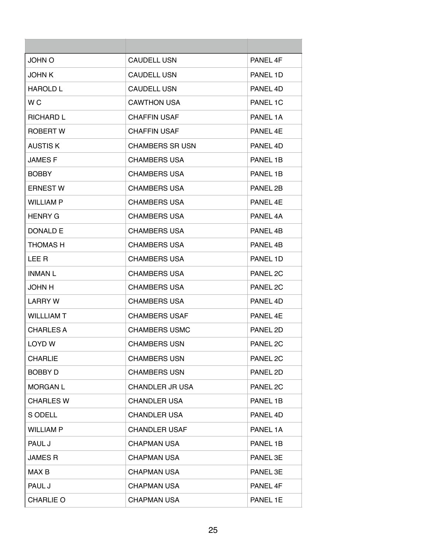| <b>JOHN O</b>     | <b>CAUDELL USN</b>     | PANEL 4F |
|-------------------|------------------------|----------|
| <b>JOHN K</b>     | <b>CAUDELL USN</b>     | PANEL 1D |
| <b>HAROLD L</b>   | <b>CAUDELL USN</b>     | PANEL 4D |
| W C               | <b>CAWTHON USA</b>     | PANEL 1C |
| <b>RICHARD L</b>  | <b>CHAFFIN USAF</b>    | PANFI 1A |
| ROBERT W          | <b>CHAFFIN USAF</b>    | PANEL 4E |
| <b>AUSTIS K</b>   | <b>CHAMBERS SR USN</b> | PANEL 4D |
| <b>JAMES F</b>    | <b>CHAMBERS USA</b>    | PANEL 1B |
| <b>BOBBY</b>      | <b>CHAMBERS USA</b>    | PANEL 1B |
| <b>ERNEST W</b>   | <b>CHAMBERS USA</b>    | PANEL 2B |
| <b>WILLIAM P</b>  | <b>CHAMBERS USA</b>    | PANFI 4F |
| <b>HENRY G</b>    | <b>CHAMBERS USA</b>    | PANEL 4A |
| DONALD F          | <b>CHAMBERS USA</b>    | PANEL 4B |
| <b>THOMAS H</b>   | <b>CHAMBERS USA</b>    | PANEL 4B |
| LEE R             | <b>CHAMBERS USA</b>    | PANEL 1D |
| <b>INMAN L</b>    | <b>CHAMBERS USA</b>    | PANEL 2C |
| <b>JOHN H</b>     | <b>CHAMBERS USA</b>    | PANEL 2C |
| LARRY W           | <b>CHAMBERS USA</b>    | PANEL 4D |
| <b>WILLLIAM T</b> | <b>CHAMBERS USAF</b>   | PANFL 4F |
| <b>CHARLES A</b>  | <b>CHAMBERS USMC</b>   | PANEL 2D |
| LOYD W            | <b>CHAMBERS USN</b>    | PANEL 2C |
| <b>CHARLIE</b>    | <b>CHAMBERS USN</b>    | PANEL 2C |
| <b>BOBBY D</b>    | <b>CHAMBERS USN</b>    | PANEL 2D |
| <b>MORGAN L</b>   | <b>CHANDLER JR USA</b> | PANEL 2C |
| <b>CHARLES W</b>  | <b>CHANDLER USA</b>    | PANEL 1B |
| S ODELL           | <b>CHANDLER USA</b>    | PANEL 4D |
| <b>WILLIAM P</b>  | <b>CHANDLER USAF</b>   | PANEL 1A |
| PAUL J            | <b>CHAPMAN USA</b>     | PANEL 1B |
| JAMES R           | <b>CHAPMAN USA</b>     | PANEL 3E |
| MAX B             | <b>CHAPMAN USA</b>     | PANEL 3E |
| PAUL J            | <b>CHAPMAN USA</b>     | PANEL 4F |
| <b>CHARLIE O</b>  | <b>CHAPMAN USA</b>     | PANEL 1E |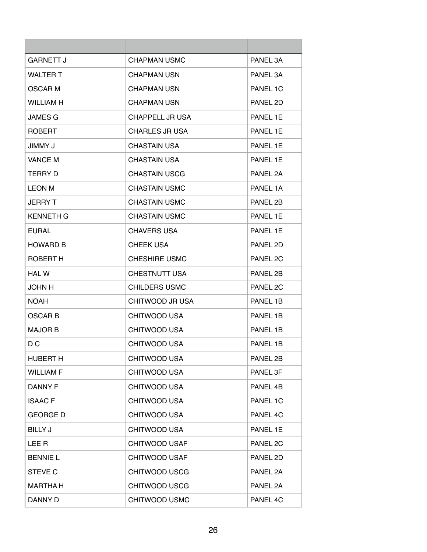| <b>GARNETT J</b> | <b>CHAPMAN USMC</b>   | PANEL 3A |
|------------------|-----------------------|----------|
| <b>WALTER T</b>  | <b>CHAPMAN USN</b>    | PANEL 3A |
| OSCAR M          | <b>CHAPMAN USN</b>    | PANEL 1C |
| <b>WILLIAM H</b> | <b>CHAPMAN USN</b>    | PANEL 2D |
| <b>JAMES G</b>   | CHAPPELL JR USA       | PANEL 1F |
| <b>ROBERT</b>    | <b>CHARLES JR USA</b> | PANEL 1E |
| <b>JIMMY J</b>   | <b>CHASTAIN USA</b>   | PANEL 1E |
| <b>VANCE M</b>   | <b>CHASTAIN USA</b>   | PANEL 1E |
| <b>TERRY D</b>   | <b>CHASTAIN USCG</b>  | PANEL 2A |
| <b>LEON M</b>    | <b>CHASTAIN USMC</b>  | PANEL 1A |
| <b>JERRY T</b>   | <b>CHASTAIN USMC</b>  | PANEL 2B |
| <b>KENNETH G</b> | <b>CHASTAIN USMC</b>  | PANEL 1E |
| EURAL.           | <b>CHAVERS USA</b>    | PANEL 1E |
| <b>HOWARD B</b>  | <b>CHEEK USA</b>      | PANEL 2D |
| ROBERT H         | <b>CHESHIRE USMC</b>  | PANEL 2C |
| <b>HAL W</b>     | <b>CHESTNUTT USA</b>  | PANEL 2B |
| <b>JOHN H</b>    | <b>CHILDERS USMC</b>  | PANEL 2C |
| NOAH             | CHITWOOD JR USA       | PANEL 1B |
| <b>OSCAR B</b>   | <b>CHITWOOD USA</b>   | PANEL 1B |
| <b>MAJOR B</b>   | <b>CHITWOOD USA</b>   | PANEL 1B |
| D C              | CHITWOOD USA          | PANEL 1B |
| <b>HUBERT H</b>  | CHITWOOD USA          | PANEL 2B |
| <b>WILLIAM F</b> | CHITWOOD USA          | PANEL 3F |
| <b>DANNY F</b>   | CHITWOOD USA          | PANEL 4B |
| <b>ISAACF</b>    | CHITWOOD USA          | PANEL 1C |
| <b>GEORGE D</b>  | CHITWOOD USA          | PANEL 4C |
| <b>BILLY J</b>   | <b>CHITWOOD USA</b>   | PANEL 1E |
| LEE R            | CHITWOOD USAF         | PANEL 2C |
| <b>BENNIE L</b>  | <b>CHITWOOD USAF</b>  | PANEL 2D |
| <b>STEVE C</b>   | <b>CHITWOOD USCG</b>  | PANEL 2A |
| <b>MARTHA H</b>  | <b>CHITWOOD USCG</b>  | PANEL 2A |
| DANNY D          | CHITWOOD USMC         | PANEL 4C |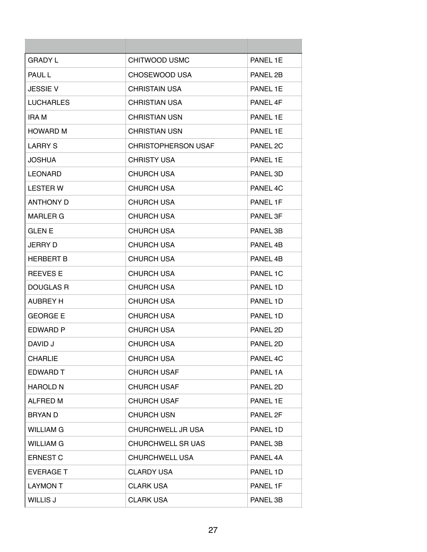| GRADY L          | CHITWOOD USMC              | PANEL 1E |
|------------------|----------------------------|----------|
| <b>PAUL L</b>    | CHOSEWOOD USA              | PANEL 2B |
| <b>JESSIE V</b>  | <b>CHRISTAIN USA</b>       | PANEL 1E |
| <b>LUCHARLES</b> | <b>CHRISTIAN USA</b>       | PANEL 4F |
| IRA M            | <b>CHRISTIAN USN</b>       | PANEL 1F |
| <b>HOWARD M</b>  | <b>CHRISTIAN USN</b>       | PANEL 1E |
| <b>LARRY S</b>   | <b>CHRISTOPHERSON USAF</b> | PANEL 2C |
| <b>JOSHUA</b>    | <b>CHRISTY USA</b>         | PANEL 1E |
| <b>LEONARD</b>   | <b>CHURCH USA</b>          | PANEL 3D |
| <b>LESTER W</b>  | <b>CHURCH USA</b>          | PANEL 4C |
| <b>ANTHONY D</b> | <b>CHURCH USA</b>          | PANEL 1F |
| MARLER G         | <b>CHURCH USA</b>          | PANEL 3F |
| <b>GLENE</b>     | <b>CHURCH USA</b>          | PANEL 3B |
| JERRY D          | <b>CHURCH USA</b>          | PANEL 4B |
| <b>HERBERT B</b> | <b>CHURCH USA</b>          | PANEL 4B |
| <b>REEVES E</b>  | <b>CHURCH USA</b>          | PANEL 1C |
| DOUGLAS R        | <b>CHURCH USA</b>          | PANEL 1D |
| AUBREY H         | <b>CHURCH USA</b>          | PANEL 1D |
| <b>GEORGE E</b>  | <b>CHURCH USA</b>          | PANEL 1D |
| EDWARD P         | <b>CHURCH USA</b>          | PANEL 2D |
| DAVID J          | CHURCH USA                 | PANEL 2D |
| <b>CHARLIE</b>   | <b>CHURCH USA</b>          | PANEL 4C |
| EDWARD T         | <b>CHURCH USAF</b>         | PANEL 1A |
| <b>HAROLD N</b>  | <b>CHURCH USAF</b>         | PANEL 2D |
| ALFRED M         | <b>CHURCH USAF</b>         | PANEL 1E |
| BRYAN D          | <b>CHURCH USN</b>          | PANEL 2F |
| <b>WILLIAM G</b> | CHURCHWELL JR USA          | PANEL 1D |
| <b>WILLIAM G</b> | <b>CHURCHWELL SR UAS</b>   | PANEL 3B |
| <b>ERNEST C</b>  | <b>CHURCHWELL USA</b>      | PANEL 4A |
| <b>EVERAGE T</b> | <b>CLARDY USA</b>          | PANEL 1D |
| <b>LAYMON T</b>  | <b>CLARK USA</b>           | PANEL 1F |
| WILLIS J         | <b>CLARK USA</b>           | PANEL 3B |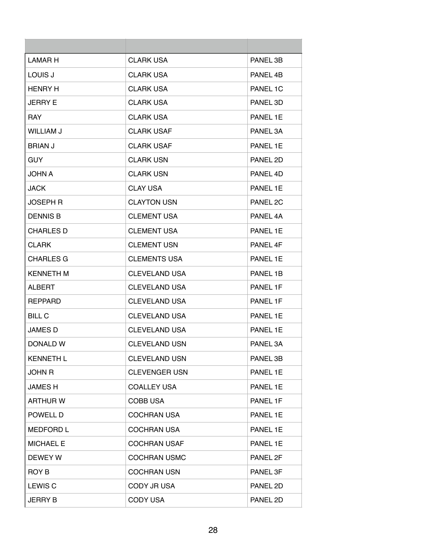| LAMAR H          | <b>CLARK USA</b>     | PANEL 3B |
|------------------|----------------------|----------|
| LOUIS J          | <b>CLARK USA</b>     | PANEL 4B |
| <b>HENRY H</b>   | <b>CLARK USA</b>     | PANEL 1C |
| <b>JERRY E</b>   | <b>CLARK USA</b>     | PANEL 3D |
| <b>RAY</b>       | <b>CLARK USA</b>     | PANFI 1F |
| WILLIAM J        | <b>CLARK USAF</b>    | PANEL 3A |
| <b>BRIAN J</b>   | <b>CLARK USAF</b>    | PANEL 1E |
| <b>GUY</b>       | <b>CLARK USN</b>     | PANEL 2D |
| <b>JOHN A</b>    | <b>CLARK USN</b>     | PANEL 4D |
| <b>JACK</b>      | <b>CLAY USA</b>      | PANEL 1E |
| JOSEPH R         | <b>CLAYTON USN</b>   | PANEL 2C |
| <b>DENNIS B</b>  | <b>CLEMENT USA</b>   | PANEL 4A |
| CHARLES D        | <b>CLEMENT USA</b>   | PANEL 1E |
| <b>CLARK</b>     | <b>CLEMENT USN</b>   | PANEL 4F |
| <b>CHARLES G</b> | <b>CLEMENTS USA</b>  | PANEL 1E |
| <b>KENNETH M</b> | <b>CLEVELAND USA</b> | PANEL 1B |
| ALBERT           | <b>CLEVELAND USA</b> | PANEL 1F |
| <b>REPPARD</b>   | <b>CLEVELAND USA</b> | PANEL 1F |
| BILL C           | CLEVELAND USA        | PANEL 1E |
| <b>JAMES D</b>   | <b>CLEVELAND USA</b> | PANEL 1E |
| DONALD W         | <b>CLEVELAND USN</b> | PANEL 3A |
| <b>KENNETH L</b> | <b>CLEVELAND USN</b> | PANEL 3B |
| <b>JOHN R</b>    | <b>CLEVENGER USN</b> | PANEL 1E |
| <b>JAMES H</b>   | <b>COALLEY USA</b>   | PANEL 1E |
| <b>ARTHUR W</b>  | COBB USA             | PANEL 1F |
| POWELL D         | <b>COCHRAN USA</b>   | PANEL 1E |
| <b>MEDFORD L</b> | <b>COCHRAN USA</b>   | PANEL 1E |
| <b>MICHAEL E</b> | <b>COCHRAN USAF</b>  | PANEL 1E |
| DEWEY W          | <b>COCHRAN USMC</b>  | PANEL 2F |
| ROY B            | <b>COCHRAN USN</b>   | PANEL 3F |
| LEWIS C          | CODY JR USA          | PANEL 2D |
| <b>JERRY B</b>   | <b>CODY USA</b>      | PANEL 2D |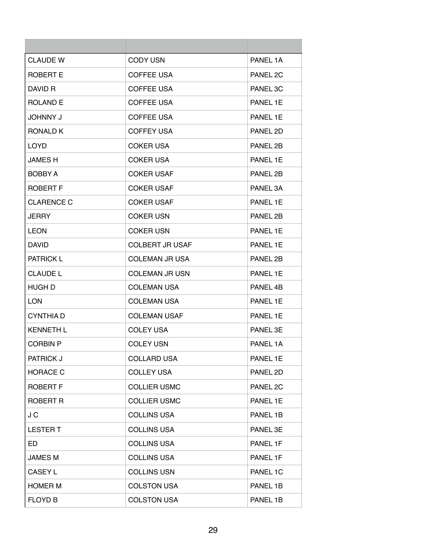| <b>CLAUDE W</b>   | CODY USN               | PANEL 1A |
|-------------------|------------------------|----------|
| ROBERT E          | <b>COFFEE USA</b>      | PANEL 2C |
| DAVID R           | <b>COFFEE USA</b>      | PANEL 3C |
| <b>ROLAND E</b>   | <b>COFFEE USA</b>      | PANEL 1E |
| <b>JOHNNY J</b>   | <b>COFFEE USA</b>      | PANFI 1F |
| RONALD K          | <b>COFFEY USA</b>      | PANEL 2D |
| LOYD.             | <b>COKER USA</b>       | PANEL 2B |
| <b>JAMES H</b>    | <b>COKER USA</b>       | PANEL 1E |
| <b>BOBBY A</b>    | <b>COKER USAF</b>      | PANEL 2B |
| ROBERT F          | <b>COKER USAF</b>      | PANEL 3A |
| <b>CLARENCE C</b> | <b>COKER USAF</b>      | PANEL 1E |
| JERRY             | <b>COKER USN</b>       | PANEL 2B |
| LEON              | <b>COKER USN</b>       | PANEL 1E |
| <b>DAVID</b>      | <b>COLBERT JR USAF</b> | PANEL 1E |
| <b>PATRICK L</b>  | <b>COLEMAN JR USA</b>  | PANEL 2B |
| <b>CLAUDE L</b>   | <b>COLEMAN JR USN</b>  | PANEL 1E |
| HUGH D            | <b>COLEMAN USA</b>     | PANEL 4B |
| LON               | <b>COLEMAN USA</b>     | PANEL 1E |
| <b>CYNTHIAD</b>   | <b>COLEMAN USAF</b>    | PANEL 1E |
| <b>KENNETH L</b>  | <b>COLEY USA</b>       | PANEL 3E |
| <b>CORBIN P</b>   | <b>COLEY USN</b>       | PANEL 1A |
| <b>PATRICK J</b>  | <b>COLLARD USA</b>     | PANEL 1E |
| <b>HORACE C</b>   | <b>COLLEY USA</b>      | PANEL 2D |
| <b>ROBERT F</b>   | <b>COLLIER USMC</b>    | PANEL 2C |
| ROBERT R          | <b>COLLIER USMC</b>    | PANEL 1E |
| J C               | <b>COLLINS USA</b>     | PANEL 1B |
| <b>LESTER T</b>   | <b>COLLINS USA</b>     | PANEL 3E |
| ED                | <b>COLLINS USA</b>     | PANEL 1F |
| <b>JAMES M</b>    | <b>COLLINS USA</b>     | PANEL 1F |
| CASEY L           | <b>COLLINS USN</b>     | PANEL 1C |
| <b>HOMER M</b>    | <b>COLSTON USA</b>     | PANEL 1B |
| <b>FLOYD B</b>    | <b>COLSTON USA</b>     | PANEL 1B |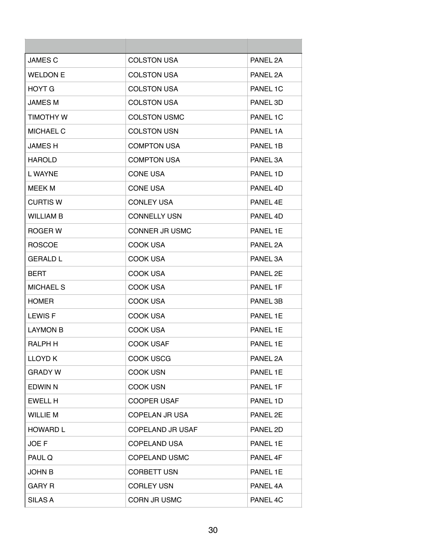| <b>JAMES C</b>   | <b>COLSTON USA</b>    | PANEL 2A             |
|------------------|-----------------------|----------------------|
| <b>WELDON E</b>  | <b>COLSTON USA</b>    | PANEL 2A             |
| HOYT G           | <b>COLSTON USA</b>    | PANEL 1C             |
| <b>JAMES M</b>   | <b>COLSTON USA</b>    | PANEL 3D             |
| <b>TIMOTHY W</b> | <b>COLSTON USMC</b>   | PANEL 1C             |
| <b>MICHAEL C</b> | <b>COLSTON USN</b>    | PANEL 1A             |
| <b>JAMES H</b>   | <b>COMPTON USA</b>    | PANEL 1B             |
| <b>HAROLD</b>    | <b>COMPTON USA</b>    | PANEL 3A             |
| L WAYNE          | <b>CONE USA</b>       | PANEL 1D             |
| MEEK M           | <b>CONE USA</b>       | PANEL 4D             |
| <b>CURTIS W</b>  | <b>CONLEY USA</b>     | PANFL <sub>4</sub> F |
| <b>WILLIAM B</b> | <b>CONNELLY USN</b>   | PANEL 4D             |
| ROGER W          | <b>CONNER JR USMC</b> | PANEL 1E             |
| <b>ROSCOE</b>    | COOK USA              | PANEL 2A             |
| <b>GERALD L</b>  | COOK USA              | PANEL 3A             |
| BERT             | <b>COOK USA</b>       | PANEL 2E             |
| <b>MICHAEL S</b> | COOK USA              | PANEL 1F             |
| <b>HOMER</b>     | COOK USA              | PANEL 3B             |
| <b>LEWIS F</b>   | COOK USA              | PANEL 1E             |
| <b>LAYMON B</b>  | COOK USA              | PANEL 1E             |
| RALPH H          | <b>COOK USAF</b>      | PANEL 1E             |
| <b>LLOYD K</b>   | <b>COOK USCG</b>      | PANEL 2A             |
| <b>GRADY W</b>   | <b>COOK USN</b>       | PANEL 1E             |
| <b>EDWIN N</b>   | <b>COOK USN</b>       | PANEL 1F             |
| EWELL H          | <b>COOPER USAF</b>    | PANEL 1D             |
| <b>WILLIE M</b>  | COPELAN JR USA        | PANEL 2E             |
| <b>HOWARD L</b>  | COPELAND JR USAF      | PANEL 2D             |
| JOE F            | <b>COPELAND USA</b>   | PANEL 1E             |
| PAUL Q           | <b>COPELAND USMC</b>  | PANEL 4F             |
| JOHN B           | <b>CORBETT USN</b>    | PANEL 1E             |
| <b>GARY R</b>    | <b>CORLEY USN</b>     | PANEL 4A             |
| SILAS A          | CORN JR USMC          | PANEL 4C             |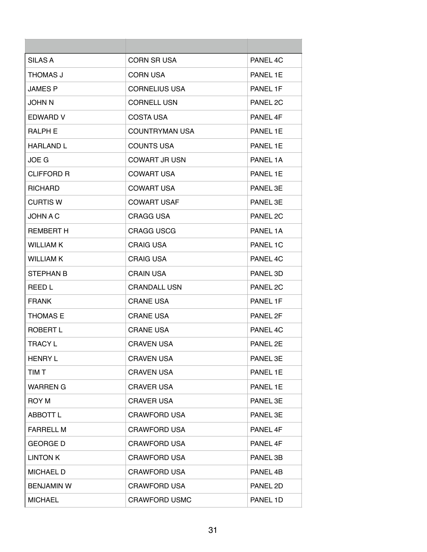| <b>SILAS A</b>    | <b>CORN SR USA</b>    | PANEL 4C |
|-------------------|-----------------------|----------|
| THOMAS J          | <b>CORN USA</b>       | PANEL 1E |
| <b>JAMES P</b>    | <b>CORNELIUS USA</b>  | PANEL 1F |
| <b>JOHN N</b>     | <b>CORNELL USN</b>    | PANEL 2C |
| EDWARD V          | COSTA USA             | PANEL 4F |
| <b>RALPH E</b>    | <b>COUNTRYMAN USA</b> | PANEL 1E |
| <b>HARLAND L</b>  | <b>COUNTS USA</b>     | PANEL 1E |
| JOE G             | <b>COWART JR USN</b>  | PANEL 1A |
| <b>CLIFFORD R</b> | <b>COWART USA</b>     | PANEL 1E |
| <b>RICHARD</b>    | <b>COWART USA</b>     | PANEL 3E |
| <b>CURTIS W</b>   | <b>COWART USAF</b>    | PANEL 3E |
| JOHN A C          | <b>CRAGG USA</b>      | PANEL 2C |
| <b>REMBERT H</b>  | <b>CRAGG USCG</b>     | PANEL 1A |
| <b>WILLIAM K</b>  | <b>CRAIG USA</b>      | PANEL 1C |
| <b>WILLIAM K</b>  | <b>CRAIG USA</b>      | PANEL 4C |
| <b>STEPHAN B</b>  | <b>CRAIN USA</b>      | PANEL 3D |
| REED L            | <b>CRANDALL USN</b>   | PANEL 2C |
| <b>FRANK</b>      | <b>CRANE USA</b>      | PANEL 1F |
| <b>THOMAS E</b>   | <b>CRANE USA</b>      | PANEL 2F |
| ROBERT L          | <b>CRANE USA</b>      | PANEL 4C |
| <b>TRACY L</b>    | <b>CRAVEN USA</b>     | PANEL 2E |
| <b>HENRY L</b>    | <b>CRAVEN USA</b>     | PANEL 3E |
| TIM T             | <b>CRAVEN USA</b>     | PANEL 1E |
| <b>WARREN G</b>   | <b>CRAVER USA</b>     | PANEL 1E |
| ROY M             | <b>CRAVER USA</b>     | PANEL 3E |
| <b>ABBOTT L</b>   | <b>CRAWFORD USA</b>   | PANEL 3E |
| <b>FARRELL M</b>  | <b>CRAWFORD USA</b>   | PANEL 4F |
| <b>GEORGE D</b>   | <b>CRAWFORD USA</b>   | PANEL 4F |
| <b>LINTON K</b>   | <b>CRAWFORD USA</b>   | PANEL 3B |
| <b>MICHAEL D</b>  | <b>CRAWFORD USA</b>   | PANEL 4B |
| <b>BENJAMIN W</b> | <b>CRAWFORD USA</b>   | PANEL 2D |
| <b>MICHAEL</b>    | <b>CRAWFORD USMC</b>  | PANEL 1D |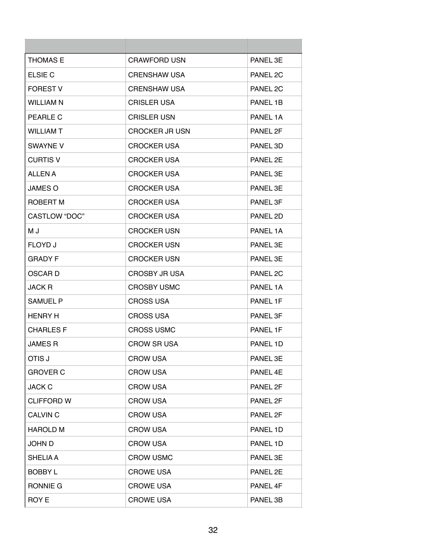| <b>THOMAS E</b>   | <b>CRAWFORD USN</b>   | PANEL 3E |
|-------------------|-----------------------|----------|
| ELSIE C           | <b>CRENSHAW USA</b>   | PANEL 2C |
| <b>FOREST V</b>   | <b>CRENSHAW USA</b>   | PANEL 2C |
| <b>WILLIAM N</b>  | <b>CRISLER USA</b>    | PANEL 1B |
| PEARLE C          | <b>CRISLER USN</b>    | PANEL 1A |
| <b>WILLIAM T</b>  | <b>CROCKER JR USN</b> | PANEL 2F |
| <b>SWAYNE V</b>   | <b>CROCKER USA</b>    | PANEL 3D |
| <b>CURTIS V</b>   | <b>CROCKER USA</b>    | PANEL 2E |
| <b>ALLEN A</b>    | <b>CROCKER USA</b>    | PANEL 3E |
| <b>JAMES O</b>    | <b>CROCKER USA</b>    | PANEL 3F |
| ROBERT M          | <b>CROCKER USA</b>    | PANEL 3F |
| CASTLOW "DOC"     | <b>CROCKER USA</b>    | PANEL 2D |
| M J               | <b>CROCKER USN</b>    | PANEL 1A |
| <b>FLOYD J</b>    | <b>CROCKER USN</b>    | PANEL 3E |
| GRADY F           | <b>CROCKER USN</b>    | PANEL 3E |
| OSCAR D           | CROSBY JR USA         | PANEL 2C |
| <b>JACK R</b>     | <b>CROSBY USMC</b>    | PANEL 1A |
| <b>SAMUEL P</b>   | <b>CROSS USA</b>      | PANEL 1F |
| <b>HENRY H</b>    | <b>CROSS USA</b>      | PANEL 3F |
| <b>CHARLES F</b>  | <b>CROSS USMC</b>     | PANEL 1F |
| <b>JAMES R</b>    | <b>CROW SR USA</b>    | PANEL 1D |
| OTIS J            | <b>CROW USA</b>       | PANEL 3E |
| <b>GROVER C</b>   | <b>CROW USA</b>       | PANEL 4E |
| <b>JACK C</b>     | <b>CROW USA</b>       | PANEL 2F |
| <b>CLIFFORD W</b> | <b>CROW USA</b>       | PANEL 2F |
| <b>CALVIN C</b>   | <b>CROW USA</b>       | PANEL 2F |
| <b>HAROLD M</b>   | <b>CROW USA</b>       | PANEL 1D |
| <b>JOHN D</b>     | <b>CROW USA</b>       | PANEL 1D |
| <b>SHELIA A</b>   | <b>CROW USMC</b>      | PANEL 3E |
| <b>BOBBY L</b>    | <b>CROWE USA</b>      | PANEL 2E |
| RONNIE G          | <b>CROWE USA</b>      | PANEL 4F |
| <b>ROY E</b>      | <b>CROWE USA</b>      | PANEL 3B |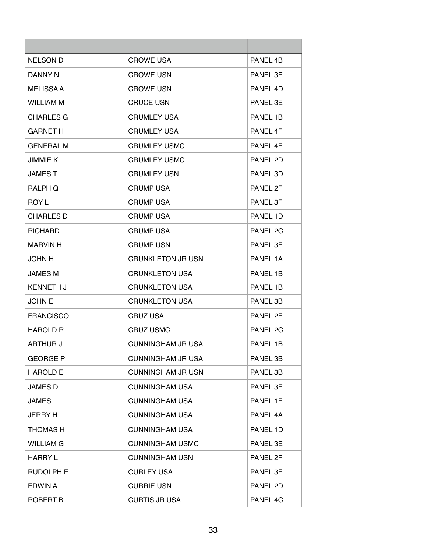| NELSON D         | <b>CROWE USA</b>         | PANEL 4B |
|------------------|--------------------------|----------|
| DANNY N          | <b>CROWE USN</b>         | PANEL 3E |
| <b>MELISSA A</b> | <b>CROWE USN</b>         | PANEL 4D |
| <b>WILLIAM M</b> | <b>CRUCE USN</b>         | PANEL 3E |
| CHARLES G        | <b>CRUMLEY USA</b>       | PANFI 1B |
| <b>GARNET H</b>  | <b>CRUMLEY USA</b>       | PANEL 4F |
| <b>GENERAL M</b> | <b>CRUMLEY USMC</b>      | PANEL 4F |
| <b>JIMMIE K</b>  | <b>CRUMLEY USMC</b>      | PANEL 2D |
| <b>JAMEST</b>    | <b>CRUMLEY USN</b>       | PANEL 3D |
| <b>RALPH O</b>   | <b>CRUMP USA</b>         | PANEL 2F |
| ROY L            | <b>CRUMP USA</b>         | PANEL 3F |
| <b>CHARLES D</b> | <b>CRUMP USA</b>         | PANEL 1D |
| <b>RICHARD</b>   | <b>CRUMP USA</b>         | PANEL 2C |
| MARVIN H         | <b>CRUMP USN</b>         | PANEL 3F |
| <b>JOHN H</b>    | <b>CRUNKLETON JR USN</b> | PANEL 1A |
| <b>JAMES M</b>   | <b>CRUNKLETON USA</b>    | PANEL 1B |
| <b>KENNETH J</b> | <b>CRUNKLETON USA</b>    | PANEL 1B |
| <b>JOHN E</b>    | <b>CRUNKLETON USA</b>    | PANEL 3B |
| <b>FRANCISCO</b> | <b>CRUZ USA</b>          | PANEL 2F |
| <b>HAROLD R</b>  | <b>CRUZ USMC</b>         | PANEL 2C |
| ARTHUR J         | CUNNINGHAM JR USA        | PANEL 1B |
| <b>GEORGE P</b>  | <b>CUNNINGHAM JR USA</b> | PANEL 3B |
| <b>HAROLD E</b>  | <b>CUNNINGHAM JR USN</b> | PANEL 3B |
| <b>JAMES D</b>   | <b>CUNNINGHAM USA</b>    | PANEL 3E |
| <b>JAMES</b>     | <b>CUNNINGHAM USA</b>    | PANEL 1F |
| <b>JERRY H</b>   | <b>CUNNINGHAM USA</b>    | PANEL 4A |
| THOMAS H         | <b>CUNNINGHAM USA</b>    | PANEL 1D |
| <b>WILLIAM G</b> | <b>CUNNINGHAM USMC</b>   | PANEL 3E |
| <b>HARRY L</b>   | <b>CUNNINGHAM USN</b>    | PANEL 2F |
| <b>RUDOLPH E</b> | <b>CURLEY USA</b>        | PANEL 3F |
| EDWIN A          | <b>CURRIE USN</b>        | PANEL 2D |
| ROBERT B         | <b>CURTIS JR USA</b>     | PANEL 4C |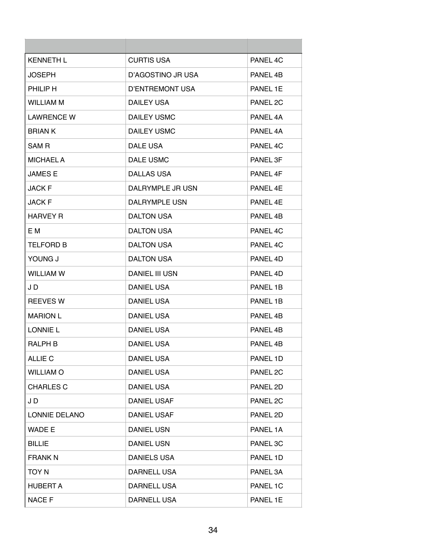| <b>KENNETH L</b>  | <b>CURTIS USA</b>     | PANFI <sub>4</sub> C |
|-------------------|-----------------------|----------------------|
| <b>JOSEPH</b>     | D'AGOSTINO JR USA     | PANEL 4B             |
| PHILIP H          | D'ENTREMONT USA       | PANEL 1E             |
| <b>WILLIAM M</b>  | DAILEY USA            | PANEL 2C             |
| <b>LAWRENCE W</b> | DAILEY USMC           | PANEL 4A             |
| <b>BRIAN K</b>    | DAILEY USMC           | PANEL 4A             |
| SAM R             | DALE USA              | PANEL 4C             |
| <b>MICHAEL A</b>  | DALE USMC             | PANEL 3F             |
| <b>JAMES E</b>    | <b>DALLAS USA</b>     | PANEL 4F             |
| <b>JACK F</b>     | DALRYMPLE JR USN      | PANEL 4E             |
| <b>JACK F</b>     | DALRYMPLE USN         | PANFL 4F             |
| <b>HARVEY R</b>   | DALTON USA            | PANEL 4B             |
| E M               | DALTON USA            | PANEL 4C             |
| <b>TELFORD B</b>  | <b>DALTON USA</b>     | PANEL 4C             |
| YOUNG J           | <b>DALTON USA</b>     | PANEL 4D             |
| <b>WILLIAM W</b>  | <b>DANIEL III USN</b> | PANEL 4D             |
| J D               | DANIEL USA            | PANEL 1B             |
| <b>REEVES W</b>   | <b>DANIEL USA</b>     | PANEL 1B             |
| <b>MARION L</b>   | <b>DANIEL USA</b>     | PANEL 4B             |
| <b>LONNIE L</b>   | <b>DANIEL USA</b>     | PANEL 4B             |
| <b>RALPH B</b>    | <b>DANIEL USA</b>     | PANEL 4B             |
| ALLIE C           | <b>DANIEL USA</b>     | PANEL 1D             |
| <b>WILLIAM O</b>  | <b>DANIEL USA</b>     | PANEL 2C             |
| <b>CHARLES C</b>  | <b>DANIEL USA</b>     | PANEL 2D             |
| J D               | DANIEL USAF           | PANEL 2C             |
| LONNIE DELANO     | DANIEL USAF           | PANEL 2D             |
| <b>WADE E</b>     | DANIEL USN            | PANEL 1A             |
| <b>BILLIE</b>     | <b>DANIEL USN</b>     | PANEL 3C             |
| <b>FRANK N</b>    | DANIELS USA           | PANEL 1D             |
| TOY N             | DARNELL USA           | PANEL 3A             |
| <b>HUBERT A</b>   | DARNELL USA           | PANEL 1C             |
| <b>NACE F</b>     | DARNELL USA           | PANEL 1E             |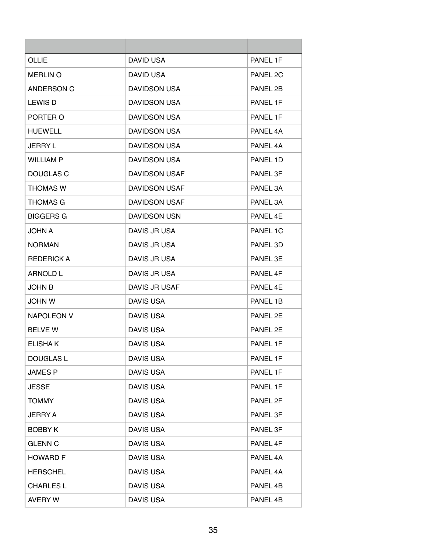| OLLIE             | DAVID USA            | PANEL 1F |
|-------------------|----------------------|----------|
| <b>MERLIN O</b>   | DAVID USA            | PANEL 2C |
| ANDERSON C        | <b>DAVIDSON USA</b>  | PANEL 2B |
| LEWIS D           | <b>DAVIDSON USA</b>  | PANEL 1F |
| PORTER O          | <b>DAVIDSON USA</b>  | PANEL 1F |
| <b>HUEWELL</b>    | <b>DAVIDSON USA</b>  | PANEL 4A |
| <b>JERRY L</b>    | <b>DAVIDSON USA</b>  | PANEL 4A |
| <b>WILLIAM P</b>  | <b>DAVIDSON USA</b>  | PANEL 1D |
| DOUGLAS C         | <b>DAVIDSON USAF</b> | PANEL 3F |
| <b>THOMAS W</b>   | <b>DAVIDSON USAF</b> | PANEL 3A |
| <b>THOMAS G</b>   | <b>DAVIDSON USAF</b> | PANEL 3A |
| <b>BIGGERS G</b>  | <b>DAVIDSON USN</b>  | PANEL 4E |
| <b>JOHN A</b>     | DAVIS JR USA         | PANEL 1C |
| <b>NORMAN</b>     | DAVIS JR USA         | PANEL 3D |
| <b>REDERICK A</b> | DAVIS JR USA         | PANEL 3E |
| ARNOLD L          | DAVIS JR USA         | PANEL 4F |
| <b>JOHN B</b>     | DAVIS JR USAF        | PANEL 4E |
| <b>JOHN W</b>     | DAVIS USA            | PANEL 1B |
| <b>NAPOLEON V</b> | DAVIS USA            | PANEL 2E |
| <b>BELVE W</b>    | DAVIS USA            | PANEL 2E |
| <b>ELISHAK</b>    | DAVIS USA            | PANEL 1F |
| <b>DOUGLAS L</b>  | <b>DAVIS USA</b>     | PANEL 1F |
| <b>JAMES P</b>    | DAVIS USA            | PANEL 1F |
| <b>JESSE</b>      | DAVIS USA            | PANEL 1F |
| <b>TOMMY</b>      | <b>DAVIS USA</b>     | PANEL 2F |
| <b>JERRY A</b>    | DAVIS USA            | PANEL 3F |
| <b>BOBBY K</b>    | DAVIS USA            | PANEL 3F |
| <b>GLENN C</b>    | <b>DAVIS USA</b>     | PANEL 4F |
| <b>HOWARD F</b>   | DAVIS USA            | PANEL 4A |
| <b>HERSCHEL</b>   | DAVIS USA            | PANEL 4A |
| <b>CHARLES L</b>  | DAVIS USA            | PANEL 4B |
| <b>AVERY W</b>    | DAVIS USA            | PANEL 4B |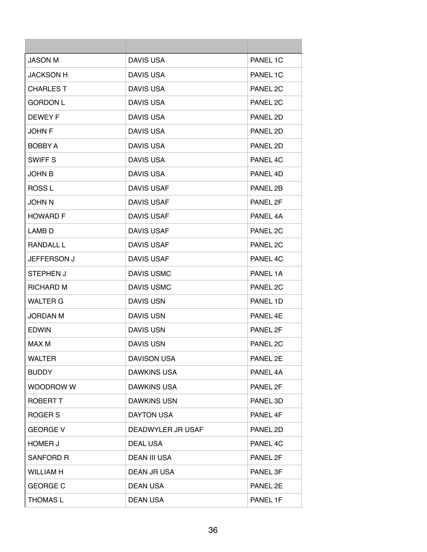| <b>JASON M</b>     | DAVIS USA           | PANEL 1C            |
|--------------------|---------------------|---------------------|
| <b>JACKSON H</b>   | DAVIS USA           | PANEL 1C            |
| <b>CHARLES T</b>   | DAVIS USA           | PANEL 2C            |
| <b>GORDON L</b>    | DAVIS USA           | PANEL 2C            |
| <b>DEWEY F</b>     | <b>DAVIS USA</b>    | PANEL 2D            |
| <b>JOHN F</b>      | DAVIS USA           | PANEL 2D            |
| <b>BOBBY A</b>     | DAVIS USA           | PANEL 2D            |
| <b>SWIFF S</b>     | DAVIS USA           | PANEL 4C            |
| <b>JOHN B</b>      | DAVIS USA           | PANEL 4D            |
| ROSS L             | <b>DAVIS USAF</b>   | PANEL 2B            |
| <b>U NHOL</b>      | <b>DAVIS USAF</b>   | PANEL 2F            |
| <b>HOWARD F</b>    | <b>DAVIS USAF</b>   | PANEL 4A            |
| LAMB D             | DAVIS USAF          | PANEL 2C            |
| <b>RANDALL L</b>   | <b>DAVIS USAF</b>   | PANEL 2C            |
| <b>JEFFERSON J</b> | <b>DAVIS USAF</b>   | PANEL 4C            |
| STEPHEN J          | DAVIS USMC          | PANEL 1A            |
| <b>RICHARD M</b>   | <b>DAVIS USMC</b>   | PANEL 2C            |
| <b>WALTER G</b>    | <b>DAVIS USN</b>    | PANEL 1D            |
| <b>JORDAN M</b>    | DAVIS USN           | PANEL 4E            |
| <b>EDWIN</b>       | <b>DAVIS USN</b>    | PANEL 2F            |
| MAX M              | <b>DAVIS USN</b>    | PANEL <sub>2C</sub> |
| <b>WALTER</b>      | DAVISON USA         | PANEL 2E            |
| <b>BUDDY</b>       | <b>DAWKINS USA</b>  | PANEL 4A            |
| <b>WOODROW W</b>   | <b>DAWKINS USA</b>  | PANEL 2F            |
| ROBERT T           | <b>DAWKINS USN</b>  | PANEL 3D            |
| ROGER S            | <b>DAYTON USA</b>   | PANEL 4F            |
| <b>GEORGE V</b>    | DEADWYLER JR USAF   | PANEL 2D            |
| <b>HOMER J</b>     | <b>DEAL USA</b>     | PANEL 4C            |
| SANFORD R          | <b>DEAN III USA</b> | PANEL 2F            |
| <b>WILLIAM H</b>   | DEAN JR USA         | PANEL 3F            |
| <b>GEORGE C</b>    | <b>DEAN USA</b>     | PANEL 2E            |
| <b>THOMAS L</b>    | <b>DEAN USA</b>     | PANEL 1F            |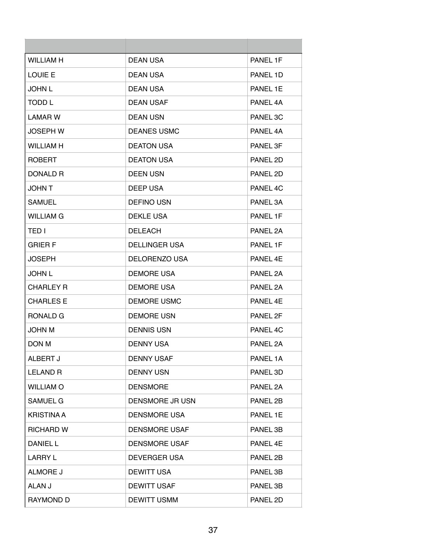| <b>WILLIAM H</b>  | <b>DEAN USA</b>      | PANEL 1F |
|-------------------|----------------------|----------|
| <b>LOUIE E</b>    | <b>DEAN USA</b>      | PANEL 1D |
| JOHN L            | DEAN USA             | PANEL 1E |
| TODD L            | <b>DEAN USAF</b>     | PANEL 4A |
| LAMAR W           | <b>DEAN USN</b>      | PANEL 3C |
| <b>JOSEPH W</b>   | <b>DEANES USMC</b>   | PANEL 4A |
| <b>WILLIAM H</b>  | <b>DEATON USA</b>    | PANEL 3F |
| <b>ROBERT</b>     | <b>DEATON USA</b>    | PANEL 2D |
| DONALD R          | <b>DEEN USN</b>      | PANEL 2D |
| <b>JOHN T</b>     | DEEP USA             | PANEL 4C |
| <b>SAMUEL</b>     | <b>DEFINO USN</b>    | PANEL 3A |
| WILLIAM G         | <b>DEKLE USA</b>     | PANEL 1F |
| TED I             | <b>DELEACH</b>       | PANEL 2A |
| <b>GRIER F</b>    | <b>DELLINGER USA</b> | PANEL 1F |
| <b>JOSEPH</b>     | DELORENZO USA        | PANEL 4E |
| <b>JOHN L</b>     | <b>DEMORE USA</b>    | PANEL 2A |
| <b>CHARLEY R</b>  | <b>DEMORE USA</b>    | PANEL 2A |
| <b>CHARLES E</b>  | DEMORE USMC          | PANEL 4F |
| RONALD G          | <b>DEMORE USN</b>    | PANEL 2F |
| <b>JOHN M</b>     | <b>DENNIS USN</b>    | PANEL 4C |
| DON M             | <b>DENNY USA</b>     | PANEL 2A |
| ALBERT J          | <b>DENNY USAF</b>    | PANEL 1A |
| <b>LELAND R</b>   | <b>DENNY USN</b>     | PANEL 3D |
| <b>WILLIAM O</b>  | <b>DENSMORE</b>      | PANEL 2A |
| <b>SAMUEL G</b>   | DENSMORE JR USN      | PANEL 2B |
| <b>KRISTINA A</b> | <b>DENSMORE USA</b>  | PANEL 1E |
| <b>RICHARD W</b>  | <b>DENSMORE USAF</b> | PANEL 3B |
| DANIEL L          | DENSMORE USAF        | PANEL 4E |
| LARRY L           | <b>DEVERGER USA</b>  | PANEL 2B |
| ALMORE J          | <b>DEWITT USA</b>    | PANEL 3B |
| ALAN J            | <b>DEWITT USAF</b>   | PANEL 3B |
| RAYMOND D         | <b>DEWITT USMM</b>   | PANEL 2D |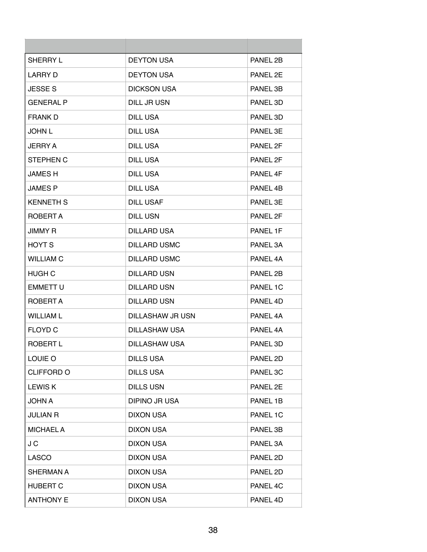| SHERRY L         | <b>DEYTON USA</b>       | PANEL 2B |
|------------------|-------------------------|----------|
| LARRY D          | <b>DEYTON USA</b>       | PANEL 2E |
| <b>JESSE S</b>   | <b>DICKSON USA</b>      | PANEL 3B |
| <b>GENERAL P</b> | DILL JR USN             | PANEL 3D |
| <b>FRANK D</b>   | DILL USA                | PANEL 3D |
| <b>JOHN L</b>    | DILL USA                | PANEL 3E |
| JERRY A          | DILL USA                | PANEL 2F |
| <b>STEPHEN C</b> | DILL USA                | PANEL 2F |
| <b>JAMES H</b>   | DILL USA                | PANEL 4F |
| <b>JAMES P</b>   | DILL USA                | PANEL 4B |
| <b>KENNETH S</b> | <b>DILL USAF</b>        | PANEL 3E |
| ROBERT A         | <b>DILL USN</b>         | PANEL 2F |
| <b>JIMMY R</b>   | <b>DILLARD USA</b>      | PANEL 1F |
| <b>HOYT S</b>    | <b>DILLARD USMC</b>     | PANEL 3A |
| <b>WILLIAM C</b> | <b>DILLARD USMC</b>     | PANEL 4A |
| <b>HUGH C</b>    | <b>DILLARD USN</b>      | PANEL 2B |
| <b>EMMETT U</b>  | <b>DILLARD USN</b>      | PANEL 1C |
| ROBERT A         | <b>DILLARD USN</b>      | PANEL 4D |
| <b>WILLIAM L</b> | <b>DILLASHAW JR USN</b> | PANEL 4A |
| <b>FLOYD C</b>   | DILLASHAW USA           | PANEL 4A |
| ROBERT L         | DILLASHAW USA           | PANEL 3D |
| LOUIE O          | <b>DILLS USA</b>        | PANEL 2D |
| CLIFFORD O       | <b>DILLS USA</b>        | PANEL 3C |
| <b>LEWISK</b>    | <b>DILLS USN</b>        | PANEL 2E |
| <b>JOHN A</b>    | <b>DIPINO JR USA</b>    | PANEL 1B |
| <b>JULIAN R</b>  | <b>DIXON USA</b>        | PANEL 1C |
| <b>MICHAEL A</b> | <b>DIXON USA</b>        | PANEL 3B |
| J C              | <b>DIXON USA</b>        | PANEL 3A |
| <b>LASCO</b>     | <b>DIXON USA</b>        | PANEL 2D |
| <b>SHERMAN A</b> | <b>DIXON USA</b>        | PANEL 2D |
| <b>HUBERT C</b>  | <b>DIXON USA</b>        | PANEL 4C |
| <b>ANTHONY E</b> | <b>DIXON USA</b>        | PANEL 4D |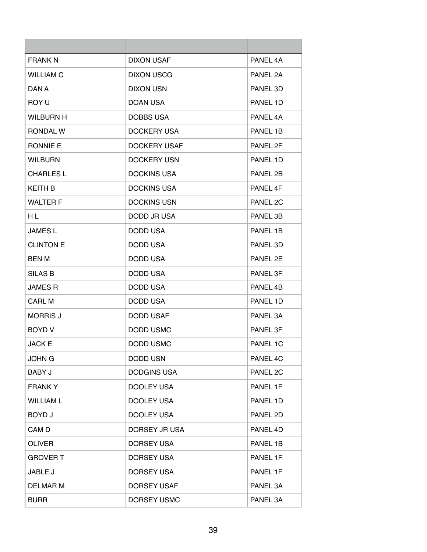| <b>FRANK N</b>   | <b>DIXON USAF</b>   | PANEL 4A |
|------------------|---------------------|----------|
| <b>WILLIAM C</b> | DIXON USCG          | PANEL 2A |
| DAN A            | <b>DIXON USN</b>    | PANEL 3D |
| ROY U            | DOAN USA            | PANEL 1D |
| WILBURN H        | DOBBS USA           | PANEL 4A |
| RONDAL W         | DOCKERY USA         | PANEL 1B |
| RONNIE E         | <b>DOCKERY USAF</b> | PANEL 2F |
| <b>WILBURN</b>   | <b>DOCKERY USN</b>  | PANEL 1D |
| <b>CHARLES L</b> | <b>DOCKINS USA</b>  | PANEL 2B |
| <b>KEITH B</b>   | <b>DOCKINS USA</b>  | PANEL 4F |
| <b>WALTER F</b>  | <b>DOCKINS USN</b>  | PANEL 2C |
| НL               | DODD JR USA         | PANEL 3B |
| <b>JAMES L</b>   | DODD USA            | PANEL 1B |
| <b>CLINTON E</b> | DODD USA            | PANEL 3D |
| <b>BEN M</b>     | DODD USA            | PANEL 2E |
| SILAS B          | DODD USA            | PANEL 3F |
| <b>JAMES R</b>   | DODD USA            | PANEL 4B |
| <b>CARL M</b>    | DODD USA            | PANEL 1D |
| <b>MORRIS J</b>  | <b>DODD USAF</b>    | PANEL 3A |
| <b>BOYD V</b>    | DODD USMC           | PANEL 3F |
| <b>JACK E</b>    | DODD USMC           | PANEL 1C |
| <b>JOHN G</b>    | <b>DODD USN</b>     | PANEL 4C |
| <b>BABY J</b>    | <b>DODGINS USA</b>  | PANEL 2C |
| <b>FRANKY</b>    | <b>DOOLEY USA</b>   | PANEL 1F |
| <b>WILLIAM L</b> | DOOLEY USA          | PANEL 1D |
| <b>BOYD J</b>    | DOOLEY USA          | PANEL 2D |
| CAM <sub>D</sub> | DORSEY JR USA       | PANEL 4D |
| <b>OLIVER</b>    | DORSEY USA          | PANEL 1B |
| <b>GROVER T</b>  | DORSEY USA          | PANEL 1F |
| JABLE J          | DORSEY USA          | PANEL 1F |
| <b>DELMAR M</b>  | DORSEY USAF         | PANEL 3A |
| <b>BURR</b>      | DORSEY USMC         | PANEL 3A |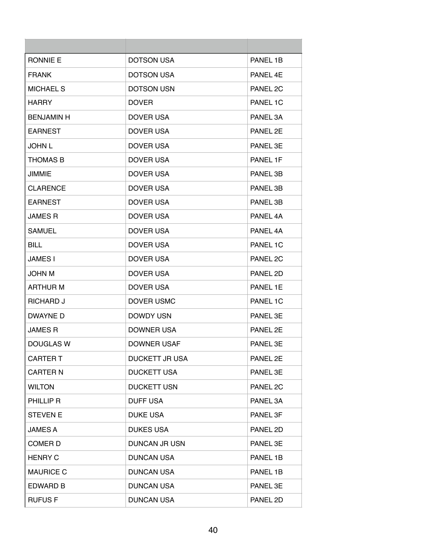| <b>RONNIE E</b>   | <b>DOTSON USA</b>     | PANEL 1B |
|-------------------|-----------------------|----------|
| <b>FRANK</b>      | <b>DOTSON USA</b>     | PANEL 4E |
| <b>MICHAEL S</b>  | <b>DOTSON USN</b>     | PANEL 2C |
| <b>HARRY</b>      | DOVER                 | PANEL 1C |
| <b>BENJAMIN H</b> | DOVER USA             | PANEL 3A |
| <b>EARNEST</b>    | DOVER USA             | PANEL 2E |
| <b>JOHN L</b>     | DOVER USA             | PANEL 3E |
| <b>THOMAS B</b>   | DOVER USA             | PANEL 1F |
| <b>JIMMIE</b>     | DOVER USA             | PANEL 3B |
| <b>CLARENCE</b>   | DOVER USA             | PANEL 3B |
| <b>EARNEST</b>    | DOVER USA             | PANEL 3B |
| <b>JAMES R</b>    | DOVER USA             | PANEL 4A |
| <b>SAMUEL</b>     | DOVER USA             | PANEL 4A |
| <b>BILL</b>       | DOVER USA             | PANEL 1C |
| <b>JAMES I</b>    | DOVER USA             | PANEL 2C |
| <b>JOHN M</b>     | DOVER USA             | PANEL 2D |
| ARTHUR M          | <b>DOVER USA</b>      | PANEL 1E |
| <b>RICHARD J</b>  | DOVER USMC            | PANEL 1C |
| DWAYNE D          | DOWDY USN             | PANEL 3E |
| <b>JAMES R</b>    | <b>DOWNER USA</b>     | PANEL 2E |
| DOUGLAS W         | <b>DOWNER USAF</b>    | PANEL 3E |
| <b>CARTER T</b>   | <b>DUCKETT JR USA</b> | PANEL 2E |
| <b>CARTER N</b>   | <b>DUCKETT USA</b>    | PANEL 3E |
| <b>WILTON</b>     | <b>DUCKETT USN</b>    | PANEL 2C |
| PHILLIP R         | <b>DUFF USA</b>       | PANEL 3A |
| <b>STEVEN E</b>   | <b>DUKE USA</b>       | PANEL 3F |
| <b>JAMES A</b>    | <b>DUKES USA</b>      | PANEL 2D |
| COMER D           | DUNCAN JR USN         | PANEL 3E |
| <b>HENRY C</b>    | <b>DUNCAN USA</b>     | PANEL 1B |
| <b>MAURICE C</b>  | <b>DUNCAN USA</b>     | PANEL 1B |
| EDWARD B          | <b>DUNCAN USA</b>     | PANEL 3E |
| <b>RUFUSF</b>     | <b>DUNCAN USA</b>     | PANEL 2D |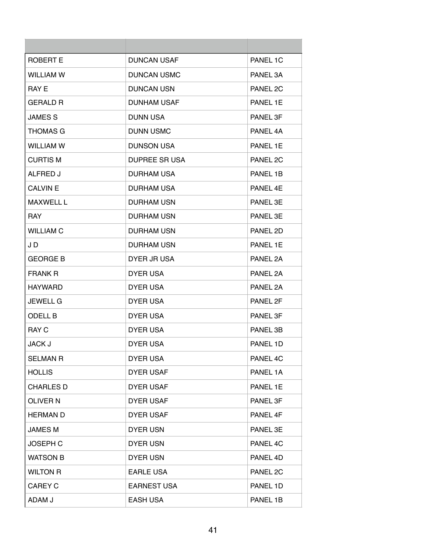| <b>ROBERT E</b>  | <b>DUNCAN USAF</b>   | PANEL 1C |
|------------------|----------------------|----------|
| <b>WILLIAM W</b> | <b>DUNCAN USMC</b>   | PANEL 3A |
| RAY E            | <b>DUNCAN USN</b>    | PANEL 2C |
| <b>GERALD R</b>  | <b>DUNHAM USAF</b>   | PANEL 1E |
| <b>JAMES S</b>   | <b>DUNN USA</b>      | PANEL 3F |
| <b>THOMAS G</b>  | <b>DUNN USMC</b>     | PANEL 4A |
| <b>WILLIAM W</b> | <b>DUNSON USA</b>    | PANEL 1E |
| <b>CURTIS M</b>  | <b>DUPREE SR USA</b> | PANEL 2C |
| ALFRED J         | <b>DURHAM USA</b>    | PANEL 1B |
| <b>CALVIN E</b>  | <b>DURHAM USA</b>    | PANEL 4E |
| <b>MAXWELL L</b> | <b>DURHAM USN</b>    | PANEL 3E |
| <b>RAY</b>       | <b>DURHAM USN</b>    | PANEL 3E |
| <b>WILLIAM C</b> | <b>DURHAM USN</b>    | PANEL 2D |
| J D              | <b>DURHAM USN</b>    | PANEL 1E |
| <b>GEORGE B</b>  | DYER JR USA          | PANEL 2A |
| <b>FRANK R</b>   | <b>DYER USA</b>      | PANEL 2A |
| HAYWARD          | DYER USA             | PANEL 2A |
| <b>JEWELL G</b>  | <b>DYER USA</b>      | PANEL 2F |
| <b>ODELL B</b>   | <b>DYER USA</b>      | PANEL 3F |
| <b>RAY C</b>     | <b>DYER USA</b>      | PANEL 3B |
| <b>JACK J</b>    | <b>DYER USA</b>      | PANEL 1D |
| <b>SELMAN R</b>  | <b>DYER USA</b>      | PANEL 4C |
| <b>HOLLIS</b>    | <b>DYER USAF</b>     | PANEL 1A |
| <b>CHARLES D</b> | <b>DYER USAF</b>     | PANEL 1E |
| <b>OLIVER N</b>  | <b>DYER USAF</b>     | PANEL 3F |
| <b>HERMAN D</b>  | <b>DYER USAF</b>     | PANEL 4F |
| <b>JAMES M</b>   | <b>DYER USN</b>      | PANEL 3E |
| <b>JOSEPH C</b>  | <b>DYER USN</b>      | PANEL 4C |
| <b>WATSON B</b>  | <b>DYER USN</b>      | PANEL 4D |
| <b>WILTON R</b>  | <b>EARLE USA</b>     | PANEL 2C |
| <b>CAREY C</b>   | <b>EARNEST USA</b>   | PANEL 1D |
| ADAM J           | <b>EASH USA</b>      | PANEL 1B |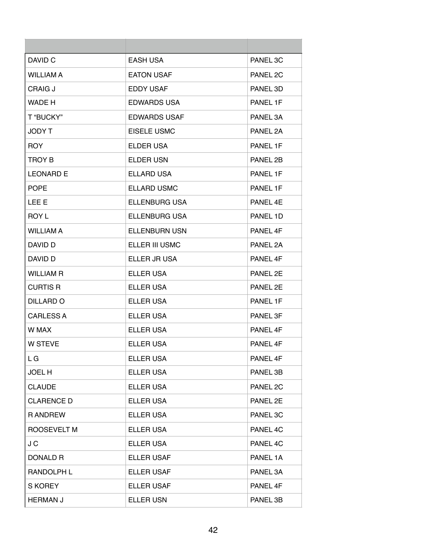| DAVID C            | <b>EASH USA</b>      | PANEL 3C |
|--------------------|----------------------|----------|
| <b>WILLIAM A</b>   | <b>EATON USAF</b>    | PANEL 2C |
| CRAIG J            | <b>EDDY USAF</b>     | PANEL 3D |
| WADE H             | <b>EDWARDS USA</b>   | PANEL 1F |
| T "BUCKY"          | <b>EDWARDS USAF</b>  | PANEL 3A |
| JODY T             | EISELE USMC          | PANEL 2A |
| <b>ROY</b>         | <b>ELDER USA</b>     | PANEL 1F |
| <b>TROY B</b>      | ELDER USN            | PANEL 2B |
| <b>LEONARD E</b>   | <b>ELLARD USA</b>    | PANEL 1F |
| <b>POPE</b>        | <b>ELLARD USMC</b>   | PANEL 1F |
| LEE E              | <b>ELLENBURG USA</b> | PANEL 4E |
| <b>ROY L</b>       | <b>ELLENBURG USA</b> | PANEL 1D |
| WILLIAM A          | <b>ELLENBURN USN</b> | PANEL 4F |
| DAVID D            | ELLER III USMC       | PANEL 2A |
| DAVID D            | ELLER JR USA         | PANEL 4F |
| <b>WILLIAM R</b>   | ELLER USA            | PANEL 2E |
| <b>CURTIS R</b>    | ELLER USA            | PANEL 2E |
| DILLARD O          | ELLER USA            | PANEL 1F |
| CARLESS A          | ELLER USA            | PANEL 3F |
| W MAX              | ELLER USA            | PANEL 4F |
| <b>W STEVE</b>     | <b>ELLER USA</b>     | PANEL 4F |
| L G                | <b>ELLER USA</b>     | PANEL 4F |
| <b>JOEL H</b>      | <b>ELLER USA</b>     | PANEL 3B |
| <b>CLAUDE</b>      | ELLER USA            | PANEL 2C |
| <b>CLARENCE D</b>  | ELLER USA            | PANEL 2E |
| <b>RANDREW</b>     | <b>ELLER USA</b>     | PANEL 3C |
| <b>ROOSEVELT M</b> | <b>ELLER USA</b>     | PANEL 4C |
| J C                | ELLER USA            | PANEL 4C |
| <b>DONALD R</b>    | <b>ELLER USAF</b>    | PANEL 1A |
| RANDOLPH L         | <b>ELLER USAF</b>    | PANEL 3A |
| <b>S KOREY</b>     | <b>ELLER USAF</b>    | PANEL 4F |
| <b>HERMAN J</b>    | <b>ELLER USN</b>     | PANEL 3B |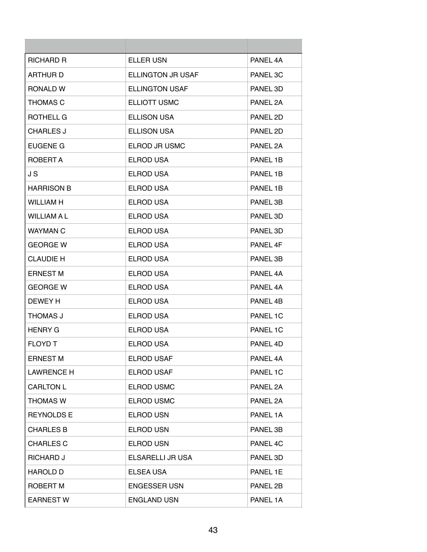| <b>RICHARD R</b>   | <b>ELLER USN</b>         | PANEL 4A |
|--------------------|--------------------------|----------|
| <b>ARTHURD</b>     | <b>ELLINGTON JR USAF</b> | PANEL 3C |
| RONALD W           | <b>ELLINGTON USAF</b>    | PANEL 3D |
| <b>THOMAS C</b>    | <b>ELLIOTT USMC</b>      | PANEL 2A |
| ROTHELL G          | <b>ELLISON USA</b>       | PANEL 2D |
| <b>CHARLES J</b>   | <b>ELLISON USA</b>       | PANEL 2D |
| EUGENE G           | ELROD JR USMC            | PANEL 2A |
| ROBERT A           | <b>ELROD USA</b>         | PANEL 1B |
| J S                | <b>ELROD USA</b>         | PANEL 1B |
| <b>HARRISON B</b>  | <b>ELROD USA</b>         | PANEL 1B |
| <b>WILLIAM H</b>   | <b>ELROD USA</b>         | PANEL 3B |
| <b>WILLIAM A L</b> | <b>ELROD USA</b>         | PANEL 3D |
| <b>WAYMAN C</b>    | <b>ELROD USA</b>         | PANEL 3D |
| <b>GEORGE W</b>    | <b>ELROD USA</b>         | PANEL 4F |
| <b>CLAUDIE H</b>   | <b>ELROD USA</b>         | PANEL 3B |
| <b>ERNEST M</b>    | ELROD USA                | PANEL 4A |
| <b>GEORGE W</b>    | <b>ELROD USA</b>         | PANEL 4A |
| DEWEY H            | <b>ELROD USA</b>         | PANEL 4B |
| THOMAS J           | <b>ELROD USA</b>         | PANEL 1C |
| <b>HENRY G</b>     | <b>ELROD USA</b>         | PANEL 1C |
| <b>FLOYD T</b>     | <b>ELROD USA</b>         | PANEL 4D |
| <b>ERNEST M</b>    | ELROD USAF               | PANEL 4A |
| <b>LAWRENCE H</b>  | ELROD USAF               | PANEL 1C |
| <b>CARLTON L</b>   | <b>ELROD USMC</b>        | PANEL 2A |
| <b>THOMAS W</b>    | <b>ELROD USMC</b>        | PANEL 2A |
| <b>REYNOLDS E</b>  | <b>ELROD USN</b>         | PANEL 1A |
| <b>CHARLES B</b>   | <b>ELROD USN</b>         | PANEL 3B |
| <b>CHARLES C</b>   | <b>ELROD USN</b>         | PANEL 4C |
| RICHARD J          | ELSARELLI JR USA         | PANEL 3D |
| <b>HAROLD D</b>    | ELSEA USA                | PANEL 1E |
| ROBERT M           | <b>ENGESSER USN</b>      | PANEL 2B |
| <b>EARNEST W</b>   | <b>ENGLAND USN</b>       | PANEL 1A |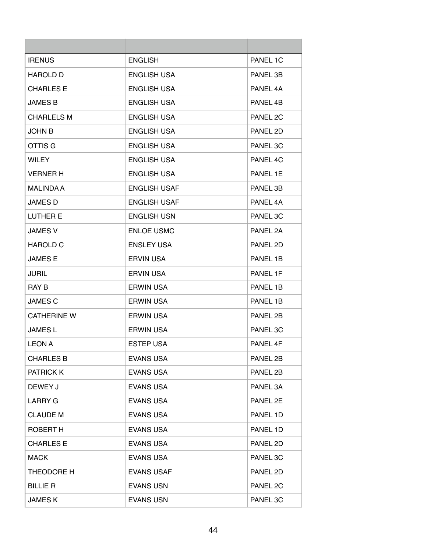| <b>IRENUS</b>      | <b>ENGLISH</b>      | PANEL 1C            |
|--------------------|---------------------|---------------------|
| <b>HAROLD D</b>    | <b>ENGLISH USA</b>  | PANEL 3B            |
| <b>CHARLES E</b>   | <b>ENGLISH USA</b>  | PANEL 4A            |
| <b>JAMES B</b>     | <b>ENGLISH USA</b>  | PANEL 4B            |
| <b>CHARLELS M</b>  | <b>ENGLISH USA</b>  | PANEL 2C            |
| <b>JOHN B</b>      | <b>ENGLISH USA</b>  | PANEL 2D            |
| OTTIS G            | <b>ENGLISH USA</b>  | PANEL 3C            |
| <b>WILEY</b>       | <b>ENGLISH USA</b>  | PANEL 4C            |
| <b>VERNER H</b>    | <b>ENGLISH USA</b>  | PANEL 1E            |
| <b>MALINDA A</b>   | <b>ENGLISH USAF</b> | PANEL 3B            |
| <b>JAMES D</b>     | <b>ENGLISH USAF</b> | PANFI <sub>4A</sub> |
| <b>LUTHER E</b>    | <b>ENGLISH USN</b>  | PANEL 3C            |
| <b>JAMES V</b>     | <b>ENLOE USMC</b>   | PANEL 2A            |
| <b>HAROLD C</b>    | <b>ENSLEY USA</b>   | PANEL 2D            |
| <b>JAMES E</b>     | <b>ERVIN USA</b>    | PANEL 1B            |
| <b>JURIL</b>       | <b>ERVIN USA</b>    | PANEL 1F            |
| <b>RAY B</b>       | <b>ERWIN USA</b>    | PANEL 1B            |
| <b>JAMES C</b>     | <b>ERWIN USA</b>    | PANEL 1B            |
| <b>CATHERINE W</b> | <b>ERWIN USA</b>    | PANEL 2B            |
| <b>JAMES L</b>     | <b>ERWIN USA</b>    | PANEL 3C            |
| <b>LEON A</b>      | <b>ESTEP USA</b>    | PANEL 4F            |
| <b>CHARLES B</b>   | <b>EVANS USA</b>    | PANEL 2B            |
| <b>PATRICK K</b>   | <b>EVANS USA</b>    | PANEL 2B            |
| DEWEY J            | <b>EVANS USA</b>    | PANEL 3A            |
| <b>LARRY G</b>     | <b>EVANS USA</b>    | PANEL 2E            |
| <b>CLAUDE M</b>    | <b>EVANS USA</b>    | PANEL 1D            |
| ROBERT H           | <b>EVANS USA</b>    | PANEL 1D            |
| <b>CHARLES E</b>   | <b>EVANS USA</b>    | PANEL 2D            |
| <b>MACK</b>        | <b>EVANS USA</b>    | PANEL 3C            |
| THEODORE H         | <b>EVANS USAF</b>   | PANEL 2D            |
| <b>BILLIE R</b>    | <b>EVANS USN</b>    | PANEL 2C            |
| <b>JAMESK</b>      | <b>EVANS USN</b>    | PANEL 3C            |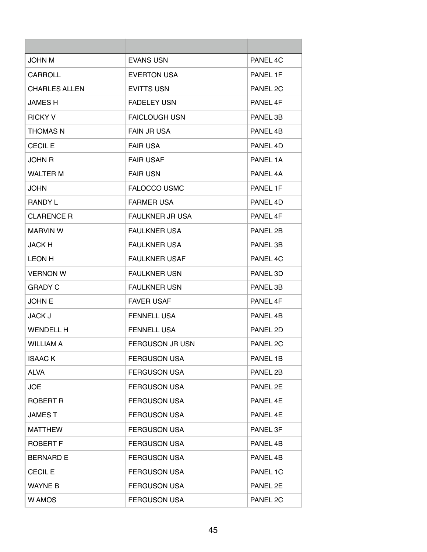| <b>JOHN M</b>        | <b>EVANS USN</b>       | PANEL 4C            |
|----------------------|------------------------|---------------------|
| CARROLL              | <b>EVERTON USA</b>     | PANEL 1F            |
| <b>CHARLES ALLEN</b> | <b>EVITTS USN</b>      | PANEL 2C            |
| <b>JAMES H</b>       | <b>FADELEY USN</b>     | PANEL 4F            |
| <b>RICKY V</b>       | <b>FAICLOUGH USN</b>   | PANEL 3B            |
| <b>THOMAS N</b>      | <b>FAIN JR USA</b>     | PANEL 4B            |
| <b>CECIL E</b>       | <b>FAIR USA</b>        | PANEL 4D            |
| <b>JOHN R</b>        | <b>FAIR USAF</b>       | PANEL 1A            |
| <b>WALTER M</b>      | <b>FAIR USN</b>        | PANEL 4A            |
| JOHN                 | <b>FALOCCO USMC</b>    | PANEL 1F            |
| <b>RANDY L</b>       | <b>FARMER USA</b>      | PANEL 4D            |
| <b>CLARENCE R</b>    | <b>FAULKNER JR USA</b> | PANEL 4F            |
| <b>MARVIN W</b>      | <b>FAULKNER USA</b>    | PANEL 2B            |
| <b>JACK H</b>        | <b>FAULKNER USA</b>    | PANEL 3B            |
| <b>LEON H</b>        | <b>FAULKNER USAF</b>   | PANEL 4C            |
| <b>VERNON W</b>      | <b>FAULKNER USN</b>    | PANEL 3D            |
| <b>GRADY C</b>       | <b>FAULKNER USN</b>    | PANEL 3B            |
| <b>JOHN E</b>        | <b>FAVER USAF</b>      | PANEL 4F            |
| <b>JACK J</b>        | FENNELL USA            | PANEL 4B            |
| <b>WENDELL H</b>     | <b>FENNELL USA</b>     | PANEL 2D            |
| <b>WILLIAM A</b>     | <b>FERGUSON JR USN</b> | PANEL <sub>2C</sub> |
| <b>ISAACK</b>        | <b>FERGUSON USA</b>    | PANEL 1B            |
| <b>ALVA</b>          | <b>FERGUSON USA</b>    | PANEL 2B            |
| <b>JOE</b>           | <b>FERGUSON USA</b>    | PANEL 2E            |
| <b>ROBERT R</b>      | <b>FERGUSON USA</b>    | PANEL 4E            |
| <b>JAMEST</b>        | <b>FERGUSON USA</b>    | PANEL 4E            |
| <b>MATTHEW</b>       | <b>FERGUSON USA</b>    | PANEL 3F            |
| <b>ROBERT F</b>      | <b>FERGUSON USA</b>    | PANEL 4B            |
| <b>BERNARD E</b>     | <b>FERGUSON USA</b>    | PANEL 4B            |
| <b>CECIL E</b>       | <b>FERGUSON USA</b>    | PANEL 1C            |
| <b>WAYNE B</b>       | <b>FERGUSON USA</b>    | PANEL 2E            |
| W AMOS               | <b>FERGUSON USA</b>    | PANEL 2C            |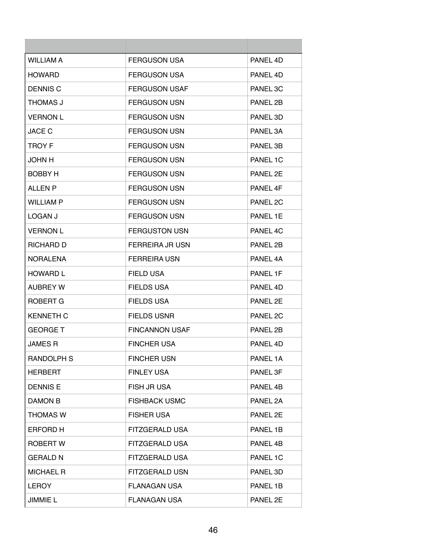| WII I IAM A       | <b>FERGUSON USA</b>    | PANEL 4D            |
|-------------------|------------------------|---------------------|
| <b>HOWARD</b>     | <b>FERGUSON USA</b>    | PANEL 4D            |
| <b>DENNIS C</b>   | <b>FERGUSON USAF</b>   | PANEL 3C            |
| THOMAS J          | <b>FERGUSON USN</b>    | PANEL 2B            |
| <b>VERNON L</b>   | <b>FERGUSON USN</b>    | PANEL 3D            |
| <b>JACE C</b>     | FERGUSON USN           | PANEL 3A            |
| <b>TROY F</b>     | <b>FERGUSON USN</b>    | PANEL 3B            |
| <b>JOHN H</b>     | <b>FERGUSON USN</b>    | PANEL 1C            |
| BOBBY H           | <b>FERGUSON USN</b>    | PANEL 2E            |
| ALL EN P          | <b>FERGUSON USN</b>    | PANEL 4F            |
| <b>WILLIAM P</b>  | <b>FERGUSON USN</b>    | PANEL <sub>2C</sub> |
| LOGAN J           | <b>FERGUSON USN</b>    | PANEL 1E            |
| <b>VERNON L</b>   | <b>FERGUSTON USN</b>   | PANEL 4C            |
| RICHARD D         | <b>FERREIRA JR USN</b> | PANEL 2B            |
| <b>NORALENA</b>   | <b>FERREIRA USN</b>    | PANEL 4A            |
| <b>HOWARD L</b>   | <b>FIELD USA</b>       | PANEL 1F            |
| <b>AUBREY W</b>   | <b>FIELDS USA</b>      | PANEL 4D            |
| ROBERT G          | <b>FIELDS USA</b>      | PANEL 2E            |
| <b>KENNETH C</b>  | FIELDS USNR            | PANEL 2C            |
| <b>GEORGE T</b>   | <b>FINCANNON USAF</b>  | PANEL 2B            |
| <b>JAMES R</b>    | <b>FINCHER USA</b>     | PANEL 4D            |
| <b>RANDOLPH S</b> | <b>FINCHER USN</b>     | PANEL 1A            |
| <b>HERBERT</b>    | <b>FINLEY USA</b>      | PANEL 3F            |
| <b>DENNIS E</b>   | <b>FISH JR USA</b>     | PANEL 4B            |
| DAMON B           | <b>FISHBACK USMC</b>   | PANEL 2A            |
| <b>THOMAS W</b>   | <b>FISHER USA</b>      | PANEL 2E            |
| <b>ERFORD H</b>   | <b>FITZGERALD USA</b>  | PANEL 1B            |
| ROBERT W          | FITZGERALD USA         | PANEL 4B            |
| <b>GERALD N</b>   | FITZGERALD USA         | PANEL 1C            |
| <b>MICHAEL R</b>  | <b>FITZGERALD USN</b>  | PANEL 3D            |
| <b>LEROY</b>      | <b>FLANAGAN USA</b>    | PANEL 1B            |
| JIMMIE L          | <b>FLANAGAN USA</b>    | PANEL 2E            |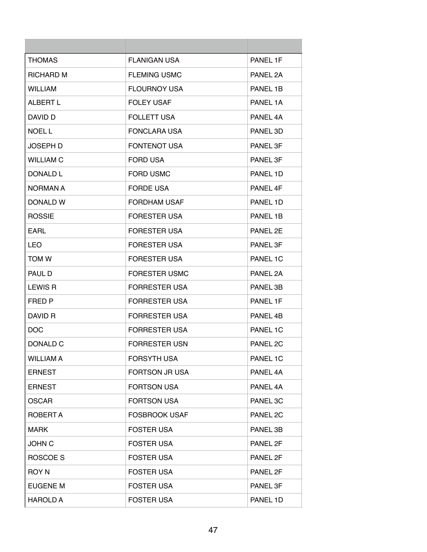| <b>THOMAS</b>    | <b>FLANIGAN USA</b>   | PANEL 1F |
|------------------|-----------------------|----------|
| <b>RICHARD M</b> | <b>FLEMING USMC</b>   | PANEL 2A |
| <b>WILLIAM</b>   | <b>FLOURNOY USA</b>   | PANEL 1B |
| ALBERT L         | <b>FOLEY USAF</b>     | PANEL 1A |
| DAVID D          | <b>FOLLETT USA</b>    | PANEL 4A |
| <b>NOEL L</b>    | <b>FONCLARA USA</b>   | PANEL 3D |
| <b>JOSEPH D</b>  | <b>FONTENOT USA</b>   | PANEL 3F |
| <b>WILLIAM C</b> | <b>FORD USA</b>       | PANEL 3F |
| DONALD L         | <b>FORD USMC</b>      | PANEL 1D |
| NORMAN A         | <b>FORDE USA</b>      | PANFI 4F |
| DONALD W         | <b>FORDHAM USAF</b>   | PANEL 1D |
| <b>ROSSIE</b>    | <b>FORESTER USA</b>   | PANEL 1B |
| <b>EARL</b>      | <b>FORESTER USA</b>   | PANEL 2E |
| LEO              | <b>FORESTER USA</b>   | PANEL 3F |
| <b>TOM W</b>     | <b>FORESTER USA</b>   | PANEL 1C |
| PAUL D           | <b>FORESTER USMC</b>  | PANEL 2A |
| <b>LEWIS R</b>   | <b>FORRESTER USA</b>  | PANEL 3B |
| FRED P           | <b>FORRESTER USA</b>  | PANEL 1F |
| DAVID R          | <b>FORRESTER USA</b>  | PANEL 4B |
| <b>DOC</b>       | <b>FORRESTER USA</b>  | PANEL 1C |
| DONALD C         | <b>FORRESTER USN</b>  | PANEL 2C |
| <b>WILLIAM A</b> | FORSYTH USA           | PANEL 1C |
| <b>ERNEST</b>    | <b>FORTSON JR USA</b> | PANEL 4A |
| <b>ERNEST</b>    | <b>FORTSON USA</b>    | PANEL 4A |
| <b>OSCAR</b>     | <b>FORTSON USA</b>    | PANEL 3C |
| ROBERT A         | <b>FOSBROOK USAF</b>  | PANEL 2C |
| <b>MARK</b>      | <b>FOSTER USA</b>     | PANEL 3B |
| <b>JOHN C</b>    | <b>FOSTER USA</b>     | PANEL 2F |
| ROSCOE S         | <b>FOSTER USA</b>     | PANEL 2F |
| <b>ROY N</b>     | <b>FOSTER USA</b>     | PANEL 2F |
| <b>EUGENE M</b>  | <b>FOSTER USA</b>     | PANEL 3F |
| <b>HAROLD A</b>  | <b>FOSTER USA</b>     | PANEL 1D |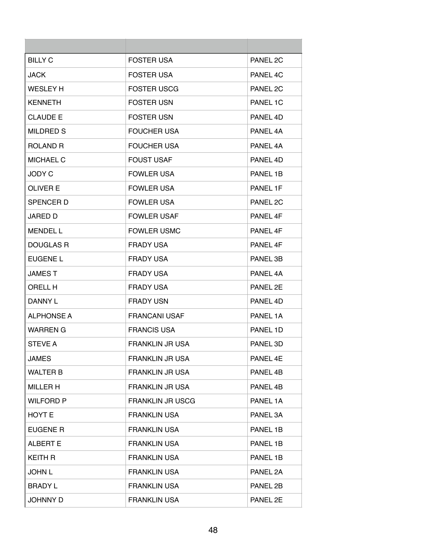| <b>BILLY C</b>   | <b>FOSTER USA</b>       | PANEL 2C            |
|------------------|-------------------------|---------------------|
| JACK             | <b>FOSTER USA</b>       | PANEL 4C            |
| <b>WESLEY H</b>  | <b>FOSTER USCG</b>      | PANEL 2C            |
| <b>KENNETH</b>   | <b>FOSTER USN</b>       | PANEL 1C            |
| <b>CLAUDE E</b>  | <b>FOSTER USN</b>       | PANFI 4D            |
| MILDRED S        | <b>FOUCHER USA</b>      | PANEL 4A            |
| <b>ROLAND R</b>  | <b>FOUCHER USA</b>      | PANEL 4A            |
| <b>MICHAEL C</b> | <b>FOUST USAF</b>       | PANEL 4D            |
| <b>JODY C</b>    | <b>FOWLER USA</b>       | PANEL 1B            |
| OLIVER E         | <b>FOWLER USA</b>       | PANEL 1F            |
| <b>SPENCERD</b>  | <b>FOWLER USA</b>       | PANEL <sub>2C</sub> |
| <b>JARED D</b>   | <b>FOWLER USAF</b>      | PANEL 4F            |
| <b>MENDEL L</b>  | <b>FOWLER USMC</b>      | PANEL 4F            |
| DOUGLAS R        | <b>FRADY USA</b>        | PANEL 4F            |
| EUGENE L         | <b>FRADY USA</b>        | PANEL 3B            |
| <b>JAMEST</b>    | FRADY USA               | PANEL 4A            |
| ORELL H          | <b>FRADY USA</b>        | PANEL 2E            |
| DANNY L          | <b>FRADY USN</b>        | PANEL 4D            |
| ALPHONSE A       | <b>FRANCANI USAF</b>    | PANEL 1A            |
| <b>WARREN G</b>  | <b>FRANCIS USA</b>      | PANEL 1D            |
| <b>STEVE A</b>   | <b>FRANKLIN JR USA</b>  | PANEL 3D            |
| <b>JAMES</b>     | <b>FRANKLIN JR USA</b>  | PANEL 4E            |
| <b>WALTER B</b>  | <b>FRANKLIN JR USA</b>  | PANEL 4B            |
| <b>MILLER H</b>  | <b>FRANKLIN JR USA</b>  | PANEL 4B            |
| <b>WILFORD P</b> | <b>FRANKLIN JR USCG</b> | PANEL 1A            |
| HOYT E           | <b>FRANKLIN USA</b>     | PANEL 3A            |
| <b>EUGENE R</b>  | <b>FRANKLIN USA</b>     | PANEL 1B            |
| <b>ALBERT E</b>  | <b>FRANKLIN USA</b>     | PANEL 1B            |
| <b>KEITH R</b>   | <b>FRANKLIN USA</b>     | PANEL 1B            |
| <b>JOHN L</b>    | <b>FRANKLIN USA</b>     | PANEL 2A            |
| <b>BRADY L</b>   | <b>FRANKLIN USA</b>     | PANEL 2B            |
| <b>JOHNNY D</b>  | <b>FRANKLIN USA</b>     | PANEL 2E            |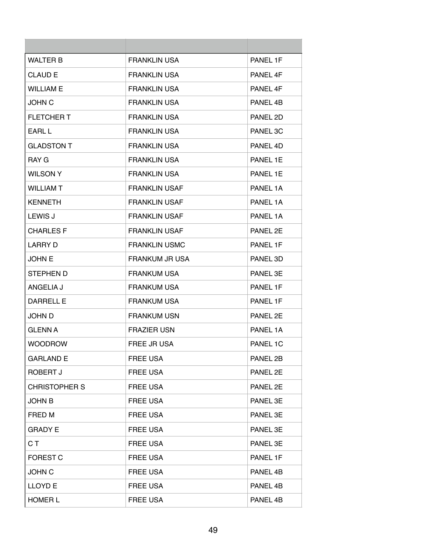| <b>WALTER B</b>      | <b>FRANKLIN USA</b>   | PANEL 1F |
|----------------------|-----------------------|----------|
| <b>CLAUD E</b>       | <b>FRANKLIN USA</b>   | PANEL 4F |
| <b>WILLIAM E</b>     | <b>FRANKLIN USA</b>   | PANEL 4F |
| <b>JOHN C</b>        | <b>FRANKLIN USA</b>   | PANEL 4B |
| FLETCHER T           | <b>FRANKLIN USA</b>   | PANEL 2D |
| EARL L               | <b>FRANKLIN USA</b>   | PANEL 3C |
| <b>GLADSTON T</b>    | <b>FRANKLIN USA</b>   | PANEL 4D |
| RAY G                | <b>FRANKLIN USA</b>   | PANEL 1E |
| <b>WILSON Y</b>      | <b>FRANKLIN USA</b>   | PANEL 1E |
| <b>WILLIAM T</b>     | <b>FRANKLIN USAF</b>  | PANEL 1A |
| <b>KENNETH</b>       | <b>FRANKLIN USAF</b>  | PANEL 1A |
| <b>LEWIS J</b>       | <b>FRANKLIN USAF</b>  | PANEL 1A |
| <b>CHARLES F</b>     | <b>FRANKLIN USAF</b>  | PANEL 2F |
| LARRY D              | <b>FRANKLIN USMC</b>  | PANEL 1F |
| <b>JOHN E</b>        | <b>FRANKUM JR USA</b> | PANEL 3D |
| STEPHEN D            | <b>FRANKUM USA</b>    | PANEL 3E |
| ANGELIA J            | <b>FRANKUM USA</b>    | PANEL 1F |
| <b>DARRELL E</b>     | <b>FRANKUM USA</b>    | PANEL 1F |
| JOHN D               | <b>FRANKUM USN</b>    | PANEL 2E |
| <b>GLENN A</b>       | <b>FRAZIER USN</b>    | PANEL 1A |
| <b>WOODROW</b>       | FREE JR USA           | PANEL 1C |
| <b>GARLAND E</b>     | <b>FREE USA</b>       | PANEL 2B |
| ROBERT J             | FREE USA              | PANEL 2E |
| <b>CHRISTOPHER S</b> | <b>FREE USA</b>       | PANEL 2E |
| <b>JOHN B</b>        | <b>FREE USA</b>       | PANEL 3E |
| FRED M               | <b>FREE USA</b>       | PANEL 3E |
| <b>GRADY E</b>       | <b>FREE USA</b>       | PANEL 3E |
| C T                  | <b>FREE USA</b>       | PANEL 3E |
| <b>FOREST C</b>      | <b>FREE USA</b>       | PANEL 1F |
| <b>JOHN C</b>        | <b>FREE USA</b>       | PANEL 4B |
| <b>LLOYDE</b>        | <b>FREE USA</b>       | PANEL 4B |
| <b>HOMER L</b>       | <b>FREE USA</b>       | PANEL 4B |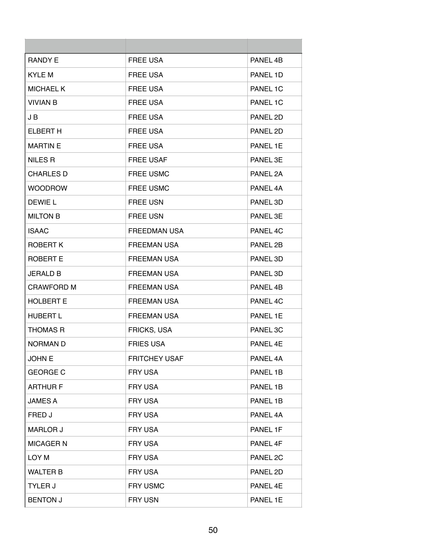| <b>RANDY E</b>    | <b>FREE USA</b>      | PANEL 4B |
|-------------------|----------------------|----------|
| <b>KYLE M</b>     | <b>FREE USA</b>      | PANEL 1D |
| <b>MICHAEL K</b>  | <b>FREE USA</b>      | PANEL 1C |
| <b>VIVIAN B</b>   | <b>FREE USA</b>      | PANEL 1C |
| J B               | <b>FREE USA</b>      | PANEL 2D |
| <b>ELBERT H</b>   | <b>FREE USA</b>      | PANEL 2D |
| <b>MARTIN E</b>   | <b>FREE USA</b>      | PANEL 1E |
| <b>NILES R</b>    | <b>FREE USAF</b>     | PANEL 3E |
| <b>CHARLES D</b>  | <b>FREE USMC</b>     | PANEL 2A |
| <b>WOODROW</b>    | <b>FREE USMC</b>     | PANEL 4A |
| DEWIE L           | <b>FREE USN</b>      | PANEL 3D |
| <b>MILTON B</b>   | <b>FREE USN</b>      | PANEL 3E |
| <b>ISAAC</b>      | <b>FREEDMAN USA</b>  | PANEL 4C |
| ROBERT K          | <b>FREEMAN USA</b>   | PANEL 2B |
| <b>ROBERT E</b>   | <b>FREEMAN USA</b>   | PANEL 3D |
| <b>JERALD B</b>   | <b>FREEMAN USA</b>   | PANEL 3D |
| <b>CRAWFORD M</b> | <b>FREEMAN USA</b>   | PANEL 4B |
| <b>HOLBERT E</b>  | <b>FREEMAN USA</b>   | PANEL 4C |
| <b>HUBERT L</b>   | <b>FREEMAN USA</b>   | PANEL 1E |
| <b>THOMAS R</b>   | FRICKS, USA          | PANEL 3C |
| <b>NORMAN D</b>   | <b>FRIES USA</b>     | PANEL 4E |
| <b>JOHN E</b>     | <b>FRITCHEY USAF</b> | PANEL 4A |
| <b>GEORGE C</b>   | FRY USA              | PANEL 1B |
| <b>ARTHUR F</b>   | <b>FRY USA</b>       | PANEL 1B |
| <b>JAMES A</b>    | FRY USA              | PANEL 1B |
| FRED J            | FRY USA              | PANEL 4A |
| <b>MARLOR J</b>   | FRY USA              | PANEL 1F |
| <b>MICAGER N</b>  | FRY USA              | PANEL 4F |
| LOY M             | FRY USA              | PANEL 2C |
| <b>WALTER B</b>   | <b>FRY USA</b>       | PANEL 2D |
| <b>TYLER J</b>    | <b>FRY USMC</b>      | PANEL 4E |
| <b>BENTON J</b>   | FRY USN              | PANEL 1E |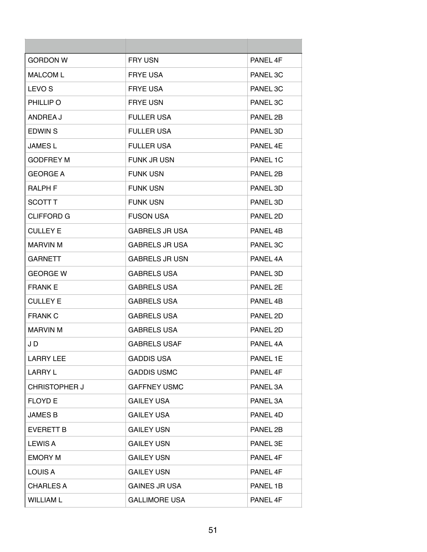| <b>GORDON W</b>      | <b>FRY USN</b>        | PANEL 4F |
|----------------------|-----------------------|----------|
| <b>MALCOM L</b>      | <b>FRYE USA</b>       | PANEL 3C |
| LEVO <sub>S</sub>    | <b>FRYE USA</b>       | PANEL 3C |
| PHILLIP O            | <b>FRYE USN</b>       | PANEL 3C |
| ANDREA J             | <b>FULLER USA</b>     | PANEL 2B |
| EDWIN S              | <b>FULLER USA</b>     | PANEL 3D |
| JAMES L              | <b>FULLER USA</b>     | PANEL 4E |
| <b>GODFREY M</b>     | <b>FUNK JR USN</b>    | PANEL 1C |
| <b>GEORGE A</b>      | <b>FUNK USN</b>       | PANEL 2B |
| <b>RALPH F</b>       | <b>FUNK USN</b>       | PANEL 3D |
| SCOTT T              | <b>FUNK USN</b>       | PANEL 3D |
| CLIFFORD G           | <b>FUSON USA</b>      | PANEL 2D |
| <b>CULLEY E</b>      | <b>GABRELS JR USA</b> | PANEL 4B |
| <b>MARVIN M</b>      | <b>GABRELS JR USA</b> | PANEL 3C |
| <b>GARNETT</b>       | <b>GABRELS JR USN</b> | PANEL 4A |
| <b>GEORGE W</b>      | <b>GABRELS USA</b>    | PANEL 3D |
| <b>FRANK E</b>       | <b>GABRELS USA</b>    | PANEL 2E |
| <b>CULLEY E</b>      | <b>GABRELS USA</b>    | PANEL 4B |
| <b>FRANK C</b>       | <b>GABRELS USA</b>    | PANEL 2D |
| <b>MARVIN M</b>      | <b>GABRELS USA</b>    | PANEL 2D |
| J D                  | <b>GABRELS USAF</b>   | PANEL 4A |
| <b>LARRY LEE</b>     | <b>GADDIS USA</b>     | PANEL 1E |
| <b>LARRY L</b>       | <b>GADDIS USMC</b>    | PANEL 4F |
| <b>CHRISTOPHER J</b> | <b>GAFFNEY USMC</b>   | PANEL 3A |
| <b>FLOYD E</b>       | <b>GAILEY USA</b>     | PANEL 3A |
| <b>JAMES B</b>       | <b>GAILEY USA</b>     | PANEL 4D |
| <b>EVERETT B</b>     | <b>GAILEY USN</b>     | PANEL 2B |
| <b>LEWIS A</b>       | <b>GAILEY USN</b>     | PANEL 3E |
| <b>EMORY M</b>       | <b>GAILEY USN</b>     | PANEL 4F |
| LOUIS A              | <b>GAILEY USN</b>     | PANEL 4F |
| <b>CHARLES A</b>     | <b>GAINES JR USA</b>  | PANEL 1B |
| <b>WILLIAM L</b>     | <b>GALLIMORE USA</b>  | PANEL 4F |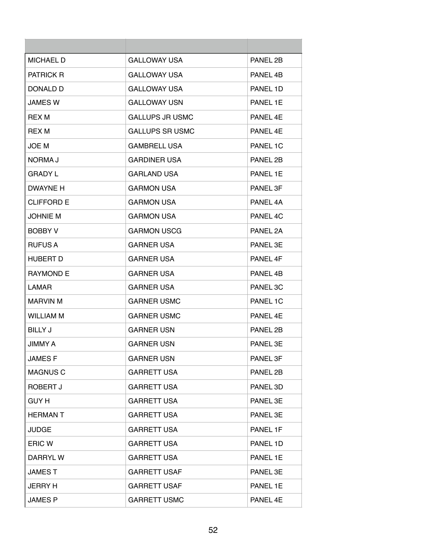| <b>MICHAEL D</b> | <b>GALLOWAY USA</b>    | PANEL 2B |
|------------------|------------------------|----------|
| PATRICK R        | <b>GALLOWAY USA</b>    | PANEL 4B |
| DONALD D         | <b>GALLOWAY USA</b>    | PANEL 1D |
| <b>JAMES W</b>   | <b>GALLOWAY USN</b>    | PANEL 1E |
| <b>REX M</b>     | <b>GALLUPS JR USMC</b> | PANEL 4F |
| <b>REX M</b>     | GALLUPS SR USMC        | PANEL 4E |
| JOE M            | <b>GAMBRELL USA</b>    | PANEL 1C |
| NORMA J          | <b>GARDINER USA</b>    | PANEL 2B |
| <b>GRADY L</b>   | <b>GARLAND USA</b>     | PANEL 1E |
| DWAYNE H         | <b>GARMON USA</b>      | PANEL 3F |
| CLIFFORD E       | <b>GARMON USA</b>      | PANEL 4A |
| <b>JOHNIE M</b>  | <b>GARMON USA</b>      | PANEL 4C |
| <b>BOBBY V</b>   | <b>GARMON USCG</b>     | PANEL 2A |
| <b>RUFUS A</b>   | <b>GARNER USA</b>      | PANEL 3E |
| <b>HUBERT D</b>  | <b>GARNER USA</b>      | PANEL 4F |
| <b>RAYMOND E</b> | <b>GARNER USA</b>      | PANEL 4B |
| <b>LAMAR</b>     | <b>GARNER USA</b>      | PANEL 3C |
| <b>MARVIN M</b>  | <b>GARNER USMC</b>     | PANEL 1C |
| WILLIAM M        | <b>GARNER USMC</b>     | PANFL 4F |
| <b>BILLY J</b>   | <b>GARNER USN</b>      | PANEL 2B |
| <b>JIMMY A</b>   | <b>GARNER USN</b>      | PANEL 3F |
| <b>JAMESF</b>    | <b>GARNER USN</b>      | PANEL 3F |
| <b>MAGNUS C</b>  | <b>GARRETT USA</b>     | PANEL 2B |
| ROBERT J         | <b>GARRETT USA</b>     | PANEL 3D |
| <b>GUY H</b>     | <b>GARRETT USA</b>     | PANEL 3E |
| <b>HERMANT</b>   | <b>GARRETT USA</b>     | PANEL 3E |
| <b>JUDGE</b>     | <b>GARRETT USA</b>     | PANEL 1F |
| ERIC W           | <b>GARRETT USA</b>     | PANEL 1D |
| DARRYL W         | <b>GARRETT USA</b>     | PANEL 1E |
| <b>JAMEST</b>    | <b>GARRETT USAF</b>    | PANEL 3E |
| <b>JERRY H</b>   | <b>GARRETT USAF</b>    | PANEL 1E |
| <b>JAMES P</b>   | <b>GARRETT USMC</b>    | PANEL 4E |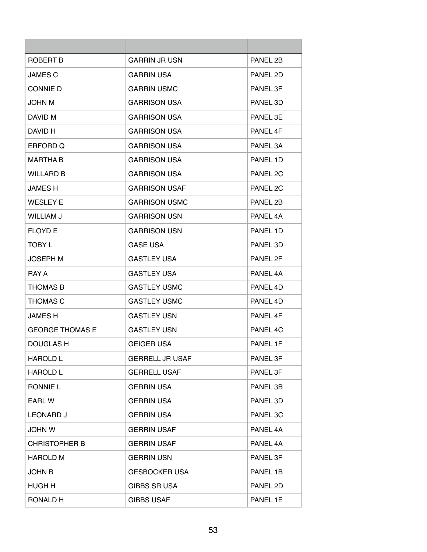| ROBERT B               | <b>GARRIN JR USN</b>   | PANEL 2B            |
|------------------------|------------------------|---------------------|
| <b>JAMES C</b>         | <b>GARRIN USA</b>      | PANEL 2D            |
| <b>CONNIE D</b>        | <b>GARRIN USMC</b>     | PANEL 3F            |
| JOHN M                 | GARRISON USA           | PANEL 3D            |
| DAVID M                | <b>GARRISON USA</b>    | PANEL 3E            |
| DAVID H                | <b>GARRISON USA</b>    | PANFI <sub>4F</sub> |
| ERFORD Q               | <b>GARRISON USA</b>    | PANEL 3A            |
| <b>MARTHA B</b>        | <b>GARRISON USA</b>    | PANEL 1D            |
| <b>WILLARD B</b>       | <b>GARRISON USA</b>    | PANEL 2C            |
| <b>JAMES H</b>         | <b>GARRISON USAF</b>   | PANEL 2C            |
| <b>WESLEY E</b>        | <b>GARRISON USMC</b>   | PANEL 2B            |
| <b>WILLIAM J</b>       | <b>GARRISON USN</b>    | PANEL 4A            |
| <b>FLOYD E</b>         | <b>GARRISON USN</b>    | PANEL 1D            |
| TOBY L                 | <b>GASE USA</b>        | PANEL 3D            |
| <b>JOSEPH M</b>        | <b>GASTLEY USA</b>     | PANEL 2F            |
| RAY A                  | <b>GASTLEY USA</b>     | PANEL 4A            |
| <b>THOMAS B</b>        | <b>GASTLEY USMC</b>    | PANEL 4D            |
| <b>THOMAS C</b>        | <b>GASTLEY USMC</b>    | PANEL 4D            |
| <b>JAMESH</b>          | <b>GASTLEY USN</b>     | PANFI <sub>4F</sub> |
| <b>GEORGE THOMAS E</b> | <b>GASTLEY USN</b>     | PANEL 4C            |
| DOUGLAS H              | <b>GEIGER USA</b>      | PANEL 1F            |
| <b>HAROLD L</b>        | <b>GERRELL JR USAF</b> | PANEL 3F            |
| <b>HAROLD L</b>        | <b>GERRELL USAF</b>    | PANEL 3F            |
| <b>RONNIE L</b>        | <b>GERRIN USA</b>      | PANEL 3B            |
| EARL W                 | <b>GERRIN USA</b>      | PANEL 3D            |
| <b>LEONARD J</b>       | <b>GERRIN USA</b>      | PANEL 3C            |
| <b>JOHN W</b>          | <b>GERRIN USAF</b>     | PANEL 4A            |
| <b>CHRISTOPHER B</b>   | <b>GERRIN USAF</b>     | PANEL 4A            |
| <b>HAROLD M</b>        | <b>GERRIN USN</b>      | PANEL 3F            |
| <b>JOHN B</b>          | <b>GESBOCKER USA</b>   | PANEL 1B            |
| HUGH H                 | <b>GIBBS SR USA</b>    | PANEL 2D            |
| <b>RONALD H</b>        | <b>GIBBS USAF</b>      | PANEL 1E            |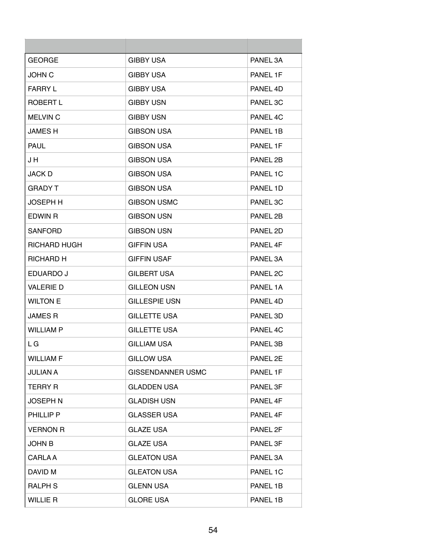| <b>GEORGE</b>       | <b>GIBBY USA</b>         | PANEL 3A |
|---------------------|--------------------------|----------|
| <b>JOHN C</b>       | GIBBY USA                | PANEL 1F |
| <b>FARRY L</b>      | <b>GIBBY USA</b>         | PANEL 4D |
| <b>ROBERT L</b>     | <b>GIBBY USN</b>         | PANEL 3C |
| <b>MELVIN C</b>     | <b>GIBBY USN</b>         | PANEL 4C |
| <b>JAMES H</b>      | <b>GIBSON USA</b>        | PANEL 1B |
| <b>PAUL</b>         | <b>GIBSON USA</b>        | PANEL 1F |
| J H                 | <b>GIBSON USA</b>        | PANEL 2B |
| <b>JACK D</b>       | <b>GIBSON USA</b>        | PANEL 1C |
| <b>GRADY T</b>      | <b>GIBSON USA</b>        | PANEL 1D |
| <b>JOSEPH H</b>     | <b>GIBSON USMC</b>       | PANEL 3C |
| EDWIN R             | <b>GIBSON USN</b>        | PANEL 2B |
| <b>SANFORD</b>      | <b>GIBSON USN</b>        | PANEL 2D |
| <b>RICHARD HUGH</b> | <b>GIFFIN USA</b>        | PANEL 4F |
| RICHARD H           | <b>GIFFIN USAF</b>       | PANEL 3A |
| EDUARDO J           | <b>GILBERT USA</b>       | PANEL 2C |
| <b>VALERIE D</b>    | <b>GILLEON USN</b>       | PANEL 1A |
| <b>WILTON E</b>     | <b>GILLESPIE USN</b>     | PANEL 4D |
| <b>JAMES R</b>      | <b>GILLETTE USA</b>      | PANEL 3D |
| <b>WILLIAM P</b>    | <b>GILLETTE USA</b>      | PANEL 4C |
| L G                 | <b>GILLIAM USA</b>       | PANEL 3B |
| <b>WILLIAM F</b>    | <b>GILLOW USA</b>        | PANEL 2E |
| <b>JULIAN A</b>     | <b>GISSENDANNER USMC</b> | PANEL 1F |
| <b>TERRY R</b>      | <b>GLADDEN USA</b>       | PANEL 3F |
| <b>JOSEPH N</b>     | <b>GLADISH USN</b>       | PANEL 4F |
| PHILLIP P           | <b>GLASSER USA</b>       | PANEL 4F |
| <b>VERNON R</b>     | <b>GLAZE USA</b>         | PANEL 2F |
| <b>JOHN B</b>       | <b>GLAZE USA</b>         | PANEL 3F |
| <b>CARLA A</b>      | <b>GLEATON USA</b>       | PANEL 3A |
| DAVID M             | <b>GLEATON USA</b>       | PANEL 1C |
| <b>RALPH S</b>      | <b>GLENN USA</b>         | PANEL 1B |
| <b>WILLIE R</b>     | <b>GLORE USA</b>         | PANEL 1B |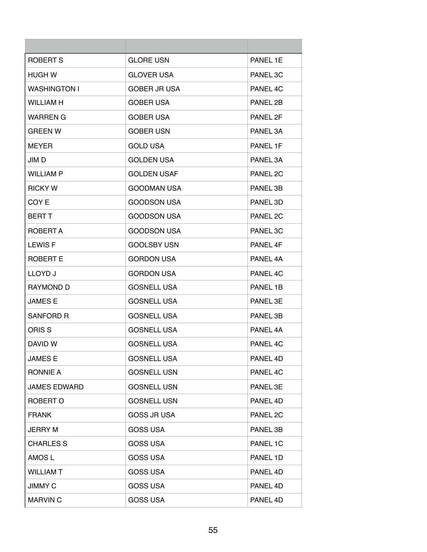| ROBERT S            | <b>GLORE USN</b>    | PANEL 1E |
|---------------------|---------------------|----------|
| HUGH W              | <b>GLOVER USA</b>   | PANEL 3C |
| <b>WASHINGTON I</b> | <b>GOBER JR USA</b> | PANEL 4C |
| WILLIAM H           | <b>GOBER USA</b>    | PANEL 2B |
| <b>WARREN G</b>     | <b>GOBER USA</b>    | PANEL 2F |
| <b>GREEN W</b>      | <b>GOBER USN</b>    | PANEL 3A |
| <b>MEYER</b>        | <b>GOLD USA</b>     | PANEL 1F |
| JIM D               | <b>GOLDEN USA</b>   | PANEL 3A |
| <b>WILLIAM P</b>    | <b>GOLDEN USAF</b>  | PANEL 2C |
| <b>RICKY W</b>      | <b>GOODMAN USA</b>  | PANEL 3B |
| COY E               | <b>GOODSON USA</b>  | PANEL 3D |
| <b>BERT T</b>       | <b>GOODSON USA</b>  | PANEL 2C |
| ROBERT A            | <b>GOODSON USA</b>  | PANEL 3C |
| <b>LEWIS F</b>      | <b>GOOLSBY USN</b>  | PANEL 4F |
| <b>ROBERT E</b>     | <b>GORDON USA</b>   | PANEL 4A |
| LLOYD J             | <b>GORDON USA</b>   | PANEL 4C |
| <b>RAYMOND D</b>    | <b>GOSNELL USA</b>  | PANEL 1B |
| JAMES E             | <b>GOSNELL USA</b>  | PANEL 3E |
| SANFORD R           | <b>GOSNELL USA</b>  | PANEL 3B |
| ORIS S              | <b>GOSNELL USA</b>  | PANEL 4A |
| DAVID W             | <b>GOSNELL USA</b>  | PANEL 4C |
| <b>JAMES E</b>      | <b>GOSNELL USA</b>  | PANEL 4D |
| <b>RONNIE A</b>     | <b>GOSNELL USN</b>  | PANEL 4C |
| <b>JAMES EDWARD</b> | <b>GOSNELL USN</b>  | PANEL 3E |
| ROBERT O            | <b>GOSNELL USN</b>  | PANEL 4D |
| <b>FRANK</b>        | <b>GOSS JR USA</b>  | PANEL 2C |
| <b>JERRY M</b>      | <b>GOSS USA</b>     | PANEL 3B |
| <b>CHARLES S</b>    | <b>GOSS USA</b>     | PANEL 1C |
| AMOS L              | <b>GOSS USA</b>     | PANEL 1D |
| <b>WILLIAM T</b>    | <b>GOSS USA</b>     | PANEL 4D |
| <b>JIMMY C</b>      | <b>GOSS USA</b>     | PANEL 4D |
| <b>MARVIN C</b>     | <b>GOSS USA</b>     | PANEL 4D |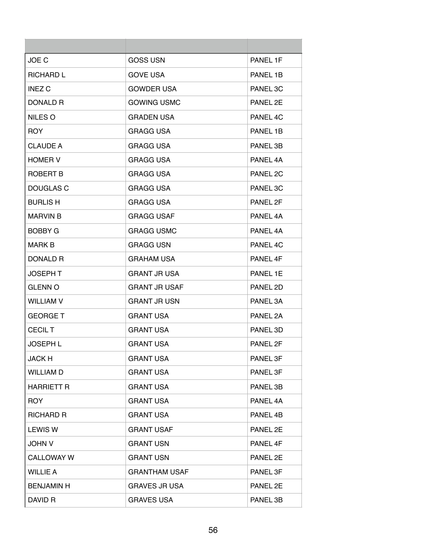| JOE C             | <b>GOSS USN</b>      | PANEL 1F |
|-------------------|----------------------|----------|
| <b>RICHARD L</b>  | <b>GOVE USA</b>      | PANEL 1B |
| <b>INEZ C</b>     | <b>GOWDER USA</b>    | PANEL 3C |
| DONALD R          | <b>GOWING USMC</b>   | PANEL 2E |
| NILES O           | <b>GRADEN USA</b>    | PANEL 4C |
| ROY.              | GRAGG USA            | PANEL 1B |
| <b>CLAUDE A</b>   | <b>GRAGG USA</b>     | PANEL 3B |
| <b>HOMER V</b>    | <b>GRAGG USA</b>     | PANEL 4A |
| ROBERT B          | <b>GRAGG USA</b>     | PANEL 2C |
| DOUGLAS C         | GRAGG USA            | PANEL 3C |
| <b>BURLIS H</b>   | GRAGG USA            | PANEL 2F |
| <b>MARVIN B</b>   | <b>GRAGG USAF</b>    | PANEL 4A |
| <b>BOBBY G</b>    | <b>GRAGG USMC</b>    | PANEL 4A |
| MARK B            | <b>GRAGG USN</b>     | PANEL 4C |
| DONALD R          | GRAHAM USA           | PANEL 4F |
| <b>JOSEPH T</b>   | <b>GRANT JR USA</b>  | PANEL 1E |
| <b>GLENN O</b>    | <b>GRANT JR USAF</b> | PANEL 2D |
| <b>WILLIAM V</b>  | <b>GRANT JR USN</b>  | PANEL 3A |
| <b>GEORGE T</b>   | <b>GRANT USA</b>     | PANEL 2A |
| <b>CECIL T</b>    | <b>GRANT USA</b>     | PANEL 3D |
| <b>JOSEPH L</b>   | <b>GRANT USA</b>     | PANEL 2F |
| <b>JACK H</b>     | <b>GRANT USA</b>     | PANEL 3F |
| <b>WILLIAM D</b>  | <b>GRANT USA</b>     | PANEL 3F |
| <b>HARRIETT R</b> | <b>GRANT USA</b>     | PANEL 3B |
| <b>ROY</b>        | <b>GRANT USA</b>     | PANEL 4A |
| RICHARD R         | <b>GRANT USA</b>     | PANEL 4B |
| <b>LEWIS W</b>    | <b>GRANT USAF</b>    | PANEL 2E |
| <b>JOHN V</b>     | <b>GRANT USN</b>     | PANEL 4F |
| <b>CALLOWAY W</b> | <b>GRANT USN</b>     | PANEL 2E |
| <b>WILLIE A</b>   | <b>GRANTHAM USAF</b> | PANEL 3F |
| <b>BENJAMIN H</b> | <b>GRAVES JR USA</b> | PANEL 2E |
| DAVID R           | <b>GRAVES USA</b>    | PANEL 3B |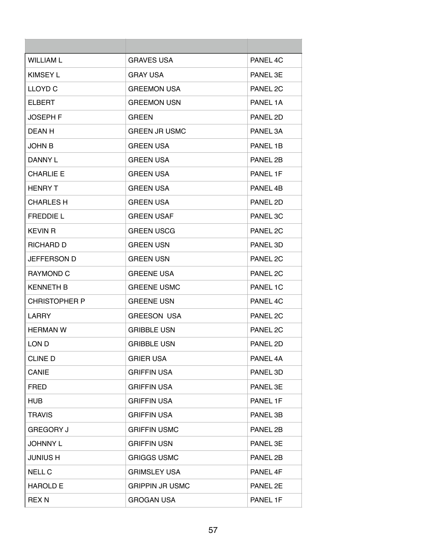| <b>WILLIAM L</b>     | <b>GRAVES USA</b>      | PANEL 4C |
|----------------------|------------------------|----------|
| <b>KIMSEY L</b>      | <b>GRAY USA</b>        | PANEL 3E |
| <b>LLOYD C</b>       | <b>GREEMON USA</b>     | PANEL 2C |
| <b>ELBERT</b>        | <b>GREEMON USN</b>     | PANEL 1A |
| <b>JOSEPH F</b>      | <b>GREEN</b>           | PANEL 2D |
| DEAN H               | <b>GREEN JR USMC</b>   | PANEL 3A |
| <b>JOHN B</b>        | <b>GREEN USA</b>       | PANEL 1B |
| DANNY L              | <b>GREEN USA</b>       | PANEL 2B |
| <b>CHARLIE E</b>     | <b>GREEN USA</b>       | PANEL 1F |
| <b>HENRY T</b>       | <b>GREEN USA</b>       | PANEL 4B |
| <b>CHARLES H</b>     | <b>GREEN USA</b>       | PANEL 2D |
| <b>FREDDIE L</b>     | <b>GREEN USAF</b>      | PANEL 3C |
| <b>KEVIN R</b>       | <b>GREEN USCG</b>      | PANEL 2C |
| RICHARD D            | <b>GREEN USN</b>       | PANEL 3D |
| <b>JEFFERSON D</b>   | <b>GREEN USN</b>       | PANEL 2C |
| <b>RAYMOND C</b>     | <b>GREENE USA</b>      | PANEL 2C |
| KENNETH B            | <b>GREENE USMC</b>     | PANEL 1C |
| <b>CHRISTOPHER P</b> | <b>GREENE USN</b>      | PANEL 4C |
| LARRY                | <b>GREESON USA</b>     | PANEL 2C |
| <b>HERMAN W</b>      | <b>GRIBBLE USN</b>     | PANEL 2C |
| LON D                | <b>GRIBBLE USN</b>     | PANEL 2D |
| <b>CLINE D</b>       | <b>GRIER USA</b>       | PANEL 4A |
| CANIE                | <b>GRIFFIN USA</b>     | PANEL 3D |
| <b>FRED</b>          | <b>GRIFFIN USA</b>     | PANEL 3E |
| HUB                  | <b>GRIFFIN USA</b>     | PANEL 1F |
| <b>TRAVIS</b>        | <b>GRIFFIN USA</b>     | PANEL 3B |
| <b>GREGORY J</b>     | <b>GRIFFIN USMC</b>    | PANEL 2B |
| <b>JOHNNY L</b>      | <b>GRIFFIN USN</b>     | PANEL 3E |
| <b>JUNIUS H</b>      | <b>GRIGGS USMC</b>     | PANEL 2B |
| <b>NELL C</b>        | <b>GRIMSLEY USA</b>    | PANEL 4F |
| <b>HAROLD E</b>      | <b>GRIPPIN JR USMC</b> | PANEL 2E |
| <b>REX N</b>         | <b>GROGAN USA</b>      | PANEL 1F |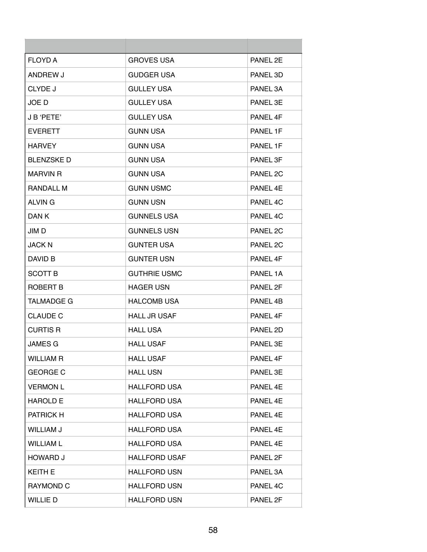| <b>FLOYD A</b>    | <b>GROVES USA</b>    | PANEL 2E |
|-------------------|----------------------|----------|
| ANDREW J          | <b>GUDGER USA</b>    | PANEL 3D |
| CLYDE J           | GULLEY USA           | PANEL 3A |
| JOE D             | <b>GULLEY USA</b>    | PANEL 3E |
| J B 'PETE'        | <b>GULLEY USA</b>    | PANEL 4F |
| <b>EVERETT</b>    | <b>GUNN USA</b>      | PANEL 1F |
| HARVEY            | <b>GUNN USA</b>      | PANEL 1F |
| <b>BLENZSKED</b>  | <b>GUNN USA</b>      | PANEL 3F |
| MARVIN R          | <b>GUNN USA</b>      | PANEL 2C |
| RANDALL M         | <b>GUNN USMC</b>     | PANEL 4E |
| <b>ALVING</b>     | <b>GUNN USN</b>      | PANEL 4C |
| DAN K             | <b>GUNNELS USA</b>   | PANEL 4C |
| JIM D             | <b>GUNNELS USN</b>   | PANEL 2C |
| <b>JACK N</b>     | <b>GUNTER USA</b>    | PANEL 2C |
| DAVID B           | <b>GUNTER USN</b>    | PANEL 4F |
| <b>SCOTT B</b>    | <b>GUTHRIE USMC</b>  | PANEL 1A |
| ROBERT B          | <b>HAGER USN</b>     | PANEL 2F |
| <b>TALMADGE G</b> | <b>HALCOMB USA</b>   | PANEL 4B |
| <b>CLAUDE C</b>   | <b>HALL JR USAF</b>  | PANEL 4F |
| <b>CURTIS R</b>   | <b>HALL USA</b>      | PANEL 2D |
| <b>JAMES G</b>    | <b>HALL USAF</b>     | PANEL 3E |
| <b>WILLIAM R</b>  | <b>HALL USAF</b>     | PANEL 4F |
| <b>GEORGE C</b>   | <b>HALL USN</b>      | PANEL 3E |
| <b>VERMON L</b>   | <b>HALLFORD USA</b>  | PANEL 4E |
| <b>HAROLD E</b>   | <b>HALLFORD USA</b>  | PANEL 4E |
| PATRICK H         | <b>HALLFORD USA</b>  | PANEL 4E |
| <b>WILLIAM J</b>  | <b>HALLFORD USA</b>  | PANEL 4E |
| <b>WILLIAM L</b>  | <b>HALLFORD USA</b>  | PANEL 4E |
| <b>HOWARD J</b>   | <b>HALLFORD USAF</b> | PANEL 2F |
| <b>KEITH E</b>    | <b>HALLFORD USN</b>  | PANEL 3A |
| RAYMOND C         | <b>HALLFORD USN</b>  | PANEL 4C |
| WILLIE D          | <b>HALLFORD USN</b>  | PANEL 2F |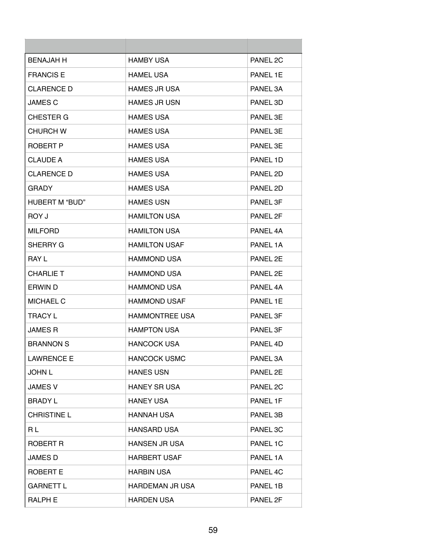| <b>BENAJAH H</b>      | <b>HAMBY USA</b>       | PANEL 2C |
|-----------------------|------------------------|----------|
| <b>FRANCIS E</b>      | <b>HAMEL USA</b>       | PANEL 1E |
| CLARENCE D            | <b>HAMES JR USA</b>    | PANEL 3A |
| <b>JAMES C</b>        | <b>HAMES JR USN</b>    | PANEL 3D |
| <b>CHESTER G</b>      | <b>HAMES USA</b>       | PANEL 3E |
| CHURCH W              | <b>HAMES USA</b>       | PANEL 3F |
| ROBERT P              | <b>HAMES USA</b>       | PANEL 3E |
| <b>CLAUDE A</b>       | <b>HAMES USA</b>       | PANEL 1D |
| <b>CLARENCE D</b>     | <b>HAMES USA</b>       | PANEL 2D |
| GRADY                 | <b>HAMES USA</b>       | PANEL 2D |
| <b>HUBERT M "BUD"</b> | <b>HAMES USN</b>       | PANEL 3F |
| ROY J                 | <b>HAMILTON USA</b>    | PANEL 2F |
| <b>MILFORD</b>        | <b>HAMILTON USA</b>    | PANEL 4A |
| SHERRY G              | <b>HAMILTON USAF</b>   | PANEL 1A |
| <b>RAY L</b>          | <b>HAMMOND USA</b>     | PANEL 2E |
| <b>CHARLIE T</b>      | <b>HAMMOND USA</b>     | PANEL 2E |
| ERWIN D               | <b>HAMMOND USA</b>     | PANEL 4A |
| <b>MICHAEL C</b>      | <b>HAMMOND USAF</b>    | PANEL 1E |
| <b>TRACY L</b>        | <b>HAMMONTREE USA</b>  | PANEL 3F |
| JAMES R               | <b>HAMPTON USA</b>     | PANEL 3F |
| <b>BRANNON S</b>      | <b>HANCOCK USA</b>     | PANEL 4D |
| <b>LAWRENCE E</b>     | <b>HANCOCK USMC</b>    | PANEL 3A |
| <b>JOHN L</b>         | <b>HANES USN</b>       | PANEL 2E |
| <b>JAMES V</b>        | <b>HANEY SR USA</b>    | PANEL 2C |
| <b>BRADY L</b>        | <b>HANEY USA</b>       | PANEL 1F |
| <b>CHRISTINE L</b>    | HANNAH USA             | PANEL 3B |
| RL                    | <b>HANSARD USA</b>     | PANEL 3C |
| ROBERT R              | <b>HANSEN JR USA</b>   | PANEL 1C |
| <b>JAMES D</b>        | <b>HARBERT USAF</b>    | PANEL 1A |
| <b>ROBERT E</b>       | <b>HARBIN USA</b>      | PANEL 4C |
| <b>GARNETT L</b>      | <b>HARDEMAN JR USA</b> | PANEL 1B |
| RALPH E               | <b>HARDEN USA</b>      | PANEL 2F |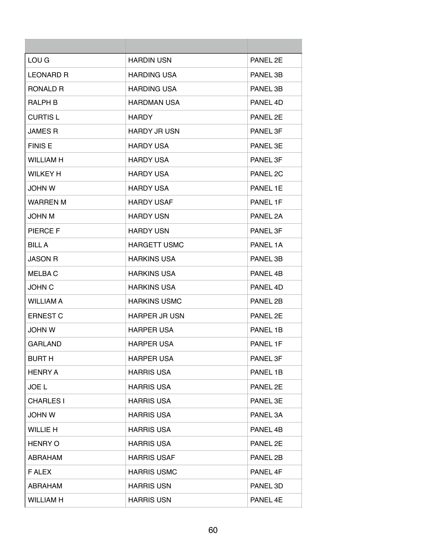| LOU G            | <b>HARDIN USN</b>    | PANEL 2E |
|------------------|----------------------|----------|
| <b>LEONARD R</b> | <b>HARDING USA</b>   | PANEL 3B |
| RONALD R         | <b>HARDING USA</b>   | PANEL 3B |
| <b>RALPH B</b>   | <b>HARDMAN USA</b>   | PANEL 4D |
| <b>CURTIS L</b>  | HARDY.               | PANEL 2E |
| <b>JAMES R</b>   | <b>HARDY JR USN</b>  | PANEL 3F |
| <b>FINIS E</b>   | <b>HARDY USA</b>     | PANEL 3E |
| <b>WILLIAM H</b> | <b>HARDY USA</b>     | PANEL 3F |
| <b>WILKEY H</b>  | <b>HARDY USA</b>     | PANEL 2C |
| <b>JOHN W</b>    | <b>HARDY USA</b>     | PANEL 1E |
| <b>WARREN M</b>  | <b>HARDY USAF</b>    | PANEL 1F |
| <b>JOHN M</b>    | <b>HARDY USN</b>     | PANEL 2A |
| <b>PIERCE F</b>  | <b>HARDY USN</b>     | PANEL 3F |
| <b>BILLA</b>     | <b>HARGETT USMC</b>  | PANEL 1A |
| <b>JASON R</b>   | <b>HARKINS USA</b>   | PANEL 3B |
| <b>MELBAC</b>    | <b>HARKINS USA</b>   | PANEL 4B |
| <b>JOHN C</b>    | <b>HARKINS USA</b>   | PANEL 4D |
| <b>WILLIAM A</b> | <b>HARKINS USMC</b>  | PANEL 2B |
| <b>ERNEST C</b>  | <b>HARPER JR USN</b> | PANEL 2E |
| <b>JOHN W</b>    | <b>HARPER USA</b>    | PANEL 1B |
| GARLAND          | HARPER USA           | PANEL 1F |
| <b>BURT H</b>    | <b>HARPER USA</b>    | PANEL 3F |
| <b>HENRY A</b>   | <b>HARRIS USA</b>    | PANEL 1B |
| <b>JOE L</b>     | <b>HARRIS USA</b>    | PANEL 2E |
| <b>CHARLES I</b> | <b>HARRIS USA</b>    | PANEL 3E |
| <b>JOHN W</b>    | <b>HARRIS USA</b>    | PANEL 3A |
| <b>WILLIE H</b>  | <b>HARRIS USA</b>    | PANEL 4B |
| <b>HENRY O</b>   | <b>HARRIS USA</b>    | PANEL 2E |
| ABRAHAM          | <b>HARRIS USAF</b>   | PANEL 2B |
| <b>FALEX</b>     | <b>HARRIS USMC</b>   | PANEL 4F |
| ABRAHAM          | <b>HARRIS USN</b>    | PANEL 3D |
| <b>WILLIAM H</b> | <b>HARRIS USN</b>    | PANEL 4E |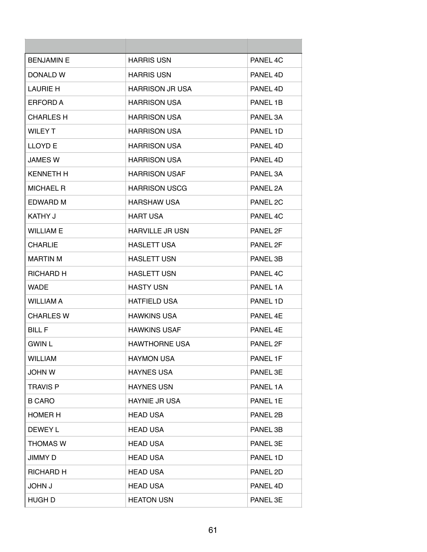| <b>BENJAMIN E</b> | <b>HARRIS USN</b>      | PANEL 4C            |
|-------------------|------------------------|---------------------|
| DONALD W          | <b>HARRIS USN</b>      | PANEL 4D            |
| LAURIE H          | <b>HARRISON JR USA</b> | PANEL 4D            |
| ERFORD A          | <b>HARRISON USA</b>    | PANEL 1B            |
| <b>CHARLES H</b>  | <b>HARRISON USA</b>    | PANEL 3A            |
| WILEY T           | <b>HARRISON USA</b>    | PANEL 1D            |
| <b>LLOYD E</b>    | <b>HARRISON USA</b>    | PANEL 4D            |
| <b>JAMES W</b>    | <b>HARRISON USA</b>    | PANEL 4D            |
| <b>KENNETH H</b>  | <b>HARRISON USAF</b>   | PANEL 3A            |
| <b>MICHAEL R</b>  | <b>HARRISON USCG</b>   | PANEL 2A            |
| EDWARD M          | <b>HARSHAW USA</b>     | PANEL <sub>2C</sub> |
| KATHY J           | <b>HART USA</b>        | PANEL 4C            |
| WILLIAM F         | HARVILLE JR USN        | PANEL 2F            |
| <b>CHARLIE</b>    | <b>HASLETT USA</b>     | PANEL 2F            |
| <b>MARTIN M</b>   | <b>HASLETT USN</b>     | PANEL 3B            |
| RICHARD H         | <b>HASLETT USN</b>     | PANEL 4C            |
| <b>WADE</b>       | <b>HASTY USN</b>       | PANEL 1A            |
| <b>WILLIAM A</b>  | <b>HATFIELD USA</b>    | PANEL 1D            |
| <b>CHARLES W</b>  | <b>HAWKINS USA</b>     | PANEL 4E            |
| <b>BILL F</b>     | <b>HAWKINS USAF</b>    | PANEL 4E            |
| <b>GWIN L</b>     | <b>HAWTHORNE USA</b>   | PANEL 2F            |
| <b>WILLIAM</b>    | <b>HAYMON USA</b>      | PANEL 1F            |
| <b>JOHN W</b>     | <b>HAYNES USA</b>      | PANEL 3E            |
| <b>TRAVIS P</b>   | <b>HAYNES USN</b>      | PANEL 1A            |
| <b>B CARO</b>     | <b>HAYNIE JR USA</b>   | PANEL 1E            |
| <b>HOMER H</b>    | <b>HEAD USA</b>        | PANEL 2B            |
| DEWEY L           | <b>HEAD USA</b>        | PANEL 3B            |
| <b>THOMAS W</b>   | <b>HEAD USA</b>        | PANEL 3E            |
| JIMMY D           | <b>HEAD USA</b>        | PANEL 1D            |
| <b>RICHARD H</b>  | <b>HEAD USA</b>        | PANEL 2D            |
| <b>JOHN J</b>     | <b>HEAD USA</b>        | PANEL 4D            |
| HUGH D            | <b>HEATON USN</b>      | PANEL 3E            |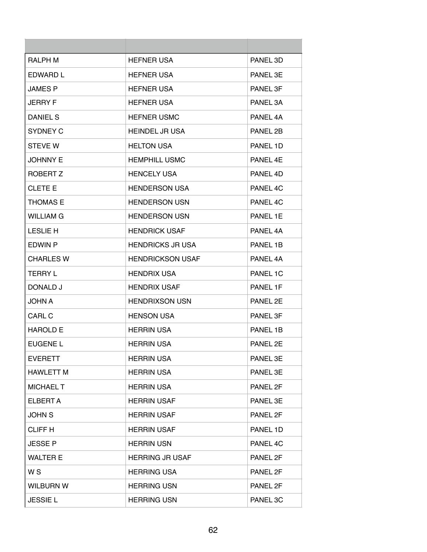| <b>RALPH M</b>   | <b>HEFNER USA</b>       | PANEL 3D |
|------------------|-------------------------|----------|
| EDWARD L         | <b>HEFNER USA</b>       | PANEL 3E |
| <b>JAMES P</b>   | <b>HEFNER USA</b>       | PANEL 3F |
| <b>JERRY F</b>   | <b>HEFNER USA</b>       | PANEL 3A |
| DANIEL S         | <b>HEFNER USMC</b>      | PANEL 4A |
| SYDNEY C         | <b>HEINDEL JR USA</b>   | PANEL 2B |
| <b>STEVE W</b>   | <b>HELTON USA</b>       | PANEL 1D |
| <b>JOHNNY E</b>  | <b>HEMPHILL USMC</b>    | PANEL 4E |
| ROBERT Z         | <b>HENCELY USA</b>      | PANEL 4D |
| <b>CLETE E</b>   | <b>HENDERSON USA</b>    | PANEL 4C |
| <b>THOMAS E</b>  | <b>HENDERSON USN</b>    | PANEL 4C |
| <b>WILLIAM G</b> | <b>HENDERSON USN</b>    | PANEL 1E |
| <b>LESLIE H</b>  | <b>HENDRICK USAF</b>    | PANEL 4A |
| EDWIN P          | <b>HENDRICKS JR USA</b> | PANEL 1B |
| <b>CHARLES W</b> | <b>HENDRICKSON USAF</b> | PANEL 4A |
| <b>TERRY L</b>   | <b>HENDRIX USA</b>      | PANEL 1C |
| DONALD J         | HENDRIX USAF            | PANEL 1F |
| <b>JOHN A</b>    | <b>HENDRIXSON USN</b>   | PANEL 2E |
| CARL C           | <b>HENSON USA</b>       | PANEL 3F |
| <b>HAROLD E</b>  | <b>HERRIN USA</b>       | PANEL 1B |
| EUGENE L         | HERRIN USA              | PANEL 2E |
| <b>EVERETT</b>   | <b>HERRIN USA</b>       | PANEL 3E |
| <b>HAWLETT M</b> | <b>HERRIN USA</b>       | PANEL 3E |
| <b>MICHAEL T</b> | <b>HERRIN USA</b>       | PANEL 2F |
| ELBERT A         | <b>HERRIN USAF</b>      | PANEL 3E |
| <b>JOHN S</b>    | <b>HERRIN USAF</b>      | PANEL 2F |
| <b>CLIFF H</b>   | <b>HERRIN USAF</b>      | PANEL 1D |
| <b>JESSE P</b>   | <b>HERRIN USN</b>       | PANEL 4C |
| <b>WALTER E</b>  | <b>HERRING JR USAF</b>  | PANEL 2F |
| W <sub>S</sub>   | <b>HERRING USA</b>      | PANEL 2F |
| <b>WILBURN W</b> | <b>HERRING USN</b>      | PANEL 2F |
| <b>JESSIEL</b>   | <b>HERRING USN</b>      | PANEL 3C |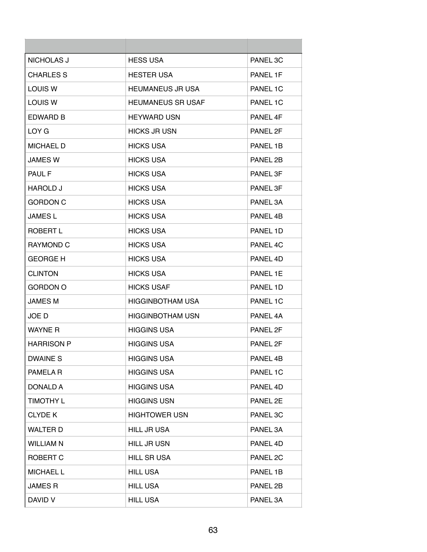| <b>NICHOLAS J</b> | <b>HESS USA</b>          | PANEL 3C |
|-------------------|--------------------------|----------|
| <b>CHARLES S</b>  | <b>HESTER USA</b>        | PANEL 1F |
| LOUIS W           | <b>HEUMANEUS JR USA</b>  | PANEL 1C |
| LOUIS W           | <b>HEUMANEUS SR USAF</b> | PANEL 1C |
| <b>EDWARD B</b>   | <b>HEYWARD USN</b>       | PANEL 4F |
| LOY G             | <b>HICKS JR USN</b>      | PANEL 2F |
| <b>MICHAEL D</b>  | <b>HICKS USA</b>         | PANEL 1B |
| <b>JAMES W</b>    | <b>HICKS USA</b>         | PANEL 2B |
| PAUL F            | <b>HICKS USA</b>         | PANEL 3F |
| <b>HAROLD J</b>   | <b>HICKS USA</b>         | PANEL 3F |
| <b>GORDON C</b>   | <b>HICKS USA</b>         | PANEL 3A |
| <b>JAMES L</b>    | <b>HICKS USA</b>         | PANEL 4B |
| ROBERT L          | <b>HICKS USA</b>         | PANEL 1D |
| <b>RAYMOND C</b>  | <b>HICKS USA</b>         | PANEL 4C |
| <b>GEORGE H</b>   | <b>HICKS USA</b>         | PANEL 4D |
| <b>CLINTON</b>    | <b>HICKS USA</b>         | PANEL 1E |
| <b>GORDON O</b>   | <b>HICKS USAF</b>        | PANEL 1D |
| <b>JAMES M</b>    | <b>HIGGINBOTHAM USA</b>  | PANEL 1C |
| JOE D             | <b>HIGGINBOTHAM USN</b>  | PANEL 4A |
| <b>WAYNE R</b>    | <b>HIGGINS USA</b>       | PANEL 2F |
| <b>HARRISON P</b> | <b>HIGGINS USA</b>       | PANEL 2F |
| <b>DWAINE S</b>   | <b>HIGGINS USA</b>       | PANEL 4B |
| PAMELA R          | <b>HIGGINS USA</b>       | PANEL 1C |
| <b>DONALD A</b>   | <b>HIGGINS USA</b>       | PANEL 4D |
| <b>TIMOTHY L</b>  | <b>HIGGINS USN</b>       | PANEL 2E |
| <b>CLYDE K</b>    | <b>HIGHTOWER USN</b>     | PANEL 3C |
| <b>WALTER D</b>   | <b>HILL JR USA</b>       | PANEL 3A |
| <b>WILLIAM N</b>  | <b>HILL JR USN</b>       | PANEL 4D |
| ROBERT C          | <b>HILL SR USA</b>       | PANEL 2C |
| <b>MICHAEL L</b>  | <b>HILL USA</b>          | PANEL 1B |
| <b>JAMES R</b>    | <b>HILL USA</b>          | PANEL 2B |
| DAVID V           | <b>HILL USA</b>          | PANEL 3A |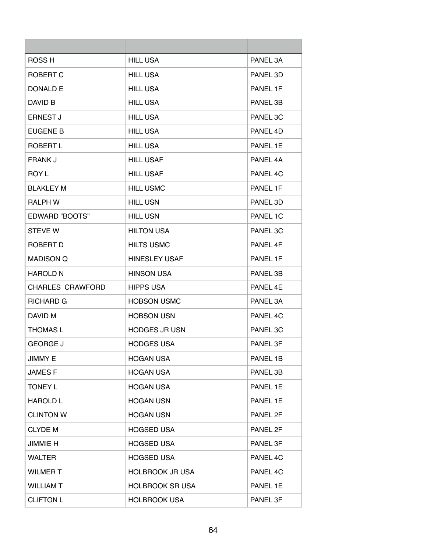| ROSS <sub>H</sub>       | <b>HILL USA</b>        | PANEL 3A |
|-------------------------|------------------------|----------|
| ROBERT C                | <b>HILL USA</b>        | PANEL 3D |
| DONALD E                | <b>HILL USA</b>        | PANEL 1F |
| DAVID B                 | <b>HILL USA</b>        | PANEL 3B |
| <b>ERNEST J</b>         | <b>HILL USA</b>        | PANEL 3C |
| EUGENE B                | <b>HILL USA</b>        | PANEL 4D |
| ROBERT L                | <b>HILL USA</b>        | PANEL 1E |
| <b>FRANK J</b>          | <b>HILL USAF</b>       | PANEL 4A |
| <b>ROY L</b>            | <b>HILL USAF</b>       | PANEL 4C |
| BLAKLEY M               | <b>HILL USMC</b>       | PANEL 1F |
| <b>RALPH W</b>          | <b>HILL USN</b>        | PANEL 3D |
| <b>EDWARD "BOOTS"</b>   | <b>HILL USN</b>        | PANEL 1C |
| <b>STEVE W</b>          | <b>HILTON USA</b>      | PANEL 3C |
| ROBERT D                | <b>HILTS USMC</b>      | PANEL 4F |
| <b>MADISON Q</b>        | <b>HINESLEY USAF</b>   | PANEL 1F |
| <b>HAROLD N</b>         | <b>HINSON USA</b>      | PANEL 3B |
| <b>CHARLES CRAWFORD</b> | <b>HIPPS USA</b>       | PANEL 4E |
| <b>RICHARD G</b>        | <b>HOBSON USMC</b>     | PANEL 3A |
| DAVID M                 | <b>HOBSON USN</b>      | PANEL 4C |
| <b>THOMAS L</b>         | <b>HODGES JR USN</b>   | PANEL 3C |
| <b>GEORGE J</b>         | <b>HODGES USA</b>      | PANEL 3F |
| <b>JIMMY E</b>          | <b>HOGAN USA</b>       | PANEL 1B |
| <b>JAMESF</b>           | <b>HOGAN USA</b>       | PANEL 3B |
| <b>TONEY L</b>          | <b>HOGAN USA</b>       | PANEL 1E |
| <b>HAROLD L</b>         | <b>HOGAN USN</b>       | PANEL 1E |
| <b>CLINTON W</b>        | <b>HOGAN USN</b>       | PANEL 2F |
| <b>CLYDE M</b>          | <b>HOGSED USA</b>      | PANEL 2F |
| <b>JIMMIE H</b>         | <b>HOGSED USA</b>      | PANEL 3F |
| <b>WALTER</b>           | <b>HOGSED USA</b>      | PANEL 4C |
| <b>WILMERT</b>          | <b>HOLBROOK JR USA</b> | PANEL 4C |
| <b>WILLIAM T</b>        | <b>HOLBROOK SR USA</b> | PANEL 1E |
| <b>CLIFTON L</b>        | <b>HOLBROOK USA</b>    | PANEL 3F |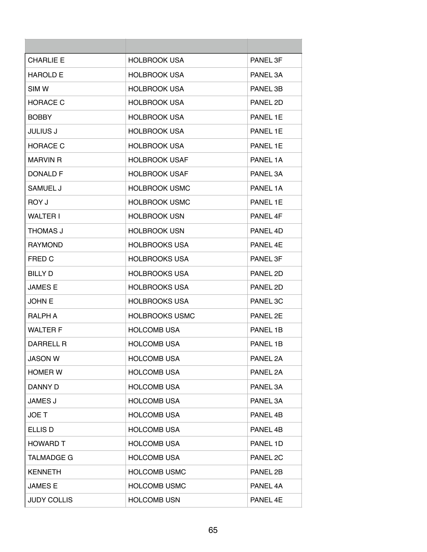| <b>CHARLIE E</b>   | <b>HOLBROOK USA</b>   | <b>PANEL 3F</b> |
|--------------------|-----------------------|-----------------|
| <b>HAROLD E</b>    | <b>HOLBROOK USA</b>   | PANEL 3A        |
| SIM W              | <b>HOLBROOK USA</b>   | PANEL 3B        |
| <b>HORACE C</b>    | <b>HOLBROOK USA</b>   | PANEL 2D        |
| <b>BOBBY</b>       | <b>HOLBROOK USA</b>   | PANEL 1E        |
| <b>JULIUS J</b>    | <b>HOLBROOK USA</b>   | PANEL 1E        |
| <b>HORACE C</b>    | <b>HOLBROOK USA</b>   | PANEL 1F        |
| <b>MARVIN R</b>    | <b>HOLBROOK USAF</b>  | PANEL 1A        |
| <b>DONALD F</b>    | HOLBROOK USAF         | PANEL 3A        |
| SAMUEL J           | <b>HOLBROOK USMC</b>  | PANEL 1A        |
| ROY J              | <b>HOLBROOK USMC</b>  | PANEL 1F        |
| <b>WALTER I</b>    | <b>HOLBROOK USN</b>   | PANEL 4F        |
| THOMAS J           | <b>HOLBROOK USN</b>   | PANEL 4D        |
| <b>RAYMOND</b>     | <b>HOLBROOKS USA</b>  | PANEL 4F        |
| FRED C             | <b>HOLBROOKS USA</b>  | PANEL 3F        |
| <b>BILLY D</b>     | <b>HOLBROOKS USA</b>  | PANEL 2D        |
| <b>JAMES E</b>     | <b>HOLBROOKS USA</b>  | PANEL 2D        |
| <b>JOHN E</b>      | <b>HOLBROOKS USA</b>  | PANEL 3C        |
| RALPH A            | <b>HOLBROOKS USMC</b> | PANEL 2E        |
| <b>WALTER F</b>    | <b>HOLCOMB USA</b>    | PANEL 1B        |
| <b>DARRELL R</b>   | <b>HOLCOMB USA</b>    | PANEL 1B        |
| <b>JASON W</b>     | <b>HOLCOMB USA</b>    | PANEL 2A        |
| <b>HOMER W</b>     | <b>HOLCOMB USA</b>    | PANEL 2A        |
| DANNY D            | <b>HOLCOMB USA</b>    | PANEL 3A        |
| <b>JAMES J</b>     | <b>HOLCOMB USA</b>    | PANEL 3A        |
| <b>JOET</b>        | <b>HOLCOMB USA</b>    | PANEL 4B        |
| ELLIS D            | <b>HOLCOMB USA</b>    | PANEL 4B        |
| <b>HOWARD T</b>    | <b>HOLCOMB USA</b>    | PANEL 1D        |
| <b>TALMADGE G</b>  | <b>HOLCOMB USA</b>    | PANEL 2C        |
| <b>KENNETH</b>     | <b>HOLCOMB USMC</b>   | PANEL 2B        |
| <b>JAMES E</b>     | <b>HOLCOMB USMC</b>   | PANEL 4A        |
| <b>JUDY COLLIS</b> | <b>HOLCOMB USN</b>    | PANEL 4E        |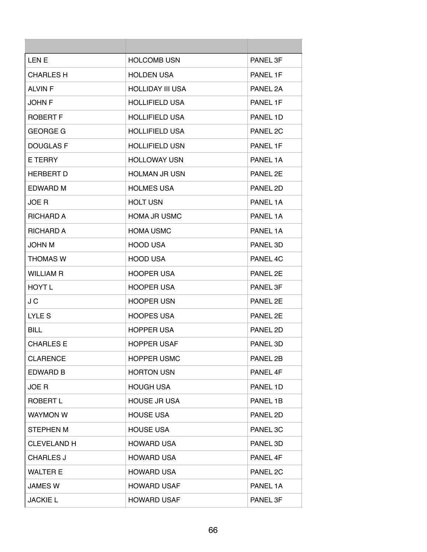| LEN E              | <b>HOLCOMB USN</b>      | PANEL 3F |
|--------------------|-------------------------|----------|
| <b>CHARLES H</b>   | <b>HOLDEN USA</b>       | PANEL 1F |
| <b>ALVIN F</b>     | <b>HOLLIDAY III USA</b> | PANEL 2A |
| JOHN F             | <b>HOLLIFIELD USA</b>   | PANEL 1F |
| <b>ROBERT F</b>    | <b>HOLLIFIELD USA</b>   | PANEL 1D |
| <b>GEORGE G</b>    | <b>HOLLIFIELD USA</b>   | PANEL 2C |
| <b>DOUGLAS F</b>   | <b>HOLLIFIELD USN</b>   | PANEL 1F |
| E TERRY            | <b>HOLLOWAY USN</b>     | PANEL 1A |
| <b>HERBERT D</b>   | <b>HOLMAN JR USN</b>    | PANEL 2E |
| EDWARD M           | <b>HOLMES USA</b>       | PANEL 2D |
| JOE R              | <b>HOLT USN</b>         | PANEL 1A |
| <b>RICHARD A</b>   | HOMA JR USMC            | PANEL 1A |
| <b>RICHARD A</b>   | <b>HOMA USMC</b>        | PANEL 1A |
| <b>JOHN M</b>      | <b>HOOD USA</b>         | PANEL 3D |
| <b>THOMAS W</b>    | <b>HOOD USA</b>         | PANEL 4C |
| <b>WILLIAM R</b>   | <b>HOOPER USA</b>       | PANEL 2E |
| HOYT L             | <b>HOOPER USA</b>       | PANEL 3F |
| J C                | <b>HOOPER USN</b>       | PANEL 2E |
| <b>LYLES</b>       | <b>HOOPES USA</b>       | PANEL 2E |
| BILL               | <b>HOPPER USA</b>       | PANEL 2D |
| <b>CHARLES E</b>   | <b>HOPPER USAF</b>      | PANEL 3D |
| <b>CLARENCE</b>    | <b>HOPPER USMC</b>      | PANEL 2B |
| <b>EDWARD B</b>    | <b>HORTON USN</b>       | PANEL 4F |
| JOE R              | <b>HOUGH USA</b>        | PANEL 1D |
| ROBERT L           | <b>HOUSE JR USA</b>     | PANEL 1B |
| <b>WAYMON W</b>    | <b>HOUSE USA</b>        | PANEL 2D |
| <b>STEPHEN M</b>   | <b>HOUSE USA</b>        | PANEL 3C |
| <b>CLEVELAND H</b> | <b>HOWARD USA</b>       | PANEL 3D |
| <b>CHARLES J</b>   | <b>HOWARD USA</b>       | PANEL 4F |
| <b>WALTER E</b>    | <b>HOWARD USA</b>       | PANEL 2C |
| <b>JAMES W</b>     | <b>HOWARD USAF</b>      | PANEL 1A |
| <b>JACKIE L</b>    | <b>HOWARD USAF</b>      | PANEL 3F |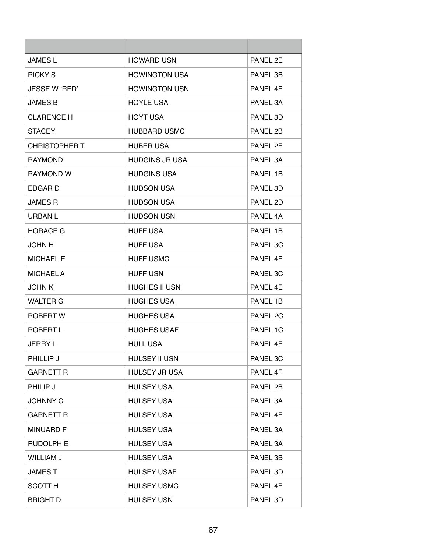| <b>JAMES L</b>       | <b>HOWARD USN</b>     | PANEL 2E |
|----------------------|-----------------------|----------|
| <b>RICKY S</b>       | <b>HOWINGTON USA</b>  | PANEL 3B |
| JESSE W 'RED'        | <b>HOWINGTON USN</b>  | PANEL 4F |
| <b>JAMES B</b>       | <b>HOYLE USA</b>      | PANEL 3A |
| CLARENCE H           | <b>HOYT USA</b>       | PANEL 3D |
| <b>STACEY</b>        | <b>HUBBARD USMC</b>   | PANEL 2B |
| <b>CHRISTOPHER T</b> | <b>HUBER USA</b>      | PANEL 2E |
| <b>RAYMOND</b>       | <b>HUDGINS JR USA</b> | PANEL 3A |
| <b>RAYMOND W</b>     | <b>HUDGINS USA</b>    | PANEL 1B |
| EDGAR D              | <b>HUDSON USA</b>     | PANEL 3D |
| <b>JAMES R</b>       | <b>HUDSON USA</b>     | PANEL 2D |
| <b>URBAN L</b>       | <b>HUDSON USN</b>     | PANEL 4A |
| <b>HORACE G</b>      | <b>HUFF USA</b>       | PANEL 1B |
| JOHN H               | <b>HUFF USA</b>       | PANEL 3C |
| <b>MICHAEL E</b>     | <b>HUFF USMC</b>      | PANEL 4F |
| <b>MICHAEL A</b>     | <b>HUFF USN</b>       | PANEL 3C |
| <b>JOHN K</b>        | <b>HUGHES II USN</b>  | PANEL 4E |
| <b>WALTER G</b>      | <b>HUGHES USA</b>     | PANEL 1B |
| ROBERT W             | <b>HUGHES USA</b>     | PANEL 2C |
| ROBERT L             | <b>HUGHES USAF</b>    | PANEL 1C |
| <b>JERRY L</b>       | <b>HULL USA</b>       | PANEL 4F |
| PHILLIP J            | <b>HULSEY II USN</b>  | PANEL 3C |
| <b>GARNETT R</b>     | <b>HULSEY JR USA</b>  | PANEL 4F |
| PHILIP J             | <b>HULSEY USA</b>     | PANEL 2B |
| <b>JOHNNY C</b>      | <b>HULSEY USA</b>     | PANEL 3A |
| <b>GARNETT R</b>     | <b>HULSEY USA</b>     | PANEL 4F |
| <b>MINUARD F</b>     | <b>HULSEY USA</b>     | PANEL 3A |
| <b>RUDOLPH E</b>     | <b>HULSEY USA</b>     | PANEL 3A |
| <b>WILLIAM J</b>     | <b>HULSEY USA</b>     | PANEL 3B |
| <b>JAMEST</b>        | <b>HULSEY USAF</b>    | PANEL 3D |
| <b>SCOTT H</b>       | <b>HULSEY USMC</b>    | PANEL 4F |
| <b>BRIGHT D</b>      | <b>HULSEY USN</b>     | PANEL 3D |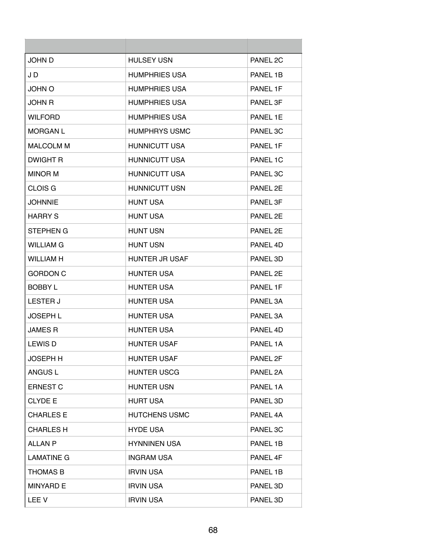| <b>JOHN D</b>     | <b>HULSEY USN</b>     | PANEL 2C |
|-------------------|-----------------------|----------|
| J D               | <b>HUMPHRIES USA</b>  | PANEL 1B |
| <b>JOHN O</b>     | <b>HUMPHRIES USA</b>  | PANEL 1F |
| JOHN R            | <b>HUMPHRIES USA</b>  | PANEL 3F |
| <b>WILFORD</b>    | <b>HUMPHRIES USA</b>  | PANFI 1F |
| <b>MORGAN L</b>   | <b>HUMPHRYS USMC</b>  | PANEL 3C |
| <b>MALCOLM M</b>  | <b>HUNNICUTT USA</b>  | PANEL 1F |
| <b>DWIGHT R</b>   | <b>HUNNICUTT USA</b>  | PANEL 1C |
| <b>MINOR M</b>    | <b>HUNNICUTT USA</b>  | PANEL 3C |
| <b>CLOIS G</b>    | <b>HUNNICUTT USN</b>  | PANEL 2F |
| <b>JOHNNIE</b>    | <b>HUNT USA</b>       | PANEL 3F |
| <b>HARRY S</b>    | <b>HUNT USA</b>       | PANEL 2E |
| STEPHEN G         | <b>HUNT USN</b>       | PANEL 2E |
| <b>WILLIAM G</b>  | <b>HUNT USN</b>       | PANEL 4D |
| <b>WILLIAM H</b>  | <b>HUNTER JR USAF</b> | PANEL 3D |
| <b>GORDON C</b>   | <b>HUNTER USA</b>     | PANEL 2E |
| <b>BOBBY L</b>    | <b>HUNTER USA</b>     | PANEL 1F |
| <b>LESTER J</b>   | <b>HUNTER USA</b>     | PANEL 3A |
| <b>JOSEPH L</b>   | <b>HUNTER USA</b>     | PANEL 3A |
| JAMES R           | <b>HUNTER USA</b>     | PANEL 4D |
| <b>LEWIS D</b>    | <b>HUNTER USAF</b>    | PANEL 1A |
| <b>JOSEPH H</b>   | <b>HUNTER USAF</b>    | PANEL 2F |
| <b>ANGUS L</b>    | <b>HUNTER USCG</b>    | PANEL 2A |
| <b>ERNEST C</b>   | <b>HUNTER USN</b>     | PANEL 1A |
| <b>CLYDE E</b>    | <b>HURT USA</b>       | PANEL 3D |
| <b>CHARLES E</b>  | <b>HUTCHENS USMC</b>  | PANEL 4A |
| <b>CHARLES H</b>  | <b>HYDE USA</b>       | PANEL 3C |
| <b>ALLAN P</b>    | <b>HYNNINEN USA</b>   | PANEL 1B |
| <b>LAMATINE G</b> | <b>INGRAM USA</b>     | PANEL 4F |
| <b>THOMAS B</b>   | <b>IRVIN USA</b>      | PANEL 1B |
| <b>MINYARD E</b>  | <b>IRVIN USA</b>      | PANEL 3D |
| LEE V             | <b>IRVIN USA</b>      | PANEL 3D |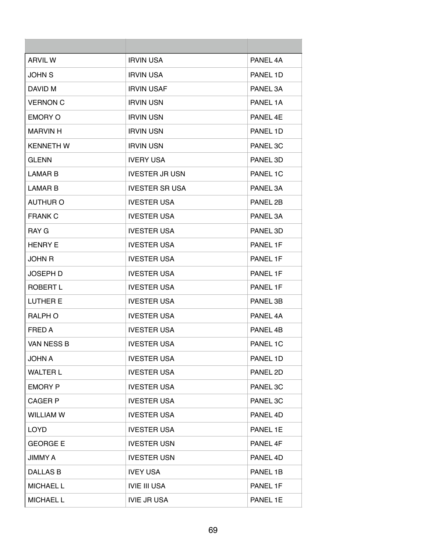| <b>ARVIL W</b>   | <b>IRVIN USA</b>      | PANEL 4A |
|------------------|-----------------------|----------|
| <b>JOHN S</b>    | <b>IRVIN USA</b>      | PANEL 1D |
| DAVID M          | <b>IRVIN USAF</b>     | PANEL 3A |
| <b>VERNON C</b>  | <b>IRVIN USN</b>      | PANEL 1A |
| <b>EMORY O</b>   | <b>IRVIN USN</b>      | PANFL 4F |
| <b>MARVIN H</b>  | <b>IRVIN USN</b>      | PANEL 1D |
| <b>KENNETH W</b> | <b>IRVIN USN</b>      | PANEL 3C |
| <b>GLENN</b>     | <b>IVERY USA</b>      | PANEL 3D |
| <b>LAMAR B</b>   | <b>IVESTER JR USN</b> | PANEL 1C |
| <b>LAMAR B</b>   | <b>IVESTER SR USA</b> | PANEL 3A |
| <b>AUTHUR O</b>  | <b>IVESTER USA</b>    | PANEL 2B |
| <b>FRANK C</b>   | <b>IVESTER USA</b>    | PANEL 3A |
| RAY G            | <b>IVESTER USA</b>    | PANEL 3D |
| <b>HENRY E</b>   | <b>IVESTER USA</b>    | PANEL 1F |
| <b>JOHN R</b>    | <b>IVESTER USA</b>    | PANEL 1F |
| <b>JOSEPH D</b>  | <b>IVESTER USA</b>    | PANEL 1F |
| ROBERT L         | <b>IVESTER USA</b>    | PANEL 1F |
| <b>LUTHER E</b>  | <b>IVESTER USA</b>    | PANEL 3B |
| <b>RALPH O</b>   | <b>IVESTER USA</b>    | PANEL 4A |
| FRED A           | <b>IVESTER USA</b>    | PANEL 4B |
| VAN NESS B       | <b>IVESTER USA</b>    | PANEL 1C |
| <b>JOHN A</b>    | <b>IVESTER USA</b>    | PANEL 1D |
| <b>WALTER L</b>  | <b>IVESTER USA</b>    | PANEL 2D |
| <b>EMORY P</b>   | <b>IVESTER USA</b>    | PANEL 3C |
| <b>CAGER P</b>   | <b>IVESTER USA</b>    | PANEL 3C |
| <b>WILLIAM W</b> | <b>IVESTER USA</b>    | PANEL 4D |
| <b>LOYD</b>      | <b>IVESTER USA</b>    | PANEL 1E |
| <b>GEORGE E</b>  | <b>IVESTER USN</b>    | PANEL 4F |
| JIMMY A          | <b>IVESTER USN</b>    | PANEL 4D |
| DALLAS B         | <b>IVEY USA</b>       | PANEL 1B |
| <b>MICHAEL L</b> | <b>IVIE III USA</b>   | PANEL 1F |
| <b>MICHAEL L</b> | <b>IVIE JR USA</b>    | PANEL 1E |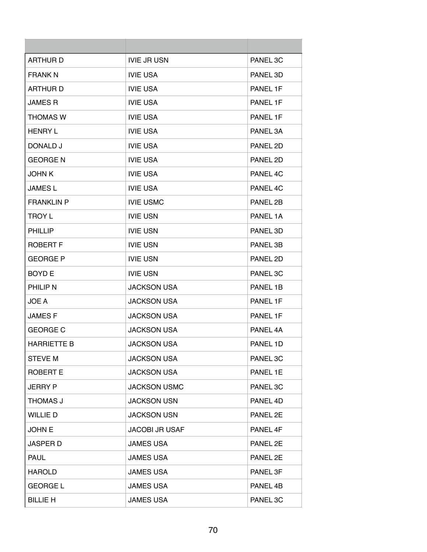| <b>ARTHURD</b>     | <b>IVIE JR USN</b>    | PANEL 3C |
|--------------------|-----------------------|----------|
| <b>FRANK N</b>     | <b>IVIE USA</b>       | PANEL 3D |
| <b>ARTHURD</b>     | <b>IVIE USA</b>       | PANEL 1F |
| <b>JAMES R</b>     | <b>IVIE USA</b>       | PANEL 1F |
| <b>THOMAS W</b>    | <b>IVIE USA</b>       | PANEL 1F |
| <b>HENRY L</b>     | <b>IVIE USA</b>       | PANEL 3A |
| DONALD J           | <b>IVIE USA</b>       | PANEL 2D |
| <b>GEORGE N</b>    | <b>IVIE USA</b>       | PANEL 2D |
| <b>JOHN K</b>      | <b>IVIE USA</b>       | PANEL 4C |
| <b>JAMESL</b>      | <b>IVIE USA</b>       | PANEL 4C |
| <b>FRANKLIN P</b>  | <b>IVIE USMC</b>      | PANEL 2B |
| <b>TROY L</b>      | <b>IVIE USN</b>       | PANEL 1A |
| <b>PHILLIP</b>     | <b>IVIE USN</b>       | PANEL 3D |
| <b>ROBERT F</b>    | <b>IVIE USN</b>       | PANEL 3B |
| <b>GEORGE P</b>    | <b>IVIE USN</b>       | PANEL 2D |
| <b>BOYD E</b>      | <b>IVIE USN</b>       | PANEL 3C |
| <b>PHILIP N</b>    | <b>JACKSON USA</b>    | PANEL 1B |
| JOE A              | <b>JACKSON USA</b>    | PANEL 1F |
| <b>JAMESF</b>      | <b>JACKSON USA</b>    | PANEL 1F |
| <b>GEORGE C</b>    | <b>JACKSON USA</b>    | PANEL 4A |
| <b>HARRIETTE B</b> | <b>JACKSON USA</b>    | PANEL 1D |
| <b>STEVE M</b>     | <b>JACKSON USA</b>    | PANEL 3C |
| <b>ROBERT E</b>    | <b>JACKSON USA</b>    | PANEL 1E |
| <b>JERRY P</b>     | <b>JACKSON USMC</b>   | PANEL 3C |
| THOMAS J           | <b>JACKSON USN</b>    | PANEL 4D |
| WILLIE D           | <b>JACKSON USN</b>    | PANEL 2E |
| <b>JOHN E</b>      | <b>JACOBI JR USAF</b> | PANEL 4F |
| <b>JASPER D</b>    | <b>JAMES USA</b>      | PANEL 2E |
| <b>PAUL</b>        | <b>JAMES USA</b>      | PANEL 2E |
| <b>HAROLD</b>      | <b>JAMES USA</b>      | PANEL 3F |
| <b>GEORGE L</b>    | <b>JAMES USA</b>      | PANEL 4B |
| <b>BILLIE H</b>    | <b>JAMES USA</b>      | PANEL 3C |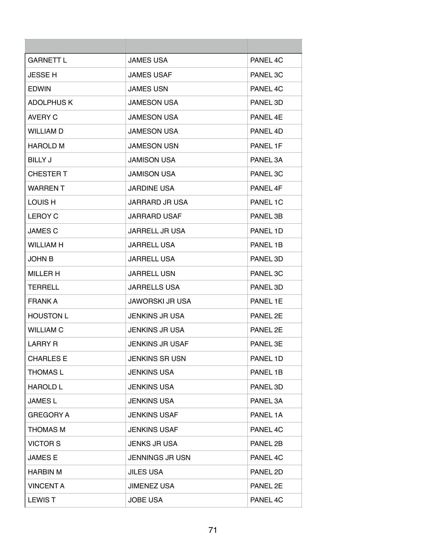| <b>GARNETT L</b>  | <b>JAMES USA</b>       | PANEL 4C |
|-------------------|------------------------|----------|
| <b>JESSE H</b>    | <b>JAMES USAF</b>      | PANEL 3C |
| <b>EDWIN</b>      | <b>JAMES USN</b>       | PANEL 4C |
| <b>ADOLPHUS K</b> | <b>JAMESON USA</b>     | PANEL 3D |
| <b>AVERY C</b>    | <b>JAMESON USA</b>     | PANFL 4F |
| <b>WILLIAM D</b>  | <b>JAMESON USA</b>     | PANEL 4D |
| <b>HAROLD M</b>   | <b>JAMESON USN</b>     | PANEL 1F |
| <b>BILLY J</b>    | <b>JAMISON USA</b>     | PANEL 3A |
| <b>CHESTER T</b>  | <b>JAMISON USA</b>     | PANEL 3C |
| <b>WARRENT</b>    | <b>JARDINE USA</b>     | PANEL 4F |
| LOUIS H           | JARRARD JR USA         | PANEL 1C |
| <b>LEROY C</b>    | <b>JARRARD USAF</b>    | PANEL 3B |
| <b>JAMES C</b>    | <b>JARRELL JR USA</b>  | PANEL 1D |
| <b>WILLIAM H</b>  | <b>JARRELL USA</b>     | PANEL 1B |
| <b>JOHN B</b>     | <b>JARRELL USA</b>     | PANEL 3D |
| <b>MILLER H</b>   | <b>JARRELL USN</b>     | PANEL 3C |
| TERRELL           | <b>JARRELLS USA</b>    | PANEL 3D |
| <b>FRANK A</b>    | <b>JAWORSKI JR USA</b> | PANEL 1E |
| <b>HOUSTON L</b>  | <b>JENKINS JR USA</b>  | PANEL 2E |
| <b>WILLIAM C</b>  | <b>JENKINS JR USA</b>  | PANEL 2F |
| <b>LARRY R</b>    | <b>JENKINS JR USAF</b> | PANEL 3E |
| <b>CHARLES E</b>  | <b>JENKINS SR USN</b>  | PANEL 1D |
| <b>THOMAS L</b>   | <b>JENKINS USA</b>     | PANEL 1B |
| <b>HAROLD L</b>   | <b>JENKINS USA</b>     | PANEL 3D |
| <b>JAMESL</b>     | <b>JENKINS USA</b>     | PANEL 3A |
| <b>GREGORY A</b>  | <b>JENKINS USAF</b>    | PANEL 1A |
| <b>THOMAS M</b>   | <b>JENKINS USAF</b>    | PANEL 4C |
| <b>VICTOR S</b>   | <b>JENKS JR USA</b>    | PANEL 2B |
| <b>JAMESE</b>     | <b>JENNINGS JR USN</b> | PANEL 4C |
| <b>HARBIN M</b>   | <b>JILES USA</b>       | PANEL 2D |
| <b>VINCENT A</b>  | <b>JIMENEZ USA</b>     | PANEL 2E |
| <b>LEWIST</b>     | <b>JOBE USA</b>        | PANEL 4C |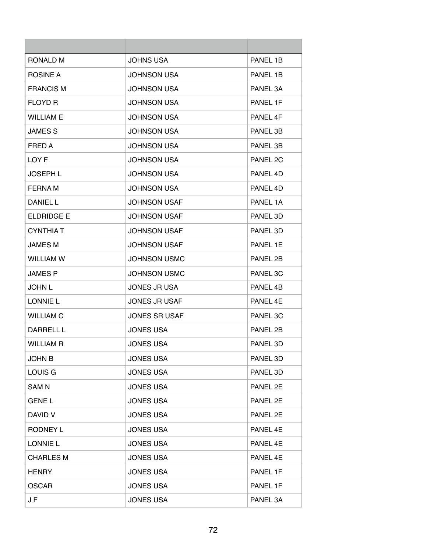| RONALD M          | <b>JOHNS USA</b>     | PANEL 1B            |
|-------------------|----------------------|---------------------|
| ROSINE A          | <b>JOHNSON USA</b>   | PANEL 1B            |
| <b>FRANCIS M</b>  | <b>JOHNSON USA</b>   | PANEL 3A            |
| <b>FLOYD R</b>    | <b>JOHNSON USA</b>   | PANEL 1F            |
| <b>WILLIAM E</b>  | <b>JOHNSON USA</b>   | PANFI <sub>4F</sub> |
| <b>JAMES S</b>    | <b>JOHNSON USA</b>   | PANEL 3B            |
| FRED A            | <b>JOHNSON USA</b>   | PANEL 3B            |
| LOY F             | <b>JOHNSON USA</b>   | PANEL 2C            |
| <b>JOSEPH L</b>   | <b>JOHNSON USA</b>   | PANEL 4D            |
| <b>FERNAM</b>     | <b>JOHNSON USA</b>   | PANEL 4D            |
| DANIEL L          | <b>JOHNSON USAF</b>  | PANEL 1A            |
| <b>FLDRIDGE E</b> | <b>JOHNSON USAF</b>  | PANEL 3D            |
| <b>CYNTHIA T</b>  | <b>JOHNSON USAF</b>  | PANEL 3D            |
| <b>JAMES M</b>    | <b>JOHNSON USAF</b>  | PANEL 1E            |
| <b>WILLIAM W</b>  | <b>JOHNSON USMC</b>  | PANEL 2B            |
| <b>JAMES P</b>    | <b>JOHNSON USMC</b>  | PANEL 3C            |
| <b>JOHN L</b>     | <b>JONES JR USA</b>  | PANEL 4B            |
| <b>LONNIE L</b>   | <b>JONES JR USAF</b> | PANEL 4E            |
| <b>WILLIAM C</b>  | <b>JONES SR USAF</b> | PANEL 3C            |
| DARRELL L         | <b>JONES USA</b>     | PANEL 2B            |
| <b>WILLIAM R</b>  | <b>JONES USA</b>     | PANEL 3D            |
| <b>JOHN B</b>     | <b>JONES USA</b>     | PANEL 3D            |
| LOUIS G           | <b>JONES USA</b>     | PANEL 3D            |
| <b>SAMN</b>       | <b>JONES USA</b>     | PANEL 2E            |
| <b>GENE L</b>     | <b>JONES USA</b>     | PANEL 2E            |
| DAVID V           | <b>JONES USA</b>     | PANEL 2E            |
| <b>RODNEY L</b>   | <b>JONES USA</b>     | PANEL 4E            |
| <b>LONNIE L</b>   | <b>JONES USA</b>     | PANEL 4E            |
| <b>CHARLES M</b>  | <b>JONES USA</b>     | PANEL 4E            |
| <b>HENRY</b>      | <b>JONES USA</b>     | PANEL 1F            |
| <b>OSCAR</b>      | <b>JONES USA</b>     | PANEL 1F            |
| JF                | <b>JONES USA</b>     | PANEL 3A            |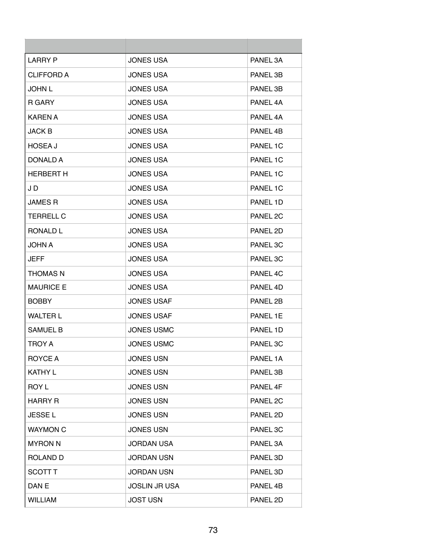| LARRY P           | <b>JONES USA</b>     | PANEL 3A            |
|-------------------|----------------------|---------------------|
| <b>CLIFFORD A</b> | <b>JONES USA</b>     | PANEL 3B            |
| JOHN L            | <b>JONES USA</b>     | PANEL 3B            |
| R GARY            | <b>JONES USA</b>     | PANEL 4A            |
| <b>KAREN A</b>    | <b>JONES USA</b>     | PANFI <sub>4A</sub> |
| <b>JACK B</b>     | <b>JONES USA</b>     | PANEL 4B            |
| <b>HOSEA J</b>    | <b>JONES USA</b>     | PANEL 1C            |
| DONALD A          | <b>JONES USA</b>     | PANEL 1C            |
| <b>HERBERT H</b>  | <b>JONES USA</b>     | PANEL 1C            |
| J D               | <b>JONES USA</b>     | PANEL 1C            |
| <b>JAMES R</b>    | <b>JONES USA</b>     | PANEL 1D            |
| <b>TERRELL C</b>  | <b>JONES USA</b>     | PANEL 2C            |
| RONALD L          | <b>JONES USA</b>     | PANEL 2D            |
| <b>JOHN A</b>     | <b>JONES USA</b>     | PANEL 3C            |
| JEFF              | <b>JONES USA</b>     | PANEL 3C            |
| <b>THOMAS N</b>   | <b>JONES USA</b>     | PANEL 4C            |
| <b>MAURICE E</b>  | <b>JONES USA</b>     | PANEL 4D            |
| <b>BOBBY</b>      | <b>JONES USAF</b>    | PANEL 2B            |
| <b>WALTER L</b>   | <b>JONES USAF</b>    | PANEL 1E            |
| <b>SAMUEL B</b>   | <b>JONES USMC</b>    | PANEL 1D            |
| TROY A            | <b>JONES USMC</b>    | PANEL 3C            |
| ROYCE A           | <b>JONES USN</b>     | PANEL 1A            |
| <b>KATHY L</b>    | <b>JONES USN</b>     | PANEL 3B            |
| <b>ROY L</b>      | <b>JONES USN</b>     | PANEL 4F            |
| HARRY R           | <b>JONES USN</b>     | PANEL 2C            |
| <b>JESSEL</b>     | <b>JONES USN</b>     | PANEL 2D            |
| <b>WAYMON C</b>   | <b>JONES USN</b>     | PANEL 3C            |
| <b>MYRON N</b>    | <b>JORDAN USA</b>    | PANEL 3A            |
| <b>ROLAND D</b>   | <b>JORDAN USN</b>    | PANEL 3D            |
| <b>SCOTT T</b>    | <b>JORDAN USN</b>    | PANEL 3D            |
| DAN E             | <b>JOSLIN JR USA</b> | PANEL 4B            |
| <b>WILLIAM</b>    | <b>JOST USN</b>      | PANEL 2D            |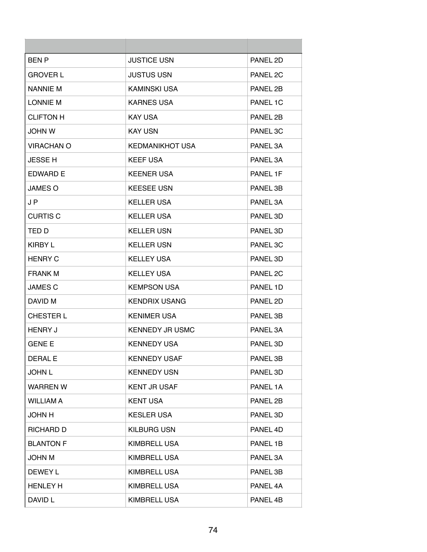| <b>BENP</b>       | <b>JUSTICE USN</b>     | PANEL 2D |
|-------------------|------------------------|----------|
| <b>GROVER L</b>   | <b>JUSTUS USN</b>      | PANEL 2C |
| <b>NANNIE M</b>   | KAMINSKI USA           | PANEL 2B |
| <b>LONNIE M</b>   | <b>KARNES USA</b>      | PANEL 1C |
| <b>CLIFTON H</b>  | <b>KAY USA</b>         | PANEL 2B |
| <b>JOHN W</b>     | <b>KAY USN</b>         | PANEL 3C |
| <b>VIRACHAN O</b> | <b>KEDMANIKHOT USA</b> | PANEL 3A |
| <b>JESSE H</b>    | <b>KEEF USA</b>        | PANEL 3A |
| EDWARD E          | <b>KEENER USA</b>      | PANEL 1F |
| <b>JAMES O</b>    | <b>KEESEE USN</b>      | PANEL 3B |
| J P               | KELLER USA             | PANEL 3A |
| <b>CURTIS C</b>   | <b>KELLER USA</b>      | PANEL 3D |
| TED D             | <b>KELLER USN</b>      | PANEL 3D |
| KIRBY L           | <b>KELLER USN</b>      | PANEL 3C |
| <b>HENRY C</b>    | <b>KELLEY USA</b>      | PANEL 3D |
| <b>FRANK M</b>    | <b>KELLEY USA</b>      | PANEL 2C |
| <b>JAMES C</b>    | <b>KEMPSON USA</b>     | PANEL 1D |
| DAVID M           | <b>KENDRIX USANG</b>   | PANEL 2D |
| CHESTER L         | <b>KENIMER USA</b>     | PANEL 3B |
| <b>HENRY J</b>    | <b>KENNEDY JR USMC</b> | PANEL 3A |
| <b>GENE E</b>     | <b>KENNEDY USA</b>     | PANEL 3D |
| <b>DERAL E</b>    | <b>KENNEDY USAF</b>    | PANEL 3B |
| <b>JOHN L</b>     | <b>KENNEDY USN</b>     | PANEL 3D |
| <b>WARREN W</b>   | <b>KENT JR USAF</b>    | PANEL 1A |
| <b>WILLIAM A</b>  | <b>KENT USA</b>        | PANEL 2B |
| <b>JOHN H</b>     | <b>KESLER USA</b>      | PANEL 3D |
| RICHARD D         | <b>KILBURG USN</b>     | PANEL 4D |
| <b>BLANTON F</b>  | <b>KIMBRELL USA</b>    | PANEL 1B |
| <b>JOHN M</b>     | <b>KIMBRELL USA</b>    | PANEL 3A |
| DEWEY L           | <b>KIMBRELL USA</b>    | PANEL 3B |
| <b>HENLEY H</b>   | <b>KIMBRELL USA</b>    | PANEL 4A |
| DAVID L           | <b>KIMBRELL USA</b>    | PANEL 4B |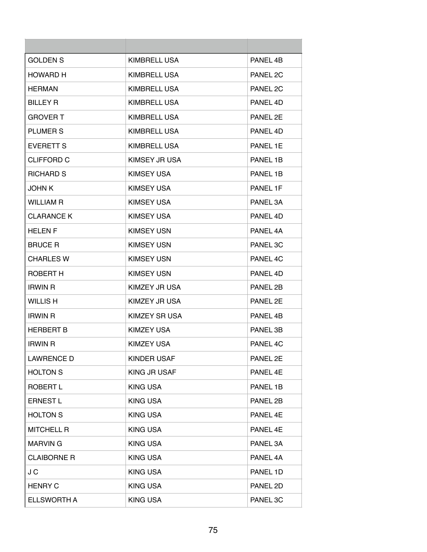| <b>GOLDEN S</b>    | KIMBRELL USA        | PANEL 4B |
|--------------------|---------------------|----------|
| HOWARD H           | KIMBRELL USA        | PANEL 2C |
| <b>HERMAN</b>      | <b>KIMBRELL USA</b> | PANEL 2C |
| <b>BILLEY R</b>    | KIMBRELL USA        | PANEL 4D |
| <b>GROVER T</b>    | KIMBRELL USA        | PANEL 2E |
| PLUMER S           | KIMBRELL USA        | PANEL 4D |
| <b>EVERETT S</b>   | <b>KIMBRELL USA</b> | PANEL 1E |
| <b>CLIFFORD C</b>  | KIMSEY JR USA       | PANEL 1B |
| <b>RICHARD S</b>   | KIMSEY USA          | PANEL 1B |
| <b>JOHN K</b>      | <b>KIMSEY USA</b>   | PANEL 1F |
| <b>WILLIAM R</b>   | KIMSEY USA          | PANEL 3A |
| <b>CLARANCE K</b>  | <b>KIMSEY USA</b>   | PANEL 4D |
| <b>HELEN F</b>     | <b>KIMSEY USN</b>   | PANEL 4A |
| <b>BRUCE R</b>     | <b>KIMSEY USN</b>   | PANEL 3C |
| <b>CHARLES W</b>   | <b>KIMSEY USN</b>   | PANEL 4C |
| ROBERT H           | <b>KIMSEY USN</b>   | PANEL 4D |
| <b>IRWIN R</b>     | KIMZEY JR USA       | PANEL 2B |
| <b>WILLIS H</b>    | KIMZEY JR USA       | PANEL 2E |
| <b>IRWIN R</b>     | KIMZEY SR USA       | PANEL 4B |
| <b>HERBERT B</b>   | <b>KIMZEY USA</b>   | PANEL 3B |
| <b>IRWIN R</b>     | KIMZEY USA          | PANEL 4C |
| <b>LAWRENCE D</b>  | <b>KINDER USAF</b>  | PANEL 2E |
| <b>HOLTON S</b>    | KING JR USAF        | PANEL 4E |
| <b>ROBERT L</b>    | <b>KING USA</b>     | PANEL 1B |
| <b>ERNEST L</b>    | <b>KING USA</b>     | PANEL 2B |
| <b>HOLTON S</b>    | <b>KING USA</b>     | PANEL 4E |
| <b>MITCHELL R</b>  | <b>KING USA</b>     | PANEL 4E |
| <b>MARVING</b>     | <b>KING USA</b>     | PANEL 3A |
| <b>CLAIBORNE R</b> | <b>KING USA</b>     | PANEL 4A |
| J C                | <b>KING USA</b>     | PANEL 1D |
| <b>HENRY C</b>     | <b>KING USA</b>     | PANEL 2D |
| <b>ELLSWORTH A</b> | <b>KING USA</b>     | PANEL 3C |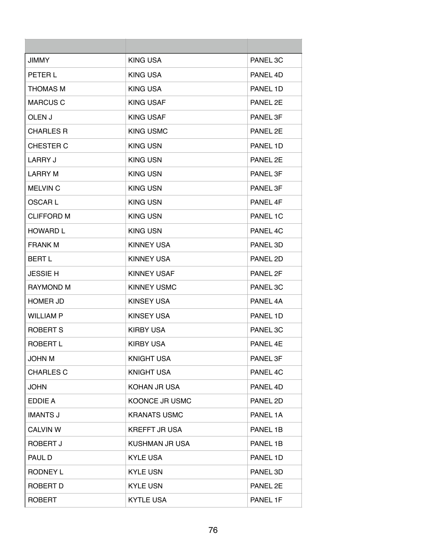| <b>JIMMY</b>      | KING USA             | PANEL 3C             |
|-------------------|----------------------|----------------------|
| PETER L           | KING USA             | PANEL 4D             |
| THOMAS M          | <b>KING USA</b>      | PANEL 1D             |
| <b>MARCUS C</b>   | KING USAF            | PANEL 2E             |
| OLEN J            | KING USAF            | PANEL 3F             |
| <b>CHARLES R</b>  | <b>KING USMC</b>     | PANEL 2E             |
| CHESTER C         | <b>KING USN</b>      | PANEL 1D             |
| LARRY J           | <b>KING USN</b>      | PANEL 2E             |
| <b>LARRY M</b>    | <b>KING USN</b>      | PANEL 3F             |
| <b>MELVIN C</b>   | <b>KING USN</b>      | PANEL 3F             |
| <b>OSCARL</b>     | <b>KING USN</b>      | PANEL 4F             |
| <b>CLIFFORD M</b> | <b>KING USN</b>      | PANEL 1C             |
| <b>HOWARD L</b>   | <b>KING USN</b>      | PANEL 4C             |
| <b>FRANK M</b>    | <b>KINNEY USA</b>    | PANEL 3D             |
| <b>BERT L</b>     | <b>KINNEY USA</b>    | PANEL 2D             |
| <b>JESSIE H</b>   | <b>KINNEY USAF</b>   | PANEL 2F             |
| RAYMOND M         | <b>KINNEY USMC</b>   | PANEL 3C             |
| <b>HOMER JD</b>   | <b>KINSEY USA</b>    | PANEL 4A             |
| <b>WILLIAM P</b>  | <b>KINSEY USA</b>    | PANEL 1D             |
| <b>ROBERT S</b>   | <b>KIRBY USA</b>     | PANEL 3C             |
| ROBERT L          | <b>KIRBY USA</b>     | PANFL <sub>4</sub> F |
| <b>JOHN M</b>     | <b>KNIGHT USA</b>    | PANEL 3F             |
| <b>CHARLES C</b>  | <b>KNIGHT USA</b>    | PANEL 4C             |
| <b>JOHN</b>       | KOHAN JR USA         | PANEL 4D             |
| EDDIE A           | KOONCE JR USMC       | PANEL 2D             |
| <b>IMANTS J</b>   | <b>KRANATS USMC</b>  | PANEL 1A             |
| <b>CALVIN W</b>   | <b>KREFFT JR USA</b> | PANEL 1B             |
| ROBERT J          | KUSHMAN JR USA       | PANEL 1B             |
| PAUL D            | <b>KYLE USA</b>      | PANEL 1D             |
| RODNEY L          | <b>KYLE USN</b>      | PANEL 3D             |
| ROBERT D          | <b>KYLE USN</b>      | PANEL 2E             |
| <b>ROBERT</b>     | <b>KYTLE USA</b>     | PANEL 1F             |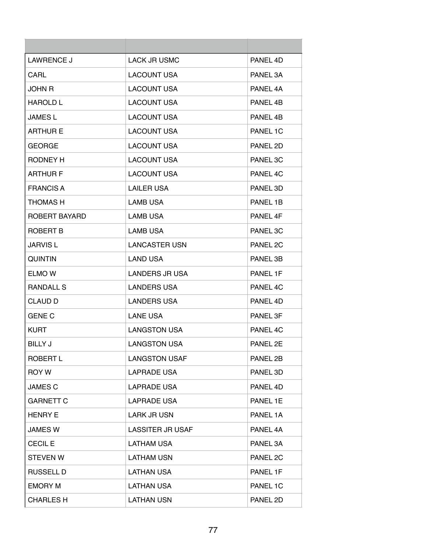| <b>LAWRENCE J</b> | <b>LACK JR USMC</b>     | PANEL 4D |
|-------------------|-------------------------|----------|
| CARL              | <b>LACOUNT USA</b>      | PANEL 3A |
| JOHN R            | LACOUNT USA             | PANEL 4A |
| <b>HAROLD L</b>   | <b>LACOUNT USA</b>      | PANEL 4B |
| <b>JAMES L</b>    | <b>LACOUNT USA</b>      | PANEL 4B |
| <b>ARTHUR E</b>   | <b>LACOUNT USA</b>      | PANEL 1C |
| <b>GEORGE</b>     | <b>LACOUNT USA</b>      | PANEL 2D |
| RODNEY H          | <b>LACOUNT USA</b>      | PANEL 3C |
| <b>ARTHUR F</b>   | <b>LACOUNT USA</b>      | PANEL 4C |
| <b>FRANCIS A</b>  | <b>LAILER USA</b>       | PANEL 3D |
| THOMAS H          | <b>LAMB USA</b>         | PANEL 1B |
| ROBERT BAYARD     | <b>LAMB USA</b>         | PANEL 4F |
| ROBERT B          | <b>LAMB USA</b>         | PANEL 3C |
| <b>JARVIS L</b>   | <b>LANCASTER USN</b>    | PANEL 2C |
| <b>QUINTIN</b>    | <b>LAND USA</b>         | PANEL 3B |
| ELMO W            | <b>LANDERS JR USA</b>   | PANEL 1F |
| RANDALL S         | LANDERS USA             | PANEL 4C |
| <b>CLAUD D</b>    | <b>LANDERS USA</b>      | PANEL 4D |
| <b>GENE C</b>     | <b>LANE USA</b>         | PANEL 3F |
| <b>KURT</b>       | <b>LANGSTON USA</b>     | PANEL 4C |
| BILLY J           | <b>LANGSTON USA</b>     | PANEL 2E |
| ROBERT L          | <b>LANGSTON USAF</b>    | PANEL 2B |
| ROY W             | LAPRADE USA             | PANEL 3D |
| <b>JAMES C</b>    | <b>LAPRADE USA</b>      | PANEL 4D |
| <b>GARNETT C</b>  | LAPRADE USA             | PANEL 1E |
| <b>HENRY E</b>    | <b>LARK JR USN</b>      | PANEL 1A |
| <b>JAMES W</b>    | <b>LASSITER JR USAF</b> | PANEL 4A |
| <b>CECIL E</b>    | <b>LATHAM USA</b>       | PANEL 3A |
| <b>STEVEN W</b>   | <b>LATHAM USN</b>       | PANEL 2C |
| <b>RUSSELL D</b>  | <b>LATHAN USA</b>       | PANEL 1F |
| <b>EMORY M</b>    | <b>LATHAN USA</b>       | PANEL 1C |
| <b>CHARLES H</b>  | <b>LATHAN USN</b>       | PANEL 2D |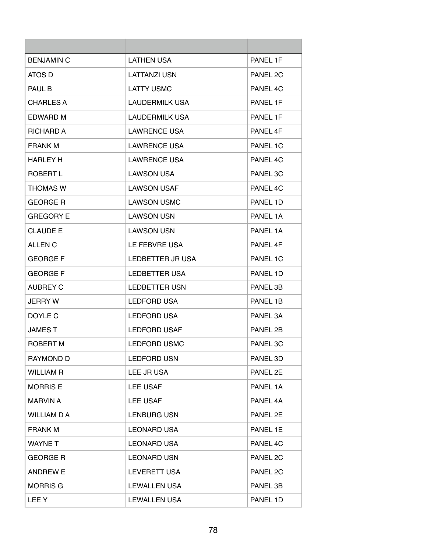| <b>BENJAMIN C</b>  | <b>LATHEN USA</b>    | PANEL 1F |
|--------------------|----------------------|----------|
| ATOS D             | <b>LATTANZI USN</b>  | PANEL 2C |
| PAUL B             | <b>LATTY USMC</b>    | PANEL 4C |
| <b>CHARLES A</b>   | LAUDERMILK USA       | PANEL 1F |
| <b>EDWARD M</b>    | LAUDERMILK USA       | PANEL 1F |
| <b>RICHARD A</b>   | <b>LAWRENCE USA</b>  | PANEL 4F |
| <b>FRANK M</b>     | <b>LAWRENCE USA</b>  | PANEL 1C |
| HARLEY H           | <b>LAWRENCE USA</b>  | PANEL 4C |
| ROBERT L           | <b>LAWSON USA</b>    | PANEL 3C |
| <b>THOMAS W</b>    | <b>LAWSON USAF</b>   | PANEL 4C |
| <b>GEORGE R</b>    | <b>LAWSON USMC</b>   | PANEL 1D |
| <b>GREGORY E</b>   | <b>LAWSON USN</b>    | PANEL 1A |
| CLAUDE E           | <b>LAWSON USN</b>    | PANEL 1A |
| <b>ALLEN C</b>     | LE FEBVRE USA        | PANEL 4F |
| <b>GEORGE F</b>    | LEDBETTER JR USA     | PANEL 1C |
| <b>GEORGE F</b>    | <b>LEDBETTER USA</b> | PANEL 1D |
| <b>AUBREY C</b>    | <b>LEDBETTER USN</b> | PANEL 3B |
| <b>JERRY W</b>     | <b>LEDFORD USA</b>   | PANEL 1B |
| DOYLE C            | <b>LEDFORD USA</b>   | PANEL 3A |
| JAMES T            | LEDFORD USAF         | PANEL 2B |
| ROBERT M           | <b>LEDFORD USMC</b>  | PANEL 3C |
| <b>RAYMOND D</b>   | <b>LEDFORD USN</b>   | PANEL 3D |
| <b>WILLIAM R</b>   | LEE JR USA           | PANEL 2E |
| <b>MORRIS E</b>    | <b>LEE USAF</b>      | PANEL 1A |
| <b>MARVIN A</b>    | LEE USAF             | PANEL 4A |
| <b>WILLIAM D A</b> | <b>LENBURG USN</b>   | PANEL 2E |
| <b>FRANK M</b>     | <b>LEONARD USA</b>   | PANEL 1E |
| <b>WAYNET</b>      | <b>LEONARD USA</b>   | PANEL 4C |
| <b>GEORGE R</b>    | <b>LEONARD USN</b>   | PANEL 2C |
| <b>ANDREW E</b>    | LEVERETT USA         | PANEL 2C |
| <b>MORRIS G</b>    | <b>LEWALLEN USA</b>  | PANEL 3B |
| <b>LEEY</b>        | <b>LEWALLEN USA</b>  | PANEL 1D |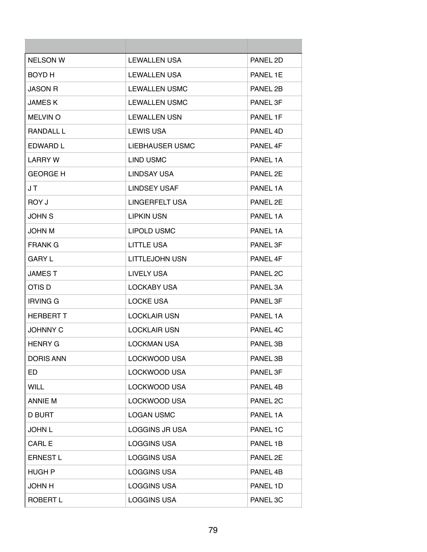| <b>NELSON W</b>  | <b>LEWALLEN USA</b>   | PANEL 2D |
|------------------|-----------------------|----------|
| <b>BOYD H</b>    | <b>LEWALLEN USA</b>   | PANEL 1E |
| <b>JASON R</b>   | <b>LEWALLEN USMC</b>  | PANEL 2B |
| <b>JAMESK</b>    | <b>LEWALLEN USMC</b>  | PANEL 3F |
| <b>MELVIN O</b>  | <b>LEWALLEN USN</b>   | PANFI 1F |
| <b>RANDALL L</b> | <b>LEWIS USA</b>      | PANEL 4D |
| EDWARD L         | LIEBHAUSER USMC       | PANEL 4F |
| LARRY W          | LIND USMC             | PANEL 1A |
| <b>GEORGE H</b>  | LINDSAY USA           | PANEL 2F |
| J T              | <b>LINDSEY USAF</b>   | PANEL 1A |
| ROY J            | LINGERFELT USA        | PANEL 2E |
| <b>JOHN S</b>    | LIPKIN USN            | PANEL 1A |
| <b>JOHN M</b>    | <b>LIPOLD USMC</b>    | PANEL 1A |
| <b>FRANK G</b>   | <b>LITTLE USA</b>     | PANEL 3F |
| <b>GARY L</b>    | <b>LITTLEJOHN USN</b> | PANEL 4F |
| <b>JAMEST</b>    | LIVELY USA            | PANEL 2C |
| OTIS D           | LOCKABY USA           | PANEL 3A |
| <b>IRVING G</b>  | <b>LOCKE USA</b>      | PANEL 3F |
| <b>HERBERT T</b> | <b>LOCKLAIR USN</b>   | PANEL 1A |
| <b>JOHNNY C</b>  | <b>LOCKLAIR USN</b>   | PANEL 4C |
| <b>HENRY G</b>   | <b>LOCKMAN USA</b>    | PANEL 3B |
| <b>DORIS ANN</b> | <b>LOCKWOOD USA</b>   | PANEL 3B |
| ED.              | LOCKWOOD USA          | PANEL 3F |
| <b>WILL</b>      | <b>LOCKWOOD USA</b>   | PANEL 4B |
| ANNIE M          | LOCKWOOD USA          | PANEL 2C |
| <b>D BURT</b>    | <b>LOGAN USMC</b>     | PANEL 1A |
| <b>JOHN L</b>    | <b>LOGGINS JR USA</b> | PANEL 1C |
| <b>CARL E</b>    | <b>LOGGINS USA</b>    | PANEL 1B |
| <b>ERNEST L</b>  | <b>LOGGINS USA</b>    | PANEL 2E |
| <b>HUGH P</b>    | <b>LOGGINS USA</b>    | PANEL 4B |
| <b>JOHN H</b>    | <b>LOGGINS USA</b>    | PANEL 1D |
| ROBERT L         | <b>LOGGINS USA</b>    | PANEL 3C |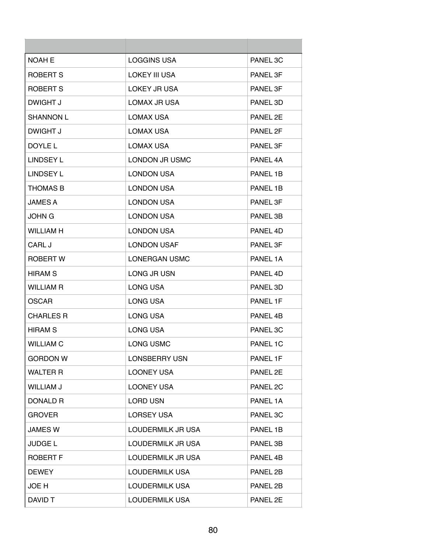| <b>NOAH E</b>    | <b>LOGGINS USA</b>    | PANEL 3C            |
|------------------|-----------------------|---------------------|
| ROBERT S         | LOKEY III USA         | PANEL 3F            |
| ROBERT S         | LOKEY JR USA          | PANEL 3F            |
| DWIGHT J         | LOMAX JR USA          | PANEL 3D            |
| <b>SHANNON L</b> | <b>LOMAX USA</b>      | PANFI <sub>2F</sub> |
| DWIGHT J         | <b>LOMAX USA</b>      | PANEL 2F            |
| DOYLE L          | <b>LOMAX USA</b>      | PANEL 3F            |
| <b>LINDSEY L</b> | LONDON JR USMC        | PANEL 4A            |
| <b>LINDSEY L</b> | <b>LONDON USA</b>     | PANEL 1B            |
| <b>THOMAS B</b>  | <b>LONDON USA</b>     | PANEL 1B            |
| <b>JAMES A</b>   | <b>LONDON USA</b>     | PANEL 3F            |
| JOHN G           | <b>LONDON USA</b>     | PANEL 3B            |
| <b>WILLIAM H</b> | <b>LONDON USA</b>     | PANEL 4D            |
| CARL J           | <b>LONDON USAF</b>    | PANEL 3F            |
| <b>ROBERT W</b>  | LONERGAN USMC         | PANEL 1A            |
| <b>HIRAM S</b>   | LONG JR USN           | PANEL 4D            |
| <b>WILLIAM R</b> | LONG USA              | PANEL 3D            |
| <b>OSCAR</b>     | LONG USA              | PANEL 1F            |
| <b>CHARLES R</b> | <b>LONG USA</b>       | PANEL 4B            |
| <b>HIRAM S</b>   | LONG USA              | PANEL 3C            |
| <b>WILLIAM C</b> | LONG USMC             | PANEL 1C            |
| <b>GORDON W</b>  | <b>LONSBERRY USN</b>  | PANEL 1F            |
| <b>WALTER R</b>  | <b>LOONEY USA</b>     | PANEL 2E            |
| <b>WILLIAM J</b> | <b>LOONEY USA</b>     | PANEL 2C            |
| DONALD R         | <b>LORD USN</b>       | PANEL 1A            |
| <b>GROVER</b>    | <b>LORSEY USA</b>     | PANEL 3C            |
| <b>JAMES W</b>   | LOUDERMILK JR USA     | PANEL 1B            |
| <b>JUDGE L</b>   | LOUDERMILK JR USA     | PANEL 3B            |
| <b>ROBERT F</b>  | LOUDERMILK JR USA     | PANEL 4B            |
| <b>DEWEY</b>     | LOUDERMILK USA        | PANEL 2B            |
| JOE H            | <b>LOUDERMILK USA</b> | PANEL 2B            |
| DAVID T          | LOUDERMILK USA        | PANEL 2E            |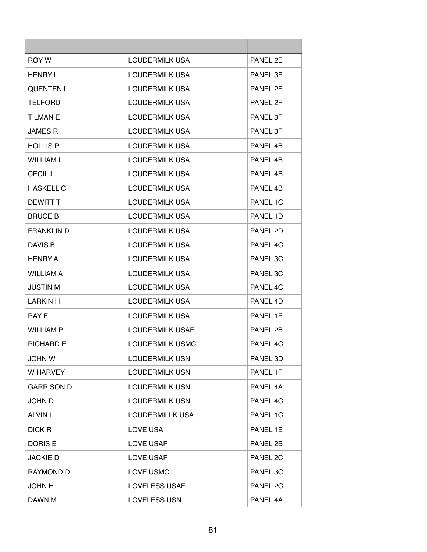| <b>ROY W</b>      | <b>LOUDERMILK USA</b>  | PANEL 2F |
|-------------------|------------------------|----------|
| <b>HENRY L</b>    | LOUDERMILK USA         | PANEL 3E |
| <b>QUENTEN L</b>  | LOUDERMILK USA         | PANEL 2F |
| <b>TELFORD</b>    | LOUDERMILK USA         | PANEL 2F |
| <b>TILMAN E</b>   | <b>LOUDERMILK USA</b>  | PANEL 3F |
| <b>JAMES R</b>    | LOUDERMILK USA         | PANEL 3F |
| <b>HOLLIS P</b>   | LOUDERMILK USA         | PANEL 4B |
| <b>WILLIAM L</b>  | LOUDERMILK USA         | PANEL 4B |
| <b>CECIL I</b>    | LOUDERMILK USA         | PANEL 4B |
| <b>HASKELL C</b>  | <b>LOUDERMILK USA</b>  | PANEL 4B |
| DEWITT T          | <b>LOUDERMILK USA</b>  | PANEL 1C |
| <b>BRUCE B</b>    | LOUDERMILK USA         | PANEL 1D |
| <b>FRANKLIN D</b> | LOUDERMILK USA         | PANEL 2D |
| DAVIS B           | LOUDERMILK USA         | PANEL 4C |
| HENRY A           | LOUDERMILK USA         | PANEL 3C |
| <b>WILLIAM A</b>  | LOUDERMILK USA         | PANEL 3C |
| <b>JUSTIN M</b>   | LOUDERMILK USA         | PANEL 4C |
| <b>LARKIN H</b>   | LOUDERMILK USA         | PANEL 4D |
| <b>RAY E</b>      | <b>LOUDERMILK USA</b>  | PANEL 1E |
| <b>WILLIAM P</b>  | LOUDERMILK USAF        | PANEL 2B |
| <b>RICHARD E</b>  | <b>LOUDERMILK USMC</b> | PANEL 4C |
| <b>JOHN W</b>     | <b>LOUDERMILK USN</b>  | PANEL 3D |
| W HARVEY          | <b>LOUDERMILK USN</b>  | PANEL 1F |
| <b>GARRISON D</b> | <b>LOUDERMILK USN</b>  | PANEL 4A |
| JOHN D            | <b>LOUDERMILK USN</b>  | PANEL 4C |
| <b>ALVIN L</b>    | <b>LOUDERMILLK USA</b> | PANEL 1C |
| DICK R            | LOVE USA               | PANEL 1E |
| DORIS E           | LOVE USAF              | PANEL 2B |
| <b>JACKIE D</b>   | <b>LOVE USAF</b>       | PANEL 2C |
| <b>RAYMOND D</b>  | LOVE USMC              | PANEL 3C |
| <b>JOHN H</b>     | <b>LOVELESS USAF</b>   | PANEL 2C |
| DAWN M            | <b>LOVELESS USN</b>    | PANEL 4A |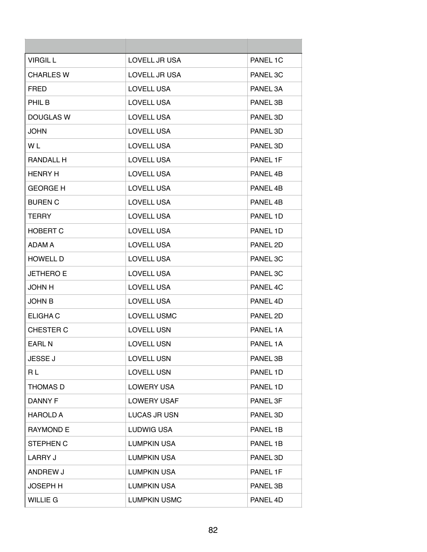| <b>VIRGIL L</b>  | LOVELL JR USA       | PANEL 1C |
|------------------|---------------------|----------|
| <b>CHARLES W</b> | LOVELL JR USA       | PANEL 3C |
| <b>FRED</b>      | <b>LOVELL USA</b>   | PANEL 3A |
| PHIL B           | LOVELL USA          | PANEL 3B |
| <b>DOUGLAS W</b> | <b>LOVELL USA</b>   | PANEL 3D |
| <b>JOHN</b>      | <b>LOVELL USA</b>   | PANEL 3D |
| W L              | LOVELL USA          | PANEL 3D |
| RANDALL H        | <b>LOVELL USA</b>   | PANEL 1F |
| <b>HENRY H</b>   | <b>LOVELL USA</b>   | PANEL 4B |
| <b>GEORGE H</b>  | <b>LOVELL USA</b>   | PANEL 4B |
| <b>BUREN C</b>   | <b>LOVELL USA</b>   | PANEL 4B |
| TERRY            | <b>LOVELL USA</b>   | PANEL 1D |
| <b>HOBERT C</b>  | <b>LOVELL USA</b>   | PANEL 1D |
| ADAM A           | <b>LOVELL USA</b>   | PANEL 2D |
| <b>HOWELL D</b>  | <b>LOVELL USA</b>   | PANEL 3C |
| <b>JETHERO E</b> | <b>LOVELL USA</b>   | PANEL 3C |
| <b>JOHN H</b>    | <b>LOVELL USA</b>   | PANEL 4C |
| <b>JOHN B</b>    | <b>LOVELL USA</b>   | PANEL 4D |
| ELIGHA C         | <b>LOVELL USMC</b>  | PANEL 2D |
| <b>CHESTER C</b> | <b>LOVELL USN</b>   | PANEL 1A |
| <b>EARL N</b>    | <b>LOVELL USN</b>   | PANEL 1A |
| <b>JESSE J</b>   | <b>LOVELL USN</b>   | PANEL 3B |
| RL               | LOVELL USN          | PANEL 1D |
| <b>THOMAS D</b>  | <b>LOWERY USA</b>   | PANEL 1D |
| <b>DANNY F</b>   | <b>LOWERY USAF</b>  | PANEL 3F |
| <b>HAROLD A</b>  | <b>LUCAS JR USN</b> | PANEL 3D |
| <b>RAYMOND E</b> | LUDWIG USA          | PANEL 1B |
| STEPHEN C        | <b>LUMPKIN USA</b>  | PANEL 1B |
| <b>LARRY J</b>   | <b>LUMPKIN USA</b>  | PANEL 3D |
| ANDREW J         | <b>LUMPKIN USA</b>  | PANEL 1F |
| <b>JOSEPH H</b>  | LUMPKIN USA         | PANEL 3B |
| <b>WILLIE G</b>  | <b>LUMPKIN USMC</b> | PANEL 4D |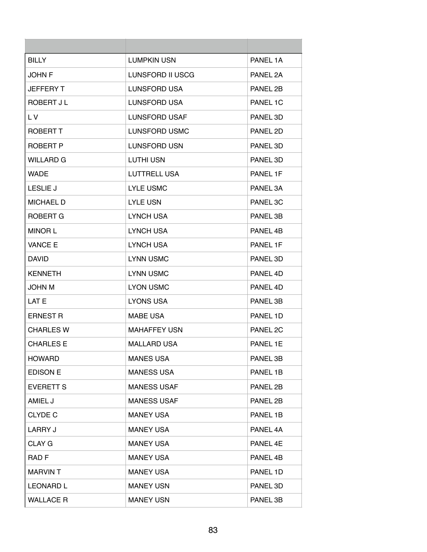| <b>BILLY</b>     | LUMPKIN USN         | PANEL 1A |
|------------------|---------------------|----------|
| <b>JOHN F</b>    | LUNSFORD II USCG    | PANEL 2A |
| <b>JEFFERY T</b> | LUNSFORD USA        | PANEL 2B |
| ROBERT J L       | LUNSFORD USA        | PANEL 1C |
| L V              | LUNSFORD USAF       | PANEL 3D |
| ROBERT T         | LUNSFORD USMC       | PANEL 2D |
| ROBERT P         | LUNSFORD USN        | PANEL 3D |
| <b>WILLARD G</b> | LUTHI USN           | PANEL 3D |
| <b>WADE</b>      | LUTTRELL USA        | PANEL 1F |
| <b>LESLIE J</b>  | <b>LYLE USMC</b>    | PANEL 3A |
| <b>MICHAEL D</b> | <b>LYLE USN</b>     | PANEL 3C |
| ROBERT G         | <b>LYNCH USA</b>    | PANEL 3B |
| <b>MINOR L</b>   | <b>LYNCH USA</b>    | PANEL 4B |
| <b>VANCE E</b>   | <b>LYNCH USA</b>    | PANEL 1F |
| <b>DAVID</b>     | <b>LYNN USMC</b>    | PANEL 3D |
| <b>KENNETH</b>   | <b>LYNN USMC</b>    | PANEL 4D |
| <b>JOHN M</b>    | <b>LYON USMC</b>    | PANEL 4D |
| LAT F            | <b>LYONS USA</b>    | PANEL 3B |
| <b>ERNEST R</b>  | <b>MABE USA</b>     | PANEL 1D |
| <b>CHARLES W</b> | <b>MAHAFFEY USN</b> | PANEL 2C |
| <b>CHARLES E</b> | <b>MALLARD USA</b>  | PANEL 1E |
| <b>HOWARD</b>    | <b>MANES USA</b>    | PANEL 3B |
| <b>EDISON E</b>  | <b>MANESS USA</b>   | PANEL 1B |
| <b>EVERETT S</b> | <b>MANESS USAF</b>  | PANEL 2B |
| AMIEL J          | <b>MANESS USAF</b>  | PANEL 2B |
| <b>CLYDE C</b>   | <b>MANEY USA</b>    | PANEL 1B |
| <b>LARRY J</b>   | <b>MANEY USA</b>    | PANEL 4A |
| CLAY G           | <b>MANEY USA</b>    | PANEL 4E |
| RAD <sub>F</sub> | <b>MANEY USA</b>    | PANEL 4B |
| <b>MARVINT</b>   | <b>MANEY USA</b>    | PANEL 1D |
| <b>LEONARD L</b> | <b>MANEY USN</b>    | PANEL 3D |
| <b>WALLACE R</b> | <b>MANEY USN</b>    | PANEL 3B |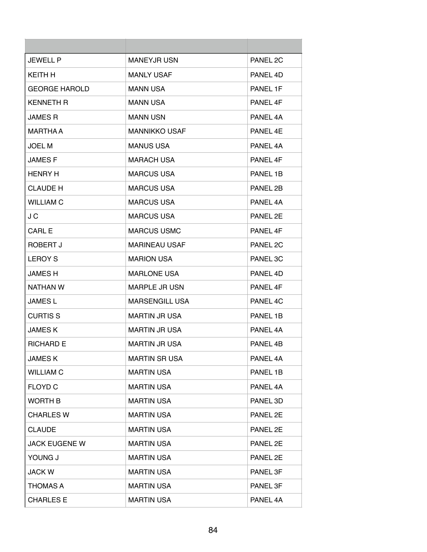| <b>JEWELL P</b>      | <b>MANEYJR USN</b>    | PANEL 2C            |
|----------------------|-----------------------|---------------------|
| KEITH H              | <b>MANLY USAF</b>     | PANEL 4D            |
| <b>GEORGE HAROLD</b> | <b>MANN USA</b>       | PANEL 1F            |
| <b>KENNETH R</b>     | <b>MANN USA</b>       | PANEL 4F            |
| <b>JAMES R</b>       | <b>MANN USN</b>       | PANFI <sub>4A</sub> |
| <b>MARTHA A</b>      | <b>MANNIKKO USAF</b>  | PANEL 4E            |
| <b>JOEL M</b>        | <b>MANUS USA</b>      | PANEL 4A            |
| <b>JAMESF</b>        | <b>MARACH USA</b>     | PANEL 4F            |
| <b>HENRY H</b>       | <b>MARCUS USA</b>     | PANEL 1B            |
| <b>CLAUDE H</b>      | <b>MARCUS USA</b>     | PANEL 2B            |
| <b>WILLIAM C</b>     | <b>MARCUS USA</b>     | PANEL 4A            |
| J C                  | <b>MARCUS USA</b>     | PANEL 2E            |
| CARL E               | <b>MARCUS USMC</b>    | PANEL 4F            |
| ROBERT J             | <b>MARINEAU USAF</b>  | PANEL 2C            |
| <b>LEROY S</b>       | <b>MARION USA</b>     | PANEL 3C            |
| <b>JAMES H</b>       | <b>MARLONE USA</b>    | PANEL 4D            |
| NATHAN W             | <b>MARPLE JR USN</b>  | PANEL 4F            |
| <b>JAMES L</b>       | <b>MARSENGILL USA</b> | PANEL 4C            |
| <b>CURTIS S</b>      | <b>MARTIN JR USA</b>  | PANEL 1B            |
| <b>JAMESK</b>        | <b>MARTIN JR USA</b>  | PANEL 4A            |
| <b>RICHARD E</b>     | <b>MARTIN JR USA</b>  | PANEL 4B            |
| <b>JAMESK</b>        | <b>MARTIN SR USA</b>  | PANEL 4A            |
| <b>WILLIAM C</b>     | <b>MARTIN USA</b>     | PANEL 1B            |
| <b>FLOYD C</b>       | <b>MARTIN USA</b>     | PANEL 4A            |
| WORTH B              | <b>MARTIN USA</b>     | PANEL 3D            |
| <b>CHARLES W</b>     | <b>MARTIN USA</b>     | PANEL 2E            |
| <b>CLAUDE</b>        | <b>MARTIN USA</b>     | PANEL 2E            |
| <b>JACK EUGENE W</b> | <b>MARTIN USA</b>     | PANEL 2E            |
| YOUNG J              | <b>MARTIN USA</b>     | PANEL 2E            |
| <b>JACK W</b>        | <b>MARTIN USA</b>     | PANEL 3F            |
| THOMAS A             | <b>MARTIN USA</b>     | PANEL 3F            |
| <b>CHARLES E</b>     | <b>MARTIN USA</b>     | PANEL 4A            |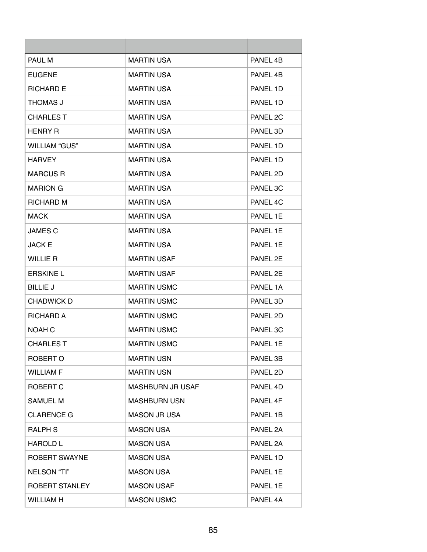| PAUL M               | <b>MARTIN USA</b>   | PANEL 4B |
|----------------------|---------------------|----------|
| <b>EUGENE</b>        | <b>MARTIN USA</b>   | PANEL 4B |
| <b>RICHARD E</b>     | <b>MARTIN USA</b>   | PANEL 1D |
| THOMAS J             | <b>MARTIN USA</b>   | PANEL 1D |
| <b>CHARLES T</b>     | <b>MARTIN USA</b>   | PANEL 2C |
| <b>HENRY R</b>       | <b>MARTIN USA</b>   | PANEL 3D |
| WILLIAM "GUS"        | <b>MARTIN USA</b>   | PANEL 1D |
| <b>HARVEY</b>        | <b>MARTIN USA</b>   | PANEL 1D |
| <b>MARCUS R</b>      | <b>MARTIN USA</b>   | PANEL 2D |
| <b>MARION G</b>      | <b>MARTIN USA</b>   | PANEL 3C |
| <b>RICHARD M</b>     | <b>MARTIN USA</b>   | PANEL 4C |
| <b>MACK</b>          | <b>MARTIN USA</b>   | PANEL 1E |
| <b>JAMES C</b>       | <b>MARTIN USA</b>   | PANEL 1E |
| <b>JACK E</b>        | <b>MARTIN USA</b>   | PANEL 1E |
| <b>WILLIE R</b>      | <b>MARTIN USAF</b>  | PANEL 2E |
| <b>ERSKINE L</b>     | <b>MARTIN USAF</b>  | PANEL 2E |
| <b>BILLIE J</b>      | <b>MARTIN USMC</b>  | PANEL 1A |
| <b>CHADWICK D</b>    | <b>MARTIN USMC</b>  | PANEL 3D |
| <b>RICHARD A</b>     | <b>MARTIN USMC</b>  | PANEL 2D |
| <b>NOAH C</b>        | <b>MARTIN USMC</b>  | PANEL 3C |
| <b>CHARLEST</b>      | <b>MARTIN USMC</b>  | PANEL 1E |
| ROBERT O             | <b>MARTIN USN</b>   | PANEL 3B |
| <b>WILLIAM F</b>     | <b>MARTIN USN</b>   | PANEL 2D |
| ROBERT C             | MASHBURN JR USAF    | PANEL 4D |
| SAMUEL M             | <b>MASHBURN USN</b> | PANEL 4F |
| <b>CLARENCE G</b>    | <b>MASON JR USA</b> | PANEL 1B |
| <b>RALPH S</b>       | <b>MASON USA</b>    | PANEL 2A |
| <b>HAROLD L</b>      | <b>MASON USA</b>    | PANEL 2A |
| <b>ROBERT SWAYNE</b> | <b>MASON USA</b>    | PANEL 1D |
| NELSON "TI"          | <b>MASON USA</b>    | PANEL 1E |
| ROBERT STANLEY       | <b>MASON USAF</b>   | PANEL 1E |
| <b>WILLIAM H</b>     | <b>MASON USMC</b>   | PANEL 4A |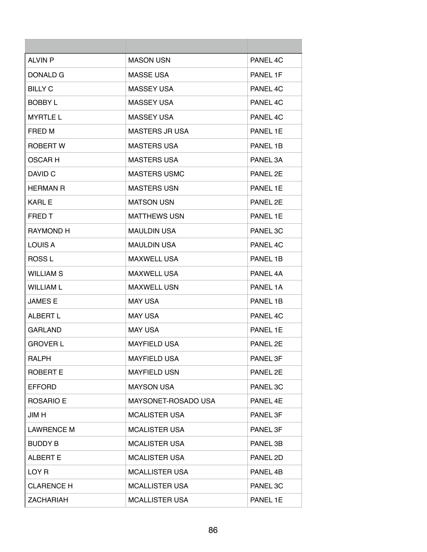| <b>ALVIN P</b>    | <b>MASON USN</b>      | PANEL 4C             |
|-------------------|-----------------------|----------------------|
| DONALD G          | <b>MASSE USA</b>      | PANEL 1F             |
| <b>BILLY C</b>    | MASSEY USA            | PANEL 4C             |
| <b>BOBBY L</b>    | <b>MASSEY USA</b>     | PANEL 4C             |
| <b>MYRTLE L</b>   | <b>MASSEY USA</b>     | PANFI <sub>4</sub> C |
| FRED M            | <b>MASTERS JR USA</b> | PANEL 1E             |
| ROBERT W          | <b>MASTERS USA</b>    | PANEL 1B             |
| <b>OSCARH</b>     | <b>MASTERS USA</b>    | PANEL 3A             |
| DAVID C           | <b>MASTERS USMC</b>   | PANEL 2E             |
| <b>HERMAN R</b>   | <b>MASTERS USN</b>    | PANEL 1E             |
| <b>KARL E</b>     | <b>MATSON USN</b>     | PANEL 2E             |
| <b>FRED T</b>     | <b>MATTHEWS USN</b>   | PANEL 1E             |
| <b>RAYMOND H</b>  | <b>MAULDIN USA</b>    | PANEL 3C             |
| LOUIS A           | <b>MAULDIN USA</b>    | PANEL 4C             |
| <b>ROSSL</b>      | <b>MAXWELL USA</b>    | PANEL 1B             |
| <b>WILLIAM S</b>  | <b>MAXWELL USA</b>    | PANEL 4A             |
| WILLIAM L         | <b>MAXWELL USN</b>    | PANEL 1A             |
| <b>JAMES E</b>    | <b>MAY USA</b>        | PANEL 1B             |
| <b>ALBERT L</b>   | <b>MAY USA</b>        | PANEL 4C             |
| <b>GARLAND</b>    | <b>MAY USA</b>        | PANEL 1E             |
| <b>GROVER L</b>   | <b>MAYFIELD USA</b>   | PANEL 2E             |
| <b>RALPH</b>      | <b>MAYFIELD USA</b>   | PANEL 3F             |
| <b>ROBERT E</b>   | <b>MAYFIELD USN</b>   | PANEL 2E             |
| <b>EFFORD</b>     | <b>MAYSON USA</b>     | PANEL 3C             |
| ROSARIO E         | MAYSONET-ROSADO USA   | PANEL 4E             |
| JIM H             | <b>MCALISTER USA</b>  | PANEL 3F             |
| <b>LAWRENCE M</b> | <b>MCALISTER USA</b>  | PANEL 3F             |
| <b>BUDDY B</b>    | <b>MCALISTER USA</b>  | PANEL 3B             |
| <b>ALBERT E</b>   | <b>MCALISTER USA</b>  | PANEL 2D             |
| LOY <sub>R</sub>  | <b>MCALLISTER USA</b> | PANEL 4B             |
| <b>CLARENCE H</b> | <b>MCALLISTER USA</b> | PANEL 3C             |
| <b>ZACHARIAH</b>  | <b>MCALLISTER USA</b> | PANEL 1E             |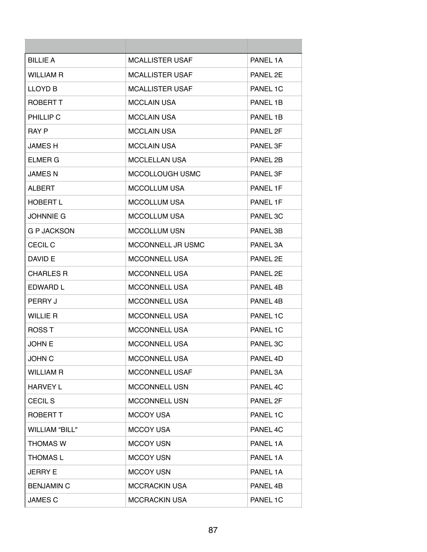| <b>BILLIE A</b>       | <b>MCALLISTER USAF</b> | PANEL 1A |
|-----------------------|------------------------|----------|
| WILLIAM R             | <b>MCALLISTER USAF</b> | PANEL 2E |
| <b>LLOYD B</b>        | <b>MCALLISTER USAF</b> | PANEL 1C |
| ROBERT T              | <b>MCCLAIN USA</b>     | PANEL 1B |
| PHILLIP C             | <b>MCCLAIN USA</b>     | PANEL 1B |
| <b>RAY P</b>          | <b>MCCLAIN USA</b>     | PANEL 2F |
| JAMES H               | <b>MCCLAIN USA</b>     | PANEL 3F |
| ELMER G               | <b>MCCLELLAN USA</b>   | PANEL 2B |
| JAMES N               | MCCOLLOUGH USMC        | PANEL 3F |
| AI BERT               | <b>MCCOLLUM USA</b>    | PANEL 1F |
| <b>HOBERT L</b>       | <b>MCCOLLUM USA</b>    | PANEL 1F |
| JOHNNIE G             | <b>MCCOLLUM USA</b>    | PANEL 3C |
| G P JACKSON           | <b>MCCOLLUM USN</b>    | PANEL 3B |
| <b>CECIL C</b>        | MCCONNELL JR USMC      | PANEL 3A |
| DAVID E               | <b>MCCONNELL USA</b>   | PANEL 2E |
| <b>CHARLES R</b>      | <b>MCCONNELL USA</b>   | PANEL 2E |
| EDWARD L              | <b>MCCONNELL USA</b>   | PANEL 4B |
| PERRY J               | <b>MCCONNELL USA</b>   | PANEL 4B |
| <b>WILLIE R</b>       | <b>MCCONNELL USA</b>   | PANEL 1C |
| <b>ROSST</b>          | <b>MCCONNELL USA</b>   | PANEL 1C |
| <b>JOHN E</b>         | <b>MCCONNELL USA</b>   | PANEL 3C |
| <b>JOHN C</b>         | <b>MCCONNELL USA</b>   | PANEL 4D |
| <b>WILLIAM R</b>      | <b>MCCONNELL USAF</b>  | PANEL 3A |
| <b>HARVEY L</b>       | <b>MCCONNELL USN</b>   | PANEL 4C |
| <b>CECIL S</b>        | <b>MCCONNELL USN</b>   | PANEL 2F |
| <b>ROBERT T</b>       | <b>MCCOY USA</b>       | PANEL 1C |
| <b>WILLIAM "BILL"</b> | <b>MCCOY USA</b>       | PANEL 4C |
| <b>THOMAS W</b>       | <b>MCCOY USN</b>       | PANEL 1A |
| <b>THOMAS L</b>       | <b>MCCOY USN</b>       | PANEL 1A |
| JERRY E               | <b>MCCOY USN</b>       | PANEL 1A |
| <b>BENJAMIN C</b>     | <b>MCCRACKIN USA</b>   | PANEL 4B |
| <b>JAMES C</b>        | <b>MCCRACKIN USA</b>   | PANEL 1C |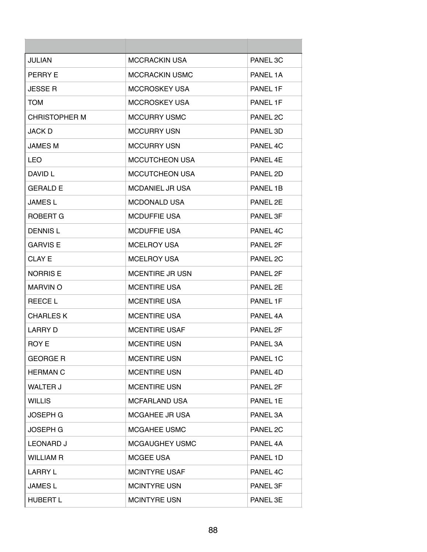| <b>JULIAN</b>    | <b>MCCRACKIN USA</b>   | PANEL 3C             |
|------------------|------------------------|----------------------|
| <b>PERRY E</b>   | <b>MCCRACKIN USMC</b>  | PANEL 1A             |
| <b>JESSE R</b>   | <b>MCCROSKEY USA</b>   | PANEL 1F             |
| <b>TOM</b>       | <b>MCCROSKEY USA</b>   | PANEL 1F             |
| CHRISTOPHER M    | <b>MCCURRY USMC</b>    | PANEL 2C             |
| JACK D           | <b>MCCURRY USN</b>     | PANEL 3D             |
| <b>JAMES M</b>   | <b>MCCURRY USN</b>     | PANEL 4C             |
| LEO              | <b>MCCUTCHEON USA</b>  | PANEL 4E             |
| DAVID L          | <b>MCCUTCHEON USA</b>  | PANEL 2D             |
| <b>GERALD E</b>  | <b>MCDANIEL JR USA</b> | PANEL 1B             |
| <b>JAMES L</b>   | <b>MCDONALD USA</b>    | PANFI <sub>2</sub> F |
| ROBERT G         | <b>MCDUFFIE USA</b>    | PANEL 3F             |
| <b>DENNISL</b>   | <b>MCDUFFIE USA</b>    | PANEL 4C             |
| <b>GARVIS E</b>  | <b>MCELROY USA</b>     | PANEL 2F             |
| CLAY E           | <b>MCELROY USA</b>     | PANEL 2C             |
| <b>NORRIS E</b>  | <b>MCENTIRE JR USN</b> | PANEL 2F             |
| <b>MARVIN O</b>  | <b>MCENTIRE USA</b>    | PANEL 2E             |
| <b>REECE L</b>   | <b>MCENTIRE USA</b>    | PANEL 1F             |
| <b>CHARLES K</b> | <b>MCENTIRE USA</b>    | PANEL 4A             |
| <b>LARRY D</b>   | <b>MCENTIRE USAF</b>   | PANEL 2F             |
| ROY E            | <b>MCENTIRE USN</b>    | PANEL 3A             |
| <b>GEORGE R</b>  | <b>MCENTIRE USN</b>    | PANEL 1C             |
| <b>HERMAN C</b>  | <b>MCENTIRE USN</b>    | PANEL 4D             |
| <b>WALTER J</b>  | <b>MCENTIRE USN</b>    | PANEL 2F             |
| <b>WILLIS</b>    | <b>MCFARLAND USA</b>   | PANEL 1E             |
| <b>JOSEPH G</b>  | <b>MCGAHEE JR USA</b>  | PANEL 3A             |
| <b>JOSEPH G</b>  | MCGAHEE USMC           | PANEL 2C             |
| <b>LEONARD J</b> | MCGAUGHEY USMC         | PANEL 4A             |
| <b>WILLIAM R</b> | <b>MCGEE USA</b>       | PANEL 1D             |
| LARRY L          | <b>MCINTYRE USAF</b>   | PANEL 4C             |
| <b>JAMES L</b>   | <b>MCINTYRE USN</b>    | PANEL 3F             |
| <b>HUBERT L</b>  | <b>MCINTYRE USN</b>    | PANEL 3E             |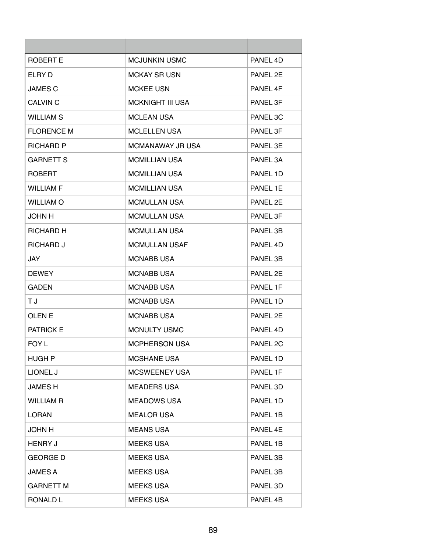| ROBERT E          | MCJUNKIN USMC           | PANFI <sub>4</sub> D |
|-------------------|-------------------------|----------------------|
| ELRY D            | <b>MCKAY SR USN</b>     | PANEL 2E             |
| <b>JAMES C</b>    | <b>MCKEE USN</b>        | PANEL 4F             |
| <b>CALVIN C</b>   | <b>MCKNIGHT III USA</b> | PANEL 3F             |
| WILLIAM S         | <b>MCLEAN USA</b>       | PANEL 3C             |
| <b>FLORENCE M</b> | <b>MCLELLEN USA</b>     | PANEL 3F             |
| <b>RICHARD P</b>  | MCMANAWAY JR USA        | PANEL 3E             |
| <b>GARNETT S</b>  | <b>MCMILLIAN USA</b>    | PANEL 3A             |
| <b>ROBERT</b>     | <b>MCMILLIAN USA</b>    | PANEL 1D             |
| <b>WILLIAM F</b>  | <b>MCMILLIAN USA</b>    | PANEL 1E             |
| <b>WILLIAM O</b>  | MCMULLAN USA            | PANFI <sub>2</sub> F |
| <b>JOHN H</b>     | MCMULLAN USA            | PANEL 3F             |
| RICHARD H         | <b>MCMULLAN USA</b>     | PANEL 3B             |
| <b>RICHARD J</b>  | <b>MCMULLAN USAF</b>    | PANEL 4D             |
| JAY               | <b>MCNABB USA</b>       | PANEL 3B             |
| <b>DEWEY</b>      | <b>MCNABB USA</b>       | PANEL 2E             |
| <b>GADEN</b>      | <b>MCNABB USA</b>       | PANEL 1F             |
| ТJ                | <b>MCNABB USA</b>       | PANEL 1D             |
| <b>OLEN E</b>     | <b>MCNABB USA</b>       | PANEL 2E             |
| <b>PATRICK E</b>  | <b>MCNULTY USMC</b>     | PANEL 4D             |
| FOY L             | <b>MCPHERSON USA</b>    | PANEL <sub>2C</sub>  |
| <b>HUGH P</b>     | <b>MCSHANE USA</b>      | PANEL 1D             |
| LIONEL J          | <b>MCSWEENEY USA</b>    | PANEL 1F             |
| <b>JAMESH</b>     | <b>MEADERS USA</b>      | PANEL 3D             |
| <b>WILLIAM R</b>  | <b>MEADOWS USA</b>      | PANEL 1D             |
| <b>LORAN</b>      | <b>MEALOR USA</b>       | PANEL 1B             |
| <b>JOHN H</b>     | <b>MEANS USA</b>        | PANEL 4E             |
| <b>HENRY J</b>    | <b>MEEKS USA</b>        | PANEL 1B             |
| <b>GEORGE D</b>   | <b>MEEKS USA</b>        | PANEL 3B             |
| <b>JAMES A</b>    | <b>MEEKS USA</b>        | PANEL 3B             |
| <b>GARNETT M</b>  | <b>MEEKS USA</b>        | PANEL 3D             |
| <b>RONALD L</b>   | <b>MEEKS USA</b>        | PANEL 4B             |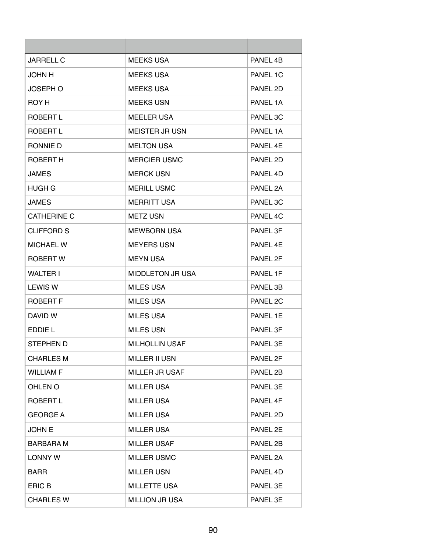| JARRELL C          | <b>MEEKS USA</b>        | PANEL 4B |
|--------------------|-------------------------|----------|
| <b>JOHN H</b>      | <b>MEEKS USA</b>        | PANEL 1C |
| <b>JOSEPH O</b>    | <b>MEEKS USA</b>        | PANEL 2D |
| ROY H              | <b>MEEKS USN</b>        | PANEL 1A |
| <b>ROBERT L</b>    | <b>MEELER USA</b>       | PANEL 3C |
| ROBERT L           | <b>MEISTER JR USN</b>   | PANEL 1A |
| RONNIE D           | <b>MELTON USA</b>       | PANEL 4E |
| <b>ROBERT H</b>    | <b>MERCIER USMC</b>     | PANEL 2D |
| <b>JAMES</b>       | <b>MERCK USN</b>        | PANEL 4D |
| HUGH G             | <b>MERILL USMC</b>      | PANEL 2A |
| <b>JAMES</b>       | <b>MERRITT USA</b>      | PANEL 3C |
| <b>CATHERINE C</b> | <b>METZ USN</b>         | PANEL 4C |
| CLIFFORD S         | <b>MEWBORN USA</b>      | PANEL 3F |
| <b>MICHAEL W</b>   | <b>MEYERS USN</b>       | PANFL 4F |
| <b>ROBERT W</b>    | <b>MEYN USA</b>         | PANEL 2F |
| <b>WALTER I</b>    | <b>MIDDLETON JR USA</b> | PANEL 1F |
| <b>LEWIS W</b>     | <b>MILES USA</b>        | PANEL 3B |
| <b>ROBERT F</b>    | <b>MILES USA</b>        | PANEL 2C |
| DAVID W            | <b>MILES USA</b>        | PANEL 1E |
| EDDIE L            | <b>MILES USN</b>        | PANEL 3F |
| STEPHEN D          | <b>MILHOLLIN USAF</b>   | PANEL 3E |
| <b>CHARLES M</b>   | <b>MILLER II USN</b>    | PANEL 2F |
| <b>WILLIAM F</b>   | <b>MILLER JR USAF</b>   | PANEL 2B |
| OHLEN O            | <b>MILLER USA</b>       | PANEL 3E |
| ROBERT L           | <b>MILLER USA</b>       | PANEL 4F |
| <b>GEORGE A</b>    | <b>MILLER USA</b>       | PANEL 2D |
| <b>JOHN E</b>      | <b>MILLER USA</b>       | PANEL 2E |
| <b>BARBARA M</b>   | <b>MILLER USAF</b>      | PANEL 2B |
| <b>LONNY W</b>     | <b>MILLER USMC</b>      | PANEL 2A |
| <b>BARR</b>        | <b>MILLER USN</b>       | PANEL 4D |
| <b>ERIC B</b>      | <b>MILLETTE USA</b>     | PANEL 3E |
| <b>CHARLES W</b>   | <b>MILLION JR USA</b>   | PANEL 3E |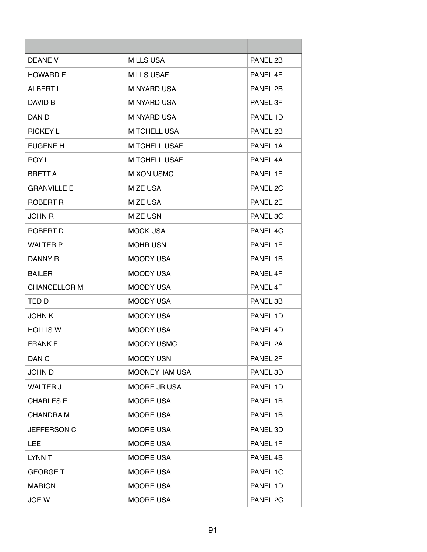| DEANE V             | MILLS USA            | PANEL 2B |
|---------------------|----------------------|----------|
| <b>HOWARD E</b>     | <b>MILLS USAF</b>    | PANEL 4F |
| ALBERT L            | <b>MINYARD USA</b>   | PANEL 2B |
| DAVID B             | <b>MINYARD USA</b>   | PANEL 3F |
| DAN D               | <b>MINYARD USA</b>   | PANEL 1D |
| <b>RICKEY L</b>     | <b>MITCHELL USA</b>  | PANEL 2B |
| EUGENE H            | <b>MITCHELL USAF</b> | PANEL 1A |
| <b>ROY L</b>        | <b>MITCHELL USAF</b> | PANEL 4A |
| <b>BRETT A</b>      | <b>MIXON USMC</b>    | PANEL 1F |
| <b>GRANVILLE E</b>  | <b>MIZE USA</b>      | PANEL 2C |
| ROBERT R            | <b>MIZE USA</b>      | PANEL 2E |
| <b>JOHN R</b>       | <b>MIZE USN</b>      | PANEL 3C |
| ROBERT D            | <b>MOCK USA</b>      | PANEL 4C |
| <b>WALTER P</b>     | <b>MOHR USN</b>      | PANEL 1F |
| DANNY R             | <b>MOODY USA</b>     | PANEL 1B |
| <b>BAILER</b>       | <b>MOODY USA</b>     | PANEL 4F |
| <b>CHANCELLOR M</b> | <b>MOODY USA</b>     | PANEL 4F |
| TED D               | <b>MOODY USA</b>     | PANEL 3B |
| <b>JOHN K</b>       | <b>MOODY USA</b>     | PANEL 1D |
| <b>HOLLIS W</b>     | MOODY USA            | PANEL 4D |
| <b>FRANK F</b>      | <b>MOODY USMC</b>    | PANEL 2A |
| DAN <sub>C</sub>    | <b>MOODY USN</b>     | PANEL 2F |
| JOHN D              | <b>MOONEYHAM USA</b> | PANEL 3D |
| <b>WALTER J</b>     | <b>MOORE JR USA</b>  | PANEL 1D |
| <b>CHARLES E</b>    | <b>MOORE USA</b>     | PANEL 1B |
| <b>CHANDRA M</b>    | <b>MOORE USA</b>     | PANEL 1B |
| JEFFERSON C         | <b>MOORE USA</b>     | PANEL 3D |
| LEE.                | <b>MOORE USA</b>     | PANEL 1F |
| LYNN T              | <b>MOORE USA</b>     | PANEL 4B |
| <b>GEORGE T</b>     | <b>MOORE USA</b>     | PANEL 1C |
| <b>MARION</b>       | <b>MOORE USA</b>     | PANEL 1D |
| JOE W               | <b>MOORE USA</b>     | PANEL 2C |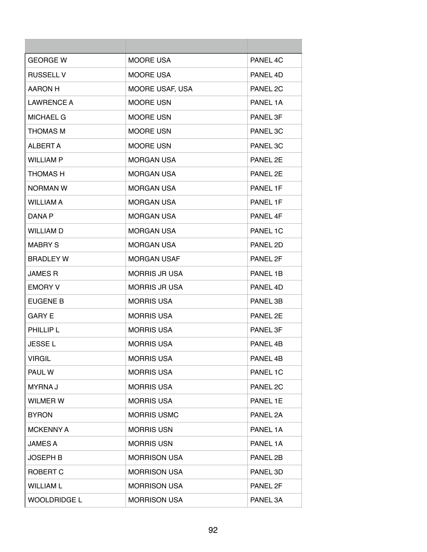| <b>GEORGE W</b>     | MOORE USA            | PANEL 4C |
|---------------------|----------------------|----------|
| <b>RUSSELL V</b>    | <b>MOORE USA</b>     | PANEL 4D |
| AARON H             | MOORE USAF, USA      | PANEL 2C |
| <b>LAWRENCE A</b>   | <b>MOORE USN</b>     | PANEL 1A |
| <b>MICHAEL G</b>    | <b>MOORE USN</b>     | PANEL 3F |
| <b>THOMAS M</b>     | MOORE USN            | PANEL 3C |
| ALBERT A            | <b>MOORE USN</b>     | PANEL 3C |
| <b>WILLIAM P</b>    | <b>MORGAN USA</b>    | PANEL 2E |
| <b>THOMAS H</b>     | <b>MORGAN USA</b>    | PANEL 2E |
| NORMAN W            | <b>MORGAN USA</b>    | PANEL 1F |
| <b>WILLIAM A</b>    | <b>MORGAN USA</b>    | PANEL 1F |
| DANA P              | <b>MORGAN USA</b>    | PANEL 4F |
| <b>WILLIAM D</b>    | <b>MORGAN USA</b>    | PANEL 1C |
| <b>MABRY S</b>      | <b>MORGAN USA</b>    | PANEL 2D |
| <b>BRADLEY W</b>    | <b>MORGAN USAF</b>   | PANEL 2F |
| <b>JAMES R</b>      | <b>MORRIS JR USA</b> | PANEL 1B |
| <b>EMORY V</b>      | <b>MORRIS JR USA</b> | PANEL 4D |
| EUGENE B            | <b>MORRIS USA</b>    | PANEL 3B |
| <b>GARY E</b>       | <b>MORRIS USA</b>    | PANEL 2E |
| PHILLIP L           | <b>MORRIS USA</b>    | PANEL 3F |
| <b>JESSE L</b>      | <b>MORRIS USA</b>    | PANEL 4B |
| <b>VIRGIL</b>       | <b>MORRIS USA</b>    | PANEL 4B |
| PAUL W              | <b>MORRIS USA</b>    | PANEL 1C |
| <b>MYRNAJ</b>       | <b>MORRIS USA</b>    | PANEL 2C |
| <b>WILMER W</b>     | <b>MORRIS USA</b>    | PANEL 1E |
| <b>BYRON</b>        | <b>MORRIS USMC</b>   | PANEL 2A |
| <b>MCKENNY A</b>    | <b>MORRIS USN</b>    | PANEL 1A |
| <b>JAMES A</b>      | <b>MORRIS USN</b>    | PANEL 1A |
| JOSEPH B            | <b>MORRISON USA</b>  | PANEL 2B |
| ROBERT C            | <b>MORRISON USA</b>  | PANEL 3D |
| <b>WILLIAM L</b>    | <b>MORRISON USA</b>  | PANEL 2F |
| <b>WOOLDRIDGE L</b> | <b>MORRISON USA</b>  | PANEL 3A |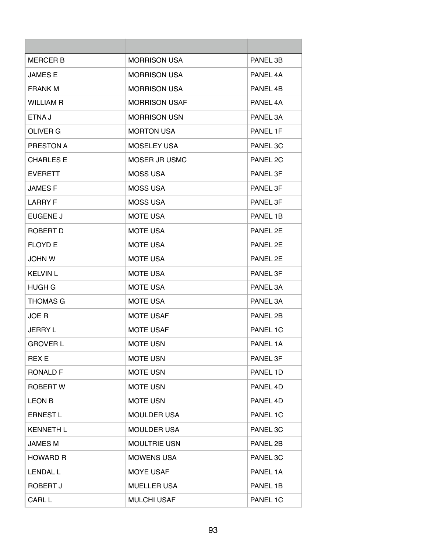| <b>MERCER B</b>  | <b>MORRISON USA</b>  | PANEL 3B |
|------------------|----------------------|----------|
| <b>JAMES E</b>   | <b>MORRISON USA</b>  | PANEL 4A |
| <b>FRANK M</b>   | <b>MORRISON USA</b>  | PANEL 4B |
| <b>WILLIAM R</b> | <b>MORRISON USAF</b> | PANEL 4A |
| ETNA J           | <b>MORRISON USN</b>  | PANEL 3A |
| OLIVER G         | <b>MORTON USA</b>    | PANEL 1F |
| PRESTON A        | <b>MOSELEY USA</b>   | PANEL 3C |
| <b>CHARLES E</b> | MOSER JR USMC        | PANEL 2C |
| <b>EVERETT</b>   | <b>MOSS USA</b>      | PANEL 3F |
| <b>JAMESF</b>    | <b>MOSS USA</b>      | PANEL 3F |
| <b>LARRY F</b>   | <b>MOSS USA</b>      | PANEL 3F |
| EUGENE J         | <b>MOTE USA</b>      | PANEL 1B |
| ROBERT D         | <b>MOTE USA</b>      | PANEL 2E |
| <b>FLOYD E</b>   | <b>MOTE USA</b>      | PANEL 2E |
| JOHN W           | <b>MOTE USA</b>      | PANEL 2E |
| <b>KELVIN L</b>  | <b>MOTE USA</b>      | PANEL 3F |
| HUGH G           | <b>MOTE USA</b>      | PANEL 3A |
| <b>THOMAS G</b>  | <b>MOTE USA</b>      | PANEL 3A |
| JOE R            | <b>MOTE USAF</b>     | PANEL 2B |
| <b>JERRY L</b>   | <b>MOTE USAF</b>     | PANEL 1C |
| <b>GROVER L</b>  | <b>MOTE USN</b>      | PANEL 1A |
| <b>REX E</b>     | <b>MOTE USN</b>      | PANEL 3F |
| <b>RONALD F</b>  | <b>MOTE USN</b>      | PANEL 1D |
| <b>ROBERT W</b>  | <b>MOTE USN</b>      | PANEL 4D |
| <b>LEON B</b>    | <b>MOTE USN</b>      | PANEL 4D |
| <b>ERNEST L</b>  | <b>MOULDER USA</b>   | PANEL 1C |
| <b>KENNETH L</b> | <b>MOULDER USA</b>   | PANEL 3C |
| <b>JAMES M</b>   | <b>MOULTRIE USN</b>  | PANEL 2B |
| <b>HOWARD R</b>  | <b>MOWENS USA</b>    | PANEL 3C |
| <b>LENDAL L</b>  | <b>MOYE USAF</b>     | PANEL 1A |
| ROBERT J         | <b>MUELLER USA</b>   | PANEL 1B |
| CARL L           | <b>MULCHI USAF</b>   | PANEL 1C |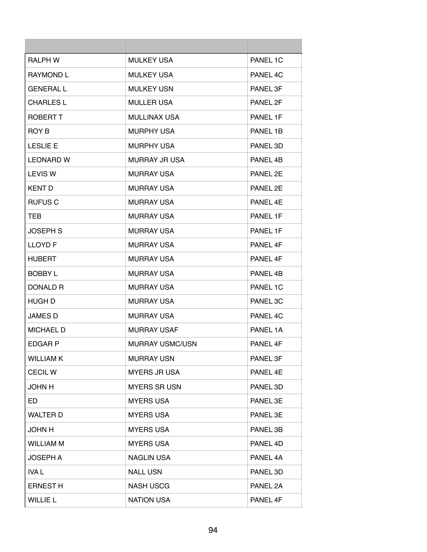| <b>RALPH W</b>   | <b>MULKEY USA</b>      | PANEL 1C             |
|------------------|------------------------|----------------------|
| <b>RAYMOND L</b> | <b>MULKEY USA</b>      | PANEL 4C             |
| <b>GENERAL L</b> | MULKEY USN             | PANEL 3F             |
| <b>CHARLES L</b> | <b>MULLER USA</b>      | PANEL 2F             |
| <b>ROBERT T</b>  | <b>MULLINAX USA</b>    | PANEL 1F             |
| ROY B            | <b>MURPHY USA</b>      | PANEL 1B             |
| <b>LESLIE E</b>  | <b>MURPHY USA</b>      | PANEL 3D             |
| <b>LEONARD W</b> | <b>MURRAY JR USA</b>   | PANEL 4B             |
| <b>LEVIS W</b>   | <b>MURRAY USA</b>      | PANEL 2E             |
| <b>KENT D</b>    | <b>MURRAY USA</b>      | PANEL 2F             |
| <b>RUFUS C</b>   | <b>MURRAY USA</b>      | PANFL <sub>4</sub> F |
| TEB              | <b>MURRAY USA</b>      | PANEL 1F             |
| JOSEPH S         | <b>MURRAY USA</b>      | PANEL 1F             |
| <b>LLOYD F</b>   | <b>MURRAY USA</b>      | PANEL 4F             |
| HUBERT           | <b>MURRAY USA</b>      | PANEL 4F             |
| <b>BOBBY L</b>   | <b>MURRAY USA</b>      | PANEL 4B             |
| DONALD R         | <b>MURRAY USA</b>      | PANEL 1C             |
| HUGH D           | <b>MURRAY USA</b>      | PANEL 3C             |
| JAMES D          | <b>MURRAY USA</b>      | PANEL 4C             |
| MICHAEL D        | <b>MURRAY USAF</b>     | PANEL 1A             |
| <b>EDGAR P</b>   | <b>MURRAY USMC/USN</b> | PANEL 4F             |
| <b>WILLIAM K</b> | <b>MURRAY USN</b>      | PANEL 3F             |
| <b>CECILW</b>    | <b>MYERS JR USA</b>    | PANEL 4E             |
| <b>JOHN H</b>    | <b>MYERS SR USN</b>    | PANEL 3D             |
| ED               | <b>MYERS USA</b>       | PANEL 3E             |
| <b>WALTER D</b>  | <b>MYERS USA</b>       | PANEL 3E             |
| <b>JOHN H</b>    | <b>MYERS USA</b>       | PANEL 3B             |
| <b>WILLIAM M</b> | <b>MYERS USA</b>       | PANEL 4D             |
| <b>JOSEPH A</b>  | <b>NAGLIN USA</b>      | PANEL 4A             |
| IVA L            | <b>NALL USN</b>        | PANEL 3D             |
| <b>ERNEST H</b>  | <b>NASH USCG</b>       | PANEL 2A             |
| <b>WILLIE L</b>  | <b>NATION USA</b>      | PANEL 4F             |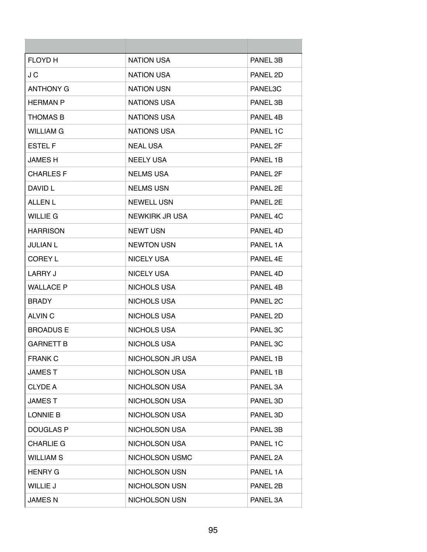| <b>FLOYD H</b>   | <b>NATION USA</b>    | PANEL 3B |
|------------------|----------------------|----------|
| J C              | <b>NATION USA</b>    | PANEL 2D |
| <b>ANTHONY G</b> | <b>NATION USN</b>    | PANEL3C  |
| <b>HERMAN P</b>  | NATIONS USA          | PANEL 3B |
| <b>THOMAS B</b>  | NATIONS USA          | PANEL 4B |
| <b>WILLIAM G</b> | <b>NATIONS USA</b>   | PANEL 1C |
| <b>ESTEL F</b>   | <b>NEAL USA</b>      | PANEL 2F |
| <b>JAMES H</b>   | <b>NEELY USA</b>     | PANEL 1B |
| <b>CHARLES F</b> | <b>NELMS USA</b>     | PANEL 2F |
| DAVID L          | <b>NELMS USN</b>     | PANEL 2E |
| <b>ALLEN L</b>   | <b>NEWELL USN</b>    | PANEL 2E |
| <b>WILLIE G</b>  | NEWKIRK JR USA       | PANEL 4C |
| <b>HARRISON</b>  | <b>NEWT USN</b>      | PANEL 4D |
| <b>JULIAN L</b>  | <b>NEWTON USN</b>    | PANEL 1A |
| <b>COREY L</b>   | <b>NICELY USA</b>    | PANEL 4E |
| LARRY J          | <b>NICELY USA</b>    | PANEL 4D |
| <b>WALLACE P</b> | NICHOLS USA          | PANEL 4B |
| <b>BRADY</b>     | NICHOLS USA          | PANEL 2C |
| ALVIN C          | NICHOLS USA          | PANEL 2D |
| <b>BROADUS E</b> | NICHOLS USA          | PANEL 3C |
| <b>GARNETT B</b> | NICHOLS USA          | PANEL 3C |
| <b>FRANK C</b>   | NICHOLSON JR USA     | PANEL 1B |
| <b>JAMEST</b>    | <b>NICHOLSON USA</b> | PANEL 1B |
| <b>CLYDE A</b>   | <b>NICHOLSON USA</b> | PANEL 3A |
| <b>JAMEST</b>    | <b>NICHOLSON USA</b> | PANEL 3D |
| LONNIE B         | <b>NICHOLSON USA</b> | PANEL 3D |
| <b>DOUGLAS P</b> | <b>NICHOLSON USA</b> | PANEL 3B |
| <b>CHARLIE G</b> | <b>NICHOLSON USA</b> | PANEL 1C |
| <b>WILLIAM S</b> | NICHOLSON USMC       | PANEL 2A |
| <b>HENRY G</b>   | <b>NICHOLSON USN</b> | PANEL 1A |
| <b>WILLIE J</b>  | <b>NICHOLSON USN</b> | PANEL 2B |
| <b>JAMES N</b>   | NICHOLSON USN        | PANEL 3A |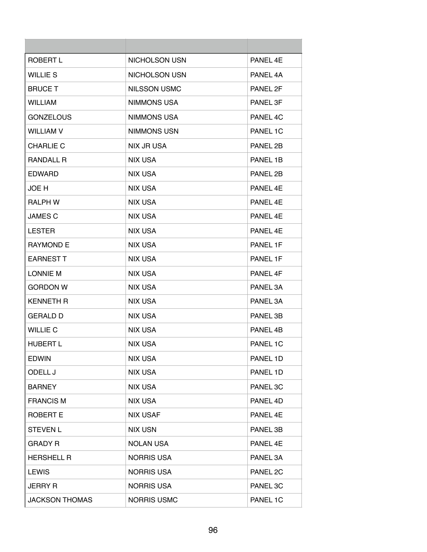| ROBERT L              | <b>NICHOLSON USN</b> | PANEL 4E        |
|-----------------------|----------------------|-----------------|
| <b>WILLIE S</b>       | NICHOLSON USN        | PANEL 4A        |
| <b>BRUCE T</b>        | <b>NILSSON USMC</b>  | PANEL 2F        |
| <b>WILLIAM</b>        | NIMMONS USA          | <b>PANEL 3F</b> |
| <b>GONZELOUS</b>      | <b>NIMMONS USA</b>   | PANEL 4C        |
| <b>WILLIAM V</b>      | <b>NIMMONS USN</b>   | PANEL 1C        |
| <b>CHARLIE C</b>      | NIX JR USA           | PANEL 2B        |
| <b>RANDALL R</b>      | NIX USA              | PANEL 1B        |
| <b>EDWARD</b>         | <b>NIX USA</b>       | PANEL 2B        |
| JOE H                 | <b>NIX USA</b>       | PANEL 4E        |
| <b>RALPH W</b>        | NIX USA              | PANEL 4F        |
| <b>JAMES C</b>        | NIX USA              | PANEL 4F        |
| <b>LESTER</b>         | <b>NIX USA</b>       | PANEL 4F        |
| <b>RAYMOND E</b>      | <b>NIX USA</b>       | PANEL 1F        |
| <b>EARNEST T</b>      | NIX USA              | PANEL 1F        |
| <b>LONNIE M</b>       | NIX USA              | PANEL 4F        |
| <b>GORDON W</b>       | <b>NIX USA</b>       | PANEL 3A        |
| <b>KENNETH R</b>      | <b>NIX USA</b>       | PANEL 3A        |
| <b>GERALD D</b>       | <b>NIX USA</b>       | PANEL 3B        |
| <b>WILLIE C</b>       | <b>NIX USA</b>       | PANEL 4B        |
| <b>HUBERT L</b>       | <b>NIX USA</b>       | PANEL 1C        |
| <b>EDWIN</b>          | <b>NIX USA</b>       | PANEL 1D        |
| ODELL J               | <b>NIX USA</b>       | PANEL 1D        |
| <b>BARNEY</b>         | <b>NIX USA</b>       | PANEL 3C        |
| <b>FRANCIS M</b>      | <b>NIX USA</b>       | PANEL 4D        |
| <b>ROBERT E</b>       | <b>NIX USAF</b>      | PANEL 4E        |
| <b>STEVEN L</b>       | <b>NIX USN</b>       | PANEL 3B        |
| <b>GRADY R</b>        | <b>NOLAN USA</b>     | PANEL 4E        |
| <b>HERSHELL R</b>     | <b>NORRIS USA</b>    | PANEL 3A        |
| <b>LEWIS</b>          | <b>NORRIS USA</b>    | PANEL 2C        |
| <b>JERRY R</b>        | <b>NORRIS USA</b>    | PANEL 3C        |
| <b>JACKSON THOMAS</b> | <b>NORRIS USMC</b>   | PANEL 1C        |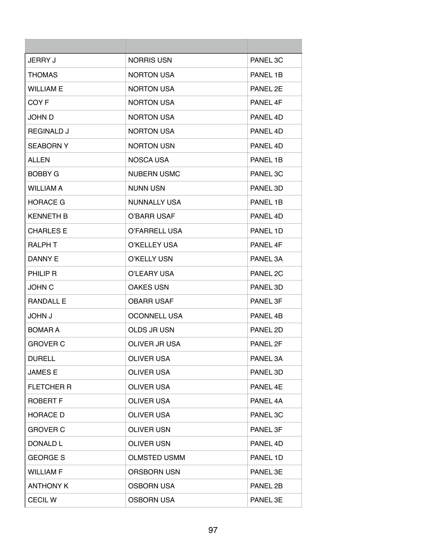| <b>JERRY J</b>    | <b>NORRIS USN</b>   | PANEL 3C |
|-------------------|---------------------|----------|
| <b>THOMAS</b>     | <b>NORTON USA</b>   | PANEL 1B |
| <b>WILLIAM E</b>  | <b>NORTON USA</b>   | PANEL 2E |
| COY F             | <b>NORTON USA</b>   | PANEL 4F |
| JOHN D            | <b>NORTON USA</b>   | PANFI 4D |
| <b>REGINALD J</b> | <b>NORTON USA</b>   | PANEL 4D |
| <b>SEABORN Y</b>  | <b>NORTON USN</b>   | PANEL 4D |
| <b>ALLEN</b>      | NOSCA USA           | PANEL 1B |
| <b>BOBBY G</b>    | <b>NUBERN USMC</b>  | PANEL 3C |
| <b>WILLIAM A</b>  | <b>NUNN USN</b>     | PANEL 3D |
| <b>HORACE G</b>   | NUNNALLY USA        | PANEL 1B |
| <b>KENNETH B</b>  | O'BARR USAF         | PANEL 4D |
| <b>CHARLES E</b>  | O'FARRELL USA       | PANEL 1D |
| <b>RALPH T</b>    | O'KELLEY USA        | PANEL 4F |
| DANNY E           | O'KELLY USN         | PANEL 3A |
| PHILIP R          | O'LEARY USA         | PANEL 2C |
| <b>JOHN C</b>     | <b>OAKES USN</b>    | PANEL 3D |
| <b>RANDALL E</b>  | <b>OBARR USAF</b>   | PANEL 3F |
| <b>U. NHOL</b>    | <b>OCONNELL USA</b> | PANEL 4B |
| <b>BOMAR A</b>    | OLDS JR USN         | PANEL 2D |
| <b>GROVER C</b>   | OLIVER JR USA       | PANEL 2F |
| <b>DURELL</b>     | <b>OLIVER USA</b>   | PANEL 3A |
| <b>JAMES E</b>    | <b>OLIVER USA</b>   | PANEL 3D |
| <b>FLETCHER R</b> | <b>OLIVER USA</b>   | PANEL 4E |
| <b>ROBERT F</b>   | <b>OLIVER USA</b>   | PANEL 4A |
| <b>HORACE D</b>   | OLIVER USA          | PANEL 3C |
| <b>GROVER C</b>   | <b>OLIVER USN</b>   | PANEL 3F |
| DONALD L          | <b>OLIVER USN</b>   | PANEL 4D |
| <b>GEORGE S</b>   | <b>OLMSTED USMM</b> | PANEL 1D |
| <b>WILLIAM F</b>  | <b>ORSBORN USN</b>  | PANEL 3E |
| <b>ANTHONY K</b>  | <b>OSBORN USA</b>   | PANEL 2B |
| <b>CECILW</b>     | <b>OSBORN USA</b>   | PANEL 3E |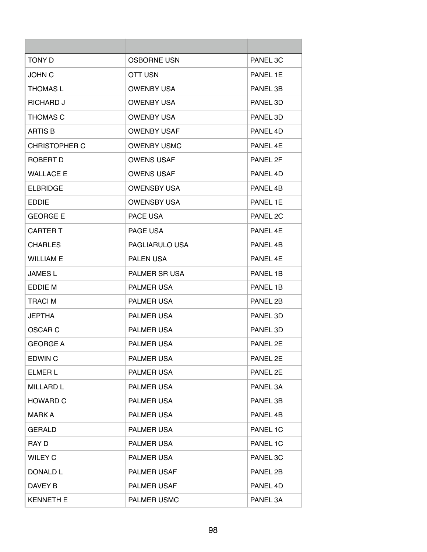| <b>TONY D</b>        | <b>OSBORNE USN</b>   | PANEL 3C |
|----------------------|----------------------|----------|
| <b>JOHN C</b>        | OTT USN              | PANEL 1E |
| <b>THOMAS L</b>      | <b>OWENBY USA</b>    | PANEL 3B |
| <b>RICHARD J</b>     | <b>OWENBY USA</b>    | PANEL 3D |
| <b>THOMAS C</b>      | <b>OWENBY USA</b>    | PANEL 3D |
| <b>ARTIS B</b>       | <b>OWENBY USAF</b>   | PANEL 4D |
| <b>CHRISTOPHER C</b> | <b>OWENBY USMC</b>   | PANEL 4E |
| ROBERT D             | <b>OWENS USAF</b>    | PANEL 2F |
| <b>WALLACE E</b>     | <b>OWENS USAF</b>    | PANEL 4D |
| <b>ELBRIDGE</b>      | <b>OWENSBY USA</b>   | PANEL 4B |
| <b>EDDIE</b>         | <b>OWENSBY USA</b>   | PANEL 1E |
| <b>GEORGE E</b>      | PACE USA             | PANEL 2C |
| <b>CARTER T</b>      | PAGE USA             | PANEL 4E |
| <b>CHARLES</b>       | PAGLIARULO USA       | PANEL 4B |
| <b>WILLIAM E</b>     | <b>PALEN USA</b>     | PANEL 4E |
| <b>JAMES L</b>       | <b>PALMER SR USA</b> | PANEL 1B |
| EDDIE M              | <b>PALMER USA</b>    | PANEL 1B |
| <b>TRACIM</b>        | <b>PALMER USA</b>    | PANEL 2B |
| <b>JEPTHA</b>        | <b>PALMER USA</b>    | PANEL 3D |
| OSCAR <sub>C</sub>   | PALMER USA           | PANEL 3D |
| <b>GEORGE A</b>      | <b>PALMER USA</b>    | PANEL 2E |
| <b>EDWIN C</b>       | PALMER USA           | PANEL 2E |
| ELMER L              | PALMER USA           | PANEL 2E |
| <b>MILLARD L</b>     | PALMER USA           | PANEL 3A |
| <b>HOWARD C</b>      | <b>PALMER USA</b>    | PANEL 3B |
| <b>MARK A</b>        | PALMER USA           | PANEL 4B |
| <b>GERALD</b>        | <b>PALMER USA</b>    | PANEL 1C |
| RAY D                | PALMER USA           | PANEL 1C |
| <b>WILEY C</b>       | PALMER USA           | PANEL 3C |
| DONALD L             | PALMER USAF          | PANEL 2B |
| DAVEY B              | PALMER USAF          | PANEL 4D |
| <b>KENNETH E</b>     | PALMER USMC          | PANEL 3A |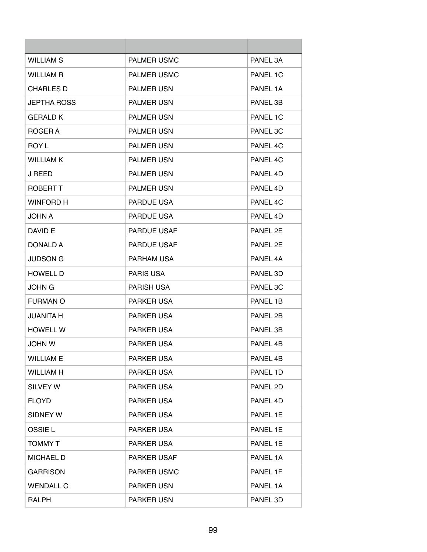| <b>WILLIAM S</b>   | <b>PALMER USMC</b> | PANEL 3A |
|--------------------|--------------------|----------|
| <b>WILLIAM R</b>   | <b>PALMER USMC</b> | PANEL 1C |
| <b>CHARLES D</b>   | <b>PALMER USN</b>  | PANEL 1A |
| <b>JEPTHA ROSS</b> | <b>PALMER USN</b>  | PANEL 3B |
| <b>GERALD K</b>    | <b>PALMER USN</b>  | PANEL 1C |
| ROGER A            | <b>PALMER USN</b>  | PANEL 3C |
| ROY L              | <b>PALMER USN</b>  | PANEL 4C |
| <b>WILLIAM K</b>   | <b>PALMER USN</b>  | PANEL 4C |
| <b>J REED</b>      | <b>PALMER USN</b>  | PANEL 4D |
| <b>ROBERT T</b>    | <b>PALMER USN</b>  | PANEL 4D |
| <b>WINFORD H</b>   | PARDUE USA         | PANEL 4C |
| <b>JOHN A</b>      | <b>PARDUE USA</b>  | PANEL 4D |
| DAVID E            | <b>PARDUE USAF</b> | PANEL 2E |
| DONALD A           | <b>PARDUE USAF</b> | PANEL 2E |
| JUDSON G           | PARHAM USA         | PANEL 4A |
| <b>HOWELL D</b>    | <b>PARIS USA</b>   | PANEL 3D |
| JOHN G             | <b>PARISH USA</b>  | PANEL 3C |
| <b>FURMAN O</b>    | <b>PARKER USA</b>  | PANEL 1B |
| <b>JUANITA H</b>   | <b>PARKER USA</b>  | PANEL 2B |
| <b>HOWELL W</b>    | <b>PARKER USA</b>  | PANEL 3B |
| <b>JOHN W</b>      | <b>PARKER USA</b>  | PANEL 4B |
| <b>WILLIAM E</b>   | PARKER USA         | PANEL 4B |
| <b>WILLIAM H</b>   | PARKER USA         | PANEL 1D |
| SILVEY W           | PARKER USA         | PANEL 2D |
| <b>FLOYD</b>       | <b>PARKER USA</b>  | PANEL 4D |
| SIDNEY W           | PARKER USA         | PANEL 1E |
| OSSIE L            | PARKER USA         | PANEL 1E |
| TOMMY T            | PARKER USA         | PANEL 1E |
| <b>MICHAEL D</b>   | <b>PARKER USAF</b> | PANEL 1A |
| <b>GARRISON</b>    | <b>PARKER USMC</b> | PANEL 1F |
| <b>WENDALL C</b>   | <b>PARKER USN</b>  | PANEL 1A |
| <b>RALPH</b>       | PARKER USN         | PANEL 3D |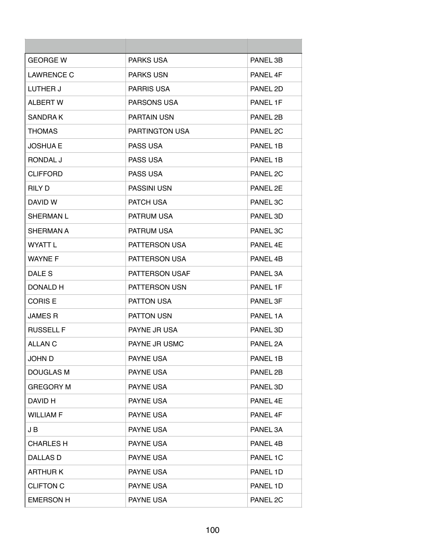| <b>GEORGE W</b>   | <b>PARKS USA</b>      | PANEL 3B |
|-------------------|-----------------------|----------|
| <b>LAWRENCE C</b> | <b>PARKS USN</b>      | PANEL 4F |
| LUTHER J          | <b>PARRIS USA</b>     | PANEL 2D |
| <b>ALBERT W</b>   | PARSONS USA           | PANEL 1F |
| SANDRA K          | <b>PARTAIN USN</b>    | PANEL 2B |
| <b>THOMAS</b>     | <b>PARTINGTON USA</b> | PANEL 2C |
| JOSHUA E          | <b>PASS USA</b>       | PANEL 1B |
| RONDAL J          | <b>PASS USA</b>       | PANEL 1B |
| <b>CLIFFORD</b>   | <b>PASS USA</b>       | PANEL 2C |
| <b>RILY D</b>     | <b>PASSINI USN</b>    | PANEL 2E |
| DAVID W           | <b>PATCH USA</b>      | PANEL 3C |
| <b>SHERMAN L</b>  | <b>PATRUM USA</b>     | PANEL 3D |
| SHERMAN A         | <b>PATRUM USA</b>     | PANEL 3C |
| WYATT L           | <b>PATTERSON USA</b>  | PANEL 4F |
| <b>WAYNE F</b>    | <b>PATTERSON USA</b>  | PANEL 4B |
| DALE S            | PATTERSON USAF        | PANEL 3A |
| DONALD H          | <b>PATTERSON USN</b>  | PANEL 1F |
| <b>CORIS E</b>    | <b>PATTON USA</b>     | PANEL 3F |
| <b>JAMES R</b>    | <b>PATTON USN</b>     | PANEL 1A |
| <b>RUSSELL F</b>  | PAYNE JR USA          | PANEL 3D |
| ALLAN C           | PAYNE JR USMC         | PANEL 2A |
| <b>JOHN D</b>     | <b>PAYNE USA</b>      | PANEL 1B |
| <b>DOUGLAS M</b>  | <b>PAYNE USA</b>      | PANEL 2B |
| <b>GREGORY M</b>  | PAYNE USA             | PANEL 3D |
| DAVID H           | PAYNE USA             | PANEL 4E |
| <b>WILLIAM F</b>  | PAYNE USA             | PANEL 4F |
| J B               | <b>PAYNE USA</b>      | PANEL 3A |
| <b>CHARLES H</b>  | PAYNE USA             | PANEL 4B |
| DALLAS D          | PAYNE USA             | PANEL 1C |
| <b>ARTHURK</b>    | PAYNE USA             | PANEL 1D |
| <b>CLIFTON C</b>  | PAYNE USA             | PANEL 1D |
| <b>EMERSON H</b>  | PAYNE USA             | PANEL 2C |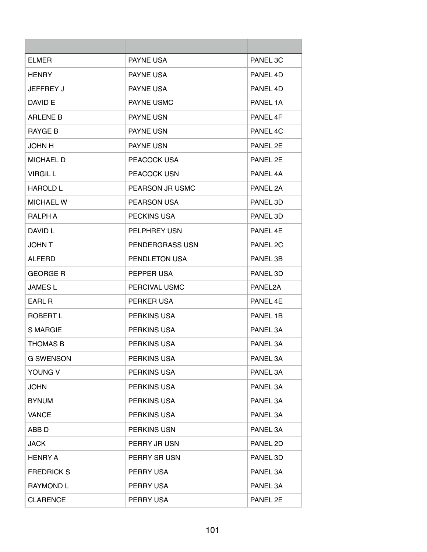| <b>ELMER</b>      | <b>PAYNE USA</b>   | PANEL 3C |
|-------------------|--------------------|----------|
| <b>HENRY</b>      | <b>PAYNE USA</b>   | PANEL 4D |
| JEFFREY J         | <b>PAYNE USA</b>   | PANEL 4D |
| DAVID E           | <b>PAYNE USMC</b>  | PANEL 1A |
| <b>ARLENE B</b>   | <b>PAYNE USN</b>   | PANEL 4F |
| <b>RAYGE B</b>    | <b>PAYNE USN</b>   | PANEL 4C |
| <b>JOHN H</b>     | PAYNE USN          | PANEL 2E |
| <b>MICHAEL D</b>  | PEACOCK USA        | PANEL 2E |
| <b>VIRGIL L</b>   | PEACOCK USN        | PANEL 4A |
| <b>HAROLD L</b>   | PEARSON JR USMC    | PANEL 2A |
| <b>MICHAEL W</b>  | <b>PEARSON USA</b> | PANEL 3D |
| RALPH A           | <b>PECKINS USA</b> | PANEL 3D |
| DAVID L           | PELPHREY USN       | PANFL 4F |
| <b>JOHN T</b>     | PENDERGRASS USN    | PANEL 2C |
| <b>ALFERD</b>     | PENDLETON USA      | PANEL 3B |
| <b>GEORGE R</b>   | PEPPER USA         | PANEL 3D |
| <b>JAMES L</b>    | PERCIVAL USMC      | PANEL2A  |
| EARL R            | PERKER USA         | PANEL 4F |
| ROBERT L          | <b>PERKINS USA</b> | PANEL 1B |
| <b>S MARGIE</b>   | PERKINS USA        | PANEL 3A |
| <b>THOMAS B</b>   | <b>PERKINS USA</b> | PANEL 3A |
| <b>G SWENSON</b>  | PERKINS USA        | PANEL 3A |
| YOUNG V           | PERKINS USA        | PANEL 3A |
| <b>JOHN</b>       | PERKINS USA        | PANEL 3A |
| <b>BYNUM</b>      | PERKINS USA        | PANEL 3A |
| <b>VANCE</b>      | PERKINS USA        | PANEL 3A |
| ABB <sub>D</sub>  | PERKINS USN        | PANEL 3A |
| <b>JACK</b>       | PERRY JR USN       | PANEL 2D |
| <b>HENRY A</b>    | PERRY SR USN       | PANEL 3D |
| <b>FREDRICK S</b> | PERRY USA          | PANEL 3A |
| <b>RAYMOND L</b>  | PERRY USA          | PANEL 3A |
| <b>CLARENCE</b>   | PERRY USA          | PANEL 2E |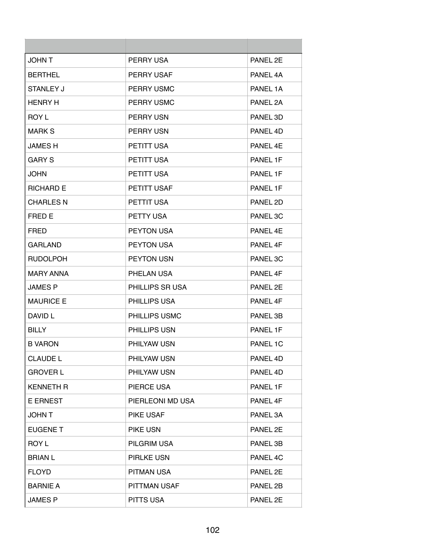| <b>JOHNT</b>     | PERRY USA            | PANEL 2F |
|------------------|----------------------|----------|
| <b>BERTHEL</b>   | <b>PERRY USAF</b>    | PANEL 4A |
| STANLEY J        | <b>PERRY USMC</b>    | PANEL 1A |
| <b>HENRY H</b>   | <b>PERRY USMC</b>    | PANEL 2A |
| <b>ROY L</b>     | <b>PERRY USN</b>     | PANEL 3D |
| <b>MARK S</b>    | <b>PERRY USN</b>     | PANEL 4D |
| JAMES H          | <b>PETITT USA</b>    | PANEL 4F |
| <b>GARY S</b>    | <b>PETITT USA</b>    | PANEL 1F |
| <b>JOHN</b>      | PETITT USA           | PANEL 1F |
| <b>RICHARD E</b> | PETITT USAF          | PANEL 1F |
| <b>CHARLES N</b> | PETTIT USA           | PANEL 2D |
| FRED E           | PETTY USA            | PANEL 3C |
| <b>FRED</b>      | <b>PEYTON USA</b>    | PANEL 4E |
| <b>GARLAND</b>   | <b>PEYTON USA</b>    | PANEL 4F |
| <b>RUDOLPOH</b>  | <b>PEYTON USN</b>    | PANEL 3C |
| <b>MARY ANNA</b> | PHELAN USA           | PANEL 4F |
| JAMES P          | PHILLIPS SR USA      | PANEL 2E |
| <b>MAURICE E</b> | <b>PHILLIPS USA</b>  | PANEL 4F |
| DAVID L          | <b>PHILLIPS USMC</b> | PANEL 3B |
| <b>BILLY</b>     | PHILLIPS USN         | PANEL 1F |
| B VARON          | PHILYAW USN          | PANEL 1C |
| <b>CLAUDE L</b>  | PHILYAW USN          | PANEL 4D |
| <b>GROVER L</b>  | PHILYAW USN          | PANEL 4D |
| <b>KENNETH R</b> | PIERCE USA           | PANEL 1F |
| <b>E ERNEST</b>  | PIERLEONI MD USA     | PANEL 4F |
| <b>JOHNT</b>     | PIKE USAF            | PANEL 3A |
| <b>EUGENE T</b>  | PIKE USN             | PANEL 2E |
| ROY L            | PILGRIM USA          | PANEL 3B |
| <b>BRIAN L</b>   | PIRLKE USN           | PANEL 4C |
| <b>FLOYD</b>     | <b>PITMAN USA</b>    | PANEL 2E |
| <b>BARNIE A</b>  | PITTMAN USAF         | PANEL 2B |
| <b>JAMES P</b>   | PITTS USA            | PANEL 2E |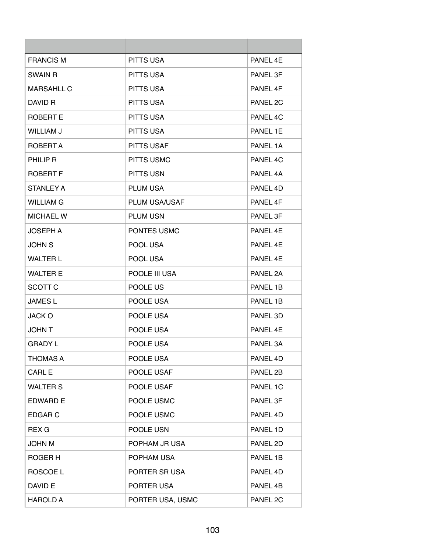| <b>FRANCIS M</b>  | PITTS USA          | PANEL 4E |
|-------------------|--------------------|----------|
| <b>SWAIN R</b>    | <b>PITTS USA</b>   | PANEL 3F |
| <b>MARSAHLL C</b> | PITTS USA          | PANEL 4F |
| DAVID R           | <b>PITTS USA</b>   | PANEL 2C |
| ROBERT E          | <b>PITTS USA</b>   | PANEL 4C |
| <b>WILLIAM J</b>  | <b>PITTS USA</b>   | PANEL 1E |
| ROBERT A          | <b>PITTS USAF</b>  | PANEL 1A |
| PHILIP R          | <b>PITTS USMC</b>  | PANEL 4C |
| <b>ROBERT F</b>   | <b>PITTS USN</b>   | PANEL 4A |
| <b>STANLEY A</b>  | <b>PLUM USA</b>    | PANEL 4D |
| WILLIAM G         | PLUM USA/USAF      | PANEL 4F |
| <b>MICHAEL W</b>  | <b>PLUM USN</b>    | PANEL 3F |
| <b>JOSEPH A</b>   | <b>PONTES USMC</b> | PANEL 4E |
| <b>JOHN S</b>     | POOL USA           | PANEL 4F |
| <b>WALTER L</b>   | POOL USA           | PANEL 4E |
| <b>WALTER E</b>   | POOLE III USA      | PANEL 2A |
| SCOTT C           | POOLE US           | PANEL 1B |
| <b>JAMES L</b>    | POOLE USA          | PANEL 1B |
| JACK O            | POOLE USA          | PANEL 3D |
| <b>JOHN T</b>     | POOLE USA          | PANEL 4E |
| GRADY L           | POOLE USA          | PANEL 3A |
| <b>THOMAS A</b>   | POOLE USA          | PANEL 4D |
| <b>CARL E</b>     | POOLE USAF         | PANEL 2B |
| <b>WALTER S</b>   | POOLE USAF         | PANEL 1C |
| <b>EDWARD E</b>   | POOLE USMC         | PANEL 3F |
| <b>EDGAR C</b>    | POOLE USMC         | PANEL 4D |
| <b>REX G</b>      | POOLE USN          | PANEL 1D |
| <b>JOHN M</b>     | POPHAM JR USA      | PANEL 2D |
| ROGER H           | POPHAM USA         | PANEL 1B |
| ROSCOE L          | PORTER SR USA      | PANEL 4D |
| DAVID E           | PORTER USA         | PANEL 4B |
| <b>HAROLD A</b>   | PORTER USA, USMC   | PANEL 2C |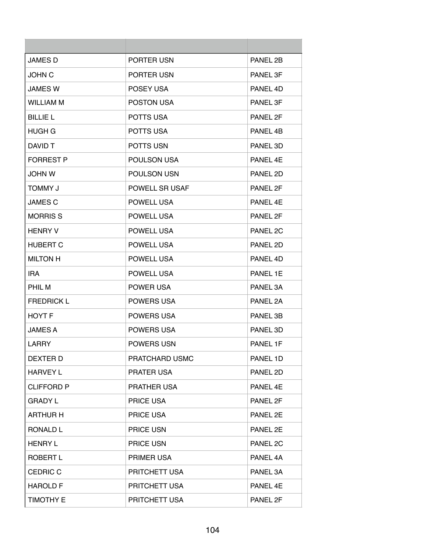| <b>JAMES D</b>    | PORTER USN            | PANEL 2B             |
|-------------------|-----------------------|----------------------|
| <b>JOHN C</b>     | PORTER USN            | PANEL 3F             |
| <b>JAMES W</b>    | POSEY USA             | PANEL 4D             |
| <b>WILLIAM M</b>  | <b>POSTON USA</b>     | PANEL 3F             |
| <b>BILLIE L</b>   | <b>POTTS USA</b>      | PANEL 2F             |
| HUGH G            | POTTS USA             | PANEL 4B             |
| DAVID T           | <b>POTTS USN</b>      | PANEL 3D             |
| <b>FORREST P</b>  | <b>POULSON USA</b>    | PANFL <sub>4</sub> F |
| <b>JOHN W</b>     | <b>POULSON USN</b>    | PANEL 2D             |
| <b>TOMMY J</b>    | <b>POWELL SR USAF</b> | PANEL 2F             |
| <b>JAMES C</b>    | POWELL USA            | PANFL <sub>4</sub> F |
| <b>MORRIS S</b>   | POWELL USA            | PANEL 2F             |
| <b>HENRY V</b>    | POWELL USA            | PANEL 2C             |
| <b>HUBERT C</b>   | <b>POWELL USA</b>     | PANEL 2D             |
| <b>MILTON H</b>   | <b>POWELL USA</b>     | PANEL 4D             |
| IRA.              | POWELL USA            | PANEL 1E             |
| PHIL M            | <b>POWER USA</b>      | PANEL 3A             |
| <b>FREDRICK L</b> | <b>POWERS USA</b>     | PANEL 2A             |
| <b>HOYT F</b>     | <b>POWERS USA</b>     | PANEL 3B             |
| <b>JAMES A</b>    | POWERS USA            | PANEL 3D             |
| LARRY             | <b>POWERS USN</b>     | PANEL 1F             |
| DEXTER D          | PRATCHARD USMC        | PANEL 1D             |
| <b>HARVEY L</b>   | <b>PRATER USA</b>     | PANEL 2D             |
| <b>CLIFFORD P</b> | PRATHER USA           | PANEL 4E             |
| <b>GRADY L</b>    | <b>PRICE USA</b>      | PANEL 2F             |
| <b>ARTHUR H</b>   | PRICE USA             | PANEL 2E             |
| RONALD L          | PRICE USN             | PANEL 2E             |
| <b>HENRY L</b>    | <b>PRICE USN</b>      | PANEL 2C             |
| <b>ROBERT L</b>   | PRIMER USA            | PANEL 4A             |
| <b>CEDRIC C</b>   | PRITCHETT USA         | PANEL 3A             |
| <b>HAROLD F</b>   | PRITCHETT USA         | PANEL 4E             |
| <b>TIMOTHY E</b>  | PRITCHETT USA         | PANEL 2F             |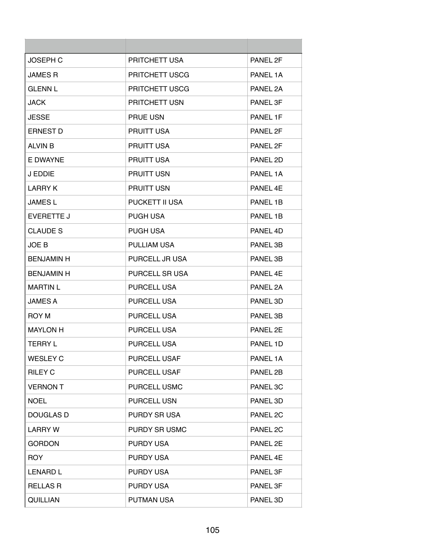| <b>JOSEPH C</b>   | PRITCHETT USA         | PANEL 2F |
|-------------------|-----------------------|----------|
| <b>JAMES R</b>    | <b>PRITCHETT USCG</b> | PANEL 1A |
| <b>GLENN L</b>    | PRITCHETT USCG        | PANEL 2A |
| <b>JACK</b>       | PRITCHETT USN         | PANEL 3F |
| <b>JESSE</b>      | <b>PRUE USN</b>       | PANEL 1F |
| <b>ERNEST D</b>   | <b>PRUITT USA</b>     | PANEL 2F |
| <b>ALVIN B</b>    | <b>PRUITT USA</b>     | PANEL 2F |
| E DWAYNE          | <b>PRUITT USA</b>     | PANEL 2D |
| J EDDIE           | <b>PRUITT USN</b>     | PANEL 1A |
| I ARRY K          | <b>PRUITT USN</b>     | PANEL 4F |
| <b>JAMES L</b>    | <b>PUCKETT II USA</b> | PANEL 1B |
| EVERETTE J        | <b>PUGH USA</b>       | PANEL 1B |
| <b>CLAUDE S</b>   | <b>PUGH USA</b>       | PANEL 4D |
| JOE B             | <b>PULLIAM USA</b>    | PANEL 3B |
| <b>BENJAMIN H</b> | PURCELL JR USA        | PANEL 3B |
| <b>BENJAMIN H</b> | PURCELL SR USA        | PANEL 4E |
| <b>MARTIN L</b>   | <b>PURCELL USA</b>    | PANEL 2A |
| <b>JAMES A</b>    | <b>PURCELL USA</b>    | PANEL 3D |
| ROY M             | PURCELL USA           | PANEL 3B |
| <b>MAYLON H</b>   | <b>PURCELL USA</b>    | PANEL 2F |
| TERRY L           | <b>PURCELL USA</b>    | PANEL 1D |
| <b>WESLEY C</b>   | <b>PURCELL USAF</b>   | PANEL 1A |
| <b>RILEY C</b>    | PURCELL USAF          | PANEL 2B |
| <b>VERNON T</b>   | <b>PURCELL USMC</b>   | PANEL 3C |
| <b>NOEL</b>       | <b>PURCELL USN</b>    | PANEL 3D |
| <b>DOUGLAS D</b>  | <b>PURDY SR USA</b>   | PANEL 2C |
| <b>LARRY W</b>    | PURDY SR USMC         | PANEL 2C |
| <b>GORDON</b>     | <b>PURDY USA</b>      | PANEL 2E |
| <b>ROY</b>        | <b>PURDY USA</b>      | PANEL 4E |
| <b>LENARD L</b>   | <b>PURDY USA</b>      | PANEL 3F |
| <b>RELLAS R</b>   | <b>PURDY USA</b>      | PANEL 3F |
| QUILLIAN          | <b>PUTMAN USA</b>     | PANEL 3D |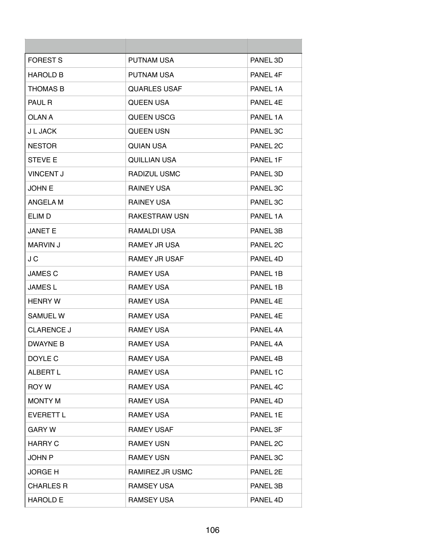| <b>FOREST S</b>   | <b>PUTNAM USA</b>    | PANEL 3D             |
|-------------------|----------------------|----------------------|
| <b>HAROLD B</b>   | <b>PUTNAM USA</b>    | PANEL 4F             |
| <b>THOMAS B</b>   | <b>QUARLES USAF</b>  | PANEL 1A             |
| <b>PAUL R</b>     | <b>QUEEN USA</b>     | PANEL 4F             |
| OL AN A           | QUEEN USCG           | PANFI <sub>1</sub> A |
| J L JACK          | <b>QUEEN USN</b>     | PANEL 3C             |
| <b>NESTOR</b>     | QUIAN USA            | PANEL 2C             |
| <b>STEVE E</b>    | <b>QUILLIAN USA</b>  | PANEL 1F             |
| <b>VINCENT J</b>  | RADIZUL USMC         | PANEL 3D             |
| <b>JOHN E</b>     | <b>RAINEY USA</b>    | PANEL 3C             |
| ANGELA M          | <b>RAINEY USA</b>    | PANEL 3C             |
| ELIM D            | <b>RAKESTRAW USN</b> | PANEL 1A             |
| <b>JANET E</b>    | RAMALDI USA          | PANEL 3B             |
| <b>MARVIN J</b>   | <b>RAMEY JR USA</b>  | PANEL 2C             |
| J C               | <b>RAMEY JR USAF</b> | PANEL 4D             |
| <b>JAMES C</b>    | <b>RAMEY USA</b>     | PANEL 1B             |
| <b>JAMES L</b>    | <b>RAMEY USA</b>     | PANEL 1B             |
| <b>HENRY W</b>    | <b>RAMEY USA</b>     | PANEL 4F             |
| <b>SAMUEL W</b>   | <b>RAMEY USA</b>     | PANFL 4F             |
| <b>CLARENCE J</b> | <b>RAMEY USA</b>     | PANEL 4A             |
| <b>DWAYNE B</b>   | <b>RAMEY USA</b>     | PANEL 4A             |
| DOYLE C           | <b>RAMEY USA</b>     | PANEL 4B             |
| <b>ALBERT L</b>   | <b>RAMEY USA</b>     | PANEL 1C             |
| <b>ROY W</b>      | <b>RAMEY USA</b>     | PANEL 4C             |
| <b>MONTY M</b>    | <b>RAMEY USA</b>     | PANEL 4D             |
| <b>EVERETT L</b>  | <b>RAMEY USA</b>     | PANEL 1E             |
| <b>GARY W</b>     | <b>RAMEY USAF</b>    | PANEL 3F             |
| <b>HARRY C</b>    | <b>RAMEY USN</b>     | PANEL 2C             |
| <b>JOHN P</b>     | <b>RAMEY USN</b>     | PANEL 3C             |
| <b>JORGE H</b>    | RAMIREZ JR USMC      | PANEL 2E             |
| <b>CHARLES R</b>  | <b>RAMSEY USA</b>    | PANEL 3B             |
| <b>HAROLD E</b>   | <b>RAMSEY USA</b>    | PANEL 4D             |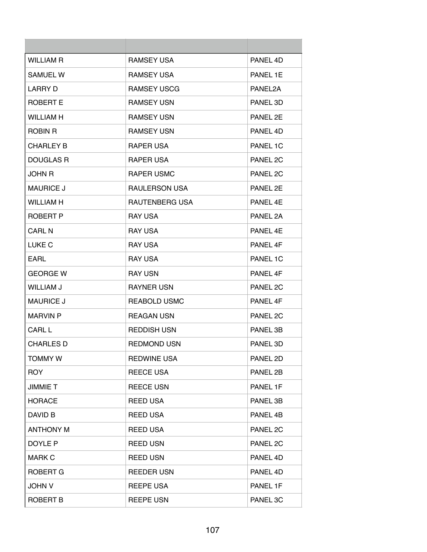| WILLIAM R        | <b>RAMSEY USA</b>   | PANEL 4D            |
|------------------|---------------------|---------------------|
| <b>SAMUEL W</b>  | <b>RAMSEY USA</b>   | PANEL 1E            |
| <b>LARRY D</b>   | <b>RAMSEY USCG</b>  | PANEL2A             |
| ROBERT E         | <b>RAMSEY USN</b>   | PANEL 3D            |
| <b>WILLIAM H</b> | <b>RAMSEY USN</b>   | PANEL 2E            |
| ROBIN R          | <b>RAMSEY USN</b>   | PANEL 4D            |
| <b>CHARLEY B</b> | <b>RAPER USA</b>    | PANEL 1C            |
| <b>DOUGLAS R</b> | <b>RAPER USA</b>    | PANEL 2C            |
| JOHN R           | <b>RAPER USMC</b>   | PANEL 2C            |
| <b>MAURICE J</b> | RAULERSON USA       | PANEL 2E            |
| <b>WILLIAM H</b> | RAUTENBERG USA      | PANFI <sub>4F</sub> |
| ROBERT P         | <b>RAY USA</b>      | PANEL 2A            |
| <b>CARL N</b>    | <b>RAY USA</b>      | PANEL 4E            |
| <b>LUKE C</b>    | <b>RAY USA</b>      | PANEL 4F            |
| EARL             | <b>RAY USA</b>      | PANEL 1C            |
| <b>GEORGE W</b>  | <b>RAY USN</b>      | PANEL 4F            |
| <b>WILLIAM J</b> | <b>RAYNER USN</b>   | PANEL 2C            |
| <b>MAURICE J</b> | <b>REABOLD USMC</b> | PANEL 4F            |
| <b>MARVIN P</b>  | <b>REAGAN USN</b>   | PANEL 2C            |
| CARL L           | <b>REDDISH USN</b>  | PANEL 3B            |
| <b>CHARLES D</b> | <b>REDMOND USN</b>  | PANEL 3D            |
| <b>TOMMY W</b>   | <b>REDWINE USA</b>  | PANEL 2D            |
| <b>ROY</b>       | <b>REECE USA</b>    | PANEL 2B            |
| <b>JIMMIE T</b>  | <b>REECE USN</b>    | PANEL 1F            |
| <b>HORACE</b>    | <b>REED USA</b>     | PANEL 3B            |
| DAVID B          | <b>REED USA</b>     | PANEL 4B            |
| <b>ANTHONY M</b> | <b>REED USA</b>     | PANEL 2C            |
| DOYLE P          | <b>REED USN</b>     | PANEL 2C            |
| <b>MARK C</b>    | <b>REED USN</b>     | PANEL 4D            |
| <b>ROBERT G</b>  | <b>REEDER USN</b>   | PANEL 4D            |
| <b>JOHN V</b>    | <b>REEPE USA</b>    | PANEL 1F            |
| ROBERT B         | <b>REEPE USN</b>    | PANEL 3C            |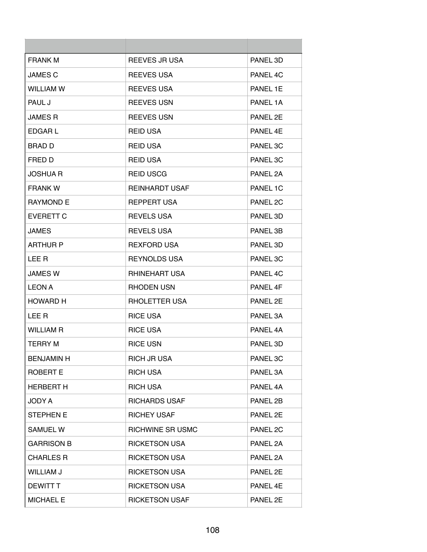| <b>FRANK M</b>    | <b>REEVES JR USA</b>    | PANEL 3D            |
|-------------------|-------------------------|---------------------|
| <b>JAMES C</b>    | <b>REEVES USA</b>       | PANEL 4C            |
| <b>WILLIAM W</b>  | <b>REEVES USA</b>       | PANEL 1E            |
| PAUL J            | <b>REEVES USN</b>       | PANEL 1A            |
| <b>JAMES R</b>    | <b>REEVES USN</b>       | PANEL 2E            |
| EDGAR L           | <b>REID USA</b>         | PANFI <sub>4F</sub> |
| <b>BRAD D</b>     | REID USA                | PANEL 3C            |
| FRED D            | <b>REID USA</b>         | PANEL 3C            |
| <b>JOSHUA R</b>   | <b>REID USCG</b>        | PANEL 2A            |
| <b>FRANK W</b>    | <b>REINHARDT USAF</b>   | PANEL 1C            |
| <b>RAYMOND E</b>  | <b>REPPERT USA</b>      | PANEL 2C            |
| <b>EVERETT C</b>  | <b>REVELS USA</b>       | PANEL 3D            |
| <b>JAMES</b>      | <b>REVELS USA</b>       | PANEL 3B            |
| <b>ARTHUR P</b>   | <b>REXFORD USA</b>      | PANEL 3D            |
| LEE R             | <b>REYNOLDS USA</b>     | PANEL 3C            |
| <b>JAMES W</b>    | <b>RHINEHART USA</b>    | PANEL 4C            |
| <b>LEON A</b>     | RHODEN USN              | PANEL 4F            |
| <b>HOWARD H</b>   | RHOLETTER USA           | PANEL 2E            |
| LEE R             | <b>RICE USA</b>         | PANEL 3A            |
| <b>WILLIAM R</b>  | <b>RICE USA</b>         | PANEL 4A            |
| TERRY M           | <b>RICE USN</b>         | PANEL 3D            |
| <b>BENJAMIN H</b> | <b>RICH JR USA</b>      | PANEL 3C            |
| <b>ROBERT E</b>   | <b>RICH USA</b>         | PANEL 3A            |
| <b>HERBERT H</b>  | <b>RICH USA</b>         | PANEL 4A            |
| JODY A            | <b>RICHARDS USAF</b>    | PANEL 2B            |
| <b>STEPHEN E</b>  | <b>RICHEY USAF</b>      | PANEL 2E            |
| <b>SAMUEL W</b>   | <b>RICHWINE SR USMC</b> | PANEL 2C            |
| <b>GARRISON B</b> | <b>RICKETSON USA</b>    | PANEL 2A            |
| <b>CHARLES R</b>  | <b>RICKETSON USA</b>    | PANEL 2A            |
| <b>WILLIAM J</b>  | <b>RICKETSON USA</b>    | PANEL 2E            |
| <b>DEWITT T</b>   | <b>RICKETSON USA</b>    | PANEL 4E            |
| <b>MICHAEL E</b>  | <b>RICKETSON USAF</b>   | PANEL 2E            |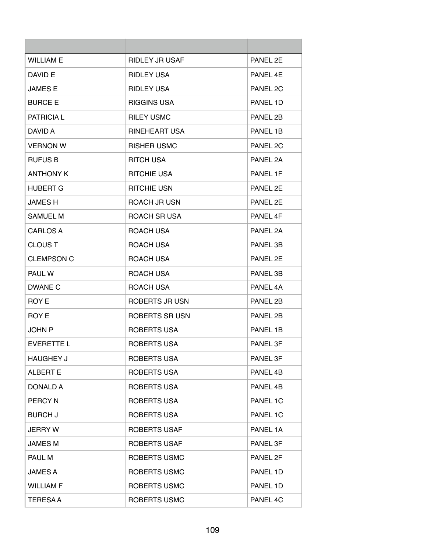| <b>WILLIAM E</b>  | <b>RIDLEY JR USAF</b> | PANEL 2F |
|-------------------|-----------------------|----------|
| DAVID E           | <b>RIDLEY USA</b>     | PANEL 4F |
| <b>JAMES F</b>    | <b>RIDLEY USA</b>     | PANEL 2C |
| <b>BURCE E</b>    | <b>RIGGINS USA</b>    | PANEL 1D |
| <b>PATRICIAL</b>  | <b>RILEY USMC</b>     | PANEL 2B |
| DAVID A           | <b>RINEHEART USA</b>  | PANEL 1B |
| <b>VERNON W</b>   | <b>RISHER USMC</b>    | PANEL 2C |
| <b>RUFUS B</b>    | <b>RITCH USA</b>      | PANEL 2A |
| <b>ANTHONY K</b>  | <b>RITCHIE USA</b>    | PANEL 1F |
| <b>HUBERT G</b>   | <b>RITCHIE USN</b>    | PANEL 2F |
| <b>JAMESH</b>     | <b>ROACH JR USN</b>   | PANEL 2E |
| SAMUEL M          | ROACH SR USA          | PANEL 4F |
| <b>CARLOS A</b>   | ROACH USA             | PANEL 2A |
| <b>CLOUS T</b>    | ROACH USA             | PANEL 3B |
| <b>CLEMPSON C</b> | ROACH USA             | PANEL 2E |
| PAUL W            | ROACH USA             | PANEL 3B |
| DWANE C           | ROACH USA             | PANEL 4A |
| ROY E             | ROBERTS JR USN        | PANEL 2B |
| ROY E             | ROBERTS SR USN        | PANEL 2B |
| <b>JOHN P</b>     | ROBERTS USA           | PANEL 1B |
| <b>EVERETTE L</b> | ROBERTS USA           | PANEL 3F |
| <b>HAUGHEY J</b>  | <b>ROBERTS USA</b>    | PANEL 3F |
| <b>ALBERT E</b>   | <b>ROBERTS USA</b>    | PANEL 4B |
| <b>DONALD A</b>   | <b>ROBERTS USA</b>    | PANEL 4B |
| <b>PERCYN</b>     | <b>ROBERTS USA</b>    | PANEL 1C |
| <b>BURCH J</b>    | ROBERTS USA           | PANEL 1C |
| <b>JERRY W</b>    | <b>ROBERTS USAF</b>   | PANEL 1A |
| <b>JAMES M</b>    | <b>ROBERTS USAF</b>   | PANEL 3F |
| PAUL M            | <b>ROBERTS USMC</b>   | PANEL 2F |
| <b>JAMES A</b>    | <b>ROBERTS USMC</b>   | PANEL 1D |
| <b>WILLIAM F</b>  | ROBERTS USMC          | PANEL 1D |
| <b>TERESAA</b>    | <b>ROBERTS USMC</b>   | PANEL 4C |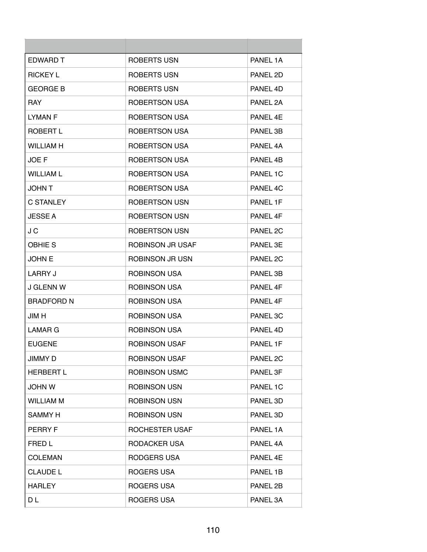| EDWARD T          | ROBERTS USN             | PANEL 1A |
|-------------------|-------------------------|----------|
| <b>RICKEY L</b>   | ROBERTS USN             | PANEL 2D |
| <b>GEORGE B</b>   | ROBERTS USN             | PANEL 4D |
| RAY.              | <b>ROBERTSON USA</b>    | PANEL 2A |
| I YMAN F          | <b>ROBERTSON USA</b>    | PANEL 4F |
| ROBERT L          | <b>ROBERTSON USA</b>    | PANEL 3B |
| <b>WILLIAM H</b>  | ROBERTSON USA           | PANEL 4A |
| <b>JOEF</b>       | <b>ROBERTSON USA</b>    | PANEL 4B |
| <b>WILLIAM L</b>  | ROBERTSON USA           | PANEL 1C |
| <b>JOHN T</b>     | <b>ROBERTSON USA</b>    | PANEL 4C |
| <b>C STANLEY</b>  | ROBERTSON USN           | PANEL 1F |
| <b>JESSE A</b>    | <b>ROBERTSON USN</b>    | PANEL 4F |
| J C               | <b>ROBERTSON USN</b>    | PANEL 2C |
| <b>OBHIE S</b>    | <b>ROBINSON JR USAF</b> | PANEL 3E |
| <b>JOHN E</b>     | ROBINSON JR USN         | PANEL 2C |
| LARRY J           | <b>ROBINSON USA</b>     | PANEL 3B |
| <b>J GLENN W</b>  | ROBINSON USA            | PANEL 4F |
| <b>BRADFORD N</b> | ROBINSON USA            | PANEL 4F |
| JIM H             | <b>ROBINSON USA</b>     | PANEL 3C |
| LAMAR G           | <b>ROBINSON USA</b>     | PANEL 4D |
| <b>EUGENE</b>     | <b>ROBINSON USAF</b>    | PANEL 1F |
| <b>JIMMY D</b>    | <b>ROBINSON USAF</b>    | PANEL 2C |
| <b>HERBERT L</b>  | <b>ROBINSON USMC</b>    | PANEL 3F |
| <b>JOHN W</b>     | <b>ROBINSON USN</b>     | PANEL 1C |
| <b>WILLIAM M</b>  | <b>ROBINSON USN</b>     | PANEL 3D |
| <b>SAMMY H</b>    | <b>ROBINSON USN</b>     | PANEL 3D |
| PERRY F           | <b>ROCHESTER USAF</b>   | PANEL 1A |
| FRED L            | RODACKER USA            | PANEL 4A |
| <b>COLEMAN</b>    | RODGERS USA             | PANEL 4E |
| <b>CLAUDE L</b>   | ROGERS USA              | PANEL 1B |
| <b>HARLEY</b>     | <b>ROGERS USA</b>       | PANEL 2B |
| D L               | <b>ROGERS USA</b>       | PANEL 3A |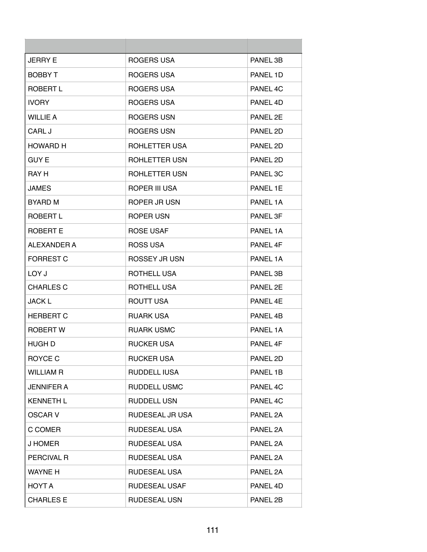| <b>JERRY E</b>    | ROGERS USA           | PANEL 3B |
|-------------------|----------------------|----------|
| <b>BOBBY T</b>    | ROGERS USA           | PANEL 1D |
| ROBERT L          | ROGERS USA           | PANEL 4C |
| <b>IVORY</b>      | ROGERS USA           | PANEL 4D |
| <b>WILLIE A</b>   | ROGERS USN           | PANEL 2E |
| CARL J            | ROGERS USN           | PANEL 2D |
| <b>HOWARD H</b>   | ROHLETTER USA        | PANEL 2D |
| <b>GUY E</b>      | ROHLETTER USN        | PANEL 2D |
| RAY H             | ROHLETTER USN        | PANEL 3C |
| <b>JAMES</b>      | ROPER III USA        | PANEL 1E |
| <b>BYARD M</b>    | ROPER JR USN         | PANEL 1A |
| ROBERT L          | ROPER USN            | PANEL 3F |
| ROBERT E          | <b>ROSE USAF</b>     | PANEL 1A |
| ALEXANDER A       | ROSS USA             | PANEL 4F |
| <b>FORREST C</b>  | ROSSEY JR USN        | PANEL 1A |
| LOY J             | ROTHELL USA          | PANEL 3B |
| <b>CHARLES C</b>  | ROTHELL USA          | PANEL 2E |
| <b>JACK L</b>     | ROUTT USA            | PANEL 4F |
| <b>HERBERT C</b>  | <b>RUARK USA</b>     | PANEL 4B |
| <b>ROBERT W</b>   | <b>RUARK USMC</b>    | PANEL 1A |
| HUGH D            | RUCKER USA           | PANEL 4F |
| <b>ROYCE C</b>    | <b>RUCKER USA</b>    | PANEL 2D |
| <b>WILLIAM R</b>  | RUDDELL IUSA         | PANEL 1B |
| <b>JENNIFER A</b> | <b>RUDDELL USMC</b>  | PANEL 4C |
| <b>KENNETH L</b>  | <b>RUDDELL USN</b>   | PANEL 4C |
| <b>OSCAR V</b>    | RUDESEAL JR USA      | PANEL 2A |
| C COMER           | <b>RUDESEAL USA</b>  | PANEL 2A |
| <b>J HOMER</b>    | RUDESEAL USA         | PANEL 2A |
| PERCIVAL R        | <b>RUDESEAL USA</b>  | PANEL 2A |
| <b>WAYNE H</b>    | <b>RUDESEAL USA</b>  | PANEL 2A |
| HOYT A            | <b>RUDESEAL USAF</b> | PANEL 4D |
| <b>CHARLES E</b>  | <b>RUDESEAL USN</b>  | PANEL 2B |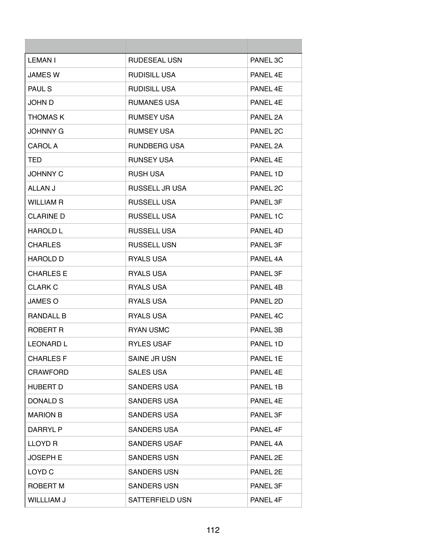| LEMAN I           | <b>RUDESEAL USN</b> | PANEL 3C |
|-------------------|---------------------|----------|
| <b>JAMES W</b>    | <b>RUDISILL USA</b> | PANEL 4E |
| PAUL S            | <b>RUDISILL USA</b> | PANEL 4E |
| JOHN D            | <b>RUMANES USA</b>  | PANEL 4E |
| <b>THOMAS K</b>   | <b>RUMSEY USA</b>   | PANEL 2A |
| <b>JOHNNY G</b>   | <b>RUMSEY USA</b>   | PANEL 2C |
| CAROL A           | RUNDBERG USA        | PANEL 2A |
| TED               | <b>RUNSEY USA</b>   | PANEL 4E |
| <b>JOHNNY C</b>   | <b>RUSH USA</b>     | PANEL 1D |
| ALLAN J           | RUSSELL JR USA      | PANEL 2C |
| <b>WILLIAM R</b>  | <b>RUSSELL USA</b>  | PANEL 3F |
| <b>CLARINE D</b>  | <b>RUSSELL USA</b>  | PANEL 1C |
| HAROLD L          | <b>RUSSELL USA</b>  | PANEL 4D |
| <b>CHARLES</b>    | <b>RUSSELL USN</b>  | PANEL 3F |
| <b>HAROLD D</b>   | <b>RYALS USA</b>    | PANEL 4A |
| <b>CHARLES E</b>  | RYALS USA           | PANEL 3F |
| <b>CLARK C</b>    | <b>RYALS USA</b>    | PANEL 4B |
| JAMES O           | <b>RYALS USA</b>    | PANEL 2D |
| <b>RANDALL B</b>  | RYALS USA           | PANEL 4C |
| ROBERT R          | <b>RYAN USMC</b>    | PANEL 3B |
| <b>LEONARD L</b>  | <b>RYLES USAF</b>   | PANEL 1D |
| <b>CHARLES F</b>  | SAINE JR USN        | PANEL 1E |
| <b>CRAWFORD</b>   | <b>SALES USA</b>    | PANEL 4E |
| <b>HUBERT D</b>   | <b>SANDERS USA</b>  | PANEL 1B |
| DONALD S          | <b>SANDERS USA</b>  | PANEL 4E |
| <b>MARION B</b>   | <b>SANDERS USA</b>  | PANEL 3F |
| DARRYL P          | <b>SANDERS USA</b>  | PANEL 4F |
| LLOYD R           | <b>SANDERS USAF</b> | PANEL 4A |
| <b>JOSEPH E</b>   | <b>SANDERS USN</b>  | PANEL 2E |
| LOYD <sub>C</sub> | <b>SANDERS USN</b>  | PANEL 2E |
| ROBERT M          | <b>SANDERS USN</b>  | PANEL 3F |
| WILLLIAM J        | SATTERFIELD USN     | PANEL 4F |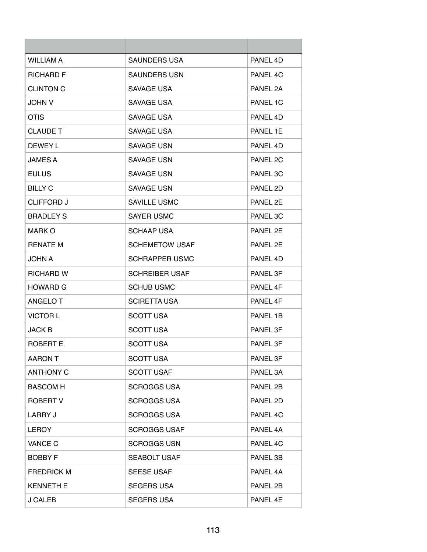| <b>WILLIAM A</b>  | <b>SAUNDERS USA</b>   | PANEL 4D |
|-------------------|-----------------------|----------|
| <b>RICHARD F</b>  | <b>SAUNDERS USN</b>   | PANEL 4C |
| <b>CLINTON C</b>  | SAVAGE USA            | PANEL 2A |
| <b>JOHN V</b>     | SAVAGE USA            | PANEL 1C |
| <b>OTIS</b>       | <b>SAVAGE USA</b>     | PANEL 4D |
| <b>CLAUDE T</b>   | SAVAGE USA            | PANEL 1E |
| DEWEY L           | SAVAGE USN            | PANEL 4D |
| <b>JAMES A</b>    | SAVAGE USN            | PANEL 2C |
| <b>EULUS</b>      | SAVAGE USN            | PANEL 3C |
| <b>BILLY C</b>    | SAVAGE USN            | PANEL 2D |
| <b>CLIFFORD J</b> | SAVILLE USMC          | PANEL 2F |
| <b>BRADLEY S</b>  | <b>SAYER USMC</b>     | PANEL 3C |
| MARK O            | <b>SCHAAP USA</b>     | PANEL 2E |
| <b>RENATE M</b>   | <b>SCHEMETOW USAF</b> | PANEL 2E |
| <b>JOHN A</b>     | <b>SCHRAPPER USMC</b> | PANEL 4D |
| <b>RICHARD W</b>  | <b>SCHREIBER USAF</b> | PANEL 3F |
| <b>HOWARD G</b>   | <b>SCHUB USMC</b>     | PANEL 4F |
| ANGELO T          | <b>SCIRETTA USA</b>   | PANEL 4F |
| <b>VICTOR L</b>   | <b>SCOTT USA</b>      | PANEL 1B |
| <b>JACK B</b>     | <b>SCOTT USA</b>      | PANEL 3F |
| ROBERT E          | <b>SCOTT USA</b>      | PANEL 3F |
| <b>AARON T</b>    | <b>SCOTT USA</b>      | PANEL 3F |
| <b>ANTHONY C</b>  | <b>SCOTT USAF</b>     | PANEL 3A |
| <b>BASCOM H</b>   | <b>SCROGGS USA</b>    | PANEL 2B |
| <b>ROBERT V</b>   | <b>SCROGGS USA</b>    | PANEL 2D |
| <b>LARRY J</b>    | <b>SCROGGS USA</b>    | PANEL 4C |
| <b>LEROY</b>      | <b>SCROGGS USAF</b>   | PANEL 4A |
| VANCE C           | <b>SCROGGS USN</b>    | PANEL 4C |
| <b>BOBBY F</b>    | <b>SEABOLT USAF</b>   | PANEL 3B |
| <b>FREDRICK M</b> | <b>SEESE USAF</b>     | PANEL 4A |
| <b>KENNETH E</b>  | <b>SEGERS USA</b>     | PANEL 2B |
| <b>J CALEB</b>    | <b>SEGERS USA</b>     | PANEL 4E |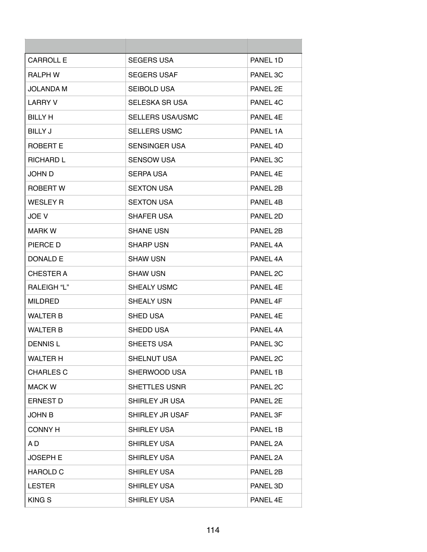| CARROLL E          | <b>SEGERS USA</b>       | PANEL 1D |
|--------------------|-------------------------|----------|
| RALPH W            | <b>SEGERS USAF</b>      | PANEL 3C |
| JOLANDA M          | <b>SEIBOLD USA</b>      | PANEL 2E |
| <b>LARRY V</b>     | <b>SELESKA SR USA</b>   | PANEL 4C |
| <b>BILLY H</b>     | <b>SELLERS USA/USMC</b> | PANFL 4F |
| BILLY J            | <b>SELLERS USMC</b>     | PANEL 1A |
| ROBERT E           | SENSINGER USA           | PANEL 4D |
| <b>RICHARD L</b>   | <b>SENSOW USA</b>       | PANEL 3C |
| JOHN D             | <b>SERPA USA</b>        | PANEL 4E |
| ROBERT W           | <b>SEXTON USA</b>       | PANEL 2B |
| <b>WESLEY R</b>    | <b>SEXTON USA</b>       | PANEL 4B |
| JOE V              | <b>SHAFER USA</b>       | PANEL 2D |
| <b>MARK W</b>      | <b>SHANE USN</b>        | PANEL 2B |
| PIERCE D           | <b>SHARP USN</b>        | PANEL 4A |
| DONALD E           | <b>SHAW USN</b>         | PANEL 4A |
| CHESTER A          | <b>SHAW USN</b>         | PANEL 2C |
| <b>RALEIGH "L"</b> | <b>SHEALY USMC</b>      | PANEL 4E |
| <b>MILDRED</b>     | <b>SHEALY USN</b>       | PANEL 4F |
| <b>WALTER B</b>    | <b>SHED USA</b>         | PANEL 4F |
| <b>WALTER B</b>    | SHEDD USA               | PANEL 4A |
| <b>DENNISL</b>     | SHEETS USA              | PANEL 3C |
| <b>WALTER H</b>    | SHELNUT USA             | PANEL 2C |
| <b>CHARLES C</b>   | SHERWOOD USA            | PANEL 1B |
| <b>MACK W</b>      | <b>SHETTLES USNR</b>    | PANEL 2C |
| <b>ERNEST D</b>    | SHIRLEY JR USA          | PANEL 2E |
| <b>JOHN B</b>      | SHIRLEY JR USAF         | PANEL 3F |
| <b>CONNY H</b>     | <b>SHIRLEY USA</b>      | PANEL 1B |
| A D                | <b>SHIRLEY USA</b>      | PANEL 2A |
| <b>JOSEPH E</b>    | <b>SHIRLEY USA</b>      | PANEL 2A |
| <b>HAROLD C</b>    | <b>SHIRLEY USA</b>      | PANEL 2B |
| <b>LESTER</b>      | <b>SHIRLEY USA</b>      | PANEL 3D |
| <b>KINGS</b>       | <b>SHIRLEY USA</b>      | PANEL 4E |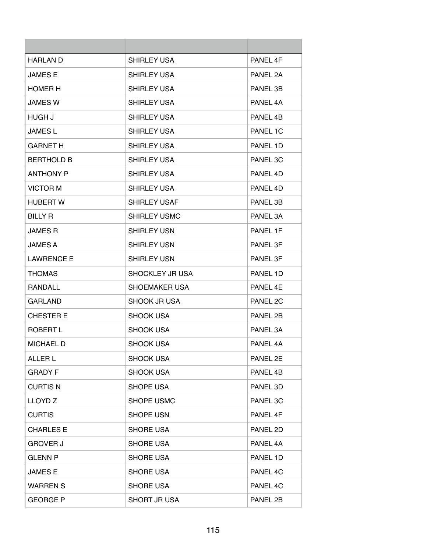| <b>HARLAN D</b>   | <b>SHIRLEY USA</b>     | PANEL 4F |
|-------------------|------------------------|----------|
| <b>JAMES E</b>    | <b>SHIRLEY USA</b>     | PANEL 2A |
| <b>HOMER H</b>    | <b>SHIRLEY USA</b>     | PANEL 3B |
| <b>JAMES W</b>    | <b>SHIRLEY USA</b>     | PANEL 4A |
| HUGH J            | <b>SHIRLEY USA</b>     | PANFI 4R |
| <b>JAMES L</b>    | SHIRLEY USA            | PANEL 1C |
| <b>GARNET H</b>   | <b>SHIRLEY USA</b>     | PANEL 1D |
| <b>BERTHOLD B</b> | <b>SHIRLEY USA</b>     | PANEL 3C |
| <b>ANTHONY P</b>  | <b>SHIRLEY USA</b>     | PANEL 4D |
| <b>VICTOR M</b>   | <b>SHIRLEY USA</b>     | PANEL 4D |
| <b>HUBERT W</b>   | SHIRLEY USAF           | PANEL 3B |
| <b>BILLY R</b>    | SHIRLEY USMC           | PANEL 3A |
| <b>JAMES R</b>    | <b>SHIRLEY USN</b>     | PANEL 1F |
| <b>JAMES A</b>    | <b>SHIRLEY USN</b>     | PANEL 3F |
| <b>LAWRENCE E</b> | <b>SHIRLEY USN</b>     | PANEL 3F |
| <b>THOMAS</b>     | <b>SHOCKLEY JR USA</b> | PANEL 1D |
| <b>RANDALL</b>    | SHOEMAKER USA          | PANEL 4E |
| <b>GARLAND</b>    | SHOOK JR USA           | PANEL 2C |
| <b>CHESTER E</b>  | SHOOK USA              | PANEL 2B |
| ROBERT L          | <b>SHOOK USA</b>       | PANEL 3A |
| MICHAEL D         | SHOOK USA              | PANEL 4A |
| ALLER L           | <b>SHOOK USA</b>       | PANEL 2E |
| <b>GRADY F</b>    | <b>SHOOK USA</b>       | PANEL 4B |
| <b>CURTIS N</b>   | <b>SHOPE USA</b>       | PANEL 3D |
| LLOYD Z           | <b>SHOPE USMC</b>      | PANEL 3C |
| <b>CURTIS</b>     | SHOPE USN              | PANEL 4F |
| <b>CHARLES E</b>  | <b>SHORE USA</b>       | PANEL 2D |
| <b>GROVER J</b>   | <b>SHORE USA</b>       | PANEL 4A |
| <b>GLENN P</b>    | <b>SHORE USA</b>       | PANEL 1D |
| <b>JAMES E</b>    | <b>SHORE USA</b>       | PANEL 4C |
| <b>WARREN S</b>   | <b>SHORE USA</b>       | PANEL 4C |
| <b>GEORGE P</b>   | SHORT JR USA           | PANEL 2B |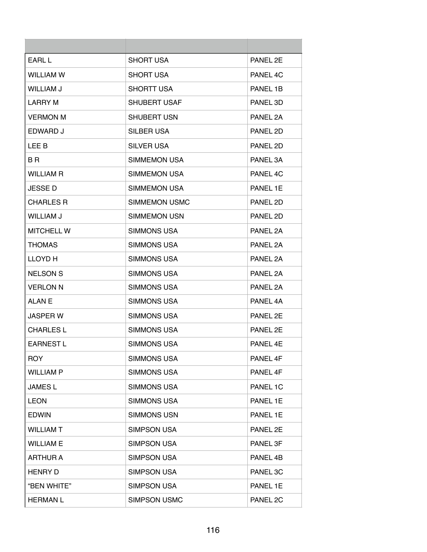| <b>EARL L</b>     | <b>SHORT USA</b>    | PANEL 2E             |
|-------------------|---------------------|----------------------|
| <b>WILLIAM W</b>  | <b>SHORT USA</b>    | PANEL 4C             |
| <b>WILLIAM J</b>  | SHORTT USA          | PANEL 1B             |
| <b>LARRY M</b>    | <b>SHUBERT USAF</b> | PANEL 3D             |
| <b>VERMON M</b>   | <b>SHUBERT USN</b>  | PANFI <sub>2</sub> A |
| <b>EDWARD J</b>   | SILBER USA          | PANEL 2D             |
| LEE B             | <b>SILVER USA</b>   | PANEL 2D             |
| B R               | <b>SIMMEMON USA</b> | PANEL 3A             |
| <b>WILLIAM R</b>  | SIMMEMON USA        | PANEL 4C             |
| JESSE D           | <b>SIMMEMON USA</b> | PANEL 1E             |
| <b>CHARLES R</b>  | SIMMEMON USMC       | PANEL 2D             |
| <b>WILLIAM J</b>  | <b>SIMMEMON USN</b> | PANEL 2D             |
| <b>MITCHELL W</b> | <b>SIMMONS USA</b>  | PANEL 2A             |
| <b>THOMAS</b>     | <b>SIMMONS USA</b>  | PANEL 2A             |
| <b>LLOYD H</b>    | SIMMONS USA         | PANEL 2A             |
| <b>NELSON S</b>   | <b>SIMMONS USA</b>  | PANEL 2A             |
| <b>VERLON N</b>   | <b>SIMMONS USA</b>  | PANEL 2A             |
| ALAN E            | <b>SIMMONS USA</b>  | PANEL 4A             |
| <b>JASPER W</b>   | <b>SIMMONS USA</b>  | PANEL 2E             |
| <b>CHARLES L</b>  | <b>SIMMONS USA</b>  | PANEL 2E             |
| <b>EARNEST L</b>  | SIMMONS USA         | PANEL 4E             |
| <b>ROY</b>        | <b>SIMMONS USA</b>  | PANEL 4F             |
| <b>WILLIAM P</b>  | <b>SIMMONS USA</b>  | PANEL 4F             |
| <b>JAMES L</b>    | <b>SIMMONS USA</b>  | PANEL 1C             |
| <b>LEON</b>       | <b>SIMMONS USA</b>  | PANEL 1E             |
| <b>EDWIN</b>      | <b>SIMMONS USN</b>  | PANEL 1E             |
| <b>WILLIAM T</b>  | <b>SIMPSON USA</b>  | PANEL 2E             |
| <b>WILLIAM E</b>  | <b>SIMPSON USA</b>  | PANEL 3F             |
| ARTHUR A          | <b>SIMPSON USA</b>  | PANEL 4B             |
| <b>HENRY D</b>    | <b>SIMPSON USA</b>  | PANEL 3C             |
| "BEN WHITE"       | <b>SIMPSON USA</b>  | PANEL 1E             |
| <b>HERMAN L</b>   | <b>SIMPSON USMC</b> | PANEL 2C             |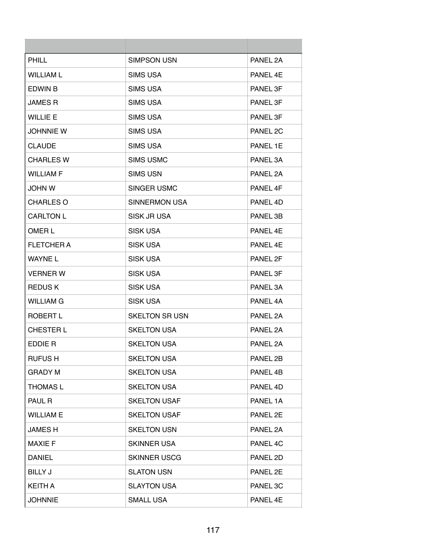| <b>PHILL</b>      | SIMPSON USN           | PANEL 2A |
|-------------------|-----------------------|----------|
| <b>WILLIAM L</b>  | <b>SIMS USA</b>       | PANFL 4F |
| EDWIN B           | <b>SIMS USA</b>       | PANEL 3F |
| <b>JAMES R</b>    | <b>SIMS USA</b>       | PANEL 3F |
| <b>WILLIE E</b>   | <b>SIMS USA</b>       | PANEL 3F |
| <b>JOHNNIE W</b>  | <b>SIMS USA</b>       | PANEL 2C |
| <b>CLAUDE</b>     | <b>SIMS USA</b>       | PANEL 1E |
| <b>CHARLES W</b>  | <b>SIMS USMC</b>      | PANEL 3A |
| <b>WILLIAM F</b>  | <b>SIMS USN</b>       | PANEL 2A |
| <b>JOHN W</b>     | SINGER USMC           | PANEL 4F |
| CHARLES O         | SINNERMON USA         | PANEL 4D |
| CARLTON L         | SISK JR USA           | PANEL 3B |
| OMER L            | <b>SISK USA</b>       | PANFL 4F |
| <b>FLETCHER A</b> | <b>SISK USA</b>       | PANEL 4E |
| <b>WAYNE L</b>    | <b>SISK USA</b>       | PANEL 2F |
| <b>VERNER W</b>   | <b>SISK USA</b>       | PANEL 3F |
| <b>REDUSK</b>     | <b>SISK USA</b>       | PANEL 3A |
| <b>WILLIAM G</b>  | <b>SISK USA</b>       | PANEL 4A |
| ROBERT L          | <b>SKELTON SR USN</b> | PANEL 2A |
| <b>CHESTER L</b>  | <b>SKELTON USA</b>    | PANEL 2A |
| EDDIE R           | <b>SKELTON USA</b>    | PANEL 2A |
| <b>RUFUSH</b>     | <b>SKELTON USA</b>    | PANEL 2B |
| <b>GRADY M</b>    | <b>SKELTON USA</b>    | PANEL 4B |
| <b>THOMAS L</b>   | <b>SKELTON USA</b>    | PANEL 4D |
| <b>PAUL R</b>     | <b>SKELTON USAF</b>   | PANEL 1A |
| <b>WILLIAM E</b>  | <b>SKELTON USAF</b>   | PANEL 2E |
| <b>JAMESH</b>     | <b>SKELTON USN</b>    | PANEL 2A |
| <b>MAXIE F</b>    | <b>SKINNER USA</b>    | PANEL 4C |
| <b>DANIEL</b>     | <b>SKINNER USCG</b>   | PANEL 2D |
| <b>BILLY J</b>    | <b>SLATON USN</b>     | PANEL 2E |
| KEITH A           | <b>SLAYTON USA</b>    | PANEL 3C |
| <b>JOHNNIE</b>    | <b>SMALL USA</b>      | PANEL 4E |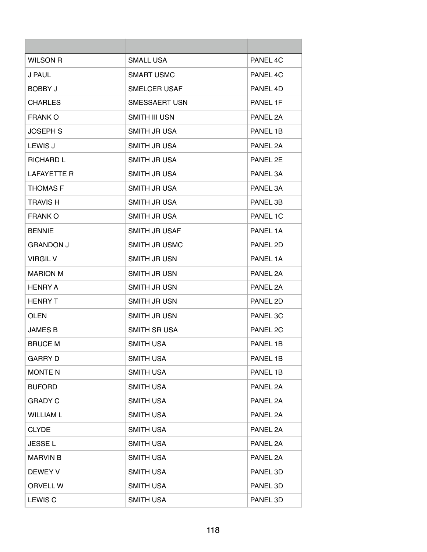| <b>WILSON R</b>    | SMALL USA            | PANFI <sub>4C</sub> |
|--------------------|----------------------|---------------------|
| J PAUL             | <b>SMART USMC</b>    | PANEL 4C            |
| <b>BOBBY J</b>     | <b>SMELCER USAF</b>  | PANEL 4D            |
| <b>CHARLES</b>     | <b>SMESSAERT USN</b> | PANEL 1F            |
| <b>FRANK O</b>     | <b>SMITH III USN</b> | PANEL 2A            |
| <b>JOSEPH S</b>    | SMITH JR USA         | PANEL 1B            |
| LEWIS J            | SMITH JR USA         | PANEL 2A            |
| <b>RICHARD L</b>   | SMITH JR USA         | PANEL 2E            |
| <b>LAFAYETTE R</b> | SMITH JR USA         | PANEL 3A            |
| <b>THOMAS F</b>    | SMITH JR USA         | PANEL 3A            |
| <b>TRAVIS H</b>    | SMITH JR USA         | PANEL 3B            |
| <b>FRANK O</b>     | SMITH JR USA         | PANEL 1C            |
| <b>BENNIE</b>      | SMITH JR USAF        | PANEL 1A            |
| <b>GRANDON J</b>   | SMITH JR USMC        | PANEL 2D            |
| <b>VIRGIL V</b>    | SMITH JR USN         | PANEL 1A            |
| <b>MARION M</b>    | SMITH JR USN         | PANEL 2A            |
| <b>HENRY A</b>     | SMITH JR USN         | PANEL 2A            |
| <b>HENRY T</b>     | SMITH JR USN         | PANEL 2D            |
| <b>OLEN</b>        | SMITH JR USN         | PANEL 3C            |
| <b>JAMES B</b>     | <b>SMITH SR USA</b>  | PANEL 2C            |
| <b>BRUCE M</b>     | <b>SMITH USA</b>     | PANEL 1B            |
| <b>GARRY D</b>     | <b>SMITH USA</b>     | PANEL 1B            |
| <b>MONTE N</b>     | <b>SMITH USA</b>     | PANEL 1B            |
| <b>BUFORD</b>      | <b>SMITH USA</b>     | PANEL 2A            |
| <b>GRADY C</b>     | <b>SMITH USA</b>     | PANEL 2A            |
| <b>WILLIAM L</b>   | <b>SMITH USA</b>     | PANEL 2A            |
| <b>CLYDE</b>       | <b>SMITH USA</b>     | PANEL 2A            |
| <b>JESSEL</b>      | <b>SMITH USA</b>     | PANEL 2A            |
| <b>MARVIN B</b>    | <b>SMITH USA</b>     | PANEL 2A            |
| <b>DEWEY V</b>     | <b>SMITH USA</b>     | PANEL 3D            |
| <b>ORVELL W</b>    | <b>SMITH USA</b>     | PANEL 3D            |
| <b>LEWIS C</b>     | <b>SMITH USA</b>     | PANEL 3D            |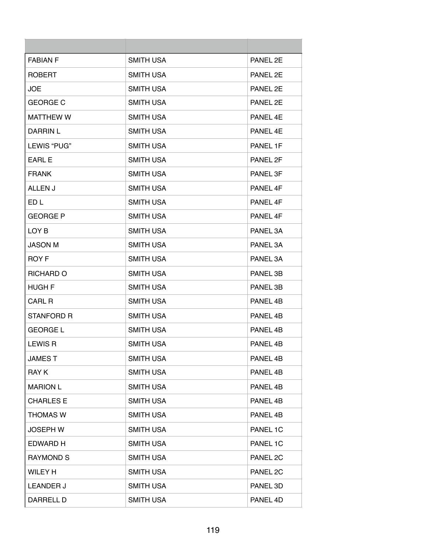| <b>FABIAN F</b>  | <b>SMITH USA</b> | PANEL 2E |
|------------------|------------------|----------|
| <b>ROBERT</b>    | <b>SMITH USA</b> | PANEL 2E |
| <b>JOE</b>       | <b>SMITH USA</b> | PANEL 2E |
| <b>GEORGE C</b>  | <b>SMITH USA</b> | PANEL 2E |
| <b>MATTHEW W</b> | <b>SMITH USA</b> | PANFL 4F |
| <b>DARRIN L</b>  | <b>SMITH USA</b> | PANEL 4E |
| LEWIS "PUG"      | <b>SMITH USA</b> | PANEL 1F |
| <b>EARL E</b>    | <b>SMITH USA</b> | PANEL 2F |
| <b>FRANK</b>     | <b>SMITH USA</b> | PANEL 3F |
| ALLEN J          | <b>SMITH USA</b> | PANEL 4F |
| ED L             | <b>SMITH USA</b> | PANEL 4F |
| <b>GEORGE P</b>  | <b>SMITH USA</b> | PANEL 4F |
| LOY B            | <b>SMITH USA</b> | PANEL 3A |
| <b>JASON M</b>   | <b>SMITH USA</b> | PANEL 3A |
| <b>ROY F</b>     | <b>SMITH USA</b> | PANEL 3A |
| RICHARD O        | <b>SMITH USA</b> | PANEL 3B |
| <b>HUGH F</b>    | SMITH USA        | PANEL 3B |
| <b>CARL R</b>    | <b>SMITH USA</b> | PANEL 4B |
| STANFORD R       | <b>SMITH USA</b> | PANEL 4B |
| <b>GEORGE L</b>  | <b>SMITH USA</b> | PANEL 4B |
| <b>LEWIS R</b>   | <b>SMITH USA</b> | PANEL 4B |
| <b>JAMEST</b>    | <b>SMITH USA</b> | PANEL 4B |
| <b>RAY K</b>     | <b>SMITH USA</b> | PANEL 4B |
| <b>MARION L</b>  | <b>SMITH USA</b> | PANEL 4B |
| <b>CHARLES E</b> | <b>SMITH USA</b> | PANEL 4B |
| <b>THOMAS W</b>  | <b>SMITH USA</b> | PANEL 4B |
| <b>JOSEPH W</b>  | <b>SMITH USA</b> | PANEL 1C |
| EDWARD H         | <b>SMITH USA</b> | PANEL 1C |
| <b>RAYMOND S</b> | <b>SMITH USA</b> | PANEL 2C |
| <b>WILEY H</b>   | <b>SMITH USA</b> | PANEL 2C |
| <b>LEANDER J</b> | <b>SMITH USA</b> | PANEL 3D |
| DARRELL D        | <b>SMITH USA</b> | PANEL 4D |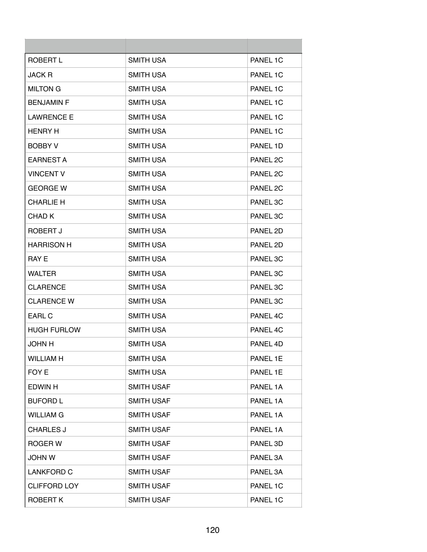| ROBERT L            | <b>SMITH USA</b>  | PANEL 1C            |
|---------------------|-------------------|---------------------|
| <b>JACK R</b>       | <b>SMITH USA</b>  | PANEL 1C            |
| <b>MILTON G</b>     | <b>SMITH USA</b>  | PANEL 1C            |
| <b>BENJAMIN F</b>   | <b>SMITH USA</b>  | PANEL 1C            |
| <b>LAWRENCE E</b>   | <b>SMITH USA</b>  | PANEL 1C            |
| <b>HENRY H</b>      | <b>SMITH USA</b>  | PANEL 1C            |
| <b>BOBBY V</b>      | <b>SMITH USA</b>  | PANEL 1D            |
| <b>EARNEST A</b>    | <b>SMITH USA</b>  | PANEL 2C            |
| <b>VINCENT V</b>    | <b>SMITH USA</b>  | PANEL <sub>2C</sub> |
| <b>GEORGE W</b>     | <b>SMITH USA</b>  | PANEL 2C            |
| <b>CHARLIE H</b>    | <b>SMITH USA</b>  | PANEL 3C            |
| CHAD K              | <b>SMITH USA</b>  | PANEL 3C            |
| ROBERT J            | <b>SMITH USA</b>  | PANEL 2D            |
| <b>HARRISON H</b>   | <b>SMITH USA</b>  | PANEL 2D            |
| <b>RAY E</b>        | <b>SMITH USA</b>  | PANEL 3C            |
| <b>WALTER</b>       | <b>SMITH USA</b>  | PANEL 3C            |
| <b>CLARENCE</b>     | <b>SMITH USA</b>  | PANEL 3C            |
| <b>CLARENCE W</b>   | <b>SMITH USA</b>  | PANEL 3C            |
| <b>EARL C</b>       | <b>SMITH USA</b>  | PANEL 4C            |
| <b>HUGH FURLOW</b>  | <b>SMITH USA</b>  | PANEL 4C            |
| <b>JOHN H</b>       | <b>SMITH USA</b>  | PANEL 4D            |
| <b>WILLIAM H</b>    | <b>SMITH USA</b>  | PANEL 1E            |
| FOY E               | <b>SMITH USA</b>  | PANEL 1E            |
| <b>EDWIN H</b>      | <b>SMITH USAF</b> | PANEL 1A            |
| <b>BUFORD L</b>     | <b>SMITH USAF</b> | PANEL 1A            |
| <b>WILLIAM G</b>    | <b>SMITH USAF</b> | PANEL 1A            |
| <b>CHARLES J</b>    | <b>SMITH USAF</b> | PANEL 1A            |
| ROGER W             | <b>SMITH USAF</b> | PANEL 3D            |
| JOHN W              | <b>SMITH USAF</b> | PANEL 3A            |
| <b>LANKFORD C</b>   | <b>SMITH USAF</b> | PANEL 3A            |
| <b>CLIFFORD LOY</b> | <b>SMITH USAF</b> | PANEL 1C            |
| <b>ROBERT K</b>     | <b>SMITH USAF</b> | PANEL 1C            |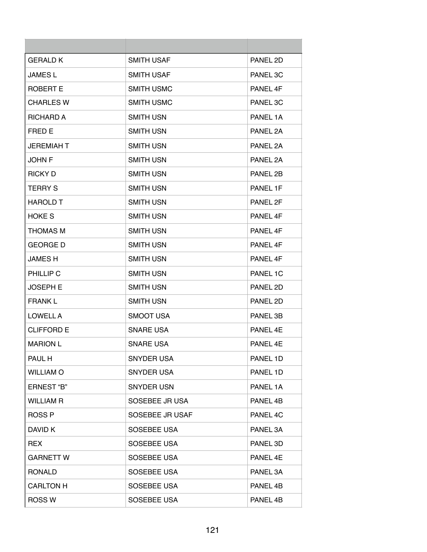| <b>GERALD K</b>   | <b>SMITH USAF</b> | PANEL 2D |
|-------------------|-------------------|----------|
| <b>JAMES L</b>    | <b>SMITH USAF</b> | PANEL 3C |
| ROBERT E          | <b>SMITH USMC</b> | PANEL 4F |
| <b>CHARLES W</b>  | <b>SMITH USMC</b> | PANEL 3C |
| <b>RICHARD A</b>  | SMITH USN         | PANFI 1A |
| FRED E            | <b>SMITH USN</b>  | PANEL 2A |
| JEREMIAH T        | <b>SMITH USN</b>  | PANEL 2A |
| <b>JOHN F</b>     | SMITH USN         | PANEL 2A |
| <b>RICKY D</b>    | <b>SMITH USN</b>  | PANEL 2B |
| <b>TERRY S</b>    | <b>SMITH USN</b>  | PANEL 1F |
| <b>HAROLD T</b>   | <b>SMITH USN</b>  | PANEL 2F |
| <b>HOKE S</b>     | SMITH USN         | PANEL 4F |
| <b>THOMAS M</b>   | SMITH USN         | PANEL 4F |
| <b>GEORGE D</b>   | <b>SMITH USN</b>  | PANEL 4F |
| JAMES H           | SMITH USN         | PANEL 4F |
| PHILLIP C         | <b>SMITH USN</b>  | PANEL 1C |
| JOSEPH E          | SMITH USN         | PANEL 2D |
| <b>FRANK L</b>    | <b>SMITH USN</b>  | PANEL 2D |
| LOWELL A          | SMOOT USA         | PANEL 3B |
| CLIFFORD E        | <b>SNARE USA</b>  | PANEL 4E |
| <b>MARION L</b>   | <b>SNARE USA</b>  | PANEL 4F |
| PAUL H            | SNYDER USA        | PANEL 1D |
| <b>WILLIAM O</b>  | SNYDER USA        | PANEL 1D |
| <b>ERNEST "B"</b> | SNYDER USN        | PANEL 1A |
| <b>WILLIAM R</b>  | SOSEBEE JR USA    | PANEL 4B |
| <b>ROSS P</b>     | SOSEBEE JR USAF   | PANEL 4C |
| DAVID K           | SOSEBEE USA       | PANEL 3A |
| <b>REX</b>        | SOSEBEE USA       | PANEL 3D |
| <b>GARNETT W</b>  | SOSEBEE USA       | PANEL 4E |
| <b>RONALD</b>     | SOSEBEE USA       | PANEL 3A |
| <b>CARLTON H</b>  | SOSEBEE USA       | PANEL 4B |
| ROSS W            | SOSEBEE USA       | PANEL 4B |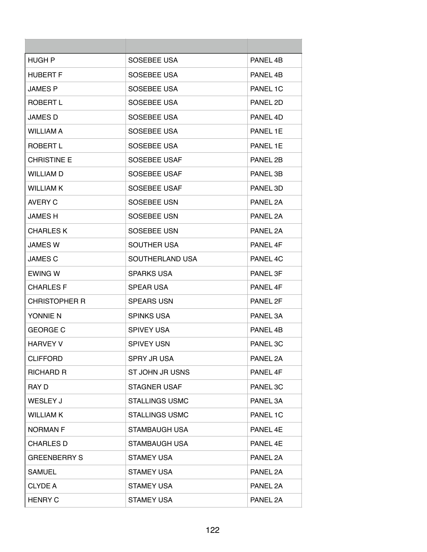| HUGH P               | SOSEBEE USA           | PANEL 4B            |
|----------------------|-----------------------|---------------------|
| <b>HUBERT F</b>      | SOSEBEE USA           | PANEL 4B            |
| <b>JAMES P</b>       | SOSEBEE USA           | PANEL 1C            |
| ROBERT L             | SOSEBEE USA           | PANEL 2D            |
| <b>JAMES D</b>       | SOSEBEE USA           | PANEL 4D            |
| <b>WILLIAM A</b>     | SOSEBEE USA           | PANEL 1E            |
| ROBERT L             | SOSEBEE USA           | PANEL 1E            |
| <b>CHRISTINE E</b>   | SOSEBEE USAF          | PANEL 2B            |
| <b>WILLIAM D</b>     | SOSEBEE USAF          | PANEL 3B            |
| <b>WILLIAM K</b>     | SOSEBEE USAF          | PANEL 3D            |
| AVERY C              | SOSEBEE USN           | PANFI <sub>2A</sub> |
| <b>JAMES H</b>       | SOSEBEE USN           | PANEL 2A            |
| <b>CHARLES K</b>     | SOSEBEE USN           | PANEL 2A            |
| <b>JAMES W</b>       | SOUTHER USA           | PANEL 4F            |
| <b>JAMES C</b>       | SOUTHERLAND USA       | PANEL 4C            |
| <b>EWING W</b>       | <b>SPARKS USA</b>     | PANEL 3F            |
| <b>CHARLES F</b>     | <b>SPEAR USA</b>      | PANEL 4F            |
| <b>CHRISTOPHER R</b> | <b>SPEARS USN</b>     | PANEL 2F            |
| YONNIE N             | <b>SPINKS USA</b>     | PANEL 3A            |
| <b>GEORGE C</b>      | <b>SPIVEY USA</b>     | PANEL 4B            |
| <b>HARVEY V</b>      | <b>SPIVEY USN</b>     | PANEL 3C            |
| <b>CLIFFORD</b>      | SPRY JR USA           | PANEL 2A            |
| <b>RICHARD R</b>     | ST JOHN JR USNS       | PANEL 4F            |
| RAY D                | <b>STAGNER USAF</b>   | PANEL 3C            |
| WESLEY J             | <b>STALLINGS USMC</b> | PANEL 3A            |
| <b>WILLIAM K</b>     | <b>STALLINGS USMC</b> | PANEL 1C            |
| <b>NORMAN F</b>      | STAMBAUGH USA         | PANEL 4E            |
| CHARLES D            | STAMBAUGH USA         | PANEL 4E            |
| <b>GREENBERRY S</b>  | <b>STAMEY USA</b>     | PANEL 2A            |
| <b>SAMUEL</b>        | <b>STAMEY USA</b>     | PANEL 2A            |
| <b>CLYDE A</b>       | <b>STAMEY USA</b>     | PANEL 2A            |
| <b>HENRY C</b>       | <b>STAMEY USA</b>     | PANEL 2A            |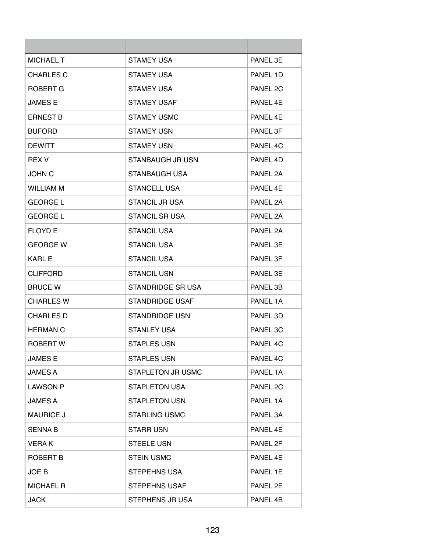| <b>MICHAEL T</b> | <b>STAMEY USA</b>        | PANEL 3F            |
|------------------|--------------------------|---------------------|
| <b>CHARLES C</b> | <b>STAMEY USA</b>        | PANEL 1D            |
| ROBERT G         | <b>STAMEY USA</b>        | PANEL <sub>2C</sub> |
| <b>JAMES E</b>   | <b>STAMEY USAF</b>       | PANEL 4F            |
| <b>ERNEST B</b>  | <b>STAMEY USMC</b>       | PANFI 4F            |
| <b>BUFORD</b>    | <b>STAMEY USN</b>        | PANEL 3F            |
| <b>DEWITT</b>    | <b>STAMEY USN</b>        | PANEL 4C            |
| <b>REX V</b>     | STANBAUGH JR USN         | PANEL 4D            |
| <b>JOHN C</b>    | STANBAUGH USA            | PANEL 2A            |
| <b>WILLIAM M</b> | <b>STANCELL USA</b>      | PANEL 4E            |
| <b>GEORGE L</b>  | <b>STANCIL JR USA</b>    | PANEL 2A            |
| <b>GEORGE L</b>  | <b>STANCIL SR USA</b>    | PANEL 2A            |
| <b>FLOYD E</b>   | <b>STANCIL USA</b>       | PANEL 2A            |
| <b>GEORGE W</b>  | <b>STANCIL USA</b>       | PANEL 3E            |
| <b>KARL E</b>    | <b>STANCIL USA</b>       | PANEL 3F            |
| <b>CLIFFORD</b>  | <b>STANCIL USN</b>       | PANEL 3E            |
| <b>BRUCE W</b>   | STANDRIDGE SR USA        | PANEL 3B            |
| <b>CHARLES W</b> | <b>STANDRIDGE USAF</b>   | PANEL 1A            |
| <b>CHARLES D</b> | <b>STANDRIDGE USN</b>    | PANEL 3D            |
| <b>HERMAN C</b>  | <b>STANLEY USA</b>       | PANEL 3C            |
| <b>ROBERT W</b>  | <b>STAPLES USN</b>       | PANEL 4C            |
| <b>JAMES E</b>   | <b>STAPLES USN</b>       | PANEL 4C            |
| <b>JAMES A</b>   | <b>STAPLETON JR USMC</b> | PANEL 1A            |
| <b>LAWSON P</b>  | <b>STAPLETON USA</b>     | PANEL 2C            |
| <b>JAMES A</b>   | <b>STAPLETON USN</b>     | PANEL 1A            |
| <b>MAURICE J</b> | <b>STARLING USMC</b>     | PANEL 3A            |
| <b>SENNAB</b>    | <b>STARR USN</b>         | PANEL 4E            |
| <b>VERAK</b>     | <b>STEELE USN</b>        | PANEL 2F            |
| ROBERT B         | <b>STEIN USMC</b>        | PANEL 4E            |
| JOE B            | <b>STEPEHNS USA</b>      | PANEL 1E            |
| <b>MICHAEL R</b> | <b>STEPEHNS USAF</b>     | PANEL 2E            |
| JACK             | STEPHENS JR USA          | PANEL 4B            |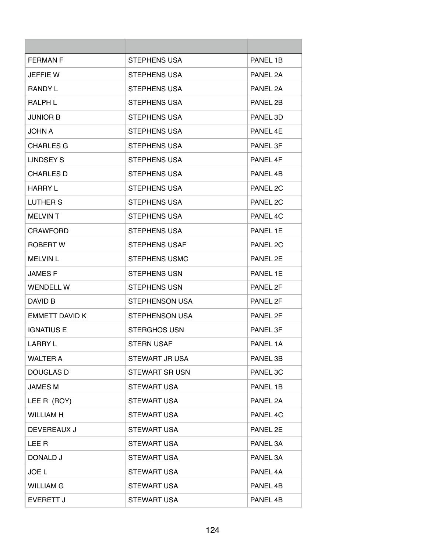| <b>FERMAN F</b>       | <b>STEPHENS USA</b>   | PANEL 1B |
|-----------------------|-----------------------|----------|
| <b>JEFFIE W</b>       | STEPHENS USA          | PANEL 2A |
| <b>RANDY L</b>        | STEPHENS USA          | PANEL 2A |
| <b>RALPH L</b>        | STEPHENS USA          | PANEL 2B |
| <b>JUNIOR B</b>       | STEPHENS USA          | PANEL 3D |
| JOHN A                | STEPHENS USA          | PANEL 4E |
| <b>CHARLES G</b>      | <b>STEPHENS USA</b>   | PANEL 3F |
| <b>LINDSEY S</b>      | STEPHENS USA          | PANEL 4F |
| <b>CHARLES D</b>      | STEPHENS USA          | PANEL 4B |
| <b>HARRY L</b>        | <b>STEPHENS USA</b>   | PANEL 2C |
| LUTHER S              | STEPHENS USA          | PANEL 2C |
| MELVIN T              | STEPHENS USA          | PANEL 4C |
| <b>CRAWFORD</b>       | <b>STEPHENS USA</b>   | PANEL 1E |
| ROBERT W              | <b>STEPHENS USAF</b>  | PANEL 2C |
| <b>MELVIN L</b>       | STEPHENS USMC         | PANEL 2E |
| <b>JAMES F</b>        | <b>STEPHENS USN</b>   | PANEL 1E |
| <b>WENDELL W</b>      | STEPHENS USN          | PANEL 2F |
| DAVID B               | STEPHENSON USA        | PANEL 2F |
| <b>EMMETT DAVID K</b> | STEPHENSON USA        | PANEL 2F |
| <b>IGNATIUS E</b>     | <b>STERGHOS USN</b>   | PANEL 3F |
| <b>LARRY L</b>        | STERN USAF            | PANEL 1A |
| <b>WALTER A</b>       | STEWART JR USA        | PANEL 3B |
| <b>DOUGLAS D</b>      | <b>STEWART SR USN</b> | PANEL 3C |
| <b>JAMES M</b>        | <b>STEWART USA</b>    | PANEL 1B |
| LEE R (ROY)           | <b>STEWART USA</b>    | PANEL 2A |
| <b>WILLIAM H</b>      | <b>STEWART USA</b>    | PANEL 4C |
| <b>DEVEREAUX J</b>    | <b>STEWART USA</b>    | PANEL 2E |
| LEE R                 | <b>STEWART USA</b>    | PANEL 3A |
| DONALD J              | <b>STEWART USA</b>    | PANEL 3A |
| JOE L                 | <b>STEWART USA</b>    | PANEL 4A |
| <b>WILLIAM G</b>      | <b>STEWART USA</b>    | PANEL 4B |
| <b>EVERETT J</b>      | <b>STEWART USA</b>    | PANEL 4B |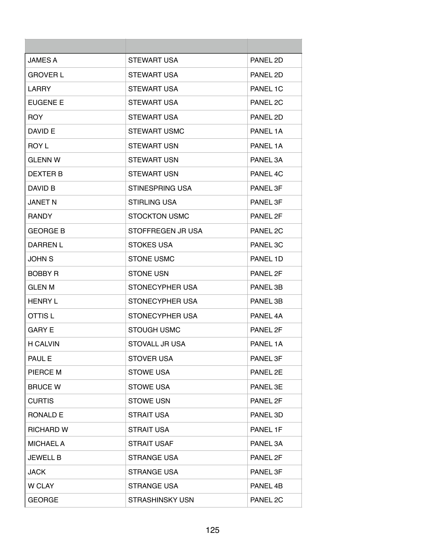| <b>JAMES A</b>   | STEWART USA            | PANEL 2D |
|------------------|------------------------|----------|
| <b>GROVER L</b>  | STEWART USA            | PANEL 2D |
| <b>LARRY</b>     | STEWART USA            | PANEL 1C |
| <b>EUGENE E</b>  | STEWART USA            | PANEL 2C |
| <b>ROY</b>       | STEWART USA            | PANEL 2D |
| DAVID E          | <b>STEWART USMC</b>    | PANEL 1A |
| ROY L            | <b>STEWART USN</b>     | PANEL 1A |
| <b>GLENN W</b>   | <b>STEWART USN</b>     | PANEL 3A |
| <b>DEXTER B</b>  | <b>STEWART USN</b>     | PANEL 4C |
| DAVID B          | STINESPRING USA        | PANEL 3F |
| <b>JANET N</b>   | STIRLING USA           | PANEL 3F |
| <b>RANDY</b>     | STOCKTON USMC          | PANEL 2F |
| <b>GEORGE B</b>  | STOFFREGEN JR USA      | PANEL 2C |
| <b>DARREN L</b>  | <b>STOKES USA</b>      | PANEL 3C |
| <b>JOHN S</b>    | <b>STONE USMC</b>      | PANEL 1D |
| <b>BOBBY R</b>   | <b>STONE USN</b>       | PANEL 2F |
| GLEN M           | STONECYPHER USA        | PANEL 3B |
| <b>HENRY L</b>   | STONECYPHER USA        | PANEL 3B |
| OTTIS L          | STONECYPHER USA        | PANEL 4A |
| <b>GARY E</b>    | <b>STOUGH USMC</b>     | PANEL 2F |
| <b>H CALVIN</b>  | STOVALL JR USA         | PANEL 1A |
| PAUL E           | <b>STOVER USA</b>      | PANEL 3F |
| PIERCE M         | <b>STOWE USA</b>       | PANEL 2E |
| <b>BRUCE W</b>   | <b>STOWE USA</b>       | PANEL 3E |
| <b>CURTIS</b>    | <b>STOWE USN</b>       | PANEL 2F |
| RONALD E         | <b>STRAIT USA</b>      | PANEL 3D |
| <b>RICHARD W</b> | <b>STRAIT USA</b>      | PANEL 1F |
| <b>MICHAEL A</b> | <b>STRAIT USAF</b>     | PANEL 3A |
| <b>JEWELL B</b>  | <b>STRANGE USA</b>     | PANEL 2F |
| <b>JACK</b>      | STRANGE USA            | PANEL 3F |
| W CLAY           | <b>STRANGE USA</b>     | PANEL 4B |
| <b>GEORGE</b>    | <b>STRASHINSKY USN</b> | PANEL 2C |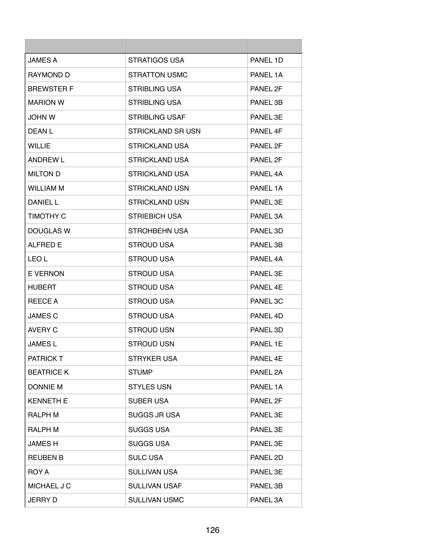| <b>JAMES A</b>    | STRATIGOS USA         | PANEL 1D |
|-------------------|-----------------------|----------|
| <b>RAYMOND D</b>  | STRATTON USMC         | PANEL 1A |
| <b>BREWSTER F</b> | <b>STRIBLING USA</b>  | PANEL 2F |
| <b>MARION W</b>   | <b>STRIBLING USA</b>  | PANEL 3B |
| <b>JOHN W</b>     | <b>STRIBLING USAF</b> | PANEL 3E |
| DEAN L            | STRICKLAND SR USN     | PANEL 4F |
| <b>WILLIE</b>     | <b>STRICKLAND USA</b> | PANEL 2F |
| <b>ANDREW L</b>   | STRICKLAND USA        | PANEL 2F |
| <b>MILTON D</b>   | <b>STRICKLAND USA</b> | PANEL 4A |
| WILLIAM M         | <b>STRICKLAND USN</b> | PANEL 1A |
| <b>DANIEL L</b>   | STRICKLAND USN        | PANEL 3E |
| <b>TIMOTHY C</b>  | <b>STRIEBICH USA</b>  | PANEL 3A |
| DOUGLAS W         | STROHBEHN USA         | PANEL 3D |
| <b>ALFRED E</b>   | <b>STROUD USA</b>     | PANEL 3B |
| LEO L             | STROUD USA            | PANEL 4A |
| E VERNON          | <b>STROUD USA</b>     | PANEL 3E |
| HUBERT            | <b>STROUD USA</b>     | PANEL 4E |
| REECE A           | <b>STROUD USA</b>     | PANEL 3C |
| <b>JAMES C</b>    | <b>STROUD USA</b>     | PANEL 4D |
| AVERY C           | <b>STROUD USN</b>     | PANEL 3D |
| <b>JAMES L</b>    | <b>STROUD USN</b>     | PANEL 1E |
| <b>PATRICK T</b>  | <b>STRYKER USA</b>    | PANEL 4E |
| <b>BEATRICE K</b> | <b>STUMP</b>          | PANEL 2A |
| <b>DONNIE M</b>   | <b>STYLES USN</b>     | PANEL 1A |
| <b>KENNETH E</b>  | <b>SUBER USA</b>      | PANEL 2F |
| <b>RALPH M</b>    | <b>SUGGS JR USA</b>   | PANEL 3E |
| <b>RALPH M</b>    | <b>SUGGS USA</b>      | PANEL 3E |
| JAMES H           | <b>SUGGS USA</b>      | PANEL 3E |
| <b>REUBEN B</b>   | <b>SULC USA</b>       | PANEL 2D |
| ROY A             | <b>SULLIVAN USA</b>   | PANEL 3E |
| MICHAEL J C       | <b>SULLIVAN USAF</b>  | PANEL 3B |
| <b>JERRY D</b>    | <b>SULLIVAN USMC</b>  | PANEL 3A |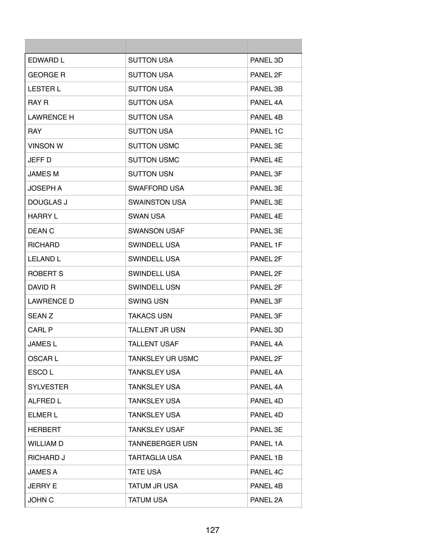| EDWARD L          | <b>SUTTON USA</b>       | PANEL 3D |
|-------------------|-------------------------|----------|
| <b>GEORGE R</b>   | <b>SUTTON USA</b>       | PANEL 2F |
| <b>LESTER L</b>   | <b>SUTTON USA</b>       | PANEL 3B |
| <b>RAY R</b>      | <b>SUTTON USA</b>       | PANEL 4A |
| <b>LAWRENCE H</b> | <b>SUTTON USA</b>       | PANFI 4R |
| <b>RAY</b>        | <b>SUTTON USA</b>       | PANEL 1C |
| <b>VINSON W</b>   | <b>SUTTON USMC</b>      | PANEL 3E |
| JEFF D            | <b>SUTTON USMC</b>      | PANEL 4E |
| <b>JAMES M</b>    | <b>SUTTON USN</b>       | PANEL 3F |
| <b>JOSEPH A</b>   | SWAFFORD USA            | PANEL 3E |
| DOUGLAS J         | <b>SWAINSTON USA</b>    | PANEL 3E |
| <b>HARRY L</b>    | <b>SWAN USA</b>         | PANEL 4E |
| DEAN C            | <b>SWANSON USAF</b>     | PANEL 3E |
| <b>RICHARD</b>    | <b>SWINDELL USA</b>     | PANEL 1F |
| <b>LELAND L</b>   | <b>SWINDELL USA</b>     | PANEL 2F |
| ROBERT S          | <b>SWINDELL USA</b>     | PANEL 2F |
| DAVID R           | <b>SWINDELL USN</b>     | PANEL 2F |
| <b>LAWRENCE D</b> | <b>SWING USN</b>        | PANEL 3F |
| <b>SEAN Z</b>     | <b>TAKACS USN</b>       | PANEL 3F |
| CARL P            | <b>TALLENT JR USN</b>   | PANEL 3D |
| <b>JAMES L</b>    | TALLENT USAF            | PANEL 4A |
| <b>OSCARL</b>     | <b>TANKSLEY UR USMC</b> | PANEL 2F |
| ESCO <sub>L</sub> | <b>TANKSLEY USA</b>     | PANEL 4A |
| <b>SYLVESTER</b>  | <b>TANKSLEY USA</b>     | PANEL 4A |
| <b>ALFRED L</b>   | <b>TANKSLEY USA</b>     | PANEL 4D |
| <b>ELMER L</b>    | <b>TANKSLEY USA</b>     | PANEL 4D |
| <b>HERBERT</b>    | <b>TANKSLEY USAF</b>    | PANEL 3E |
| <b>WILLIAM D</b>  | <b>TANNEBERGER USN</b>  | PANEL 1A |
| <b>RICHARD J</b>  | <b>TARTAGLIA USA</b>    | PANEL 1B |
| <b>JAMES A</b>    | <b>TATE USA</b>         | PANEL 4C |
| <b>JERRY E</b>    | <b>TATUM JR USA</b>     | PANEL 4B |
| <b>JOHN C</b>     | <b>TATUM USA</b>        | PANEL 2A |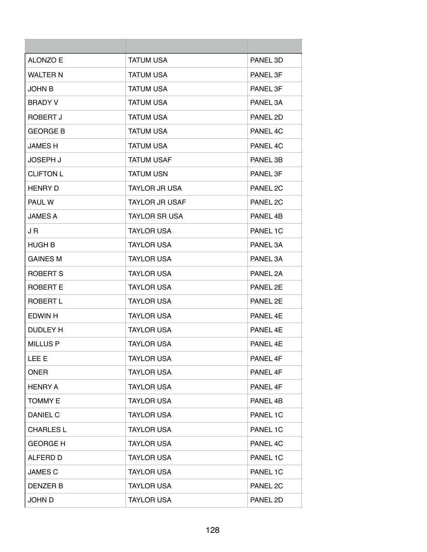| ALONZO E         | <b>TATUM USA</b>      | PANEL 3D |
|------------------|-----------------------|----------|
| <b>WALTER N</b>  | <b>TATUM USA</b>      | PANEL 3F |
| JOHN B           | TATUM USA             | PANEL 3F |
| <b>BRADY V</b>   | <b>TATUM USA</b>      | PANEL 3A |
| ROBERT J         | <b>TATUM USA</b>      | PANEL 2D |
| <b>GEORGE B</b>  | <b>TATUM USA</b>      | PANEL 4C |
| <b>JAMES H</b>   | <b>TATUM USA</b>      | PANEL 4C |
| <b>JOSEPH J</b>  | <b>TATUM USAF</b>     | PANEL 3B |
| <b>CLIFTON L</b> | <b>TATUM USN</b>      | PANEL 3F |
| <b>HENRY D</b>   | <b>TAYLOR JR USA</b>  | PANEL 2C |
| <b>PAUL W</b>    | <b>TAYLOR JR USAF</b> | PANEL 2C |
| <b>JAMES A</b>   | <b>TAYLOR SR USA</b>  | PANEL 4B |
| J R              | <b>TAYLOR USA</b>     | PANEL 1C |
| HUGH B           | <b>TAYLOR USA</b>     | PANEL 3A |
| <b>GAINES M</b>  | <b>TAYLOR USA</b>     | PANEL 3A |
| <b>ROBERT S</b>  | <b>TAYLOR USA</b>     | PANEL 2A |
| ROBERT E         | <b>TAYLOR USA</b>     | PANEL 2E |
| <b>ROBERT L</b>  | <b>TAYLOR USA</b>     | PANEL 2E |
| EDWIN H          | <b>TAYLOR USA</b>     | PANEL 4F |
| <b>DUDLEY H</b>  | <b>TAYLOR USA</b>     | PANEL 4E |
| <b>MILLUS P</b>  | <b>TAYLOR USA</b>     | PANEL 4E |
| LEE E            | <b>TAYLOR USA</b>     | PANEL 4F |
| <b>ONER</b>      | <b>TAYLOR USA</b>     | PANEL 4F |
| <b>HENRY A</b>   | <b>TAYLOR USA</b>     | PANEL 4F |
| <b>TOMMY E</b>   | <b>TAYLOR USA</b>     | PANEL 4B |
| <b>DANIEL C</b>  | <b>TAYLOR USA</b>     | PANEL 1C |
| <b>CHARLES L</b> | <b>TAYLOR USA</b>     | PANEL 1C |
| <b>GEORGE H</b>  | <b>TAYLOR USA</b>     | PANEL 4C |
| ALFERD D         | <b>TAYLOR USA</b>     | PANEL 1C |
| <b>JAMES C</b>   | <b>TAYLOR USA</b>     | PANEL 1C |
| <b>DENZER B</b>  | <b>TAYLOR USA</b>     | PANEL 2C |
| <b>JOHN D</b>    | <b>TAYLOR USA</b>     | PANEL 2D |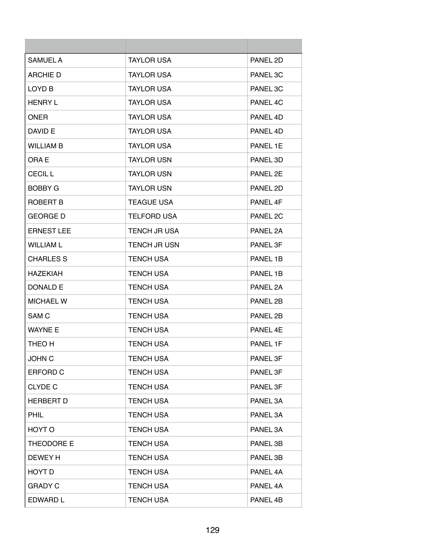| <b>SAMUEL A</b>   | <b>TAYLOR USA</b>   | PANEL 2D |
|-------------------|---------------------|----------|
| <b>ARCHIE D</b>   | <b>TAYLOR USA</b>   | PANEL 3C |
| LOYD B            | <b>TAYLOR USA</b>   | PANEL 3C |
| <b>HENRY L</b>    | <b>TAYLOR USA</b>   | PANEL 4C |
| <b>ONER</b>       | <b>TAYLOR USA</b>   | PANEL 4D |
| DAVID E           | <b>TAYLOR USA</b>   | PANEL 4D |
| <b>WILLIAM B</b>  | <b>TAYLOR USA</b>   | PANEL 1E |
| ORA E             | <b>TAYLOR USN</b>   | PANEL 3D |
| <b>CECIL L</b>    | <b>TAYLOR USN</b>   | PANEL 2E |
| <b>BOBBY G</b>    | <b>TAYLOR USN</b>   | PANEL 2D |
| ROBERT B          | <b>TEAGUE USA</b>   | PANEL 4F |
| <b>GEORGE D</b>   | <b>TELFORD USA</b>  | PANEL 2C |
| <b>ERNEST LEE</b> | <b>TENCH JR USA</b> | PANEL 2A |
| <b>WILLIAM L</b>  | <b>TENCH JR USN</b> | PANEL 3F |
| <b>CHARLES S</b>  | <b>TENCH USA</b>    | PANEL 1B |
| <b>HAZEKIAH</b>   | <b>TENCH USA</b>    | PANEL 1B |
| DONALD E          | <b>TENCH USA</b>    | PANEL 2A |
| <b>MICHAEL W</b>  | <b>TENCH USA</b>    | PANEL 2B |
| SAM <sub>C</sub>  | <b>TENCH USA</b>    | PANEL 2B |
| <b>WAYNE E</b>    | <b>TENCH USA</b>    | PANEL 4E |
| THEO H            | <b>TENCH USA</b>    | PANEL 1F |
| <b>JOHN C</b>     | <b>TENCH USA</b>    | PANEL 3F |
| ERFORD C          | <b>TENCH USA</b>    | PANEL 3F |
| <b>CLYDE C</b>    | <b>TENCH USA</b>    | PANEL 3F |
| <b>HERBERT D</b>  | <b>TENCH USA</b>    | PANEL 3A |
| <b>PHIL</b>       | <b>TENCH USA</b>    | PANEL 3A |
| HOYT O            | <b>TENCH USA</b>    | PANEL 3A |
| THEODORE E        | <b>TENCH USA</b>    | PANEL 3B |
| DEWEY H           | <b>TENCH USA</b>    | PANEL 3B |
| HOYT D            | <b>TENCH USA</b>    | PANEL 4A |
| <b>GRADY C</b>    | <b>TENCH USA</b>    | PANEL 4A |
| EDWARD L          | <b>TENCH USA</b>    | PANEL 4B |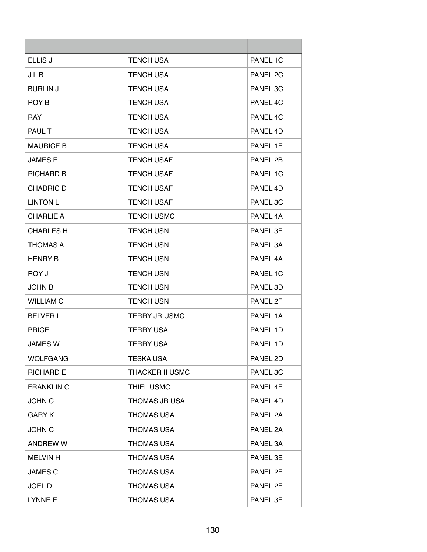| <b>ELLIS J</b>    | <b>TENCH USA</b>       | PANEL 1C |
|-------------------|------------------------|----------|
| JLB               | <b>TENCH USA</b>       | PANEL 2C |
| <b>BURLIN J</b>   | <b>TENCH USA</b>       | PANEL 3C |
| ROY B             | <b>TENCH USA</b>       | PANEL 4C |
| <b>RAY</b>        | <b>TENCH USA</b>       | PANEL 4C |
| PAUL T            | <b>TENCH USA</b>       | PANEL 4D |
| <b>MAURICE B</b>  | <b>TENCH USA</b>       | PANEL 1E |
| <b>JAMES E</b>    | <b>TENCH USAF</b>      | PANEL 2B |
| <b>RICHARD B</b>  | <b>TENCH USAF</b>      | PANEL 1C |
| CHADRIC D         | <b>TENCH USAF</b>      | PANEL 4D |
| <b>LINTON L</b>   | <b>TENCH USAF</b>      | PANEL 3C |
| <b>CHARLIE A</b>  | <b>TENCH USMC</b>      | PANEL 4A |
| <b>CHARLES H</b>  | <b>TENCH USN</b>       | PANEL 3F |
| <b>THOMAS A</b>   | <b>TENCH USN</b>       | PANEL 3A |
| <b>HENRY B</b>    | <b>TENCH USN</b>       | PANEL 4A |
| ROY J             | <b>TENCH USN</b>       | PANEL 1C |
| <b>JOHN B</b>     | <b>TENCH USN</b>       | PANEL 3D |
| <b>WILLIAM C</b>  | <b>TENCH USN</b>       | PANEL 2F |
| <b>BELVER L</b>   | <b>TERRY JR USMC</b>   | PANEL 1A |
| <b>PRICE</b>      | <b>TERRY USA</b>       | PANEL 1D |
| <b>JAMES W</b>    | <b>TERRY USA</b>       | PANEL 1D |
| <b>WOLFGANG</b>   | <b>TESKA USA</b>       | PANEL 2D |
| <b>RICHARD E</b>  | <b>THACKER II USMC</b> | PANEL 3C |
| <b>FRANKLIN C</b> | THIEL USMC             | PANEL 4E |
| <b>JOHN C</b>     | THOMAS JR USA          | PANEL 4D |
| <b>GARY K</b>     | <b>THOMAS USA</b>      | PANEL 2A |
| <b>JOHN C</b>     | <b>THOMAS USA</b>      | PANEL 2A |
| <b>ANDREW W</b>   | <b>THOMAS USA</b>      | PANEL 3A |
| <b>MELVIN H</b>   | <b>THOMAS USA</b>      | PANEL 3E |
| <b>JAMES C</b>    | <b>THOMAS USA</b>      | PANEL 2F |
| <b>JOELD</b>      | <b>THOMAS USA</b>      | PANEL 2F |
| LYNNE E           | <b>THOMAS USA</b>      | PANEL 3F |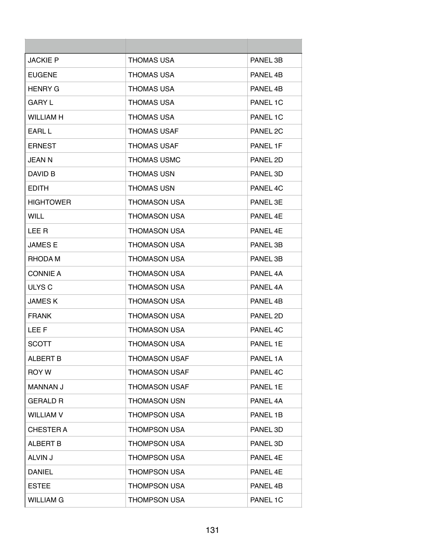| <b>JACKIE P</b>  | <b>THOMAS USA</b>    | PANEL 3B |
|------------------|----------------------|----------|
| <b>EUGENE</b>    | <b>THOMAS USA</b>    | PANEL 4B |
| <b>HENRY G</b>   | THOMAS USA           | PANEL 4B |
| <b>GARY L</b>    | <b>THOMAS USA</b>    | PANEL 1C |
| <b>WILLIAM H</b> | <b>THOMAS USA</b>    | PANEL 1C |
| <b>FARL L</b>    | <b>THOMAS USAF</b>   | PANEL 2C |
| <b>ERNEST</b>    | <b>THOMAS USAF</b>   | PANEL 1F |
| <b>JEAN N</b>    | <b>THOMAS USMC</b>   | PANEL 2D |
| DAVID B          | <b>THOMAS USN</b>    | PANEL 3D |
| <b>EDITH</b>     | <b>THOMAS USN</b>    | PANEL 4C |
| <b>HIGHTOWER</b> | <b>THOMASON USA</b>  | PANEL 3E |
| <b>WILL</b>      | <b>THOMASON USA</b>  | PANEL 4E |
| LEE R            | <b>THOMASON USA</b>  | PANEL 4E |
| <b>JAMES E</b>   | <b>THOMASON USA</b>  | PANEL 3B |
| RHODA M          | <b>THOMASON USA</b>  | PANEL 3B |
| <b>CONNIE A</b>  | <b>THOMASON USA</b>  | PANEL 4A |
| ULYS C           | THOMASON USA         | PANEL 4A |
| <b>JAMESK</b>    | <b>THOMASON USA</b>  | PANEL 4B |
| <b>FRANK</b>     | <b>THOMASON USA</b>  | PANEL 2D |
| LEE F            | <b>THOMASON USA</b>  | PANEL 4C |
| <b>SCOTT</b>     | <b>THOMASON USA</b>  | PANEL 1E |
| <b>ALBERT B</b>  | <b>THOMASON USAF</b> | PANEL 1A |
| ROY W            | THOMASON USAF        | PANEL 4C |
| <b>MANNAN J</b>  | <b>THOMASON USAF</b> | PANEL 1E |
| <b>GERALD R</b>  | <b>THOMASON USN</b>  | PANEL 4A |
| <b>WILLIAM V</b> | <b>THOMPSON USA</b>  | PANEL 1B |
| <b>CHESTER A</b> | <b>THOMPSON USA</b>  | PANEL 3D |
| <b>ALBERT B</b>  | <b>THOMPSON USA</b>  | PANEL 3D |
| ALVIN J          | <b>THOMPSON USA</b>  | PANEL 4E |
| <b>DANIEL</b>    | <b>THOMPSON USA</b>  | PANEL 4E |
| <b>ESTEE</b>     | <b>THOMPSON USA</b>  | PANEL 4B |
| <b>WILLIAM G</b> | <b>THOMPSON USA</b>  | PANEL 1C |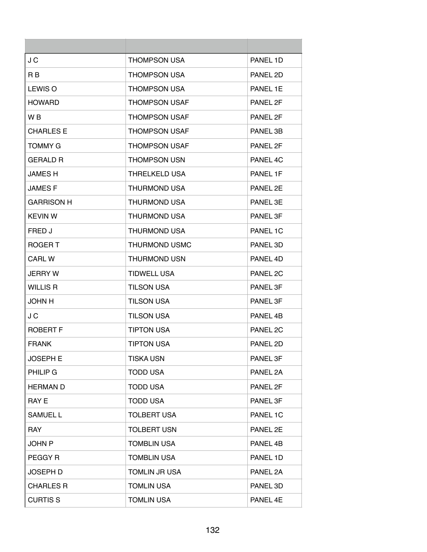| J C               | <b>THOMPSON USA</b>  | PANEL 1D            |
|-------------------|----------------------|---------------------|
| R <sub>B</sub>    | <b>THOMPSON USA</b>  | PANEL 2D            |
| LEWIS O           | <b>THOMPSON USA</b>  | PANEL 1E            |
| <b>HOWARD</b>     | <b>THOMPSON USAF</b> | PANEL 2F            |
| W <sub>B</sub>    | <b>THOMPSON USAF</b> | PANEL 2F            |
| <b>CHARLES E</b>  | <b>THOMPSON USAF</b> | PANEL 3B            |
| <b>TOMMY G</b>    | <b>THOMPSON USAF</b> | PANEL 2F            |
| <b>GERALD R</b>   | <b>THOMPSON USN</b>  | PANEL 4C            |
| <b>JAMES H</b>    | <b>THRELKELD USA</b> | PANEL 1F            |
| JAMES F           | <b>THURMOND USA</b>  | PANEL 2E            |
| <b>GARRISON H</b> | <b>THURMOND USA</b>  | PANEL 3E            |
| <b>KEVIN W</b>    | <b>THURMOND USA</b>  | PANEL 3F            |
| FRED J            | <b>THURMOND USA</b>  | PANEL 1C            |
| ROGER T           | <b>THURMOND USMC</b> | PANEL 3D            |
| <b>CARL W</b>     | <b>THURMOND USN</b>  | PANEL 4D            |
| <b>JERRY W</b>    | <b>TIDWELL USA</b>   | PANEL <sub>2C</sub> |
| <b>WILLIS R</b>   | <b>TILSON USA</b>    | PANEL 3F            |
| <b>JOHN H</b>     | <b>TILSON USA</b>    | PANEL 3F            |
| J C               | <b>TILSON USA</b>    | PANEL 4B            |
| <b>ROBERT F</b>   | TIPTON USA           | PANEL 2C            |
| <b>FRANK</b>      | <b>TIPTON USA</b>    | PANEL 2D            |
| <b>JOSEPH E</b>   | <b>TISKA USN</b>     | PANEL 3F            |
| PHILIP G          | <b>TODD USA</b>      | PANEL 2A            |
| <b>HERMAN D</b>   | <b>TODD USA</b>      | PANEL 2F            |
| RAY E             | <b>TODD USA</b>      | PANEL 3F            |
| <b>SAMUEL L</b>   | <b>TOLBERT USA</b>   | PANEL 1C            |
| <b>RAY</b>        | <b>TOLBERT USN</b>   | PANEL 2E            |
| JOHN P            | <b>TOMBLIN USA</b>   | PANEL 4B            |
| PEGGY R           | <b>TOMBLIN USA</b>   | PANEL 1D            |
| <b>JOSEPH D</b>   | <b>TOMLIN JR USA</b> | PANEL 2A            |
| <b>CHARLES R</b>  | <b>TOMLIN USA</b>    | PANEL 3D            |
| <b>CURTIS S</b>   | <b>TOMLIN USA</b>    | PANEL 4E            |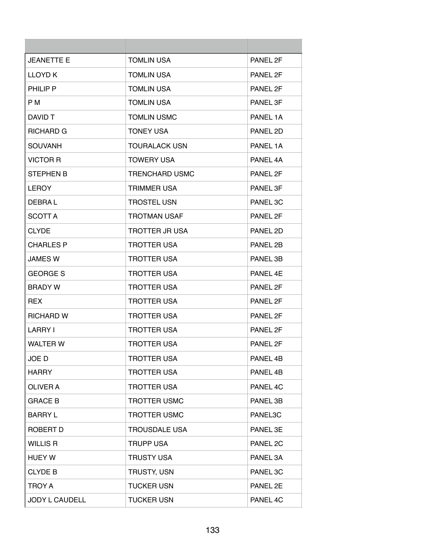| <b>JEANETTE E</b> | <b>TOMLIN USA</b>     | PANEL 2F |
|-------------------|-----------------------|----------|
| LLOYD K           | <b>TOMLIN USA</b>     | PANEL 2F |
| PHILIP P          | <b>TOMLIN USA</b>     | PANEL 2F |
| P M               | <b>TOMLIN USA</b>     | PANEL 3F |
| DAVID T           | <b>TOMLIN USMC</b>    | PANEL 1A |
| RICHARD G         | <b>TONEY USA</b>      | PANEL 2D |
| <b>SOUVANH</b>    | <b>TOURALACK USN</b>  | PANEL 1A |
| <b>VICTOR R</b>   | <b>TOWERY USA</b>     | PANEL 4A |
| <b>STEPHEN B</b>  | <b>TRENCHARD USMC</b> | PANEL 2F |
| <b>LEROY</b>      | <b>TRIMMER USA</b>    | PANEL 3F |
| DEBRA L           | <b>TROSTEL USN</b>    | PANEL 3C |
| SCOTT A           | <b>TROTMAN USAF</b>   | PANEL 2F |
| <b>CLYDE</b>      | <b>TROTTER JR USA</b> | PANEL 2D |
| <b>CHARLES P</b>  | <b>TROTTER USA</b>    | PANEL 2B |
| JAMES W           | <b>TROTTER USA</b>    | PANEL 3B |
| <b>GEORGE S</b>   | <b>TROTTER USA</b>    | PANEL 4E |
| <b>BRADY W</b>    | TROTTER USA           | PANEL 2F |
| REX.              | <b>TROTTER USA</b>    | PANEL 2F |
| <b>RICHARD W</b>  | <b>TROTTER USA</b>    | PANEL 2F |
| <b>LARRY I</b>    | <b>TROTTER USA</b>    | PANEL 2F |
| <b>WALTER W</b>   | <b>TROTTER USA</b>    | PANEL 2F |
| JOE D             | <b>TROTTER USA</b>    | PANEL 4B |
| <b>HARRY</b>      | <b>TROTTER USA</b>    | PANEL 4B |
| <b>OLIVER A</b>   | <b>TROTTER USA</b>    | PANEL 4C |
| <b>GRACE B</b>    | <b>TROTTER USMC</b>   | PANEL 3B |
| <b>BARRY L</b>    | <b>TROTTER USMC</b>   | PANEL3C  |
| ROBERT D          | <b>TROUSDALE USA</b>  | PANEL 3E |
| <b>WILLIS R</b>   | <b>TRUPP USA</b>      | PANEL 2C |
| <b>HUEY W</b>     | <b>TRUSTY USA</b>     | PANEL 3A |
| <b>CLYDE B</b>    | <b>TRUSTY, USN</b>    | PANEL 3C |
| <b>TROY A</b>     | <b>TUCKER USN</b>     | PANEL 2E |
| JODY L CAUDELL    | <b>TUCKER USN</b>     | PANEL 4C |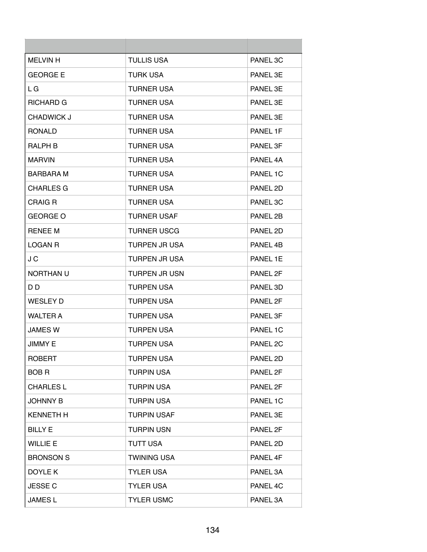| <b>MELVIN H</b>  | <b>TULLIS USA</b>    | PANEL 3C            |
|------------------|----------------------|---------------------|
| <b>GEORGE E</b>  | <b>TURK USA</b>      | PANEL 3E            |
| L G              | <b>TURNER USA</b>    | PANEL 3E            |
| RICHARD G        | <b>TURNER USA</b>    | PANEL 3E            |
| CHADWICK J       | <b>TURNER USA</b>    | PANEL 3E            |
| <b>RONALD</b>    | <b>TURNER USA</b>    | PANEL 1F            |
| RALPH B          | <b>TURNER USA</b>    | PANEL 3F            |
| <b>MARVIN</b>    | <b>TURNER USA</b>    | PANEL 4A            |
| BARBARA M        | <b>TURNER USA</b>    | PANEL 1C            |
| <b>CHARLES G</b> | <b>TURNER USA</b>    | PANEL 2D            |
| CRAIG R          | <b>TURNER USA</b>    | PANEL 3C            |
| <b>GEORGE O</b>  | <b>TURNER USAF</b>   | PANEL 2B            |
| <b>RENEE M</b>   | <b>TURNER USCG</b>   | PANEL 2D            |
| <b>LOGAN R</b>   | <b>TURPEN JR USA</b> | PANEL 4B            |
| J C              | <b>TURPEN JR USA</b> | PANEL 1E            |
| NORTHAN U        | <b>TURPEN JR USN</b> | PANEL 2F            |
| D D              | <b>TURPEN USA</b>    | PANEL 3D            |
| <b>WESLEY D</b>  | <b>TURPEN USA</b>    | PANEL 2F            |
| <b>WALTER A</b>  | <b>TURPEN USA</b>    | PANEL 3F            |
| JAMES W          | <b>TURPEN USA</b>    | PANEL 1C            |
| <b>JIMMY E</b>   | <b>TURPEN USA</b>    | PANEL <sub>2C</sub> |
| <b>ROBERT</b>    | <b>TURPEN USA</b>    | PANEL 2D            |
| <b>BOBR</b>      | <b>TURPIN USA</b>    | PANEL 2F            |
| <b>CHARLES L</b> | <b>TURPIN USA</b>    | PANEL 2F            |
| JOHNNY B         | <b>TURPIN USA</b>    | PANEL 1C            |
| <b>KENNETH H</b> | <b>TURPIN USAF</b>   | PANEL 3E            |
| <b>BILLY E</b>   | <b>TURPIN USN</b>    | PANEL 2F            |
| <b>WILLIE E</b>  | <b>TUTT USA</b>      | PANEL 2D            |
| <b>BRONSON S</b> | <b>TWINING USA</b>   | PANEL 4F            |
| DOYLE K          | <b>TYLER USA</b>     | PANEL 3A            |
| <b>JESSE C</b>   | <b>TYLER USA</b>     | PANEL 4C            |
| <b>JAMESL</b>    | <b>TYLER USMC</b>    | PANEL 3A            |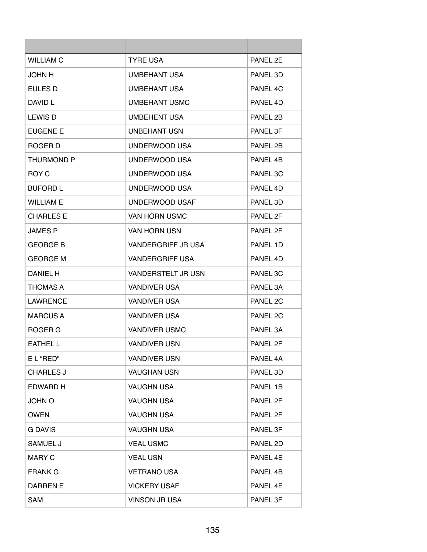| <b>WILLIAM C</b>  | <b>TYRE USA</b>        | PANEL 2F |
|-------------------|------------------------|----------|
| JOHN H            | <b>UMBEHANT USA</b>    | PANEL 3D |
| EULES D           | <b>UMBEHANT USA</b>    | PANEL 4C |
| DAVID L           | UMBEHANT USMC          | PANEL 4D |
| <b>LEWIS D</b>    | <b>UMBEHENT USA</b>    | PANEL 2B |
| EUGENE E          | UNBEHANT USN           | PANEL 3F |
| ROGER D           | UNDERWOOD USA          | PANEL 2B |
| <b>THURMOND P</b> | UNDERWOOD USA          | PANEL 4B |
| ROY C             | UNDERWOOD USA          | PANEL 3C |
| <b>BUFORD L</b>   | UNDERWOOD USA          | PANEL 4D |
| <b>WILLIAM E</b>  | UNDERWOOD USAF         | PANEL 3D |
| <b>CHARLES E</b>  | VAN HORN USMC          | PANEL 2F |
| <b>JAMES P</b>    | <b>VAN HORN USN</b>    | PANEL 2F |
| <b>GEORGE B</b>   | VANDERGRIFF JR USA     | PANEL 1D |
| <b>GEORGE M</b>   | <b>VANDERGRIFF USA</b> | PANEL 4D |
| DANIEL H          | VANDERSTELT JR USN     | PANEL 3C |
| <b>THOMAS A</b>   | <b>VANDIVER USA</b>    | PANEL 3A |
| <b>LAWRENCE</b>   | <b>VANDIVER USA</b>    | PANEL 2C |
| MARCUS A          | <b>VANDIVER USA</b>    | PANEL 2C |
| ROGER G           | <b>VANDIVER USMC</b>   | PANEL 3A |
| <b>EATHEL L</b>   | <b>VANDIVER USN</b>    | PANEL 2F |
| E L "RED"         | <b>VANDIVER USN</b>    | PANEL 4A |
| <b>CHARLES J</b>  | <b>VAUGHAN USN</b>     | PANEL 3D |
| <b>EDWARD H</b>   | <b>VAUGHN USA</b>      | PANEL 1B |
| JOHN O            | <b>VAUGHN USA</b>      | PANEL 2F |
| <b>OWEN</b>       | <b>VAUGHN USA</b>      | PANEL 2F |
| <b>G DAVIS</b>    | <b>VAUGHN USA</b>      | PANEL 3F |
| SAMUEL J          | <b>VEAL USMC</b>       | PANEL 2D |
| <b>MARY C</b>     | <b>VEAL USN</b>        | PANEL 4E |
| <b>FRANK G</b>    | <b>VETRANO USA</b>     | PANEL 4B |
| DARREN E          | <b>VICKERY USAF</b>    | PANEL 4E |
| <b>SAM</b>        | <b>VINSON JR USA</b>   | PANEL 3F |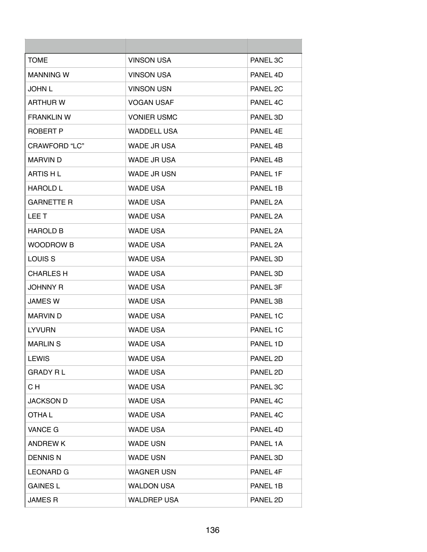| <b>TOME</b>        | <b>VINSON USA</b>  | PANEL 3C |
|--------------------|--------------------|----------|
| <b>MANNING W</b>   | <b>VINSON USA</b>  | PANEL 4D |
| <b>JOHN L</b>      | <b>VINSON USN</b>  | PANEL 2C |
| <b>ARTHUR W</b>    | <b>VOGAN USAF</b>  | PANEL 4C |
| <b>FRANKLIN W</b>  | <b>VONIER USMC</b> | PANEL 3D |
| ROBERT P           | <b>WADDELL USA</b> | PANEL 4E |
| CRAWFORD "LC"      | WADE JR USA        | PANEL 4B |
| <b>MARVIN D</b>    | WADE JR USA        | PANEL 4B |
| ARTIS H L          | <b>WADE JR USN</b> | PANEL 1F |
| <b>HAROLD L</b>    | <b>WADE USA</b>    | PANEL 1B |
| <b>GARNETTE R</b>  | <b>WADE USA</b>    | PANEL 2A |
| LEE T              | <b>WADE USA</b>    | PANEL 2A |
| <b>HAROLD B</b>    | <b>WADE USA</b>    | PANEL 2A |
| <b>WOODROW B</b>   | <b>WADE USA</b>    | PANEL 2A |
| LOUIS <sub>S</sub> | <b>WADE USA</b>    | PANEL 3D |
| <b>CHARLES H</b>   | <b>WADE USA</b>    | PANEL 3D |
| <b>JOHNNY R</b>    | <b>WADE USA</b>    | PANEL 3F |
| <b>JAMES W</b>     | <b>WADE USA</b>    | PANEL 3B |
| <b>MARVIN D</b>    | <b>WADE USA</b>    | PANEL 1C |
| <b>LYVURN</b>      | <b>WADE USA</b>    | PANEL 1C |
| <b>MARLIN S</b>    | <b>WADE USA</b>    | PANEL 1D |
| <b>LEWIS</b>       | <b>WADE USA</b>    | PANEL 2D |
| <b>GRADY RL</b>    | <b>WADE USA</b>    | PANEL 2D |
| C H                | <b>WADE USA</b>    | PANEL 3C |
| <b>JACKSON D</b>   | <b>WADE USA</b>    | PANEL 4C |
| OTHA L             | <b>WADE USA</b>    | PANEL 4C |
| <b>VANCE G</b>     | <b>WADE USA</b>    | PANEL 4D |
| <b>ANDREWK</b>     | <b>WADE USN</b>    | PANEL 1A |
| <b>DENNIS N</b>    | <b>WADE USN</b>    | PANEL 3D |
| <b>LEONARD G</b>   | <b>WAGNER USN</b>  | PANEL 4F |
| <b>GAINES L</b>    | <b>WALDON USA</b>  | PANEL 1B |
| <b>JAMES R</b>     | <b>WALDREP USA</b> | PANEL 2D |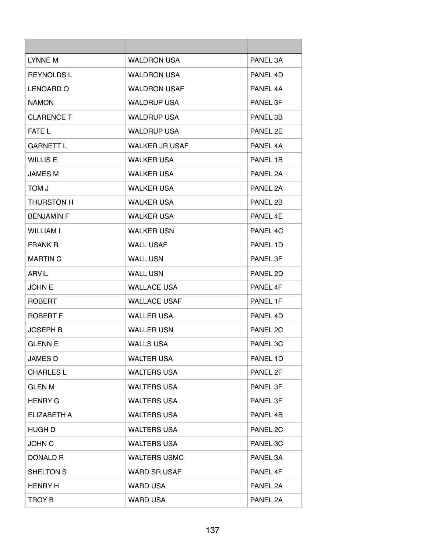| LYNNE M            | <b>WALDRON USA</b>    | PANEL 3A             |
|--------------------|-----------------------|----------------------|
| <b>REYNOLDS L</b>  | <b>WALDRON USA</b>    | PANEL 4D             |
| LENOARD O          | <b>WALDRON USAF</b>   | PANEL 4A             |
| <b>NAMON</b>       | <b>WALDRUP USA</b>    | PANEL 3F             |
| <b>CLARENCE T</b>  | <b>WALDRUP USA</b>    | PANEL 3B             |
| <b>FATE L</b>      | <b>WALDRUP USA</b>    | PANEL 2E             |
| <b>GARNETT L</b>   | <b>WALKER JR USAF</b> | PANEL 4A             |
| <b>WILLIS E</b>    | <b>WALKER USA</b>     | PANEL 1B             |
| <b>JAMES M</b>     | <b>WALKER USA</b>     | PANEL 2A             |
| <b>L NOT</b>       | <b>WALKER USA</b>     | PANEL 2A             |
| <b>THURSTON H</b>  | <b>WALKER USA</b>     | PANFI <sub>2</sub> R |
| <b>BENJAMIN F</b>  | <b>WALKER USA</b>     | PANEL 4E             |
| <b>WILLIAM I</b>   | <b>WALKER USN</b>     | PANEL 4C             |
| <b>FRANK R</b>     | <b>WALL USAF</b>      | PANEL 1D             |
| <b>MARTIN C</b>    | <b>WALL USN</b>       | PANEL 3F             |
| <b>ARVIL</b>       | <b>WALL USN</b>       | PANEL 2D             |
| <b>JOHN E</b>      | <b>WALLACE USA</b>    | PANEL 4F             |
| <b>ROBERT</b>      | <b>WALLACE USAF</b>   | PANEL 1F             |
| ROBERT F           | <b>WALLER USA</b>     | PANEL 4D             |
| JOSEPH B           | <b>WALLER USN</b>     | PANEL 2C             |
| <b>GLENN E</b>     | <b>WALLS USA</b>      | PANEL 3C             |
| JAMES D            | <b>WALTER USA</b>     | PANEL 1D             |
| <b>CHARLES L</b>   | <b>WALTERS USA</b>    | PANEL 2F             |
| <b>GLEN M</b>      | <b>WALTERS USA</b>    | PANEL 3F             |
| <b>HENRY G</b>     | <b>WALTERS USA</b>    | PANEL 3F             |
| <b>ELIZABETH A</b> | <b>WALTERS USA</b>    | PANEL 4B             |
| HUGH D             | <b>WALTERS USA</b>    | PANEL 2C             |
| <b>JOHN C</b>      | <b>WALTERS USA</b>    | PANEL 3C             |
| DONALD R           | <b>WALTERS USMC</b>   | PANEL 3A             |
| SHELTON S          | <b>WARD SR USAF</b>   | PANEL 4F             |
| <b>HENRY H</b>     | <b>WARD USA</b>       | PANEL 2A             |
| <b>TROY B</b>      | <b>WARD USA</b>       | PANEL 2A             |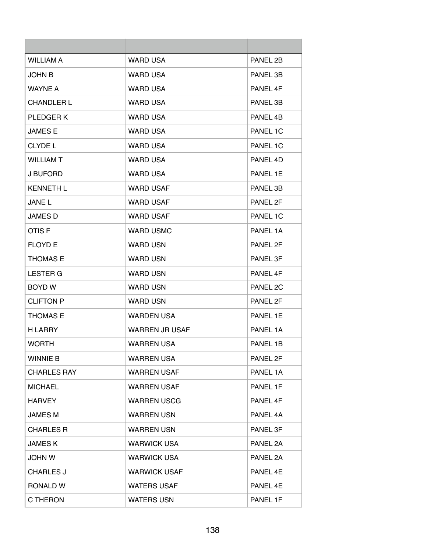| <b>WILLIAM A</b>   | <b>WARD USA</b>       | PANEL 2B |
|--------------------|-----------------------|----------|
| <b>JOHN B</b>      | <b>WARD USA</b>       | PANEL 3B |
| <b>WAYNE A</b>     | WARD USA              | PANEL 4F |
| <b>CHANDLER L</b>  | <b>WARD USA</b>       | PANEL 3B |
| PLEDGER K          | <b>WARD USA</b>       | PANEL 4B |
| <b>JAMES E</b>     | <b>WARD USA</b>       | PANEL 1C |
| <b>CLYDE L</b>     | <b>WARD USA</b>       | PANEL 1C |
| <b>WILLIAM T</b>   | <b>WARD USA</b>       | PANEL 4D |
| J BUFORD           | <b>WARD USA</b>       | PANEL 1E |
| <b>KENNETH L</b>   | <b>WARD USAF</b>      | PANEL 3B |
| <b>JANEL</b>       | <b>WARD USAF</b>      | PANEL 2F |
| <b>JAMES D</b>     | <b>WARD USAF</b>      | PANEL 1C |
| OTIS <sub>F</sub>  | <b>WARD USMC</b>      | PANEL 1A |
| <b>FLOYD E</b>     | <b>WARD USN</b>       | PANEL 2F |
| <b>THOMAS E</b>    | <b>WARD USN</b>       | PANEL 3F |
| <b>LESTER G</b>    | <b>WARD USN</b>       | PANEL 4F |
| BOYD W             | WARD USN              | PANEL 2C |
| <b>CLIFTON P</b>   | <b>WARD USN</b>       | PANEL 2F |
| <b>THOMAS E</b>    | <b>WARDEN USA</b>     | PANEL 1E |
| <b>H LARRY</b>     | <b>WARREN JR USAF</b> | PANEL 1A |
| <b>WORTH</b>       | <b>WARREN USA</b>     | PANEL 1B |
| <b>WINNIE B</b>    | <b>WARREN USA</b>     | PANEL 2F |
| <b>CHARLES RAY</b> | <b>WARREN USAF</b>    | PANEL 1A |
| <b>MICHAEL</b>     | <b>WARREN USAF</b>    | PANEL 1F |
| <b>HARVEY</b>      | <b>WARREN USCG</b>    | PANEL 4F |
| <b>JAMES M</b>     | <b>WARREN USN</b>     | PANEL 4A |
| <b>CHARLES R</b>   | <b>WARREN USN</b>     | PANEL 3F |
| <b>JAMES K</b>     | <b>WARWICK USA</b>    | PANEL 2A |
| <b>JOHN W</b>      | <b>WARWICK USA</b>    | PANEL 2A |
| <b>CHARLES J</b>   | <b>WARWICK USAF</b>   | PANEL 4E |
| RONALD W           | <b>WATERS USAF</b>    | PANEL 4E |
| C THERON           | <b>WATERS USN</b>     | PANEL 1F |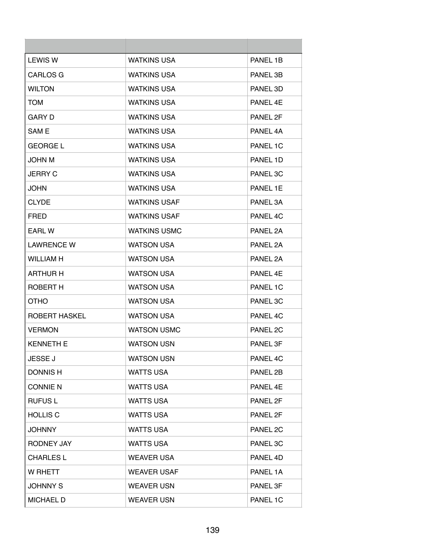| <b>LEWIS W</b>    | <b>WATKINS USA</b>  | PANEL 1B             |
|-------------------|---------------------|----------------------|
| <b>CARLOS G</b>   | <b>WATKINS USA</b>  | PANEL 3B             |
| <b>WILTON</b>     | <b>WATKINS USA</b>  | PANEL 3D             |
| <b>TOM</b>        | <b>WATKINS USA</b>  | PANEL 4E             |
| GARY D            | <b>WATKINS USA</b>  | PANFI <sub>2</sub> F |
| SAM E             | <b>WATKINS USA</b>  | PANEL 4A             |
| <b>GEORGE L</b>   | <b>WATKINS USA</b>  | PANEL 1C             |
| <b>JOHN M</b>     | <b>WATKINS USA</b>  | PANEL 1D             |
| <b>JERRY C</b>    | <b>WATKINS USA</b>  | PANEL 3C             |
| JOHN              | <b>WATKINS USA</b>  | PANEL 1E             |
| <b>CLYDE</b>      | <b>WATKINS USAF</b> | PANEL 3A             |
| <b>FRED</b>       | <b>WATKINS USAF</b> | PANEL 4C             |
| EARL W            | <b>WATKINS USMC</b> | PANEL 2A             |
| <b>LAWRENCE W</b> | <b>WATSON USA</b>   | PANEL 2A             |
| <b>WILLIAM H</b>  | <b>WATSON USA</b>   | PANEL 2A             |
| <b>ARTHUR H</b>   | <b>WATSON USA</b>   | PANEL 4E             |
| ROBERT H          | <b>WATSON USA</b>   | PANEL 1C             |
| <b>OTHO</b>       | <b>WATSON USA</b>   | PANEL 3C             |
| ROBERT HASKEL     | <b>WATSON USA</b>   | PANEL 4C             |
| <b>VERMON</b>     | <b>WATSON USMC</b>  | PANEL 2C             |
| <b>KENNETH E</b>  | <b>WATSON USN</b>   | PANEL 3F             |
| <b>JESSE J</b>    | <b>WATSON USN</b>   | PANEL 4C             |
| <b>DONNISH</b>    | <b>WATTS USA</b>    | PANEL 2B             |
| <b>CONNIE N</b>   | <b>WATTS USA</b>    | PANEL 4E             |
| <b>RUFUSL</b>     | <b>WATTS USA</b>    | PANEL 2F             |
| <b>HOLLIS C</b>   | <b>WATTS USA</b>    | PANEL 2F             |
| <b>JOHNNY</b>     | <b>WATTS USA</b>    | PANEL 2C             |
| RODNEY JAY        | <b>WATTS USA</b>    | PANEL 3C             |
| <b>CHARLES L</b>  | <b>WEAVER USA</b>   | PANEL 4D             |
| W RHETT           | <b>WEAVER USAF</b>  | PANEL 1A             |
| <b>JOHNNY S</b>   | <b>WEAVER USN</b>   | PANEL 3F             |
| <b>MICHAEL D</b>  | <b>WEAVER USN</b>   | PANEL 1C             |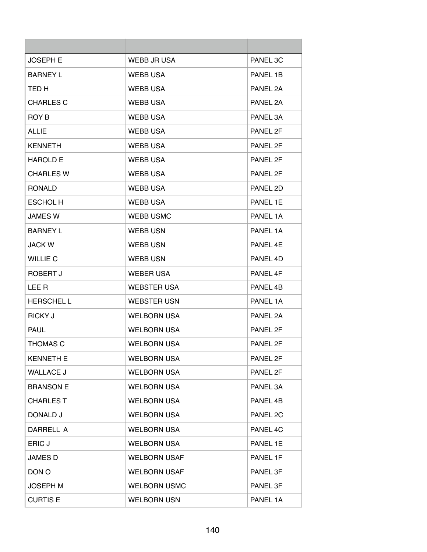| <b>JOSEPH E</b>  | WEBB JR USA         | PANEL 3C |
|------------------|---------------------|----------|
| <b>BARNEY L</b>  | <b>WEBB USA</b>     | PANEL 1B |
| TED H            | <b>WEBB USA</b>     | PANEL 2A |
| <b>CHARLES C</b> | <b>WEBB USA</b>     | PANEL 2A |
| ROY B            | <b>WEBB USA</b>     | PANEL 3A |
| <b>ALLIE</b>     | <b>WEBB USA</b>     | PANEL 2F |
| <b>KENNETH</b>   | <b>WEBB USA</b>     | PANEL 2F |
| <b>HAROLD E</b>  | <b>WEBB USA</b>     | PANEL 2F |
| <b>CHARLES W</b> | <b>WEBB USA</b>     | PANEL 2F |
| <b>RONALD</b>    | <b>WEBB USA</b>     | PANEL 2D |
| <b>ESCHOL H</b>  | <b>WEBB USA</b>     | PANEL 1E |
| <b>JAMES W</b>   | <b>WEBB USMC</b>    | PANEL 1A |
| <b>BARNEY L</b>  | <b>WEBB USN</b>     | PANEL 1A |
| <b>JACK W</b>    | <b>WEBB USN</b>     | PANEL 4E |
| <b>WILLIE C</b>  | <b>WEBB USN</b>     | PANEL 4D |
| ROBERT J         | <b>WEBER USA</b>    | PANEL 4F |
| LEE R            | <b>WEBSTER USA</b>  | PANEL 4B |
| <b>HERSCHELL</b> | <b>WEBSTER USN</b>  | PANEL 1A |
| <b>RICKY J</b>   | <b>WELBORN USA</b>  | PANEL 2A |
| <b>PAUL</b>      | <b>WELBORN USA</b>  | PANEL 2F |
| <b>THOMAS C</b>  | <b>WELBORN USA</b>  | PANEL 2F |
| <b>KENNETH E</b> | <b>WELBORN USA</b>  | PANEL 2F |
| <b>WALLACE J</b> | <b>WELBORN USA</b>  | PANEL 2F |
| <b>BRANSON E</b> | <b>WELBORN USA</b>  | PANEL 3A |
| <b>CHARLES T</b> | <b>WELBORN USA</b>  | PANEL 4B |
| DONALD J         | <b>WELBORN USA</b>  | PANEL 2C |
| DARRELL A        | <b>WELBORN USA</b>  | PANEL 4C |
| ERIC J           | <b>WELBORN USA</b>  | PANEL 1E |
| <b>JAMES D</b>   | <b>WELBORN USAF</b> | PANEL 1F |
| DON O            | <b>WELBORN USAF</b> | PANEL 3F |
| <b>JOSEPH M</b>  | <b>WELBORN USMC</b> | PANEL 3F |
| <b>CURTIS E</b>  | <b>WELBORN USN</b>  | PANEL 1A |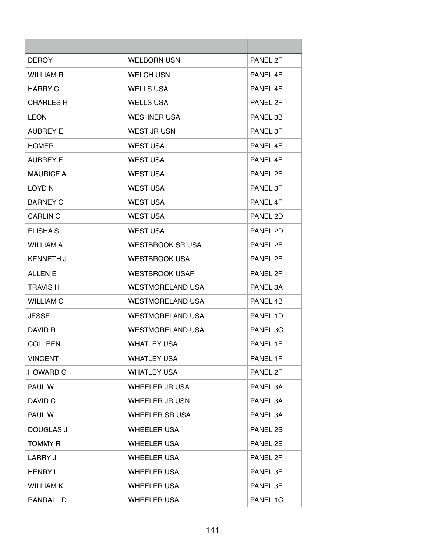| <b>DEROY</b>     | <b>WELBORN USN</b>      | PANEL 2F |
|------------------|-------------------------|----------|
| <b>WILLIAM R</b> | <b>WELCH USN</b>        | PANEL 4F |
| <b>HARRY C</b>   | <b>WELLS USA</b>        | PANEL 4E |
| <b>CHARLES H</b> | <b>WELLS USA</b>        | PANEL 2F |
| <b>LEON</b>      | <b>WESHNER USA</b>      | PANEL 3B |
| <b>AUBREY E</b>  | WEST JR USN             | PANEL 3F |
| <b>HOMER</b>     | <b>WEST USA</b>         | PANEL 4E |
| <b>AUBREY E</b>  | <b>WEST USA</b>         | PANEL 4E |
| <b>MAURICE A</b> | <b>WEST USA</b>         | PANEL 2F |
| LOYD N           | <b>WEST USA</b>         | PANEL 3F |
| <b>BARNEY C</b>  | <b>WEST USA</b>         | PANEL 4F |
| <b>CARLIN C</b>  | <b>WEST USA</b>         | PANEL 2D |
| <b>ELISHA S</b>  | <b>WEST USA</b>         | PANEL 2D |
| <b>WILLIAM A</b> | <b>WESTBROOK SR USA</b> | PANEL 2F |
| <b>KENNETH J</b> | <b>WESTBROOK USA</b>    | PANEL 2F |
| <b>ALLEN E</b>   | <b>WESTBROOK USAF</b>   | PANEL 2F |
| <b>TRAVIS H</b>  | WESTMORELAND USA        | PANEL 3A |
| <b>WILLIAM C</b> | <b>WESTMORELAND USA</b> | PANEL 4B |
| <b>JESSE</b>     | <b>WESTMORELAND USA</b> | PANEL 1D |
| DAVID R          | <b>WESTMORELAND USA</b> | PANEL 3C |
| <b>COLLEEN</b>   | <b>WHATLEY USA</b>      | PANEL 1F |
| <b>VINCENT</b>   | <b>WHATLEY USA</b>      | PANEL 1F |
| <b>HOWARD G</b>  | <b>WHATLEY USA</b>      | PANEL 2F |
| PAUL W           | WHEELER JR USA          | PANEL 3A |
| DAVID C          | <b>WHEELER JR USN</b>   | PANEL 3A |
| PAUL W           | <b>WHEELER SR USA</b>   | PANEL 3A |
| <b>DOUGLAS J</b> | <b>WHEELER USA</b>      | PANEL 2B |
| <b>TOMMY R</b>   | <b>WHEELER USA</b>      | PANEL 2E |
| LARRY J          | <b>WHEELER USA</b>      | PANEL 2F |
| <b>HENRY L</b>   | <b>WHEELER USA</b>      | PANEL 3F |
| <b>WILLIAM K</b> | <b>WHEELER USA</b>      | PANEL 3F |
| <b>RANDALL D</b> | <b>WHEELER USA</b>      | PANEL 1C |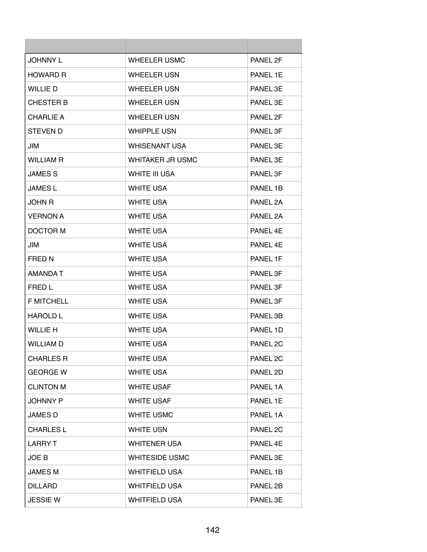| <b>JOHNNY L</b>   | WHEELER USMC            | PANEL 2F |
|-------------------|-------------------------|----------|
| <b>HOWARD R</b>   | <b>WHEELER USN</b>      | PANEL 1E |
| <b>WILLIE D</b>   | <b>WHEELER USN</b>      | PANEL 3E |
| <b>CHESTER B</b>  | <b>WHEELER USN</b>      | PANEL 3E |
| <b>CHARLIE A</b>  | <b>WHEELER USN</b>      | PANEL 2F |
| <b>STEVEN D</b>   | <b>WHIPPLE USN</b>      | PANEL 3F |
| JIM               | <b>WHISENANT USA</b>    | PANEL 3E |
| <b>WILLIAM R</b>  | <b>WHITAKER JR USMC</b> | PANEL 3E |
| <b>JAMES S</b>    | WHITE III USA           | PANEL 3F |
| <b>JAMES L</b>    | <b>WHITE USA</b>        | PANEL 1B |
| JOHN R            | <b>WHITE USA</b>        | PANEL 2A |
| <b>VERNON A</b>   | <b>WHITE USA</b>        | PANEL 2A |
| DOCTOR M          | <b>WHITE USA</b>        | PANEL 4E |
| JIM               | <b>WHITE USA</b>        | PANEL 4F |
| <b>FRED N</b>     | <b>WHITE USA</b>        | PANEL 1F |
| AMANDA T          | <b>WHITE USA</b>        | PANEL 3F |
| FRED L            | <b>WHITE USA</b>        | PANEL 3F |
| <b>F MITCHELL</b> | <b>WHITE USA</b>        | PANEL 3F |
| <b>HAROLD L</b>   | <b>WHITE USA</b>        | PANEL 3B |
| <b>WILLIE H</b>   | <b>WHITE USA</b>        | PANEL 1D |
| <b>WILLIAM D</b>  | <b>WHITE USA</b>        | PANEL 2C |
| <b>CHARLES R</b>  | <b>WHITE USA</b>        | PANEL 2C |
| <b>GEORGE W</b>   | <b>WHITE USA</b>        | PANEL 2D |
| <b>CLINTON M</b>  | <b>WHITE USAF</b>       | PANEL 1A |
| <b>JOHNNY P</b>   | <b>WHITE USAF</b>       | PANEL 1E |
| JAMES D           | <b>WHITE USMC</b>       | PANEL 1A |
| <b>CHARLES L</b>  | <b>WHITE USN</b>        | PANEL 2C |
| <b>LARRY T</b>    | <b>WHITENER USA</b>     | PANEL 4E |
| JOE B             | <b>WHITESIDE USMC</b>   | PANEL 3E |
| JAMES M           | <b>WHITFIELD USA</b>    | PANEL 1B |
| <b>DILLARD</b>    | <b>WHITFIELD USA</b>    | PANEL 2B |
| <b>JESSIE W</b>   | <b>WHITFIELD USA</b>    | PANEL 3E |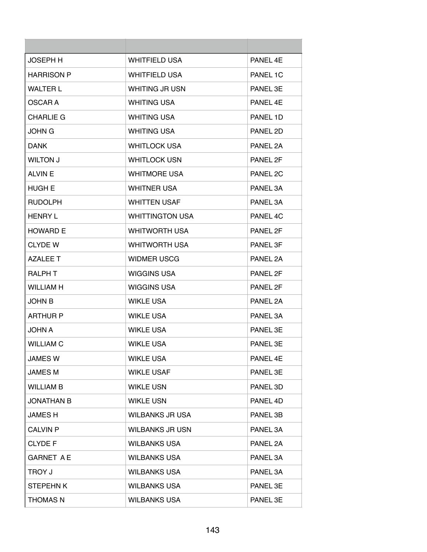| <b>JOSEPH H</b>   | <b>WHITFIELD USA</b>   | PANFI 4F |
|-------------------|------------------------|----------|
| <b>HARRISON P</b> | <b>WHITFIELD USA</b>   | PANEL 1C |
| <b>WALTER L</b>   | <b>WHITING JR USN</b>  | PANEL 3E |
| OSCAR A           | <b>WHITING USA</b>     | PANEL 4F |
| <b>CHARLIE G</b>  | <b>WHITING USA</b>     | PANEL 1D |
| JOHN G            | <b>WHITING USA</b>     | PANEL 2D |
| <b>DANK</b>       | <b>WHITLOCK USA</b>    | PANEL 2A |
| <b>WILTON J</b>   | <b>WHITLOCK USN</b>    | PANEL 2F |
| <b>ALVIN E</b>    | <b>WHITMORE USA</b>    | PANEL 2C |
| <b>HUGH E</b>     | <b>WHITNER USA</b>     | PANEL 3A |
| <b>RUDOLPH</b>    | <b>WHITTEN USAF</b>    | PANEL 3A |
| <b>HENRY L</b>    | <b>WHITTINGTON USA</b> | PANEL 4C |
| <b>HOWARD E</b>   | <b>WHITWORTH USA</b>   | PANEL 2F |
| <b>CLYDE W</b>    | <b>WHITWORTH USA</b>   | PANEL 3F |
| AZAI FF T         | <b>WIDMER USCG</b>     | PANEL 2A |
| <b>RALPH T</b>    | WIGGINS USA            | PANEL 2F |
| <b>WILLIAM H</b>  | WIGGINS USA            | PANEL 2F |
| <b>JOHN B</b>     | <b>WIKLE USA</b>       | PANEL 2A |
| <b>ARTHUR P</b>   | <b>WIKLE USA</b>       | PANEL 3A |
| <b>A UHOL</b>     | <b>WIKLE USA</b>       | PANEL 3E |
| <b>WILLIAM C</b>  | <b>WIKLE USA</b>       | PANEL 3E |
| <b>JAMES W</b>    | <b>WIKLE USA</b>       | PANEL 4E |
| <b>JAMES M</b>    | <b>WIKLE USAF</b>      | PANEL 3E |
| <b>WILLIAM B</b>  | <b>WIKLE USN</b>       | PANEL 3D |
| <b>JONATHAN B</b> | <b>WIKLE USN</b>       | PANEL 4D |
| <b>JAMES H</b>    | <b>WILBANKS JR USA</b> | PANEL 3B |
| <b>CALVIN P</b>   | <b>WILBANKS JR USN</b> | PANEL 3A |
| <b>CLYDE F</b>    | <b>WILBANKS USA</b>    | PANEL 2A |
| <b>GARNET A E</b> | <b>WILBANKS USA</b>    | PANEL 3A |
| TROY J            | <b>WILBANKS USA</b>    | PANEL 3A |
| <b>STEPEHNK</b>   | <b>WILBANKS USA</b>    | PANEL 3E |
| <b>THOMAS N</b>   | <b>WILBANKS USA</b>    | PANEL 3E |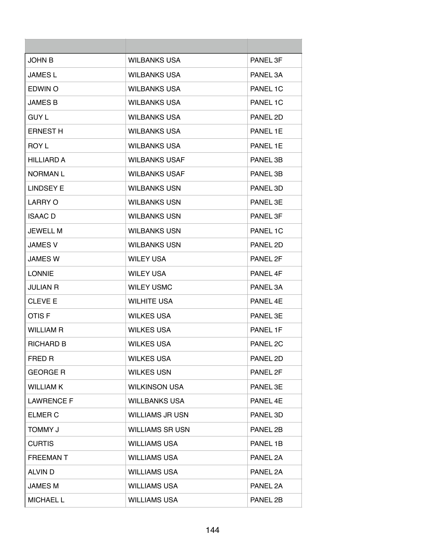| JOHN B            | <b>WILBANKS USA</b>    | PANEL 3F            |
|-------------------|------------------------|---------------------|
| JAMES L           | <b>WILBANKS USA</b>    | PANEL 3A            |
| EDWIN O           | <b>WILBANKS USA</b>    | PANEL 1C            |
| JAMES B           | <b>WILBANKS USA</b>    | PANEL 1C            |
| <b>GUY L</b>      | <b>WILBANKS USA</b>    | PANEL 2D            |
| <b>ERNEST H</b>   | <b>WILBANKS USA</b>    | PANEL 1E            |
| ROY L             | <b>WILBANKS USA</b>    | PANEL 1E            |
| <b>HILLIARD A</b> | <b>WILBANKS USAF</b>   | PANEL 3B            |
| <b>NORMANL</b>    | <b>WILBANKS USAF</b>   | PANEL 3B            |
| <b>LINDSEY E</b>  | <b>WILBANKS USN</b>    | PANEL 3D            |
| LARRY O           | <b>WILBANKS USN</b>    | PANEL 3E            |
| <b>ISAAC</b> D    | <b>WILBANKS USN</b>    | PANEL 3F            |
| JEWELL M          | <b>WILBANKS USN</b>    | PANEL 1C            |
| JAMES V           | <b>WILBANKS USN</b>    | PANEL 2D            |
| JAMES W           | <b>WILEY USA</b>       | PANEL 2F            |
| <b>LONNIE</b>     | <b>WILEY USA</b>       | PANEL 4F            |
| JULIAN R          | <b>WILEY USMC</b>      | PANEL 3A            |
| <b>CLEVE E</b>    | <b>WILHITE USA</b>     | PANEL 4F            |
| OTIS F            | <b>WILKES USA</b>      | PANEL 3F            |
| WILLIAM R         | <b>WILKES USA</b>      | PANEL 1F            |
| RICHARD B         | <b>WILKES USA</b>      | PANEL <sub>2C</sub> |
| FRED R            | <b>WILKES USA</b>      | PANEL 2D            |
| <b>GEORGE R</b>   | <b>WILKES USN</b>      | PANEL 2F            |
| <b>WILLIAM K</b>  | <b>WILKINSON USA</b>   | PANEL 3E            |
| <b>LAWRENCE F</b> | <b>WILLBANKS USA</b>   | PANEL 4E            |
| <b>ELMER C</b>    | <b>WILLIAMS JR USN</b> | PANEL 3D            |
| <b>TOMMY J</b>    | <b>WILLIAMS SR USN</b> | PANEL 2B            |
| <b>CURTIS</b>     | <b>WILLIAMS USA</b>    | PANEL 1B            |
| <b>FREEMANT</b>   | <b>WILLIAMS USA</b>    | PANEL 2A            |
| ALVIN D           | <b>WILLIAMS USA</b>    | PANEL 2A            |
| JAMES M           | <b>WILLIAMS USA</b>    | PANEL 2A            |
| <b>MICHAEL L</b>  | <b>WILLIAMS USA</b>    | PANEL 2B            |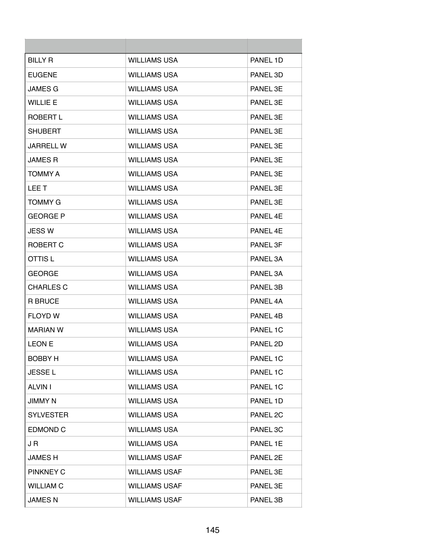| <b>BILLY R</b>   | <b>WILLIAMS USA</b>  | PANFI 1D |
|------------------|----------------------|----------|
| <b>EUGENE</b>    | <b>WILLIAMS USA</b>  | PANEL 3D |
| <b>JAMES G</b>   | <b>WILLIAMS USA</b>  | PANEL 3E |
| <b>WILLIE E</b>  | <b>WILLIAMS USA</b>  | PANEL 3E |
| ROBERT L         | WILLIAMS USA         | PANEL 3F |
| <b>SHUBERT</b>   | <b>WILLIAMS USA</b>  | PANEL 3F |
| JARRELL W        | <b>WILLIAMS USA</b>  | PANEL 3E |
| <b>JAMES R</b>   | <b>WILLIAMS USA</b>  | PANEL 3E |
| <b>TOMMY A</b>   | <b>WILLIAMS USA</b>  | PANEL 3E |
| LEE T            | <b>WILLIAMS USA</b>  | PANEL 3E |
| <b>TOMMY G</b>   | <b>WILLIAMS USA</b>  | PANEL 3E |
| <b>GEORGE P</b>  | <b>WILLIAMS USA</b>  | PANEL 4E |
| <b>JESS W</b>    | <b>WILLIAMS USA</b>  | PANEL 4E |
| ROBERT C         | <b>WILLIAMS USA</b>  | PANEL 3F |
| OTTIS L          | <b>WILLIAMS USA</b>  | PANEL 3A |
| <b>GEORGE</b>    | <b>WILLIAMS USA</b>  | PANEL 3A |
| <b>CHARLES C</b> | <b>WILLIAMS USA</b>  | PANEL 3B |
| <b>R BRUCE</b>   | <b>WILLIAMS USA</b>  | PANEL 4A |
| <b>FLOYD W</b>   | <b>WILLIAMS USA</b>  | PANEL 4B |
| <b>MARIAN W</b>  | WILLIAMS USA         | PANEL 1C |
| <b>LEON E</b>    | <b>WILLIAMS USA</b>  | PANEL 2D |
| <b>BOBBY H</b>   | <b>WILLIAMS USA</b>  | PANEL 1C |
| <b>JESSEL</b>    | <b>WILLIAMS USA</b>  | PANEL 1C |
| <b>ALVIN I</b>   | <b>WILLIAMS USA</b>  | PANEL 1C |
| JIMMY N          | <b>WILLIAMS USA</b>  | PANEL 1D |
| <b>SYLVESTER</b> | <b>WILLIAMS USA</b>  | PANEL 2C |
| <b>EDMOND C</b>  | <b>WILLIAMS USA</b>  | PANEL 3C |
| J R              | <b>WILLIAMS USA</b>  | PANEL 1E |
| JAMES H          | <b>WILLIAMS USAF</b> | PANEL 2E |
| <b>PINKNEY C</b> | <b>WILLIAMS USAF</b> | PANEL 3E |
| <b>WILLIAM C</b> | <b>WILLIAMS USAF</b> | PANEL 3E |
| <b>JAMES N</b>   | <b>WILLIAMS USAF</b> | PANEL 3B |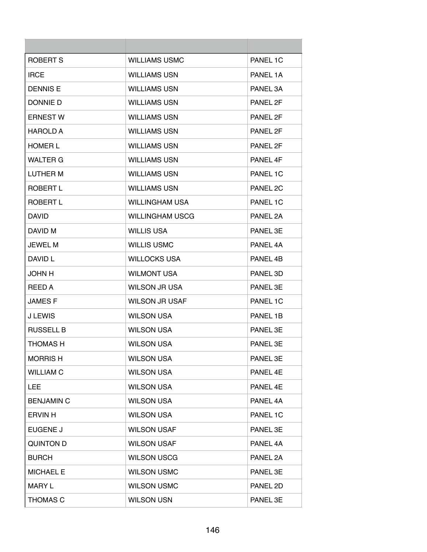| ROBERT S          | <b>WILLIAMS USMC</b>   | PANEL 1C |
|-------------------|------------------------|----------|
| <b>IRCE</b>       | <b>WILLIAMS USN</b>    | PANEL 1A |
| <b>DENNIS E</b>   | <b>WILLIAMS USN</b>    | PANEL 3A |
| DONNIE D          | <b>WILLIAMS USN</b>    | PANEL 2F |
| <b>ERNEST W</b>   | <b>WILLIAMS USN</b>    | PANEL 2F |
| <b>HAROLD A</b>   | <b>WILLIAMS USN</b>    | PANEL 2F |
| <b>HOMER L</b>    | <b>WILLIAMS USN</b>    | PANEL 2F |
| <b>WALTER G</b>   | <b>WILLIAMS USN</b>    | PANEL 4F |
| LUTHER M          | <b>WILLIAMS USN</b>    | PANEL 1C |
| ROBERT L          | <b>WILLIAMS USN</b>    | PANEL 2C |
| <b>ROBERT L</b>   | <b>WILLINGHAM USA</b>  | PANEL 1C |
| <b>DAVID</b>      | <b>WILLINGHAM USCG</b> | PANEL 2A |
| DAVID M           | <b>WILLIS USA</b>      | PANEL 3E |
| <b>JEWEL M</b>    | <b>WILLIS USMC</b>     | PANEL 4A |
| DAVID L           | <b>WILLOCKS USA</b>    | PANEL 4B |
| <b>JOHN H</b>     | <b>WILMONT USA</b>     | PANEL 3D |
| REED A            | WILSON JR USA          | PANEL 3E |
| <b>JAMESF</b>     | <b>WILSON JR USAF</b>  | PANEL 1C |
| <b>J LEWIS</b>    | <b>WILSON USA</b>      | PANEL 1B |
| <b>RUSSELL B</b>  | <b>WILSON USA</b>      | PANEL 3E |
| <b>THOMAS H</b>   | <b>WILSON USA</b>      | PANEL 3E |
| <b>MORRISH</b>    | <b>WILSON USA</b>      | PANEL 3E |
| <b>WILLIAM C</b>  | <b>WILSON USA</b>      | PANEL 4E |
| <b>LEE</b>        | <b>WILSON USA</b>      | PANEL 4E |
| <b>BENJAMIN C</b> | <b>WILSON USA</b>      | PANEL 4A |
| <b>ERVIN H</b>    | <b>WILSON USA</b>      | PANEL 1C |
| <b>EUGENE J</b>   | <b>WILSON USAF</b>     | PANEL 3E |
| <b>QUINTON D</b>  | <b>WILSON USAF</b>     | PANEL 4A |
| <b>BURCH</b>      | <b>WILSON USCG</b>     | PANEL 2A |
| <b>MICHAEL E</b>  | <b>WILSON USMC</b>     | PANEL 3E |
| MARY L            | <b>WILSON USMC</b>     | PANEL 2D |
| <b>THOMAS C</b>   | <b>WILSON USN</b>      | PANEL 3E |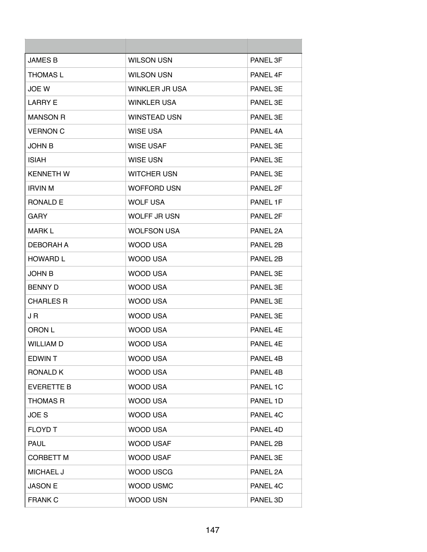| <b>JAMES B</b>    | <b>WILSON USN</b>   | PANEL 3F |
|-------------------|---------------------|----------|
| <b>THOMAS L</b>   | <b>WILSON USN</b>   | PANEL 4F |
| JOE W             | WINKLER JR USA      | PANEL 3E |
| <b>LARRY E</b>    | <b>WINKLER USA</b>  | PANEL 3E |
| <b>MANSON R</b>   | <b>WINSTEAD USN</b> | PANEL 3E |
| <b>VERNON C</b>   | WISE USA            | PANEL 4A |
| <b>JOHN B</b>     | <b>WISE USAF</b>    | PANEL 3E |
| <b>ISIAH</b>      | <b>WISE USN</b>     | PANEL 3E |
| <b>KENNETH W</b>  | <b>WITCHER USN</b>  | PANEL 3E |
| <b>IRVIN M</b>    | <b>WOFFORD USN</b>  | PANEL 2F |
| <b>RONALD E</b>   | <b>WOLF USA</b>     | PANEL 1F |
| <b>GARY</b>       | <b>WOLFF JR USN</b> | PANEL 2F |
| <b>MARK L</b>     | <b>WOLFSON USA</b>  | PANEL 2A |
| DEBORAH A         | <b>WOOD USA</b>     | PANEL 2B |
| <b>HOWARD L</b>   | WOOD USA            | PANEL 2B |
| <b>JOHN B</b>     | WOOD USA            | PANEL 3E |
| <b>BENNY D</b>    | WOOD USA            | PANEL 3E |
| <b>CHARLES R</b>  | WOOD USA            | PANEL 3E |
| J R               | <b>WOOD USA</b>     | PANEL 3E |
| ORON L            | WOOD USA            | PANEL 4E |
| <b>WILLIAM D</b>  | <b>WOOD USA</b>     | PANEL 4E |
| <b>EDWINT</b>     | <b>WOOD USA</b>     | PANEL 4B |
| <b>RONALD K</b>   | <b>WOOD USA</b>     | PANEL 4B |
| <b>EVERETTE B</b> | <b>WOOD USA</b>     | PANEL 1C |
| <b>THOMAS R</b>   | <b>WOOD USA</b>     | PANEL 1D |
| JOE <sub>S</sub>  | <b>WOOD USA</b>     | PANEL 4C |
| <b>FLOYD T</b>    | <b>WOOD USA</b>     | PANEL 4D |
| <b>PAUL</b>       | WOOD USAF           | PANEL 2B |
| <b>CORBETT M</b>  | <b>WOOD USAF</b>    | PANEL 3E |
| <b>MICHAEL J</b>  | <b>WOOD USCG</b>    | PANEL 2A |
| <b>JASON E</b>    | WOOD USMC           | PANEL 4C |
| <b>FRANK C</b>    | <b>WOOD USN</b>     | PANEL 3D |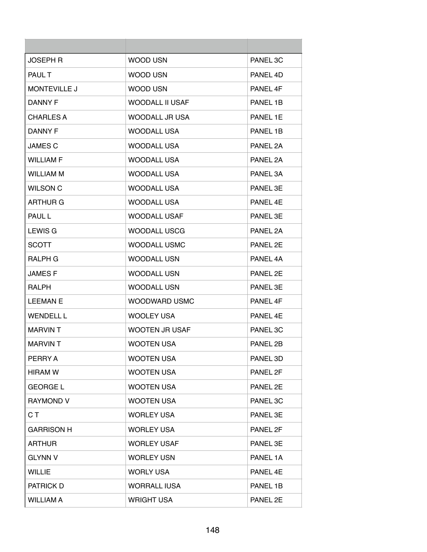| <b>JOSEPH R</b>     | WOOD USN               | PANEL 3C        |
|---------------------|------------------------|-----------------|
| <b>PAUL T</b>       | WOOD USN               | PANEL 4D        |
| <b>MONTEVILLE J</b> | WOOD USN               | PANEL 4F        |
| DANNY F             | <b>WOODALL II USAF</b> | PANEL 1B        |
| CHARLES A           | WOODALL JR USA         | PANEL 1E        |
| DANNY F             | WOODALL USA            | PANEL 1B        |
| <b>JAMES C</b>      | <b>WOODALL USA</b>     | PANEL 2A        |
| <b>WILLIAM F</b>    | <b>WOODALL USA</b>     | PANEL 2A        |
| <b>WILLIAM M</b>    | <b>WOODALL USA</b>     | PANEL 3A        |
| <b>WILSON C</b>     | <b>WOODALL USA</b>     | PANEL 3E        |
| ARTHUR G            | <b>WOODALL USA</b>     | PANFI 4F        |
| <b>PAUL L</b>       | <b>WOODALL USAF</b>    | PANEL 3F        |
| LEWIS G             | <b>WOODALL USCG</b>    | PANEL 2A        |
| <b>SCOTT</b>        | <b>WOODALL USMC</b>    | PANEL 2E        |
| RALPH G             | <b>WOODALL USN</b>     | PANEL 4A        |
| <b>JAMESF</b>       | <b>WOODALL USN</b>     | PANEL 2E        |
| <b>RALPH</b>        | <b>WOODALL USN</b>     | PANEL 3E        |
| <b>LEEMAN E</b>     | WOODWARD USMC          | PANEL 4F        |
| <b>WENDELL L</b>    | <b>WOOLEY USA</b>      | PANFL 4F        |
| <b>MARVINT</b>      | <b>WOOTEN JR USAF</b>  | <b>PANEL 3C</b> |
| <b>MARVIN T</b>     | <b>WOOTEN USA</b>      | PANEL 2B        |
| PERRY A             | <b>WOOTEN USA</b>      | PANEL 3D        |
| <b>HIRAM W</b>      | <b>WOOTEN USA</b>      | PANEL 2F        |
| <b>GEORGE L</b>     | <b>WOOTEN USA</b>      | PANEL 2E        |
| RAYMOND V           | <b>WOOTEN USA</b>      | PANEL 3C        |
| C T                 | <b>WORLEY USA</b>      | PANEL 3E        |
| <b>GARRISON H</b>   | <b>WORLEY USA</b>      | PANEL 2F        |
| <b>ARTHUR</b>       | <b>WORLEY USAF</b>     | PANEL 3E        |
| <b>GLYNN V</b>      | <b>WORLEY USN</b>      | PANEL 1A        |
| <b>WILLIE</b>       | <b>WORLY USA</b>       | PANEL 4E        |
| PATRICK D           | <b>WORRALL IUSA</b>    | PANEL 1B        |
| <b>WILLIAM A</b>    | <b>WRIGHT USA</b>      | PANEL 2E        |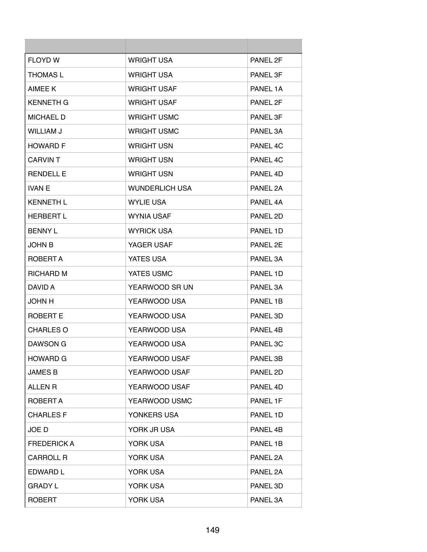| <b>FLOYD W</b>     | <b>WRIGHT USA</b>     | PANEL 2F |
|--------------------|-----------------------|----------|
| <b>THOMAS L</b>    | <b>WRIGHT USA</b>     | PANEL 3F |
| AIMEE K            | <b>WRIGHT USAF</b>    | PANEL 1A |
| <b>KENNETH G</b>   | <b>WRIGHT USAF</b>    | PANEL 2F |
| <b>MICHAEL D</b>   | <b>WRIGHT USMC</b>    | PANEL 3F |
| WILLIAM J          | <b>WRIGHT USMC</b>    | PANEL 3A |
| <b>HOWARD F</b>    | <b>WRIGHT USN</b>     | PANEL 4C |
| <b>CARVINT</b>     | <b>WRIGHT USN</b>     | PANEL 4C |
| <b>RENDELL E</b>   | <b>WRIGHT USN</b>     | PANEL 4D |
| <b>IVAN E</b>      | <b>WUNDERLICH USA</b> | PANEL 2A |
| <b>KENNETH L</b>   | <b>WYLIE USA</b>      | PANEL 4A |
| <b>HERBERT L</b>   | <b>WYNIA USAF</b>     | PANEL 2D |
| <b>BENNY L</b>     | <b>WYRICK USA</b>     | PANEL 1D |
| JOHN B             | YAGER USAF            | PANEL 2E |
| ROBERT A           | YATES USA             | PANEL 3A |
| RICHARD M          | YATES USMC            | PANEL 1D |
| DAVID A            | YEARWOOD SR UN        | PANEL 3A |
| <b>JOHN H</b>      | YEARWOOD USA          | PANEL 1B |
| ROBERT E           | YEARWOOD USA          | PANEL 3D |
| <b>CHARLES O</b>   | YEARWOOD USA          | PANEL 4B |
| DAWSON G           | YEARWOOD USA          | PANEL 3C |
| <b>HOWARD G</b>    | YEARWOOD USAF         | PANEL 3B |
| <b>JAMES B</b>     | YEARWOOD USAF         | PANEL 2D |
| <b>ALLEN R</b>     | YEARWOOD USAF         | PANEL 4D |
| ROBERT A           | YEARWOOD USMC         | PANEL 1F |
| <b>CHARLES F</b>   | YONKERS USA           | PANEL 1D |
| JOE D              | YORK JR USA           | PANEL 4B |
| <b>FREDERICK A</b> | YORK USA              | PANEL 1B |
| <b>CARROLL R</b>   | YORK USA              | PANEL 2A |
| EDWARD L           | YORK USA              | PANEL 2A |
| <b>GRADY L</b>     | YORK USA              | PANEL 3D |
| <b>ROBERT</b>      | YORK USA              | PANEL 3A |